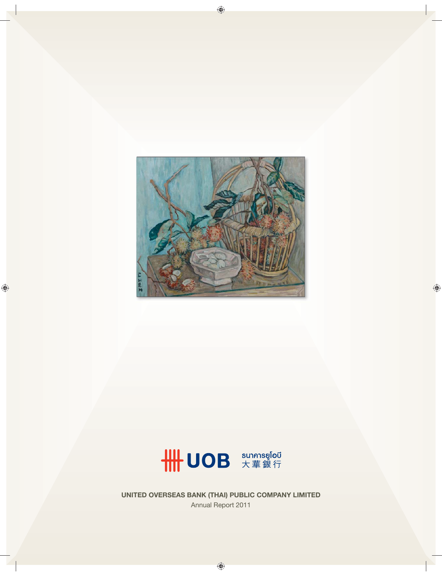



**UNITED OVERSEAS BANK (THAI) PUBLIC COMPANY LIMITED** Annual Report 2011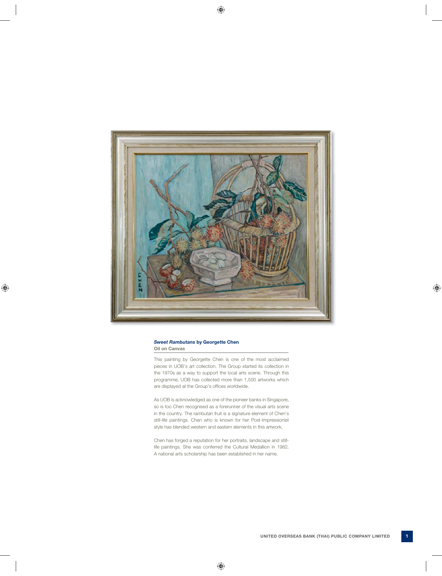

#### *Sweet Rambutans* **by Georgette Chen Oil on Canvas**

This painting by Georgette Chen is one of the most acclaimed pieces in UOB's art collection. The Group started its collection in the 1970s as a way to support the local arts scene. Through this programme, UOB has collected more than 1,500 artworks which are displayed at the Group's offices worldwide.

As UOB is acknowledged as one of the pioneer banks in Singapore, so is too Chen recognised as a forerunner of the visual arts scene in the country. The rambutan fruit is a signature element of Chen's still-life paintings. Chen who is known for her Post-Impressionist style has blended western and eastern elements in this artwork.

Chen has forged a reputation for her portraits, landscape and stilllife paintings. She was conferred the Cultural Medallion in 1982. A national arts scholarship has been established in her name.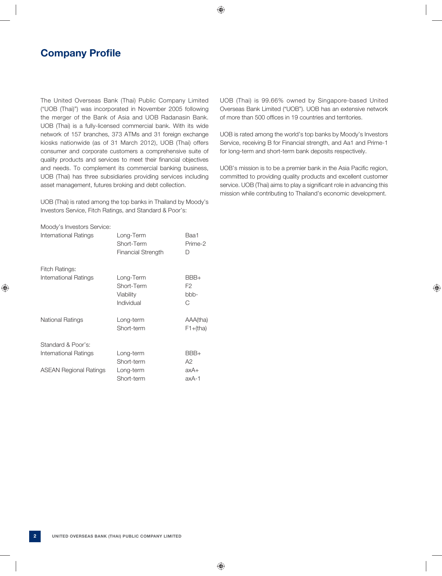# **Company Profile**

The United Overseas Bank (Thai) Public Company Limited ("UOB (Thai)") was incorporated in November 2005 following the merger of the Bank of Asia and UOB Radanasin Bank. UOB (Thai) is a fully-licensed commercial bank. With its wide network of 157 branches, 373 ATMs and 31 foreign exchange kiosks nationwide (as of 31 March 2012), UOB (Thai) offers consumer and corporate customers a comprehensive suite of quality products and services to meet their financial objectives and needs. To complement its commercial banking business, UOB (Thai) has three subsidiaries providing services including asset management, futures broking and debt collection.

UOB (Thai) is rated among the top banks in Thailand by Moody's Investors Service, Fitch Ratings, and Standard & Poor's:

| Moody's Investors Service:    |                                                      |                         |
|-------------------------------|------------------------------------------------------|-------------------------|
| International Ratings         | Long-Term<br>Short-Term<br><b>Financial Strength</b> | Baa1<br>Prime-2<br>D    |
| Fitch Ratings:                |                                                      |                         |
| International Ratings         | Long-Term<br>Short-Term<br>Viability<br>Individual   | BBB+<br>F2<br>bbb-<br>C |
| National Ratings              | Long-term<br>Short-term                              | AAA(tha)<br>$F1+(tha)$  |
| Standard & Poor's:            |                                                      |                         |
| International Ratings         | Long-term<br>Short-term                              | BBB+<br>A2              |
| <b>ASEAN Regional Ratings</b> | Long-term<br>Short-term                              | $axA+$<br>axA-1         |

UOB (Thai) is 99.66% owned by Singapore-based United Overseas Bank Limited ("UOB"). UOB has an extensive network of more than 500 offices in 19 countries and territories.

UOB is rated among the world's top banks by Moody's Investors Service, receiving B for Financial strength, and Aa1 and Prime-1 for long-term and short-term bank deposits respectively.

UOB's mission is to be a premier bank in the Asia Pacific region, committed to providing quality products and excellent customer service. UOB (Thai) aims to play a significant role in advancing this mission while contributing to Thailand's economic development.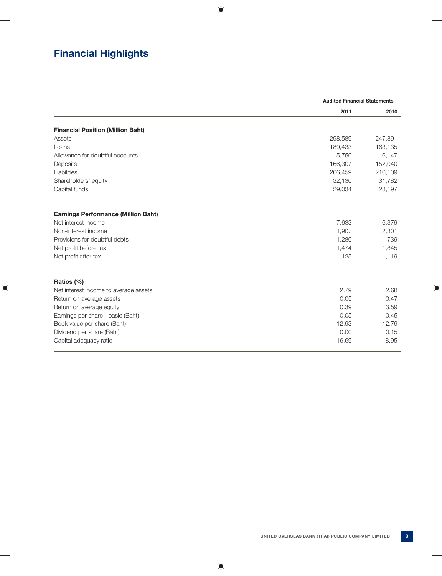# **Financial Highlights**

|                                            |         | <b>Audited Financial Statements</b> |  |
|--------------------------------------------|---------|-------------------------------------|--|
|                                            | 2011    | 2010                                |  |
| <b>Financial Position (Million Baht)</b>   |         |                                     |  |
| Assets                                     | 298,589 | 247,891                             |  |
| Loans                                      | 189,433 | 163,135                             |  |
| Allowance for doubtful accounts            | 5,750   | 6,147                               |  |
| Deposits                                   | 166,307 | 152,040                             |  |
| Liabilities                                | 266,459 | 216,109                             |  |
| Shareholders' equity                       | 32,130  | 31,782                              |  |
| Capital funds                              | 29,034  | 28,197                              |  |
| <b>Earnings Performance (Million Baht)</b> |         |                                     |  |
| Net interest income                        | 7,633   | 6,379                               |  |
| Non-interest income                        | 1,907   | 2,301                               |  |
| Provisions for doubtful debts              | 1,280   | 739                                 |  |
| Net profit before tax                      | 1,474   | 1,845                               |  |
| Net profit after tax                       | 125     | 1,119                               |  |
| Ratios (%)                                 |         |                                     |  |
| Net interest income to average assets      | 2.79    | 2.68                                |  |
| Return on average assets                   | 0.05    | 0.47                                |  |
| Return on average equity                   | 0.39    | 3.59                                |  |
| Earnings per share - basic (Baht)          | 0.05    | 0.45                                |  |
| Book value per share (Baht)                | 12.93   | 12.79                               |  |
| Dividend per share (Baht)                  | 0.00    | 0.15                                |  |
| Capital adequacy ratio                     | 16.69   | 18.95                               |  |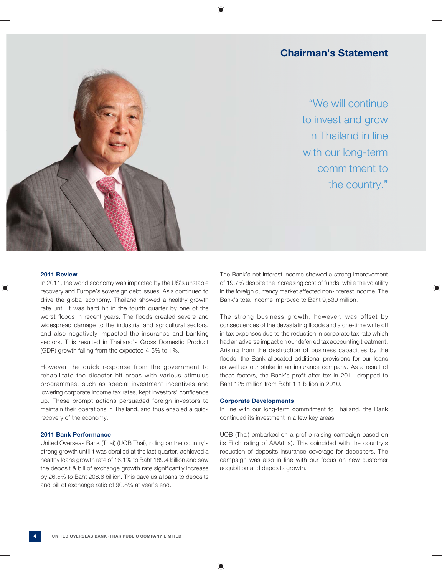# **Chairman's Statement**

"We will continue to invest and grow in Thailand in line with our long-term commitment to the country."



#### **2011 Review**

In 2011, the world economy was impacted by the US's unstable recovery and Europe's sovereign debt issues. Asia continued to drive the global economy. Thailand showed a healthy growth rate until it was hard hit in the fourth quarter by one of the worst floods in recent years. The floods created severe and widespread damage to the industrial and agricultural sectors, and also negatively impacted the insurance and banking sectors. This resulted in Thailand's Gross Domestic Product (GDP) growth falling from the expected 4-5% to 1%.

However the quick response from the government to rehabilitate the disaster hit areas with various stimulus programmes, such as special investment incentives and lowering corporate income tax rates, kept investors' confidence up. These prompt actions persuaded foreign investors to maintain their operations in Thailand, and thus enabled a quick recovery of the economy.

# **2011 Bank Performance**

United Overseas Bank (Thai) (UOB Thai), riding on the country's strong growth until it was derailed at the last quarter, achieved a healthy loans growth rate of 16.1% to Baht 189.4 billion and saw the deposit & bill of exchange growth rate significantly increase by 26.5% to Baht 208.6 billion. This gave us a loans to deposits and bill of exchange ratio of 90.8% at year's end.

The Bank's net interest income showed a strong improvement of 19.7% despite the increasing cost of funds, while the volatility in the foreign currency market affected non-interest income. The Bank's total income improved to Baht 9,539 million.

The strong business growth, however, was offset by consequences of the devastating floods and a one-time write off in tax expenses due to the reduction in corporate tax rate which had an adverse impact on our deferred tax accounting treatment. Arising from the destruction of business capacities by the floods, the Bank allocated additional provisions for our loans as well as our stake in an insurance company. As a result of these factors, the Bank's profit after tax in 2011 dropped to Baht 125 million from Baht 1.1 billion in 2010.

## **Corporate Developments**

In line with our long-term commitment to Thailand, the Bank continued its investment in a few key areas.

UOB (Thai) embarked on a profile raising campaign based on its Fitch rating of AAA(tha). This coincided with the country's reduction of deposits insurance coverage for depositors. The campaign was also in line with our focus on new customer acquisition and deposits growth.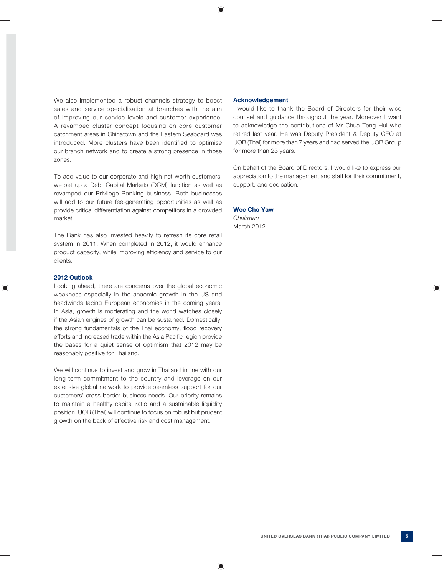We also implemented a robust channels strategy to boost sales and service specialisation at branches with the aim of improving our service levels and customer experience. A revamped cluster concept focusing on core customer catchment areas in Chinatown and the Eastern Seaboard was introduced. More clusters have been identified to optimise our branch network and to create a strong presence in those zones.

To add value to our corporate and high net worth customers, we set up a Debt Capital Markets (DCM) function as well as revamped our Privilege Banking business. Both businesses will add to our future fee-generating opportunities as well as provide critical differentiation against competitors in a crowded market.

The Bank has also invested heavily to refresh its core retail system in 2011. When completed in 2012, it would enhance product capacity, while improving efficiency and service to our clients.

## **2012 Outlook**

Looking ahead, there are concerns over the global economic weakness especially in the anaemic growth in the US and headwinds facing European economies in the coming years. In Asia, growth is moderating and the world watches closely if the Asian engines of growth can be sustained. Domestically, the strong fundamentals of the Thai economy, flood recovery efforts and increased trade within the Asia Pacific region provide the bases for a quiet sense of optimism that 2012 may be reasonably positive for Thailand.

We will continue to invest and grow in Thailand in line with our long-term commitment to the country and leverage on our extensive global network to provide seamless support for our customers' cross-border business needs. Our priority remains to maintain a healthy capital ratio and a sustainable liquidity position. UOB (Thai) will continue to focus on robust but prudent growth on the back of effective risk and cost management.

### **Acknowledgement**

I would like to thank the Board of Directors for their wise counsel and guidance throughout the year. Moreover I want to acknowledge the contributions of Mr Chua Teng Hui who retired last year. He was Deputy President & Deputy CEO at UOB (Thai) for more than 7 years and had served the UOB Group for more than 23 years.

On behalf of the Board of Directors, I would like to express our appreciation to the management and staff for their commitment, support, and dedication.

# **Wee Cho Yaw**

*Chairman* March 2012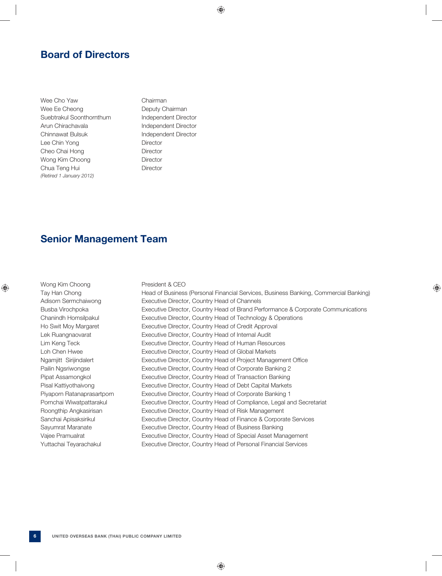# **Board of Directors**

Wee Cho Yaw Chairman Wee Ee Cheong Deputy Chairman Suebtrakul Soonthornthum Independent Director Arun Chirachavala **Independent Director** Chinnawat Bulsuk **Independent Director** Lee Chin Yong Director Cheo Chai Hong Director Wong Kim Choong **Director** Chua Teng Hui **Director** *(Retired 1 January 2012)*

# **Senior Management Team**

| Wong Kim Choong            | President & CEO                                                                      |
|----------------------------|--------------------------------------------------------------------------------------|
| Tay Han Chong              | Head of Business (Personal Financial Services, Business Banking, Commercial Banking) |
| Adisorn Sermchaiwong       | Executive Director, Country Head of Channels                                         |
| Busba Virochpoka           | Executive Director, Country Head of Brand Performance & Corporate Communications     |
| Chanindh Homsilpakul       | Executive Director, Country Head of Technology & Operations                          |
| Ho Swit Moy Margaret       | Executive Director, Country Head of Credit Approval                                  |
| Lek Ruangnaovarat          | Executive Director, Country Head of Internal Audit                                   |
| Lim Keng Teck              | Executive Director, Country Head of Human Resources                                  |
| Loh Chen Hwee              | Executive Director, Country Head of Global Markets                                   |
| Ngamjitt Sirijindalert     | Executive Director, Country Head of Project Management Office                        |
| Pailin Ngsriwongse         | Executive Director, Country Head of Corporate Banking 2                              |
| Pipat Assamongkol          | Executive Director, Country Head of Transaction Banking                              |
| Pisal Kattiyothaivong      | Executive Director, Country Head of Debt Capital Markets                             |
| Piyaporn Ratanaprasartporn | Executive Director, Country Head of Corporate Banking 1                              |
| Pornchai Wiwatpattarakul   | Executive Director, Country Head of Compliance, Legal and Secretariat                |
| Roongthip Angkasirisan     | Executive Director, Country Head of Risk Management                                  |
| Sanchai Apisaksirikul      | Executive Director, Country Head of Finance & Corporate Services                     |
| Sayumrat Maranate          | Executive Director, Country Head of Business Banking                                 |
| Vajee Pramualrat           | Executive Director, Country Head of Special Asset Management                         |
| Yuttachai Teyarachakul     | Executive Director, Country Head of Personal Financial Services                      |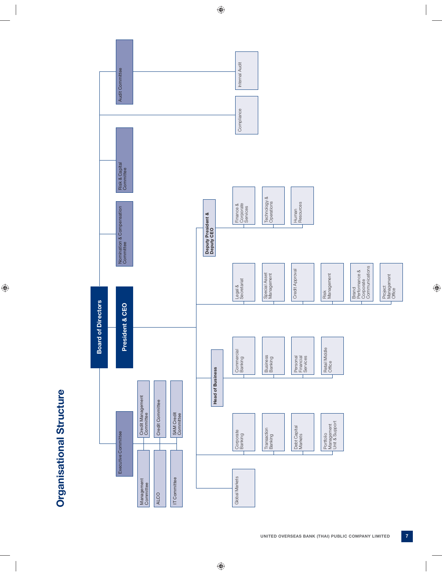

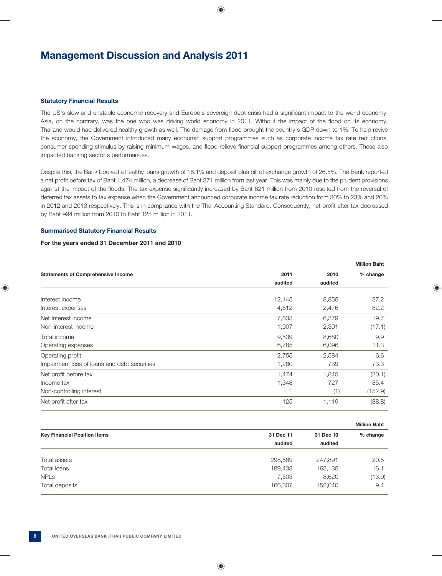# **Management Discussion and Analysis 2011**

#### **Statutory Financial Results**

The US's slow and unstable economic recovery and Europe's sovereign debt crisis had a significant impact to the world economy. Asia, on the contrary, was the one who was driving world economy in 2011. Without the impact of the flood on its economy, Thailand would had delivered healthy growth as well. The damage from flood brought the country's GDP down to 1%. To help revive the economy, the Government introduced many economic support programmes such as corporate income tax rate reductions, consumer spending stimulus by raising minimum wages, and flood relieve financial support programmes among others. These also impacted banking sector's performances.

Despite this, the Bank booked a healthy loans growth of 16.1% and deposit plus bill of exchange growth of 26.5%. The Bank reported a net profit before tax of Baht 1,474 million, a decrease of Baht 371 million from last year. This was mainly due to the prudent provisions against the impact of the floods. The tax expense significantly increased by Baht 621 million from 2010 resulted from the reversal of deferred tax assets to tax expense when the Government announced corporate income tax rate reduction from 30% to 23% and 20% in 2012 and 2013 respectively. This is in compliance with the Thai Accounting Standard. Consequently, net profit after tax decreased by Baht 994 million from 2010 to Baht 125 million in 2011.

# **Summarised Statutory Financial Results**

#### **For the years ended 31 December 2011 and 2010**

|                                              |         |         | <b>Million Baht</b> |
|----------------------------------------------|---------|---------|---------------------|
| <b>Statements of Comprehensive Income</b>    | 2011    | 2010    | % change            |
|                                              | audited | audited |                     |
| Interest income                              | 12,145  | 8,855   | 37.2                |
| Interest expenses                            | 4,512   | 2,476   | 82.2                |
| Net Interest income                          | 7,633   | 6,379   | 19.7                |
| Non-interest income                          | 1,907   | 2,301   | (17.1)              |
| Total income                                 | 9,539   | 8,680   | 9.9                 |
| Operating expenses                           | 6,785   | 6,096   | 11.3                |
| Operating profit                             | 2,755   | 2,584   | 6.6                 |
| Impairment loss of loans and debt securities | 1,280   | 739     | 73.3                |
| Net profit before tax                        | 1,474   | 1,845   | (20.1)              |
| Income tax                                   | 1,348   | 727     | 85.4                |
| Non-controlling interest                     |         | (1)     | (152.9)             |
| Net profit after tax                         | 125     | 1,119   | (88.8)              |

|                                     |           |           | <b>Million Baht</b> |
|-------------------------------------|-----------|-----------|---------------------|
| <b>Key Financial Position Items</b> | 31 Dec 11 | 31 Dec 10 | $%$ change          |
|                                     | audited   | audited   |                     |
| Total assets                        | 298,589   | 247,891   | 20.5                |
| Total loans                         | 189,433   | 163,135   | 16.1                |
| <b>NPLs</b>                         | 7,503     | 8,620     | (13.0)              |
| Total deposits                      | 166,307   | 152,040   | 9.4                 |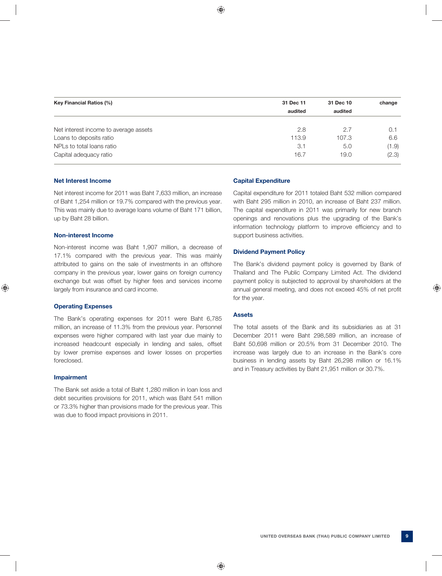| Key Financial Ratios (%)              | 31 Dec 11 | 31 Dec 10 | change |
|---------------------------------------|-----------|-----------|--------|
|                                       | audited   | audited   |        |
|                                       |           |           |        |
| Net interest income to average assets | 2.8       | 2.7       | 0.7    |
| Loans to deposits ratio               | 113.9     | 107.3     | 6.6    |
| NPLs to total loans ratio             | 3.1       | 5.0       | (1.9)  |
| Capital adequacy ratio                | 16.7      | 19.0      | (2.3)  |
|                                       |           |           |        |

#### **Net Interest Income**

Net interest income for 2011 was Baht 7,633 million, an increase of Baht 1,254 million or 19.7% compared with the previous year. This was mainly due to average loans volume of Baht 171 billion, up by Baht 28 billion.

# **Non-interest Income**

Non-interest income was Baht 1,907 million, a decrease of 17.1% compared with the previous year. This was mainly attributed to gains on the sale of investments in an offshore company in the previous year, lower gains on foreign currency exchange but was offset by higher fees and services income largely from insurance and card income.

#### **Operating Expenses**

The Bank's operating expenses for 2011 were Baht 6,785 million, an increase of 11.3% from the previous year. Personnel expenses were higher compared with last year due mainly to increased headcount especially in lending and sales, offset by lower premise expenses and lower losses on properties foreclosed.

#### **Impairment**

The Bank set aside a total of Baht 1,280 million in loan loss and debt securities provisions for 2011, which was Baht 541 million or 73.3% higher than provisions made for the previous year. This was due to flood impact provisions in 2011.

#### **Capital Expenditure**

Capital expenditure for 2011 totaled Baht 532 million compared with Baht 295 million in 2010, an increase of Baht 237 million. The capital expenditure in 2011 was primarily for new branch openings and renovations plus the upgrading of the Bank's information technology platform to improve efficiency and to support business activities.

#### **Dividend Payment Policy**

The Bank's dividend payment policy is governed by Bank of Thailand and The Public Company Limited Act. The dividend payment policy is subjected to approval by shareholders at the annual general meeting, and does not exceed 45% of net profit for the year.

## **Assets**

The total assets of the Bank and its subsidiaries as at 31 December 2011 were Baht 298,589 million, an increase of Baht 50,698 million or 20.5% from 31 December 2010. The increase was largely due to an increase in the Bank's core business in lending assets by Baht 26,298 million or 16.1% and in Treasury activities by Baht 21,951 million or 30.7%.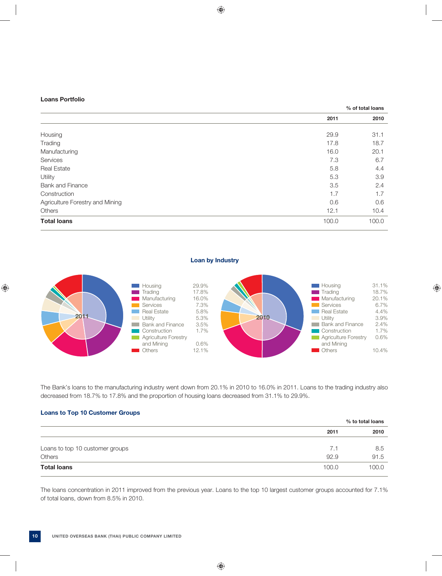## **Loans Portfolio**

|                                 | % of total loans |       |
|---------------------------------|------------------|-------|
|                                 | 2011             | 2010  |
|                                 |                  |       |
| Housing                         | 29.9             | 31.1  |
| Trading                         | 17.8             | 18.7  |
| Manufacturing                   | 16.0             | 20.1  |
| Services                        | 7.3              | 6.7   |
| <b>Real Estate</b>              | 5.8              | 4.4   |
| Utility                         | 5.3              | 3.9   |
| <b>Bank and Finance</b>         | 3.5              | 2.4   |
| Construction                    | 1.7              | 1.7   |
| Agriculture Forestry and Mining | 0.6              | 0.6   |
| Others                          | 12.1             | 10.4  |
| <b>Total loans</b>              | 100.0            | 100.0 |

**Loan by Industry**



The Bank's loans to the manufacturing industry went down from 20.1% in 2010 to 16.0% in 2011. Loans to the trading industry also decreased from 18.7% to 17.8% and the proportion of housing loans decreased from 31.1% to 29.9%.

# **Loans to Top 10 Customer Groups**

|                                 |       | % to total loans |  |
|---------------------------------|-------|------------------|--|
|                                 | 2011  | 2010             |  |
|                                 |       |                  |  |
| Loans to top 10 customer groups | 7.1   | 8.5              |  |
| Others                          | 92.9  | 91.5             |  |
| <b>Total loans</b>              | 100.0 | 100.0            |  |

The loans concentration in 2011 improved from the previous year. Loans to the top 10 largest customer groups accounted for 7.1% of total loans, down from 8.5% in 2010.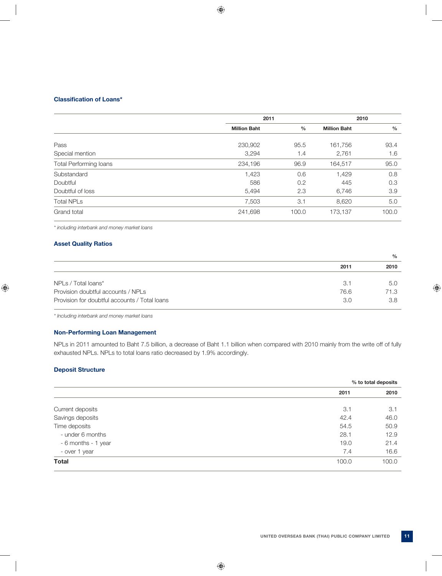# **Classification of Loans\***

|                               | 2011                |       | 2010                |               |
|-------------------------------|---------------------|-------|---------------------|---------------|
|                               | <b>Million Baht</b> | $\%$  | <b>Million Baht</b> | $\frac{0}{0}$ |
| Pass                          | 230,902             | 95.5  | 161,756             | 93.4          |
| Special mention               | 3,294               | 1.4   | 2,761               | 1.6           |
| <b>Total Performing loans</b> | 234,196             | 96.9  | 164,517             | 95.0          |
| Substandard                   | 1,423               | 0.6   | 1,429               | 0.8           |
| Doubtful                      | 586                 | 0.2   | 445                 | 0.3           |
| Doubtful of loss              | 5,494               | 2.3   | 6,746               | 3.9           |
| <b>Total NPLs</b>             | 7,503               | 3.1   | 8,620               | 5.0           |
| Grand total                   | 241,698             | 100.0 | 173,137             | 100.0         |

*\* including interbank and money market loans* 

# **Asset Quality Ratios**

|                                               |      | $\frac{0}{0}$ |
|-----------------------------------------------|------|---------------|
|                                               | 2011 | 2010          |
| NPLs / Total loans*                           | 3.1  | 5.0           |
| Provision doubtful accounts / NPLs            | 76.6 | 71.3          |
| Provision for doubtful accounts / Total loans | 3.0  | 3.8           |

*\* Including interbank and money market loans*

# **Non-Performing Loan Management**

NPLs in 2011 amounted to Baht 7.5 billion, a decrease of Baht 1.1 billion when compared with 2010 mainly from the write off of fully exhausted NPLs. NPLs to total loans ratio decreased by 1.9% accordingly.

# **Deposit Structure**

| % to total deposits |       |
|---------------------|-------|
| 2011                | 2010  |
|                     |       |
| 3.1                 | 3.1   |
| 42.4                | 46.0  |
| 54.5                | 50.9  |
| 28.1                | 12.9  |
| 19.0                | 21.4  |
| 7.4                 | 16.6  |
| 100.0               | 100.0 |
|                     |       |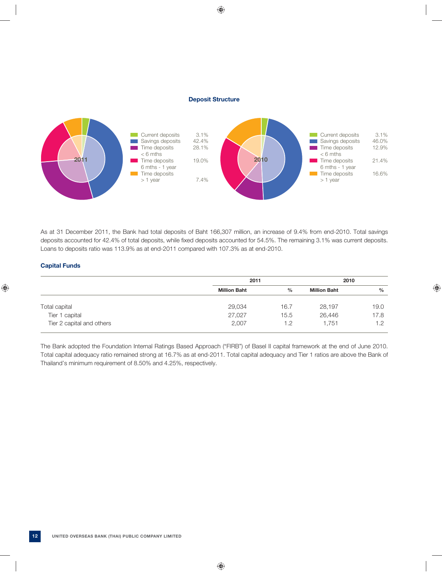#### **Deposit Structure**



As at 31 December 2011, the Bank had total deposits of Baht 166,307 million, an increase of 9.4% from end-2010. Total savings deposits accounted for 42.4% of total deposits, while fixed deposits accounted for 54.5%. The remaining 3.1% was current deposits. Loans to deposits ratio was 113.9% as at end-2011 compared with 107.3% as at end-2010.

# **Capital Funds**

|                                             | 2011                |             | 2010                |               |
|---------------------------------------------|---------------------|-------------|---------------------|---------------|
|                                             | <b>Million Baht</b> | $\%$        | <b>Million Baht</b> | $\frac{0}{0}$ |
| Total capital                               | 29,034              | 16.7        | 28.197              | 19.0          |
| Tier 1 capital<br>Tier 2 capital and others | 27,027<br>2,007     | 15.5<br>1.2 | 26,446<br>1.751     | 17.8<br>1.2   |

The Bank adopted the Foundation Internal Ratings Based Approach ("FIRB") of Basel II capital framework at the end of June 2010. Total capital adequacy ratio remained strong at 16.7% as at end-2011. Total capital adequacy and Tier 1 ratios are above the Bank of Thailand's minimum requirement of 8.50% and 4.25%, respectively.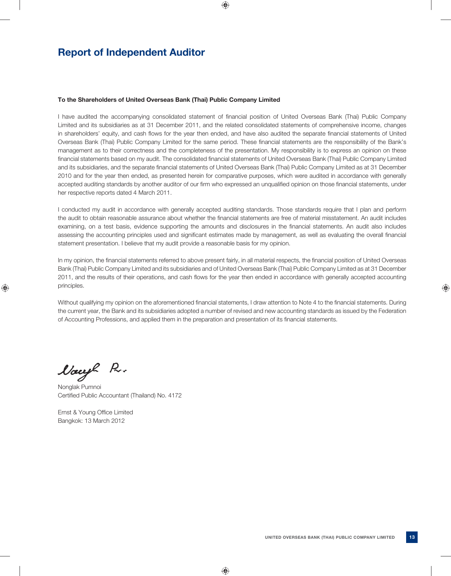# **Report of Independent Auditor**

#### **To the Shareholders of United Overseas Bank (Thai) Public Company Limited**

I have audited the accompanying consolidated statement of financial position of United Overseas Bank (Thai) Public Company Limited and its subsidiaries as at 31 December 2011, and the related consolidated statements of comprehensive income, changes in shareholders' equity, and cash flows for the year then ended, and have also audited the separate financial statements of United Overseas Bank (Thai) Public Company Limited for the same period. These financial statements are the responsibility of the Bank's management as to their correctness and the completeness of the presentation. My responsibility is to express an opinion on these financial statements based on my audit. The consolidated financial statements of United Overseas Bank (Thai) Public Company Limited and its subsidiaries, and the separate financial statements of United Overseas Bank (Thai) Public Company Limited as at 31 December 2010 and for the year then ended, as presented herein for comparative purposes, which were audited in accordance with generally accepted auditing standards by another auditor of our firm who expressed an unqualified opinion on those financial statements, under her respective reports dated 4 March 2011.

I conducted my audit in accordance with generally accepted auditing standards. Those standards require that I plan and perform the audit to obtain reasonable assurance about whether the financial statements are free of material misstatement. An audit includes examining, on a test basis, evidence supporting the amounts and disclosures in the financial statements. An audit also includes assessing the accounting principles used and significant estimates made by management, as well as evaluating the overall financial statement presentation. I believe that my audit provide a reasonable basis for my opinion.

In my opinion, the financial statements referred to above present fairly, in all material respects, the financial position of United Overseas Bank (Thai) Public Company Limited and its subsidiaries and of United Overseas Bank (Thai) Public Company Limited as at 31 December 2011, and the results of their operations, and cash flows for the year then ended in accordance with generally accepted accounting principles.

Without qualifying my opinion on the aforementioned financial statements, I draw attention to Note 4 to the financial statements. During the current year, the Bank and its subsidiaries adopted a number of revised and new accounting standards as issued by the Federation of Accounting Professions, and applied them in the preparation and presentation of its financial statements.

Nacyl Pr.

Nonglak Pumnoi Certified Public Accountant (Thailand) No. 4172

Ernst & Young Office Limited Bangkok: 13 March 2012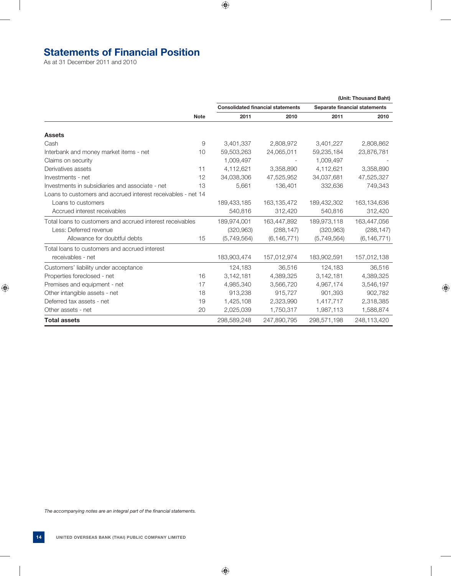# **Statements of Financial Position**

As at 31 December 2011 and 2010

|                                                              |             |             |                                          |             | (Unit: Thousand Baht)         |
|--------------------------------------------------------------|-------------|-------------|------------------------------------------|-------------|-------------------------------|
|                                                              |             |             | <b>Consolidated financial statements</b> |             | Separate financial statements |
|                                                              | <b>Note</b> | 2011        | 2010                                     | 2011        | 2010                          |
| <b>Assets</b>                                                |             |             |                                          |             |                               |
| Cash                                                         | 9           | 3,401,337   | 2,808,972                                | 3,401,227   | 2,808,862                     |
| Interbank and money market items - net                       | 10          | 59,503,263  | 24,065,011                               | 59,235,184  | 23,876,781                    |
| Claims on security                                           |             | 1,009,497   |                                          | 1,009,497   |                               |
| Derivatives assets                                           | 11          | 4,112,621   | 3,358,890                                | 4,112,621   | 3,358,890                     |
| Investments - net                                            | 12          | 34,038,306  | 47,525,952                               | 34,037,681  | 47,525,327                    |
| Investments in subsidiaries and associate - net              | 13          | 5,661       | 136,401                                  | 332,636     | 749,343                       |
| Loans to customers and accrued interest receivables - net 14 |             |             |                                          |             |                               |
| Loans to customers                                           |             | 189,433,185 | 163,135,472                              | 189,432,302 | 163,134,636                   |
| Accrued interest receivables                                 |             | 540,816     | 312,420                                  | 540,816     | 312,420                       |
| Total loans to customers and accrued interest receivables    |             | 189,974,001 | 163,447,892                              | 189,973,118 | 163,447,056                   |
| Less: Deferred revenue                                       |             | (320, 963)  | (288, 147)                               | (320, 963)  | (288, 147)                    |
| Allowance for doubtful debts                                 | 15          | (5,749,564) | (6, 146, 771)                            | (5,749,564) | (6, 146, 771)                 |
| Total loans to customers and accrued interest                |             |             |                                          |             |                               |
| receivables - net                                            |             | 183,903,474 | 157,012,974                              | 183,902,591 | 157,012,138                   |
| Customers' liability under acceptance                        |             | 124,183     | 36,516                                   | 124,183     | 36,516                        |
| Properties foreclosed - net                                  | 16          | 3,142,181   | 4,389,325                                | 3,142,181   | 4,389,325                     |
| Premises and equipment - net                                 | 17          | 4,985,340   | 3,566,720                                | 4,967,174   | 3,546,197                     |
| Other intangible assets - net                                | 18          | 913,238     | 915,727                                  | 901,393     | 902,782                       |
| Deferred tax assets - net                                    | 19          | 1,425,108   | 2,323,990                                | 1,417,717   | 2,318,385                     |
| Other assets - net                                           | 20          | 2,025,039   | 1,750,317                                | 1,987,113   | 1,588,874                     |
| <b>Total assets</b>                                          |             | 298,589,248 | 247,890,795                              | 298,571,198 | 248,113,420                   |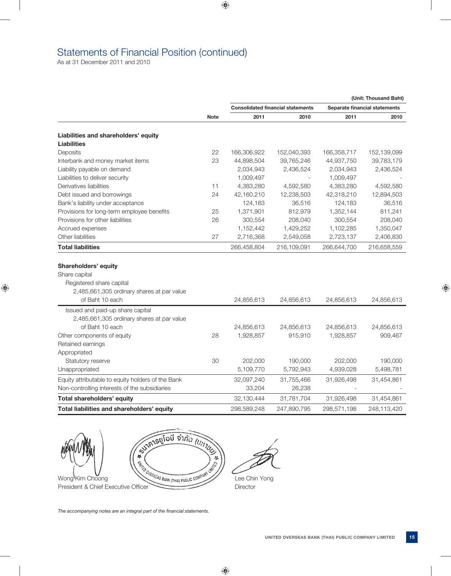# Statements of Financial Position (continued)

As at 31 December 2011 and 2010

|                                                   |             |             |                                          |             | (Unit: Thousand Baht)         |
|---------------------------------------------------|-------------|-------------|------------------------------------------|-------------|-------------------------------|
|                                                   |             |             | <b>Consolidated financial statements</b> |             | Separate financial statements |
|                                                   | <b>Note</b> | 2011        | 2010                                     | 2011        | 2010                          |
| Liabilities and shareholders' equity              |             |             |                                          |             |                               |
| <b>Liabilities</b>                                |             |             |                                          |             |                               |
| Deposits                                          | 22          | 166,306,922 | 152,040,393                              | 166,358,717 | 152,139,099                   |
| Interbank and money market items                  | 23          | 44,898,504  | 39,765,246                               | 44,937,750  | 39,783,179                    |
| Liability payable on demand                       |             | 2,034,943   | 2,436,524                                | 2,034,943   | 2,436,524                     |
| Liabilities to deliver security                   |             | 1,009,497   |                                          | 1,009,497   |                               |
| Derivatives liabilities                           | 11          | 4,383,280   | 4,592,580                                | 4,383,280   | 4,592,580                     |
| Debt issued and borrowings                        | 24          | 42,160,210  | 12,238,503                               | 42,318,210  | 12,894,503                    |
| Bank's liability under acceptance                 |             | 124,183     | 36,516                                   | 124,183     | 36,516                        |
| Provisions for long-term employee benefits        | 25          | 1,371,901   | 812,979                                  | 1,352,144   | 811,241                       |
| Provisions for other liabilities                  | 26          | 300,554     | 208,040                                  | 300,554     | 208,040                       |
| Accrued expenses                                  |             | 1,152,442   | 1,429,252                                | 1,102,285   | 1,350,047                     |
| Other liabilities                                 | 27          | 2,716,368   | 2,549,058                                | 2,723,137   | 2,406,830                     |
| <b>Total liabilities</b>                          |             | 266,458,804 | 216,109,091                              | 266,644,700 | 216,658,559                   |
|                                                   |             |             |                                          |             |                               |
| <b>Shareholders' equity</b><br>Share capital      |             |             |                                          |             |                               |
| Registered share capital                          |             |             |                                          |             |                               |
| 2,485,661,305 ordinary shares at par value        |             |             |                                          |             |                               |
| of Baht 10 each                                   |             | 24,856,613  | 24,856,613                               | 24,856,613  | 24,856,613                    |
| Issued and paid-up share capital                  |             |             |                                          |             |                               |
| 2,485,661,305 ordinary shares at par value        |             |             |                                          |             |                               |
| of Baht 10 each                                   |             | 24,856,613  | 24,856,613                               | 24,856,613  | 24,856,613                    |
| Other components of equity                        | 28          | 1,928,857   | 915,910                                  | 1,928,857   | 909,467                       |
| Retained earnings                                 |             |             |                                          |             |                               |
| Appropriated                                      |             |             |                                          |             |                               |
| Statutory reserve                                 | 30          | 202,000     | 190,000                                  | 202,000     | 190,000                       |
| Unappropriated                                    |             | 5,109,770   | 5,792,943                                | 4,939,028   | 5,498,781                     |
| Equity attributable to equity holders of the Bank |             | 32,097,240  | 31,755,466                               | 31,926,498  | 31,454,861                    |
| Non-controlling interests of the subsidiaries     |             | 33,204      | 26,238                                   |             |                               |
| Total shareholders' equity                        |             | 32,130,444  | 31,781,704                               | 31,926,498  | 31,454,861                    |
| Total liabilities and shareholders' equity        |             | 298,589,248 | 247,890,795                              | 298,571,198 | 248,113,420                   |
|                                                   |             |             |                                          |             |                               |

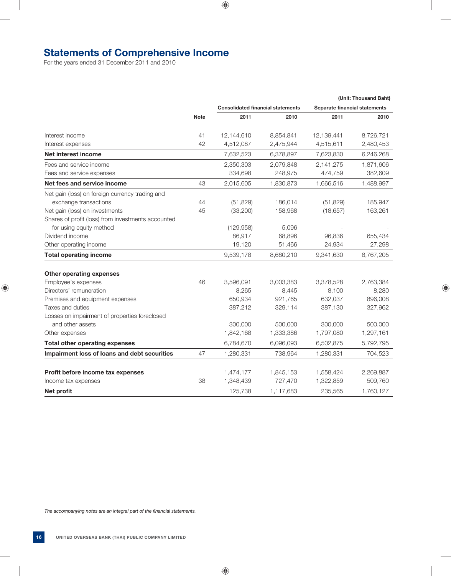# **Statements of Comprehensive Income**

For the years ended 31 December 2011 and 2010

|                                                    |             |                                          |           |                               | (Unit: Thousand Baht) |
|----------------------------------------------------|-------------|------------------------------------------|-----------|-------------------------------|-----------------------|
|                                                    |             | <b>Consolidated financial statements</b> |           | Separate financial statements |                       |
|                                                    | <b>Note</b> | 2011                                     | 2010      | 2011                          | 2010                  |
| Interest income                                    | 41          | 12,144,610                               | 8,854,841 | 12,139,441                    | 8,726,721             |
| Interest expenses                                  | 42          | 4,512,087                                | 2,475,944 | 4,515,611                     | 2,480,453             |
| Net interest income                                |             | 7,632,523                                | 6,378,897 | 7,623,830                     | 6,246,268             |
| Fees and service income                            |             | 2,350,303                                | 2,079,848 | 2,141,275                     | 1,871,606             |
| Fees and service expenses                          |             | 334,698                                  | 248,975   | 474,759                       | 382,609               |
| Net fees and service income                        | 43          | 2,015,605                                | 1,830,873 | 1,666,516                     | 1,488,997             |
| Net gain (loss) on foreign currency trading and    |             |                                          |           |                               |                       |
| exchange transactions                              | 44          | (51, 829)                                | 186,014   | (51, 829)                     | 185,947               |
| Net gain (loss) on investments                     | 45          | (33, 200)                                | 158,968   | (18, 657)                     | 163,261               |
| Shares of profit (loss) from investments accounted |             |                                          |           |                               |                       |
| for using equity method                            |             | (129, 958)                               | 5,096     |                               |                       |
| Dividend income                                    |             | 86,917                                   | 68,896    | 96,836                        | 655,434               |
| Other operating income                             |             | 19,120                                   | 51,466    | 24,934                        | 27,298                |
| <b>Total operating income</b>                      |             | 9,539,178                                | 8,680,210 | 9,341,630                     | 8,767,205             |
| <b>Other operating expenses</b>                    |             |                                          |           |                               |                       |
| Employee's expenses                                | 46          | 3,596,091                                | 3,003,383 | 3,378,528                     | 2,763,384             |
| Directors' remuneration                            |             | 8,265                                    | 8,445     | 8,100                         | 8,280                 |
| Premises and equipment expenses                    |             | 650,934                                  | 921,765   | 632,037                       | 896,008               |
| Taxes and duties                                   |             | 387,212                                  | 329,114   | 387,130                       | 327,962               |
| Losses on impairment of properties foreclosed      |             |                                          |           |                               |                       |
| and other assets                                   |             | 300,000                                  | 500,000   | 300,000                       | 500,000               |
| Other expenses                                     |             | 1,842,168                                | 1,333,386 | 1,797,080                     | 1,297,161             |
| <b>Total other operating expenses</b>              |             | 6,784,670                                | 6,096,093 | 6,502,875                     | 5,792,795             |
| Impairment loss of loans and debt securities       | 47          | 1,280,331                                | 738,964   | 1,280,331                     | 704,523               |
| Profit before income tax expenses                  |             | 1,474,177                                | 1,845,153 | 1,558,424                     | 2,269,887             |
| Income tax expenses                                | 38          | 1,348,439                                | 727,470   | 1,322,859                     | 509,760               |
| Net profit                                         |             | 125,738                                  | 1,117,683 | 235,565                       | 1,760,127             |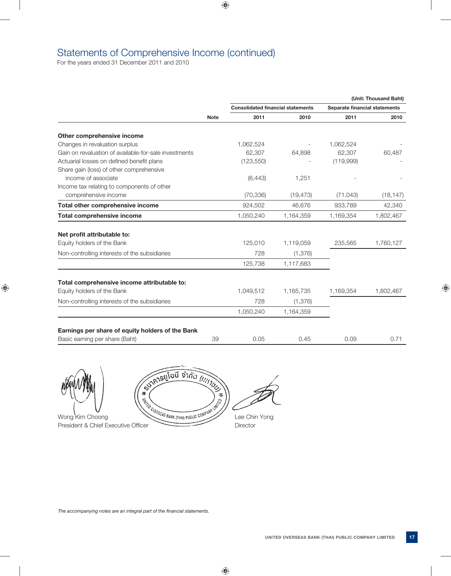# Statements of Comprehensive Income (continued)

For the years ended 31 December 2011 and 2010

|                                                                                    |             |                                          |           |                               | (Unit: Thousand Baht) |
|------------------------------------------------------------------------------------|-------------|------------------------------------------|-----------|-------------------------------|-----------------------|
|                                                                                    | <b>Note</b> | <b>Consolidated financial statements</b> |           | Separate financial statements |                       |
|                                                                                    |             | 2011                                     | 2010      | 2011                          | 2010                  |
| Other comprehensive income                                                         |             |                                          |           |                               |                       |
| Changes in revaluation surplus                                                     |             | 1,062,524                                |           | 1,062,524                     |                       |
| Gain on revaluation of available-for-sale investments                              |             | 62,307                                   | 64,898    | 62,307                        | 60,487                |
| Actuarial losses on defined benefit plans                                          |             | (123, 550)                               |           | (119,999)                     |                       |
| Share gain (loss) of other comprehensive                                           |             |                                          |           |                               |                       |
| income of associate                                                                |             | (6, 443)                                 | 1,251     |                               |                       |
| Income tax relating to components of other                                         |             |                                          |           |                               |                       |
| comprehensive income                                                               |             | (70, 336)                                | (19, 473) | (71, 043)                     | (18, 147)             |
| Total other comprehensive income                                                   |             | 924,502                                  | 46.676    | 933,789                       | 42,340                |
| <b>Total comprehensive income</b>                                                  |             | 1,050,240                                | 1,164,359 | 1,169,354                     | 1,802,467             |
|                                                                                    |             |                                          |           |                               |                       |
| Net profit attributable to:                                                        |             |                                          |           |                               |                       |
| Equity holders of the Bank                                                         |             | 125,010                                  | 1,119,059 | 235,565                       | 1,760,127             |
| Non-controlling interests of the subsidiaries                                      |             | 728                                      | (1,376)   |                               |                       |
|                                                                                    |             | 125,738                                  | 1,117,683 |                               |                       |
| Total comprehensive income attributable to:                                        |             |                                          |           |                               |                       |
| Equity holders of the Bank                                                         |             | 1,049,512                                | 1,165,735 | 1,169,354                     | 1,802,467             |
| Non-controlling interests of the subsidiaries                                      |             | 728                                      | (1, 376)  |                               |                       |
|                                                                                    |             | 1,050,240                                | 1,164,359 |                               |                       |
|                                                                                    |             |                                          |           |                               |                       |
| Earnings per share of equity holders of the Bank<br>Basic earning per share (Baht) | 39          | 0.05                                     | 0.45      | 0.09                          | 0.71                  |



Wong Kim Choong Lee Chin Yong President & Chief Executive Officer Director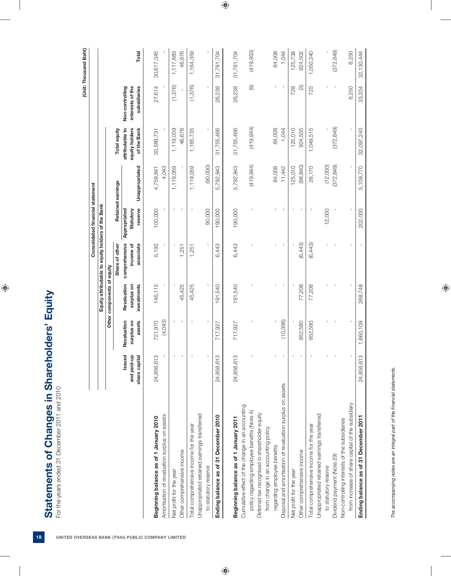|                                                                                                 |                                        |                                     |                                          |                                                   | Consolidated financial statement     |                   |                                                  |                                                     | (Unit: Thousand Baht) |
|-------------------------------------------------------------------------------------------------|----------------------------------------|-------------------------------------|------------------------------------------|---------------------------------------------------|--------------------------------------|-------------------|--------------------------------------------------|-----------------------------------------------------|-----------------------|
|                                                                                                 |                                        |                                     |                                          | Equity attributable to equity holders of the Bank |                                      |                   |                                                  |                                                     |                       |
|                                                                                                 |                                        |                                     | Other components of equity               |                                                   |                                      |                   |                                                  |                                                     |                       |
|                                                                                                 |                                        |                                     |                                          | Share of other                                    |                                      | Retained earnings | Total equity                                     |                                                     |                       |
|                                                                                                 | Issued<br>and paid-up<br>share capital | Revaluation<br>assets<br>surplus on | Revaluation<br>investments<br>surplus on | comprehensive<br>income of<br>associate           | reserve<br>Statutory<br>Appropriated | Unappropriated    | attributable to<br>equity holders<br>of the Bank | Non-controlling<br>interests of the<br>subsidiaries | Total                 |
| Beginning balance as of 1 January 2010                                                          | 24,856,613                             | 721,970                             | 146,115                                  | 5,192                                             | 100,000                              | 4,759,841         | 30,589,731                                       | 27,614                                              | 30,617,345            |
| Amortisation of revaluation surplus on assets                                                   |                                        | (4,043)                             |                                          |                                                   |                                      | 4,043             |                                                  |                                                     |                       |
| Net profit for the year                                                                         | $\mathbf I$                            |                                     |                                          |                                                   | $\mathbf{I}$                         | 1,119,059         | 1,119,059                                        | (1, 376)                                            | 1,117,683             |
| Other comprehensive income                                                                      |                                        | $\blacksquare$                      | 45,425                                   | 1,251                                             |                                      |                   | 46,676                                           |                                                     | 46,676                |
| Total comprehensive income for the year                                                         | $\mathbf{I}$                           | $\mathbf{I}$                        | 45,425                                   | 1,251                                             | $\mathbf{I}$                         | 1,119,059         | 1,165,735                                        | (1, 376)                                            | 1,164,359             |
| Unappropriated retained earnings transferred                                                    |                                        |                                     |                                          |                                                   | 90,000                               | (90,000)          |                                                  |                                                     |                       |
| Ending balance as of 31 December 2010<br>to statutory reserve                                   | 24,856,613                             | 717,927                             | 191,540                                  | 6,443                                             | 190,000                              | 5,792,943         | 31,755,466                                       | 26,238                                              | 31,781,704            |
|                                                                                                 |                                        |                                     |                                          |                                                   |                                      |                   |                                                  |                                                     |                       |
| Beginning balance as of 1 January 2011                                                          | 24,856,613                             | 717,927                             | 191,540                                  | 6,443                                             | 190,000                              | 5,792,943         | 31,755,466                                       | 26,238                                              | 31,781,704            |
| Cumulative effect of the change in an accounting<br>policy regarding employee benefits (Note 4) |                                        |                                     |                                          |                                                   |                                      | (419, 944)        | (419, 944)                                       | $\circledcirc$                                      | (419, 953)            |
| Deferred tax recognised in shareholder equity                                                   |                                        |                                     |                                          |                                                   |                                      |                   |                                                  |                                                     |                       |
| from change in an accounting policy                                                             |                                        |                                     |                                          |                                                   |                                      |                   |                                                  |                                                     |                       |
| regarding employee benefits                                                                     |                                        |                                     |                                          |                                                   |                                      | 84,008            | 84,008                                           |                                                     | 84,008                |
| Disposal and amortisation of revaluation surplus on assets                                      |                                        | (10, 398)                           |                                          |                                                   |                                      | 11,442            | 1,044                                            |                                                     | 1,044                 |
| Net profit for the year                                                                         | $\mathbf I$                            |                                     |                                          |                                                   | $\mathbf{I}$                         | 125,010           | 125,010                                          | 728                                                 | 125,738               |
| Other comprehensive income                                                                      | $\blacksquare$                         | 952,580                             | 77,208                                   | (6,443)                                           |                                      | (98, 840)         | 924,505                                          | $\circledcirc$                                      | 924,502               |
| Total comprehensive income for the year                                                         |                                        | 952,580                             | 77,208                                   | (6,443)                                           | $\mathbf{I}$                         | 26,170            | 1,049,515                                        | 725                                                 | 1,050,240             |
| Unappropriated retained earnings transferred                                                    |                                        |                                     |                                          |                                                   |                                      |                   |                                                  |                                                     |                       |
| to statutory reserve                                                                            |                                        |                                     |                                          |                                                   | 12,000                               | (12,000)          |                                                  |                                                     |                       |
| Dividend payment (Note 29)                                                                      |                                        |                                     |                                          |                                                   |                                      | (372, 849)        | (372, 849)                                       |                                                     | (372, 849)            |
| Non-controlling interests of the subsidiaries                                                   |                                        |                                     |                                          |                                                   |                                      |                   |                                                  |                                                     |                       |
| from increase of share capital of the subsidiary                                                |                                        |                                     |                                          |                                                   |                                      |                   |                                                  | 6,250                                               | 6,250                 |
| Ending balance as of 31 December 2011                                                           | 24,856,613                             | 1,660,109                           | 268,748                                  |                                                   | 202,000                              | 5,109,770         | 32,097,240                                       | 33,204                                              | 32,130,444            |

The accompanying notes are an integral part of the financial statements. *The accompanying notes are an integral part of the fi nancial statements.*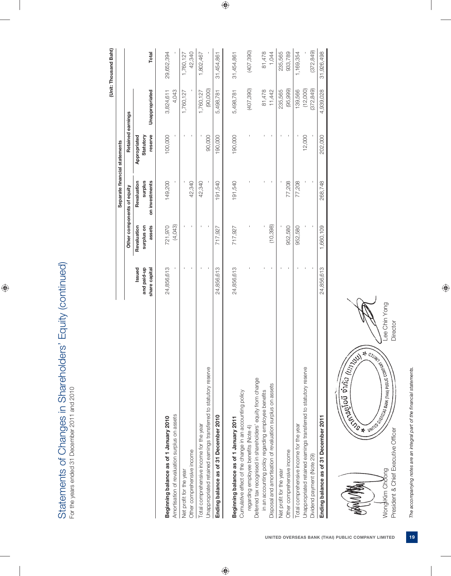Statements of Changes in Shareholders' Equity (continued) Statements of Changes in Shareholders' Equity (continued) For the years ended 31 December 2011 and 2010 For the years ended 31 December 2011 and 2010

(Unit: Thousand Baht)  **(Unit: Thousand Baht)**

|                                                                   |                       |                           | Separate financial statements |                           |                |            |
|-------------------------------------------------------------------|-----------------------|---------------------------|-------------------------------|---------------------------|----------------|------------|
|                                                                   |                       |                           | Other components of equity    | Retained earnings         |                |            |
|                                                                   | and paid-up<br>Issued | Revaluation<br>surplus on | surplus<br>Revaluation        | Appropriated<br>Statutory |                |            |
|                                                                   | share capital         | assets                    | on investments                | reserve                   | Unappropriated | Total      |
| Beginning balance as of 1 January 2010                            | 24,856,613            | 721,970                   | 149,200                       | 100,000                   | 3,824,611      | 29,652,394 |
| Amortisation of revaluation surplus on assets                     |                       | (4,043)                   |                               |                           | 4,043          |            |
| Net profit for the year                                           |                       |                           |                               |                           | 1,760,127      | 1,760,127  |
| Other comprehensive income                                        |                       |                           | 42,340                        |                           |                | 42,340     |
| Total comprehensive income for the year                           |                       |                           | 42,340                        |                           | 1,760,127      | 1,802,467  |
| Unappropriated retained earnings transferred to statutory reserve |                       |                           |                               | 90,000                    | (90,000)       |            |
| Ending balance as of 31 December 2010                             | 24,856,613            | 717,927                   | 191,540                       | 190,000                   | 5,498,781      | 31,454,861 |
|                                                                   |                       |                           |                               |                           |                |            |
| Beginning balance as of 1 January 2011                            | 24,856,613            | 717,927                   | 191,540                       | 190,000                   | 5,498,781      | 31,454,861 |
| Cumulative effect of the change in an accounting policy           |                       |                           |                               |                           |                |            |
| regarding employee benefits (Note 4)                              |                       |                           |                               |                           | (407, 390)     | (407, 390) |
| Deferred tax recognised in shareholders' equity from change       |                       |                           |                               |                           |                |            |
| in an accounting policy regarding employee benefits               |                       |                           |                               |                           | 81,478         | 81,478     |
| Disposal and amortisation of revaluation surplus on assets        |                       | (10,398)                  |                               |                           | 11,442         | 1,044      |
| Net profit for the year                                           |                       |                           |                               |                           | 235,565        | 235,565    |
| Other comprehensive income                                        |                       | 952,580                   | 77,208                        |                           | (95, 999)      | 933,789    |
| Total comprehensive income for the year                           |                       | 952,580                   | 77,208                        |                           | 139,566        | 1,169,354  |
| Unappropriated retained earnings transferred to statutory reserve |                       |                           |                               | 12,000                    | (12,000)       |            |
| Dividend payment (Note 29)                                        |                       |                           |                               |                           | (372, 849)     | (372, 849) |
| Ending balance as of 31 December 2011                             | 24,856,613            | 1,660,109                 | 268,748                       | 202,000                   | 4,939,028      | 31,926,498 |

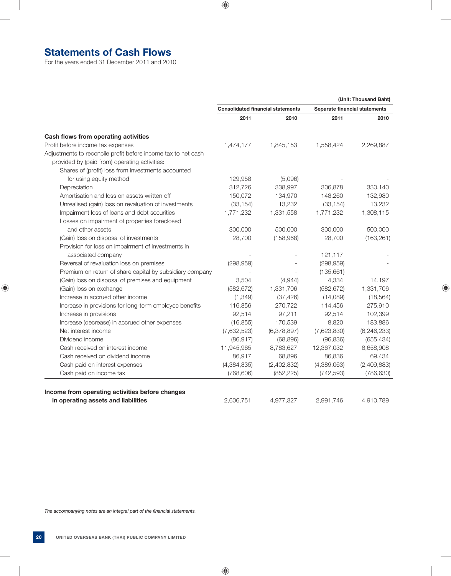# **Statements of Cash Flows**

For the years ended 31 December 2011 and 2010

 **(Unit: Thousand Baht) Consolidated financial statements Separate financial statements 2011 2010 2011 2010 Cash flows from operating activities** Profit before income tax expenses  $1,474,177$   $1,845,153$   $1,558,424$   $2,269,887$ Adjustments to reconcile profit before income tax to net cash provided by (paid from) operating activities: Shares of (profit) loss from investments accounted for using equity method  $129,958$  (5,096) Depreciation 312,726 338,997 306,878 330,140 Amortisation and loss on assets written off 150,072 134,970 148,260 132,980 Unrealised (gain) loss on revaluation of investments (33,154) 13,232 (33,154) 13,232 Impairment loss of loans and debt securities 1,771,232 1,331,558 1,771,232 1,308,115 Losses on impairment of properties foreclosed and other assets 300,000 500,000 300,000 500,000 (Gain) loss on disposal of investments 28,700 (158,968) 28,700 (163,261) Provision for loss on impairment of investments in associated company and the set of the set of the set of the set of the set of the set of the set of the set of the set of the set of the set of the set of the set of the set of the set of the set of the set of the set of t Reversal of revaluation loss on premises (298,959) (298,959) (298,959) Premium on return of share capital by subsidiary company  $\sim$  - (135,661) (Gain) loss on disposal of premises and equipment 3,504 (4,944) 4,334 14,197 (Gain) loss on exchange (582,672) 1,331,706 (582,672) 1,331,706 Increase in accrued other income  $(1,349)$   $(37,426)$   $(14,089)$   $(18,564)$ Increase in provisions for long-term employee benefits  $116,856$  270,722 114,456 275,910 Increase in provisions 92,514 97,211 92,514 102,399 Increase (decrease) in accrued other expenses (16,855) 170,539 8,820 183,886 Net interest income (7,632,523) (6,378,897) (7,623,830) (6,246,233) Dividend income (86,917) (68,896) (96,836) (655,434) Cash received on interest income 11,945,965 8,783,627 12,367,032 8,658,908 Cash received on dividend income 69.434 86,917 68,896 86,836 69,434 Cash paid on interest expenses (4,384,835) (2,402,832) (4,389,063) (2,409,883) Cash paid on income tax (768,606) (852,225) (742,593) (786,630) **Income from operating activities before changes** 

 **in operating assets and liabilities** 2,606,751 4,977,327 2,991,746 4,910,789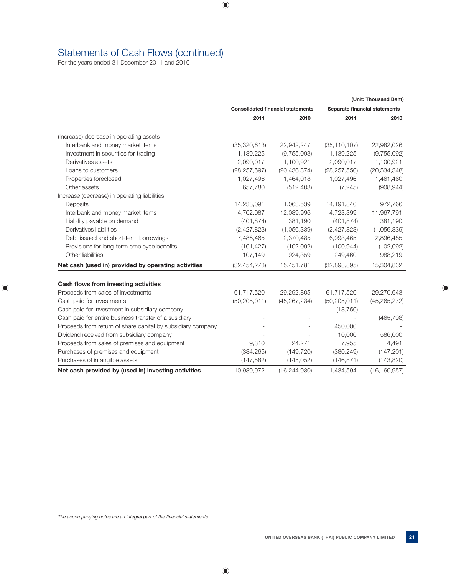# Statements of Cash Flows (continued)

For the years ended 31 December 2011 and 2010

|                                                             |                |                                          |                | (Unit: Thousand Baht)         |
|-------------------------------------------------------------|----------------|------------------------------------------|----------------|-------------------------------|
|                                                             |                | <b>Consolidated financial statements</b> |                | Separate financial statements |
|                                                             | 2011           | 2010                                     | 2011           | 2010                          |
| (Increase) decrease in operating assets                     |                |                                          |                |                               |
| Interbank and money market items                            | (35,320,613)   | 22,942,247                               | (35, 110, 107) | 22,982,026                    |
| Investment in securities for trading                        | 1,139,225      | (9,755,093)                              | 1,139,225      | (9,755,092)                   |
| Derivatives assets                                          | 2,090,017      | 1,100,921                                | 2,090,017      | 1,100,921                     |
| Loans to customers                                          | (28, 257, 597) | (20, 436, 374)                           | (28, 257, 550) | (20, 534, 348)                |
| Properties foreclosed                                       | 1,027,496      | 1,464,018                                | 1,027,496      | 1,461,460                     |
| Other assets                                                | 657,780        | (512, 403)                               | (7, 245)       | (908, 944)                    |
| Increase (decrease) in operating liabilities                |                |                                          |                |                               |
| Deposits                                                    | 14,238,091     | 1,063,539                                | 14,191,840     | 972,766                       |
| Interbank and money market items                            | 4,702,087      | 12,089,996                               | 4,723,399      | 11,967,791                    |
| Liability payable on demand                                 | (401, 874)     | 381,190                                  | (401, 874)     | 381,190                       |
| Derivatives liabilities                                     | (2,427,823)    | (1,056,339)                              | (2,427,823)    | (1,056,339)                   |
| Debt issued and short-term borrowings                       | 7,486,465      | 2,370,485                                | 6,993,465      | 2,896,485                     |
| Provisions for long-term employee benefits                  | (101, 427)     | (102, 092)                               | (100, 944)     | (102,092)                     |
| Other liabilities                                           | 107,149        | 924,359                                  | 249,460        | 988,219                       |
| Net cash (used in) provided by operating activities         | (32, 454, 273) | 15,451,781                               | (32,898,895)   | 15,304,832                    |
| Cash flows from investing activities                        |                |                                          |                |                               |
| Proceeds from sales of investments                          | 61,717,520     | 29,292,805                               | 61,717,520     | 29,270,643                    |
| Cash paid for investments                                   | (50, 205, 011) | (45, 267, 234)                           | (50, 205, 011) | (45, 265, 272)                |
| Cash paid for investment in subsidiary company              |                |                                          | (18, 750)      |                               |
| Cash paid for entire business transfer of a susidiary       |                |                                          |                | (465, 798)                    |
| Proceeds from return of share capital by subsidiary company |                |                                          | 450,000        |                               |
| Dividend received from subsidiary company                   |                |                                          | 10,000         | 586,000                       |
| Proceeds from sales of premises and equipment               | 9,310          | 24,271                                   | 7,955          | 4,491                         |
| Purchases of premises and equipment                         | (384, 265)     | (149, 720)                               | (380, 249)     | (147, 201)                    |
| Purchases of intangible assets                              | (147, 582)     | (145, 052)                               | (146, 871)     | (143, 820)                    |
| Net cash provided by (used in) investing activities         | 10,989,972     | (16, 244, 930)                           | 11,434,594     | (16, 160, 957)                |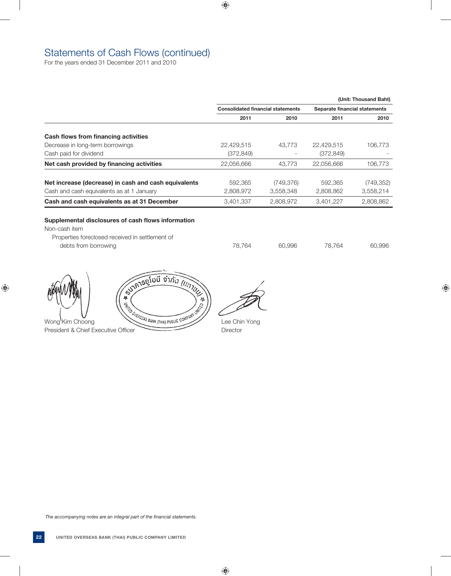# Statements of Cash Flows (continued)

For the years ended 31 December 2011 and 2010

|                                                      |                                          |            |                               | (Unit: Thousand Baht) |
|------------------------------------------------------|------------------------------------------|------------|-------------------------------|-----------------------|
|                                                      | <b>Consolidated financial statements</b> |            | Separate financial statements |                       |
|                                                      | 2011                                     | 2010       | 2011                          | 2010                  |
| Cash flows from financing activities                 |                                          |            |                               |                       |
| Decrease in long-term borrowings                     | 22,429,515                               | 43.773     | 22,429,515                    | 106,773               |
| Cash paid for dividend                               | (372, 849)                               |            | (372, 849)                    |                       |
| Net cash provided by financing activities            | 22,056,666                               | 43.773     | 22.056.666                    | 106.773               |
| Net increase (decrease) in cash and cash equivalents | 592.365                                  | (749, 376) | 592.365                       | (749, 352)            |
| Cash and cash equivalents as at 1 January            | 2,808,972                                | 3,558,348  | 2,808,862                     | 3,558,214             |
| Cash and cash equivalents as at 31 December          | 3,401,337                                | 2,808,972  | 3.401.227                     | 2,808,862             |

# **Supplemental disclosures of cash flows information**

Non-cash item

 Properties foreclosed received in settlement of debts from borrowing and the control of the control of the 78,764 60,996 60,996 60,996

Wong Kim Choong  $\left(\begin{matrix} \frac{1}{2} & \frac{1}{2} & \frac{1}{2} & \frac{1}{2} & \frac{1}{2} & \frac{1}{2} & \frac{1}{2} & \frac{1}{2} & \frac{1}{2} & \frac{1}{2} & \frac{1}{2} & \frac{1}{2} & \frac{1}{2} & \frac{1}{2} & \frac{1}{2} & \frac{1}{2} & \frac{1}{2} & \frac{1}{2} & \frac{1}{2} & \frac{1}{2} & \frac{1}{2} & \frac{1}{2} & \frac{1}{2} & \frac{1}{2} & \frac{1}{$ 

President & Chief Executive Officer Director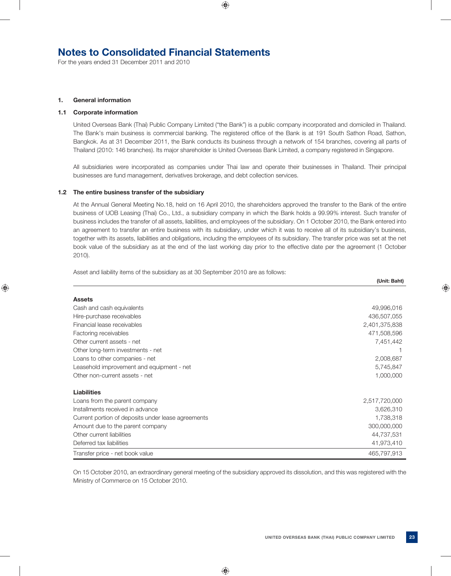# **Notes to Consolidated Financial Statements**

For the years ended 31 December 2011 and 2010

#### **1. General information**

# **1.1 Corporate information**

 United Overseas Bank (Thai) Public Company Limited ("the Bank") is a public company incorporated and domiciled in Thailand. The Bank's main business is commercial banking. The registered office of the Bank is at 191 South Sathon Road, Sathon, Bangkok. As at 31 December 2011, the Bank conducts its business through a network of 154 branches, covering all parts of Thailand (2010: 146 branches). Its major shareholder is United Overseas Bank Limited, a company registered in Singapore.

 All subsidiaries were incorporated as companies under Thai law and operate their businesses in Thailand. Their principal businesses are fund management, derivatives brokerage, and debt collection services.

#### **1.2 The entire business transfer of the subsidiary**

 At the Annual General Meeting No.18, held on 16 April 2010, the shareholders approved the transfer to the Bank of the entire business of UOB Leasing (Thai) Co., Ltd., a subsidiary company in which the Bank holds a 99.99% interest. Such transfer of business includes the transfer of all assets, liabilities, and employees of the subsidiary. On 1 October 2010, the Bank entered into an agreement to transfer an entire business with its subsidiary, under which it was to receive all of its subsidiary's business, together with its assets, liabilities and obligations, including the employees of its subsidiary. The transfer price was set at the net book value of the subsidiary as at the end of the last working day prior to the effective date per the agreement (1 October 2010).

Asset and liability items of the subsidiary as at 30 September 2010 are as follows:

|                                                    | (Unit: Baht)  |
|----------------------------------------------------|---------------|
|                                                    |               |
| <b>Assets</b>                                      |               |
| Cash and cash equivalents                          | 49,996,016    |
| Hire-purchase receivables                          | 436,507,055   |
| Financial lease receivables                        | 2,401,375,838 |
| Factoring receivables                              | 471,508,596   |
| Other current assets - net                         | 7,451,442     |
| Other long-term investments - net                  |               |
| Loans to other companies - net                     | 2,008,687     |
| Leasehold improvement and equipment - net          | 5,745,847     |
| Other non-current assets - net                     | 1,000,000     |
| <b>Liabilities</b>                                 |               |
| Loans from the parent company                      | 2,517,720,000 |
| Installments received in advance                   | 3,626,310     |
| Current portion of deposits under lease agreements | 1,738,318     |
| Amount due to the parent company                   | 300,000,000   |
| Other current liabilities                          | 44,737,531    |
| Deferred tax liabilities                           | 41,973,410    |
| Transfer price - net book value                    | 465,797,913   |

 On 15 October 2010, an extraordinary general meeting of the subsidiary approved its dissolution, and this was registered with the Ministry of Commerce on 15 October 2010.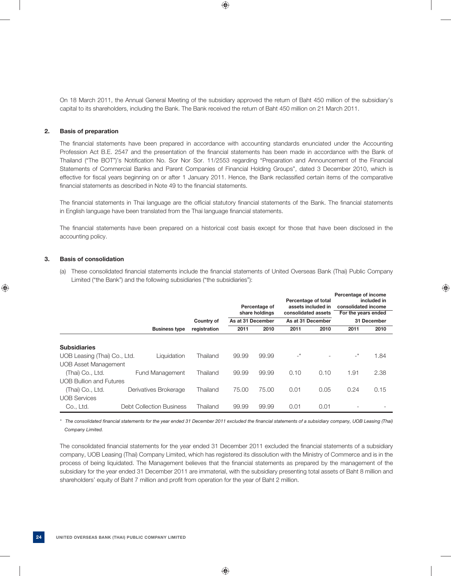On 18 March 2011, the Annual General Meeting of the subsidiary approved the return of Baht 450 million of the subsidiary's capital to its shareholders, including the Bank. The Bank received the return of Baht 450 million on 21 March 2011.

# **2. Basis of preparation**

The financial statements have been prepared in accordance with accounting standards enunciated under the Accounting Profession Act B.E. 2547 and the presentation of the financial statements has been made in accordance with the Bank of Thailand ("The BOT")'s Notification No. Sor Nor Sor. 11/2553 regarding "Preparation and Announcement of the Financial Statements of Commercial Banks and Parent Companies of Financial Holding Groups", dated 3 December 2010, which is effective for fiscal years beginning on or after 1 January 2011. Hence, the Bank reclassified certain items of the comparative financial statements as described in Note 49 to the financial statements.

The financial statements in Thai language are the official statutory financial statements of the Bank. The financial statements in English language have been translated from the Thai language financial statements.

The financial statements have been prepared on a historical cost basis except for those that have been disclosed in the accounting policy.

# **3. Basis of consolidation**

(a) These consolidated financial statements include the financial statements of United Overseas Bank (Thai) Public Company Limited ("the Bank") and the following subsidiaries ("the subsidiaries"):

|                                |                                 | Country of   | As at 31 December | Percentage of<br>share holdings | Percentage of total<br>consolidated assets<br>As at 31 December | assets included in | Percentage of income<br>consolidated income<br>For the years ended | included in<br>31 December |
|--------------------------------|---------------------------------|--------------|-------------------|---------------------------------|-----------------------------------------------------------------|--------------------|--------------------------------------------------------------------|----------------------------|
|                                | <b>Business type</b>            | registration | 2011              | 2010                            | 2011                                                            | 2010               | 2011                                                               | 2010                       |
| <b>Subsidiaries</b>            |                                 |              |                   |                                 |                                                                 |                    |                                                                    |                            |
| UOB Leasing (Thai) Co., Ltd.   | Liquidation                     | Thailand     | 99.99             | 99.99                           | $-$ *                                                           |                    | $-^{\star}$                                                        | 1.84                       |
| <b>UOB Asset Management</b>    |                                 |              |                   |                                 |                                                                 |                    |                                                                    |                            |
| (Thai) Co., Ltd.               | <b>Fund Management</b>          | Thailand     | 99.99             | 99.99                           | 0.10                                                            | 0.10               | 1.91                                                               | 2.38                       |
| <b>UOB Bullion and Futures</b> |                                 |              |                   |                                 |                                                                 |                    |                                                                    |                            |
| (Thai) Co., Ltd.               | Derivatives Brokerage           | Thailand     | 75.00             | 75.00                           | 0.01                                                            | 0.05               | 0.24                                                               | 0.15                       |
| <b>UOB Services</b>            |                                 |              |                   |                                 |                                                                 |                    |                                                                    |                            |
| Co., Ltd.                      | <b>Debt Collection Business</b> | Thailand     | 99.99             | 99.99                           | 0.01                                                            | 0.01               |                                                                    |                            |

\* The consolidated financial statements for the year ended 31 December 2011 excluded the financial statements of a subsidiary company, UOB Leasing (Thai)  *Company Limited.*

The consolidated financial statements for the year ended 31 December 2011 excluded the financial statements of a subsidiary company, UOB Leasing (Thai) Company Limited, which has registered its dissolution with the Ministry of Commerce and is in the process of being liquidated. The Management believes that the financial statements as prepared by the management of the subsidiary for the year ended 31 December 2011 are immaterial, with the subsidiary presenting total assets of Baht 8 million and shareholders' equity of Baht 7 million and profit from operation for the year of Baht 2 million.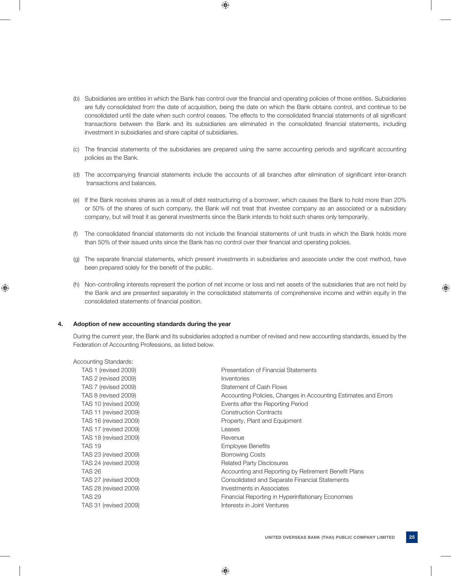- (b) Subsidiaries are entities in which the Bank has control over the financial and operating policies of those entities. Subsidiaries are fully consolidated from the date of acquisition, being the date on which the Bank obtains control, and continue to be consolidated until the date when such control ceases. The effects to the consolidated financial statements of all significant transactions between the Bank and its subsidiaries are eliminated in the consolidated financial statements, including investment in subsidiaries and share capital of subsidiaries.
- (c) The financial statements of the subsidiaries are prepared using the same accounting periods and significant accounting policies as the Bank.
- (d) The accompanying financial statements include the accounts of all branches after elimination of significant inter-branch transactions and balances.
- (e) If the Bank receives shares as a result of debt restructuring of a borrower, which causes the Bank to hold more than 20% or 50% of the shares of such company, the Bank will not treat that investee company as an associated or a subsidiary company, but will treat it as general investments since the Bank intends to hold such shares only temporarily.
- (f) The consolidated financial statements do not include the financial statements of unit trusts in which the Bank holds more than 50% of their issued units since the Bank has no control over their financial and operating policies.
- (g) The separate financial statements, which present investments in subsidiaries and associate under the cost method, have been prepared solely for the benefit of the public.
- (h) Non-controlling interests represent the portion of net income or loss and net assets of the subsidiaries that are not held by the Bank and are presented separately in the consolidated statements of comprehensive income and within equity in the consolidated statements of financial position.

# **4. Adoption of new accounting standards during the year**

 During the current year, the Bank and its subsidiaries adopted a number of revised and new accounting standards, issued by the Federation of Accounting Professions, as listed below.

| <b>Accounting Standards:</b> |                                                                 |
|------------------------------|-----------------------------------------------------------------|
| TAS 1 (revised 2009)         | Presentation of Financial Statements                            |
| TAS 2 (revised 2009)         | Inventories                                                     |
| TAS 7 (revised 2009)         | Statement of Cash Flows                                         |
| TAS 8 (revised 2009)         | Accounting Policies, Changes in Accounting Estimates and Errors |
| <b>TAS 10 (revised 2009)</b> | Events after the Reporting Period                               |
| <b>TAS 11 (revised 2009)</b> | <b>Construction Contracts</b>                                   |
| <b>TAS 16 (revised 2009)</b> | Property, Plant and Equipment                                   |
| <b>TAS 17 (revised 2009)</b> | Leases                                                          |
| <b>TAS 18 (revised 2009)</b> | Revenue                                                         |
| <b>TAS 19</b>                | <b>Employee Benefits</b>                                        |
| TAS 23 (revised 2009)        | <b>Borrowing Costs</b>                                          |
| <b>TAS 24 (revised 2009)</b> | <b>Related Party Disclosures</b>                                |
| <b>TAS 26</b>                | Accounting and Reporting by Retirement Benefit Plans            |
| <b>TAS 27 (revised 2009)</b> | Consolidated and Separate Financial Statements                  |
| TAS 28 (revised 2009)        | Investments in Associates                                       |
| <b>TAS 29</b>                | Financial Reporting in Hyperinflationary Economies              |
| <b>TAS 31 (revised 2009)</b> | Interests in Joint Ventures                                     |
|                              |                                                                 |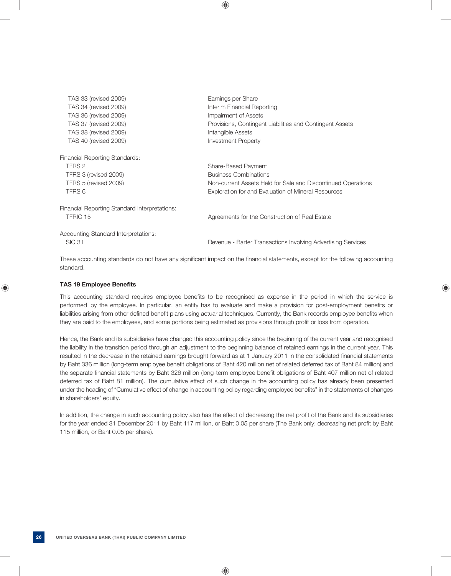| TAS 33 (revised 2009)                         | Earnings per Share                                           |
|-----------------------------------------------|--------------------------------------------------------------|
| TAS 34 (revised 2009)                         | Interim Financial Reporting                                  |
| TAS 36 (revised 2009)                         | Impairment of Assets                                         |
| TAS 37 (revised 2009)                         | Provisions, Contingent Liabilities and Contingent Assets     |
| TAS 38 (revised 2009)                         | Intangible Assets                                            |
| TAS 40 (revised 2009)                         | Investment Property                                          |
| <b>Financial Reporting Standards:</b>         |                                                              |
| TFRS 2                                        | Share-Based Payment                                          |
| TFRS 3 (revised 2009)                         | <b>Business Combinations</b>                                 |
| TFRS 5 (revised 2009)                         | Non-current Assets Held for Sale and Discontinued Operations |
| TFRS 6                                        | Exploration for and Evaluation of Mineral Resources          |
| Financial Reporting Standard Interpretations: |                                                              |
| TFRIC 15                                      | Agreements for the Construction of Real Estate               |
| Accounting Standard Interpretations:          |                                                              |
| <b>SIC 31</b>                                 | Revenue - Barter Transactions Involving Advertising Services |

These accounting standards do not have any significant impact on the financial statements, except for the following accounting standard.

# **TAS 19 Employee Benefits**

This accounting standard requires employee benefits to be recognised as expense in the period in which the service is performed by the employee. In particular, an entity has to evaluate and make a provision for post-employment benefits or liabilities arising from other defined benefit plans using actuarial techniques. Currently, the Bank records employee benefits when they are paid to the employees, and some portions being estimated as provisions through profit or loss from operation.

 Hence, the Bank and its subsidiaries have changed this accounting policy since the beginning of the current year and recognised the liability in the transition period through an adjustment to the beginning balance of retained earnings in the current year. This resulted in the decrease in the retained earnings brought forward as at 1 January 2011 in the consolidated financial statements by Baht 336 million (long-term employee benefi t obligations of Baht 420 million net of related deferred tax of Baht 84 million) and the separate financial statements by Baht 326 million (long-term employee benefit obligations of Baht 407 million net of related deferred tax of Baht 81 million). The cumulative effect of such change in the accounting policy has already been presented under the heading of "Cumulative effect of change in accounting policy regarding employee benefi ts" in the statements of changes in shareholders' equity.

In addition, the change in such accounting policy also has the effect of decreasing the net profit of the Bank and its subsidiaries for the year ended 31 December 2011 by Baht 117 million, or Baht 0.05 per share (The Bank only: decreasing net profit by Baht 115 million, or Baht 0.05 per share).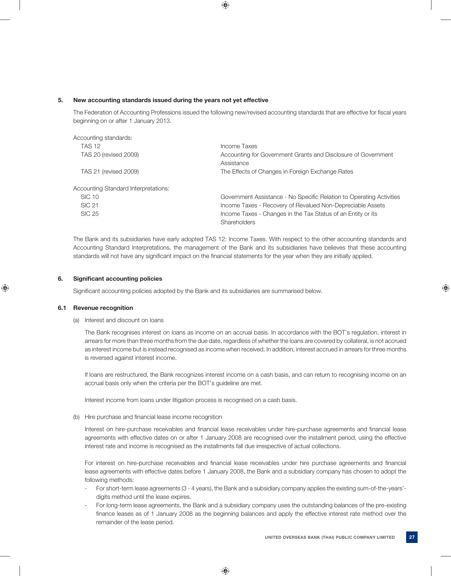# **5. New accounting standards issued during the years not yet effective**

The Federation of Accounting Professions issued the following new/revised accounting standards that are effective for fiscal years beginning on or after 1 January 2013.

| Accounting standards:                |                                                                             |
|--------------------------------------|-----------------------------------------------------------------------------|
| <b>TAS 12</b>                        | Income Taxes                                                                |
| <b>TAS 20 (revised 2009)</b>         | Accounting for Government Grants and Disclosure of Government<br>Assistance |
| <b>TAS 21 (revised 2009)</b>         | The Effects of Changes in Foreign Exchange Rates                            |
| Accounting Standard Interpretations: |                                                                             |
| <b>SIC 10</b>                        | Government Assistance - No Specific Relation to Operating Activities        |
| <b>SIC 21</b>                        | Income Taxes - Recovery of Revalued Non-Depreciable Assets                  |
| <b>SIC 25</b>                        | Income Taxes - Changes in the Tax Status of an Entity or its                |
|                                      | Shareholders                                                                |

 The Bank and its subsidiaries have early adopted TAS 12: Income Taxes. With respect to the other accounting standards and Accounting Standard Interpretations, the management of the Bank and its subsidiaries have believes that these accounting standards will not have any significant impact on the financial statements for the year when they are initially applied.

# **6.** Significant accounting policies

Significant accounting policies adopted by the Bank and its subsidiaries are summarised below.

#### **6.1 Revenue recognition**

#### (a) Interest and discount on loans

 The Bank recognises interest on loans as income on an accrual basis. In accordance with the BOT's regulation, interest in arrears for more than three months from the due date, regardless of whether the loans are covered by collateral, is not accrued as interest income but is instead recognised as income when received. In addition, interest accrued in arrears for three months is reversed against interest income.

 If loans are restructured, the Bank recognizes interest income on a cash basis, and can return to recognising income on an accrual basis only when the criteria per the BOT's guideline are met.

Interest income from loans under litigation process is recognised on a cash basis.

#### (b) Hire purchase and financial lease income recognition

Interest on hire-purchase receivables and financial lease receivables under hire-purchase agreements and financial lease agreements with effective dates on or after 1 January 2008 are recognised over the installment period, using the effective interest rate and income is recognised as the installments fall due irrespective of actual collections.

For interest on hire-purchase receivables and financial lease receivables under hire purchase agreements and financial lease agreements with effective dates before 1 January 2008, the Bank and a subsidiary company has chosen to adopt the following methods:

- For short-term lease agreements (3 4 years), the Bank and a subsidiary company applies the existing sum-of-the-years' digits method until the lease expires.
- For long-term lease agreements, the Bank and a subsidiary company uses the outstanding balances of the pre-existing finance leases as of 1 January 2008 as the beginning balances and apply the effective interest rate method over the remainder of the lease period.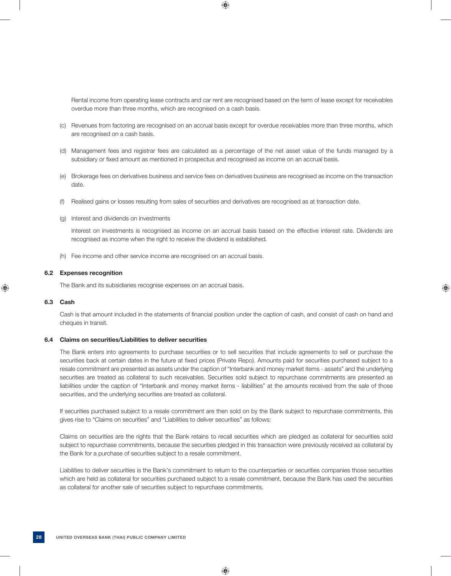Rental income from operating lease contracts and car rent are recognised based on the term of lease except for receivables overdue more than three months, which are recognised on a cash basis.

- (c) Revenues from factoring are recognised on an accrual basis except for overdue receivables more than three months, which are recognised on a cash basis.
- (d) Management fees and registrar fees are calculated as a percentage of the net asset value of the funds managed by a subsidiary or fixed amount as mentioned in prospectus and recognised as income on an accrual basis.
- (e) Brokerage fees on derivatives business and service fees on derivatives business are recognised as income on the transaction date.
- (f) Realised gains or losses resulting from sales of securities and derivatives are recognised as at transaction date.
- (g) Interest and dividends on investments

 Interest on investments is recognised as income on an accrual basis based on the effective interest rate. Dividends are recognised as income when the right to receive the dividend is established.

(h) Fee income and other service income are recognised on an accrual basis.

### **6.2 Expenses recognition**

The Bank and its subsidiaries recognise expenses on an accrual basis.

#### **6.3 Cash**

Cash is that amount included in the statements of financial position under the caption of cash, and consist of cash on hand and cheques in transit.

# **6.4 Claims on securities/Liabilities to deliver securities**

 The Bank enters into agreements to purchase securities or to sell securities that include agreements to sell or purchase the securities back at certain dates in the future at fixed prices (Private Repo). Amounts paid for securities purchased subject to a resale commitment are presented as assets under the caption of "Interbank and money market items - assets" and the underlying securities are treated as collateral to such receivables. Securities sold subject to repurchase commitments are presented as liabilities under the caption of "Interbank and money market items - liabilities" at the amounts received from the sale of those securities, and the underlying securities are treated as collateral.

 If securities purchased subject to a resale commitment are then sold on by the Bank subject to repurchase commitments, this gives rise to "Claims on securities" and "Liabilities to deliver securities" as follows:

 Claims on securities are the rights that the Bank retains to recall securities which are pledged as collateral for securities sold subject to repurchase commitments, because the securities pledged in this transaction were previously received as collateral by the Bank for a purchase of securities subject to a resale commitment.

 Liabilities to deliver securities is the Bank's commitment to return to the counterparties or securities companies those securities which are held as collateral for securities purchased subject to a resale commitment, because the Bank has used the securities as collateral for another sale of securities subject to repurchase commitments.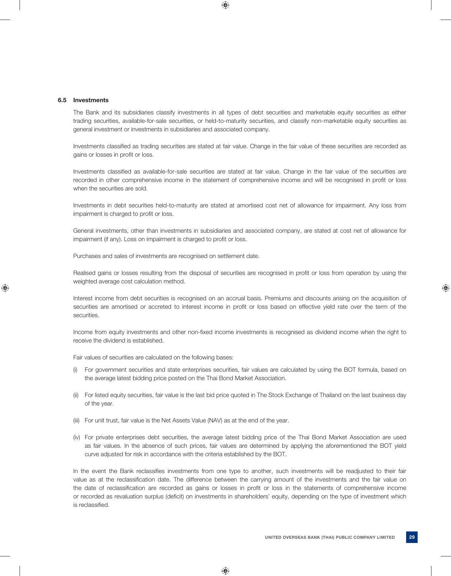#### **6.5 Investments**

 The Bank and its subsidiaries classify investments in all types of debt securities and marketable equity securities as either trading securities, available-for-sale securities, or held-to-maturity securities, and classify non-marketable equity securities as general investment or investments in subsidiaries and associated company.

Investments classified as trading securities are stated at fair value. Change in the fair value of these securities are recorded as gains or losses in profit or loss.

Investments classified as available-for-sale securities are stated at fair value. Change in the fair value of the securities are recorded in other comprehensive income in the statement of comprehensive income and will be recognised in profit or loss when the securities are sold.

 Investments in debt securities held-to-maturity are stated at amortised cost net of allowance for impairment. Any loss from impairment is charged to profit or loss.

 General investments, other than investments in subsidiaries and associated company, are stated at cost net of allowance for impairment (if any). Loss on impairment is charged to profit or loss.

Purchases and sales of investments are recognised on settlement date.

Realised gains or losses resulting from the disposal of securities are recognised in profit or loss from operation by using the weighted average cost calculation method.

 Interest income from debt securities is recognised on an accrual basis. Premiums and discounts arising on the acquisition of securities are amortised or accreted to interest income in profit or loss based on effective yield rate over the term of the securities.

Income from equity investments and other non-fixed income investments is recognised as dividend income when the right to receive the dividend is established.

Fair values of securities are calculated on the following bases:

- (i) For government securities and state enterprises securities, fair values are calculated by using the BOT formula, based on the average latest bidding price posted on the Thai Bond Market Association.
- (ii) For listed equity securities, fair value is the last bid price quoted in The Stock Exchange of Thailand on the last business day of the year.
- (iii) For unit trust, fair value is the Net Assets Value (NAV) as at the end of the year.
- (iv) For private enterprises debt securities, the average latest bidding price of the Thai Bond Market Association are used as fair values. In the absence of such prices, fair values are determined by applying the aforementioned the BOT yield curve adjusted for risk in accordance with the criteria established by the BOT.

In the event the Bank reclassifies investments from one type to another, such investments will be readjusted to their fair value as at the reclassification date. The difference between the carrying amount of the investments and the fair value on the date of reclassification are recorded as gains or losses in profit or loss in the statements of comprehensive income or recorded as revaluation surplus (deficit) on investments in shareholders' equity, depending on the type of investment which is reclassified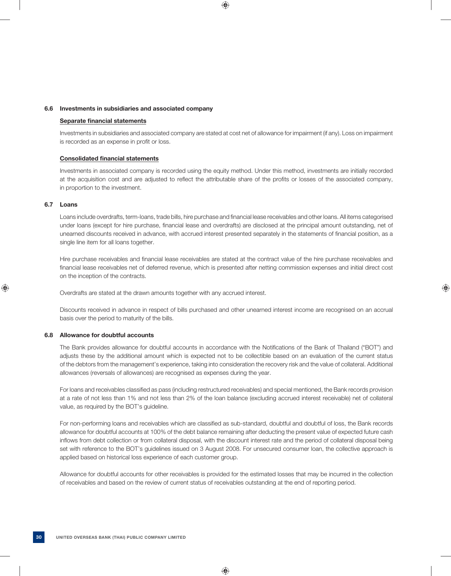## **6.6 Investments in subsidiaries and associated company**

### **Separate financial statements**

 Investments in subsidiaries and associated company are stated at cost net of allowance for impairment (if any). Loss on impairment is recorded as an expense in profit or loss.

# **Consolidated financial statements**

 Investments in associated company is recorded using the equity method. Under this method, investments are initially recorded at the acquisition cost and are adjusted to reflect the attributable share of the profits or losses of the associated company, in proportion to the investment.

#### **6.7 Loans**

Loans include overdrafts, term-loans, trade bills, hire purchase and financial lease receivables and other loans. All items categorised under loans (except for hire purchase, financial lease and overdrafts) are disclosed at the principal amount outstanding, net of unearned discounts received in advance, with accrued interest presented separately in the statements of financial position, as a single line item for all loans together.

Hire purchase receivables and financial lease receivables are stated at the contract value of the hire purchase receivables and financial lease receivables net of deferred revenue, which is presented after netting commission expenses and initial direct cost on the inception of the contracts.

Overdrafts are stated at the drawn amounts together with any accrued interest.

 Discounts received in advance in respect of bills purchased and other unearned interest income are recognised on an accrual basis over the period to maturity of the bills.

# **6.8 Allowance for doubtful accounts**

The Bank provides allowance for doubtful accounts in accordance with the Notifications of the Bank of Thailand ("BOT") and adjusts these by the additional amount which is expected not to be collectible based on an evaluation of the current status of the debtors from the management's experience, taking into consideration the recovery risk and the value of collateral. Additional allowances (reversals of allowances) are recognised as expenses during the year.

For loans and receivables classified as pass (including restructured receivables) and special mentioned, the Bank records provision at a rate of not less than 1% and not less than 2% of the loan balance (excluding accrued interest receivable) net of collateral value, as required by the BOT's guideline.

For non-performing loans and receivables which are classified as sub-standard, doubtful and doubtful of loss, the Bank records allowance for doubtful accounts at 100% of the debt balance remaining after deducting the present value of expected future cash inflows from debt collection or from collateral disposal, with the discount interest rate and the period of collateral disposal being set with reference to the BOT's guidelines issued on 3 August 2008. For unsecured consumer loan, the collective approach is applied based on historical loss experience of each customer group.

 Allowance for doubtful accounts for other receivables is provided for the estimated losses that may be incurred in the collection of receivables and based on the review of current status of receivables outstanding at the end of reporting period.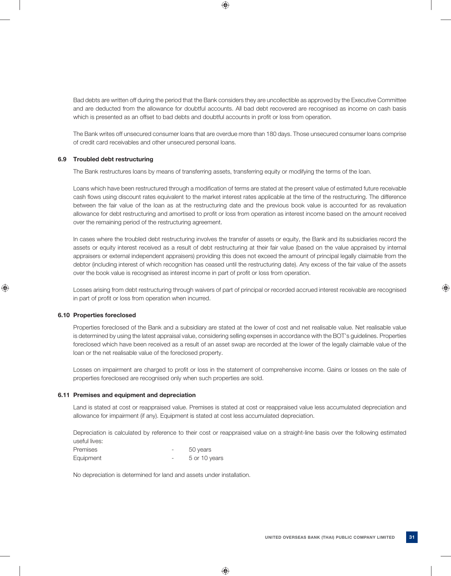Bad debts are written off during the period that the Bank considers they are uncollectible as approved by the Executive Committee and are deducted from the allowance for doubtful accounts. All bad debt recovered are recognised as income on cash basis which is presented as an offset to bad debts and doubtful accounts in profit or loss from operation.

 The Bank writes off unsecured consumer loans that are overdue more than 180 days. Those unsecured consumer loans comprise of credit card receivables and other unsecured personal loans.

# **6.9 Troubled debt restructuring**

The Bank restructures loans by means of transferring assets, transferring equity or modifying the terms of the loan.

Loans which have been restructured through a modification of terms are stated at the present value of estimated future receivable cash flows using discount rates equivalent to the market interest rates applicable at the time of the restructuring. The difference between the fair value of the loan as at the restructuring date and the previous book value is accounted for as revaluation allowance for debt restructuring and amortised to profit or loss from operation as interest income based on the amount received over the remaining period of the restructuring agreement.

 In cases where the troubled debt restructuring involves the transfer of assets or equity, the Bank and its subsidiaries record the assets or equity interest received as a result of debt restructuring at their fair value (based on the value appraised by internal appraisers or external independent appraisers) providing this does not exceed the amount of principal legally claimable from the debtor (including interest of which recognition has ceased until the restructuring date). Any excess of the fair value of the assets over the book value is recognised as interest income in part of profit or loss from operation.

 Losses arising from debt restructuring through waivers of part of principal or recorded accrued interest receivable are recognised in part of profit or loss from operation when incurred.

# **6.10 Properties foreclosed**

 Properties foreclosed of the Bank and a subsidiary are stated at the lower of cost and net realisable value. Net realisable value is determined by using the latest appraisal value, considering selling expenses in accordance with the BOT's guidelines. Properties foreclosed which have been received as a result of an asset swap are recorded at the lower of the legally claimable value of the loan or the net realisable value of the foreclosed property.

Losses on impairment are charged to profit or loss in the statement of comprehensive income. Gains or losses on the sale of properties foreclosed are recognised only when such properties are sold.

#### **6.11 Premises and equipment and depreciation**

 Land is stated at cost or reappraised value. Premises is stated at cost or reappraised value less accumulated depreciation and allowance for impairment (if any). Equipment is stated at cost less accumulated depreciation.

 Depreciation is calculated by reference to their cost or reappraised value on a straight-line basis over the following estimated useful lives:

| Premises  | $\overline{\phantom{a}}$ | 50 years      |
|-----------|--------------------------|---------------|
| Equipment | $\overline{\phantom{a}}$ | 5 or 10 years |

No depreciation is determined for land and assets under installation.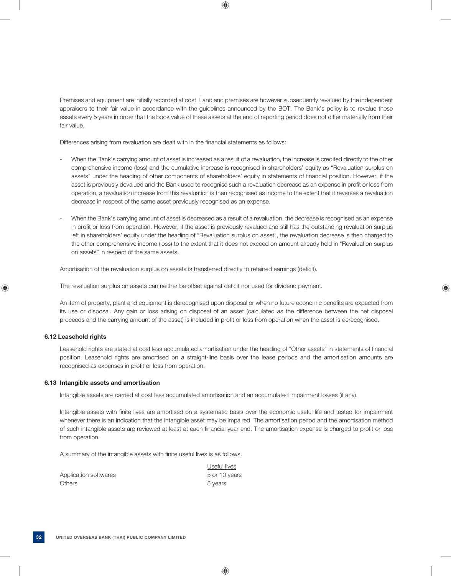Premises and equipment are initially recorded at cost. Land and premises are however subsequently revalued by the independent appraisers to their fair value in accordance with the guidelines announced by the BOT. The Bank's policy is to revalue these assets every 5 years in order that the book value of these assets at the end of reporting period does not differ materially from their fair value.

Differences arising from revaluation are dealt with in the financial statements as follows:

- When the Bank's carrying amount of asset is increased as a result of a revaluation, the increase is credited directly to the other comprehensive income (loss) and the cumulative increase is recognised in shareholders' equity as "Revaluation surplus on assets" under the heading of other components of shareholders' equity in statements of financial position. However, if the asset is previously devalued and the Bank used to recognise such a revaluation decrease as an expense in profit or loss from operation, a revaluation increase from this revaluation is then recognised as income to the extent that it reverses a revaluation decrease in respect of the same asset previously recognised as an expense.
- When the Bank's carrying amount of asset is decreased as a result of a revaluation, the decrease is recognised as an expense in profit or loss from operation. However, if the asset is previously revalued and still has the outstanding revaluation surplus left in shareholders' equity under the heading of "Revaluation surplus on asset", the revaluation decrease is then charged to the other comprehensive income (loss) to the extent that it does not exceed on amount already held in "Revaluation surplus on assets" in respect of the same assets.

Amortisation of the revaluation surplus on assets is transferred directly to retained earnings (deficit).

The revaluation surplus on assets can neither be offset against deficit nor used for dividend payment.

An item of property, plant and equipment is derecognised upon disposal or when no future economic benefits are expected from its use or disposal. Any gain or loss arising on disposal of an asset (calculated as the difference between the net disposal proceeds and the carrying amount of the asset) is included in profit or loss from operation when the asset is derecognised.

# **6.12 Leasehold rights**

Leasehold rights are stated at cost less accumulated amortisation under the heading of "Other assets" in statements of financial position. Leasehold rights are amortised on a straight-line basis over the lease periods and the amortisation amounts are recognised as expenses in profit or loss from operation.

# **6.13 Intangible assets and amortisation**

Intangible assets are carried at cost less accumulated amortisation and an accumulated impairment losses (if any).

Intangible assets with finite lives are amortised on a systematic basis over the economic useful life and tested for impairment whenever there is an indication that the intangible asset may be impaired. The amortisation period and the amortisation method of such intangible assets are reviewed at least at each financial year end. The amortisation expense is charged to profit or loss from operation.

A summary of the intangible assets with finite useful lives is as follows.

| Application softwares | 5 or 10 |
|-----------------------|---------|
| <b>Others</b>         | 5 years |

 Useful lives 5 or 10 years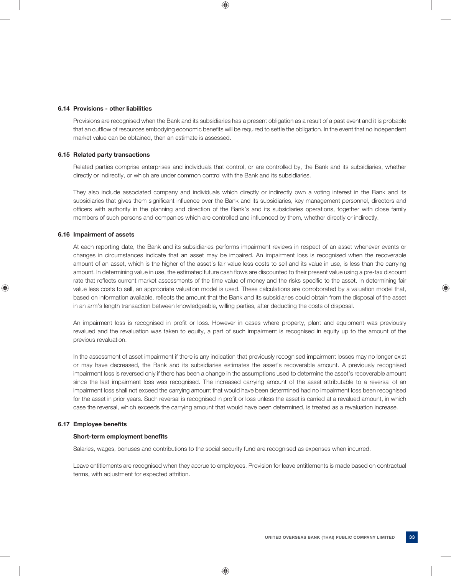#### **6.14 Provisions - other liabilities**

 Provisions are recognised when the Bank and its subsidiaries has a present obligation as a result of a past event and it is probable that an outflow of resources embodying economic benefits will be required to settle the obligation. In the event that no independent market value can be obtained, then an estimate is assessed.

## **6.15 Related party transactions**

 Related parties comprise enterprises and individuals that control, or are controlled by, the Bank and its subsidiaries, whether directly or indirectly, or which are under common control with the Bank and its subsidiaries.

 They also include associated company and individuals which directly or indirectly own a voting interest in the Bank and its subsidiaries that gives them significant influence over the Bank and its subsidiaries, key management personnel, directors and officers with authority in the planning and direction of the Bank's and its subsidiaries operations, together with close family members of such persons and companies which are controlled and influenced by them, whether directly or indirectly.

## **6.16 Impairment of assets**

 At each reporting date, the Bank and its subsidiaries performs impairment reviews in respect of an asset whenever events or changes in circumstances indicate that an asset may be impaired. An impairment loss is recognised when the recoverable amount of an asset, which is the higher of the asset's fair value less costs to sell and its value in use, is less than the carrying amount. In determining value in use, the estimated future cash flows are discounted to their present value using a pre-tax discount rate that reflects current market assessments of the time value of money and the risks specific to the asset. In determining fair value less costs to sell, an appropriate valuation model is used. These calculations are corroborated by a valuation model that, based on information available, reflects the amount that the Bank and its subsidiaries could obtain from the disposal of the asset in an arm's length transaction between knowledgeable, willing parties, after deducting the costs of disposal.

An impairment loss is recognised in profit or loss. However in cases where property, plant and equipment was previously revalued and the revaluation was taken to equity, a part of such impairment is recognised in equity up to the amount of the previous revaluation.

 In the assessment of asset impairment if there is any indication that previously recognised impairment losses may no longer exist or may have decreased, the Bank and its subsidiaries estimates the asset's recoverable amount. A previously recognised impairment loss is reversed only if there has been a change in the assumptions used to determine the asset's recoverable amount since the last impairment loss was recognised. The increased carrying amount of the asset attributable to a reversal of an impairment loss shall not exceed the carrying amount that would have been determined had no impairment loss been recognised for the asset in prior years. Such reversal is recognised in profit or loss unless the asset is carried at a revalued amount, in which case the reversal, which exceeds the carrying amount that would have been determined, is treated as a revaluation increase.

### **6.17 Employee benefits**

## **Short-term employment benefits**

Salaries, wages, bonuses and contributions to the social security fund are recognised as expenses when incurred.

 Leave entitlements are recognised when they accrue to employees. Provision for leave entitlements is made based on contractual terms, with adjustment for expected attrition.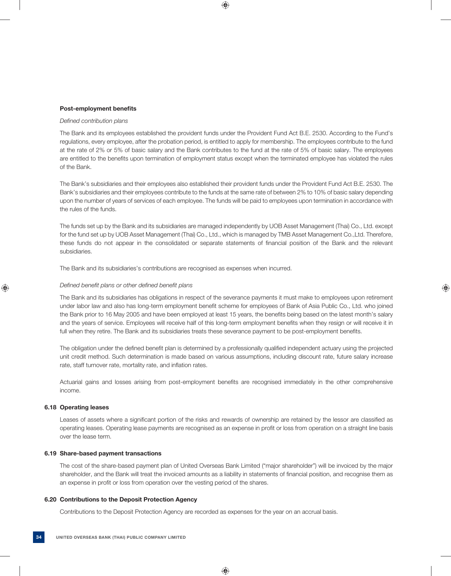## **Post-employment benefits**

#### *Defined contribution plans*

 The Bank and its employees established the provident funds under the Provident Fund Act B.E. 2530. According to the Fund's regulations, every employee, after the probation period, is entitled to apply for membership. The employees contribute to the fund at the rate of 2% or 5% of basic salary and the Bank contributes to the fund at the rate of 5% of basic salary. The employees are entitled to the benefits upon termination of employment status except when the terminated employee has violated the rules of the Bank.

 The Bank's subsidiaries and their employees also established their provident funds under the Provident Fund Act B.E. 2530. The Bank's subsidiaries and their employees contribute to the funds at the same rate of between 2% to 10% of basic salary depending upon the number of years of services of each employee. The funds will be paid to employees upon termination in accordance with the rules of the funds.

 The funds set up by the Bank and its subsidiaries are managed independently by UOB Asset Management (Thai) Co., Ltd. except for the fund set up by UOB Asset Management (Thai) Co., Ltd., which is managed by TMB Asset Management Co.,Ltd. Therefore, these funds do not appear in the consolidated or separate statements of financial position of the Bank and the relevant subsidiaries.

The Bank and its subsidiaries's contributions are recognised as expenses when incurred.

## *Defined benefit plans or other defined benefit plans*

 The Bank and its subsidiaries has obligations in respect of the severance payments it must make to employees upon retirement under labor law and also has long-term employment benefit scheme for employees of Bank of Asia Public Co., Ltd. who joined the Bank prior to 16 May 2005 and have been employed at least 15 years, the benefits being based on the latest month's salary and the years of service. Employees will receive half of this long-term employment benefits when they resign or will receive it in full when they retire. The Bank and its subsidiaries treats these severance payment to be post-employment benefits.

The obligation under the defined benefit plan is determined by a professionally qualified independent actuary using the projected unit credit method. Such determination is made based on various assumptions, including discount rate, future salary increase rate, staff turnover rate, mortality rate, and inflation rates.

Actuarial gains and losses arising from post-employment benefits are recognised immediately in the other comprehensive income.

#### **6.18 Operating leases**

Leases of assets where a significant portion of the risks and rewards of ownership are retained by the lessor are classified as operating leases. Operating lease payments are recognised as an expense in profit or loss from operation on a straight line basis over the lease term.

#### **6.19 Share-based payment transactions**

 The cost of the share-based payment plan of United Overseas Bank Limited ("major shareholder") will be invoiced by the major shareholder, and the Bank will treat the invoiced amounts as a liability in statements of financial position, and recognise them as an expense in profit or loss from operation over the vesting period of the shares.

# **6.20 Contributions to the Deposit Protection Agency**

Contributions to the Deposit Protection Agency are recorded as expenses for the year on an accrual basis.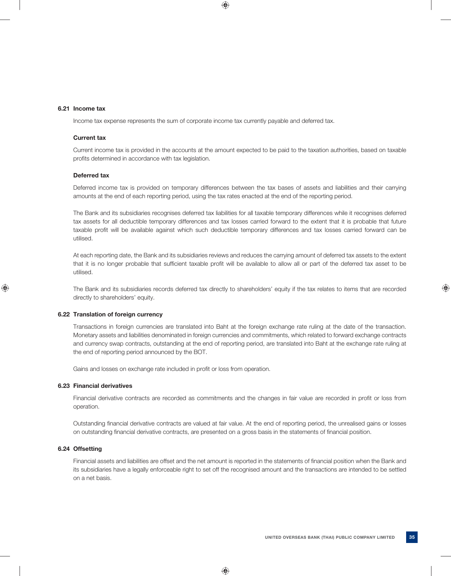#### **6.21 Income tax**

Income tax expense represents the sum of corporate income tax currently payable and deferred tax.

# **Current tax**

 Current income tax is provided in the accounts at the amount expected to be paid to the taxation authorities, based on taxable profits determined in accordance with tax legislation.

# **Deferred tax**

 Deferred income tax is provided on temporary differences between the tax bases of assets and liabilities and their carrying amounts at the end of each reporting period, using the tax rates enacted at the end of the reporting period.

 The Bank and its subsidiaries recognises deferred tax liabilities for all taxable temporary differences while it recognises deferred tax assets for all deductible temporary differences and tax losses carried forward to the extent that it is probable that future taxable profit will be available against which such deductible temporary differences and tax losses carried forward can be utilised.

 At each reporting date, the Bank and its subsidiaries reviews and reduces the carrying amount of deferred tax assets to the extent that it is no longer probable that sufficient taxable profit will be available to allow all or part of the deferred tax asset to be utilised.

 The Bank and its subsidiaries records deferred tax directly to shareholders' equity if the tax relates to items that are recorded directly to shareholders' equity.

# **6.22 Translation of foreign currency**

 Transactions in foreign currencies are translated into Baht at the foreign exchange rate ruling at the date of the transaction. Monetary assets and liabilities denominated in foreign currencies and commitments, which related to forward exchange contracts and currency swap contracts, outstanding at the end of reporting period, are translated into Baht at the exchange rate ruling at the end of reporting period announced by the BOT.

Gains and losses on exchange rate included in profit or loss from operation.

#### **6.23 Financial derivatives**

Financial derivative contracts are recorded as commitments and the changes in fair value are recorded in profit or loss from operation.

Outstanding financial derivative contracts are valued at fair value. At the end of reporting period, the unrealised gains or losses on outstanding financial derivative contracts, are presented on a gross basis in the statements of financial position.

# **6.24 Offsetting**

Financial assets and liabilities are offset and the net amount is reported in the statements of financial position when the Bank and its subsidiaries have a legally enforceable right to set off the recognised amount and the transactions are intended to be settled on a net basis.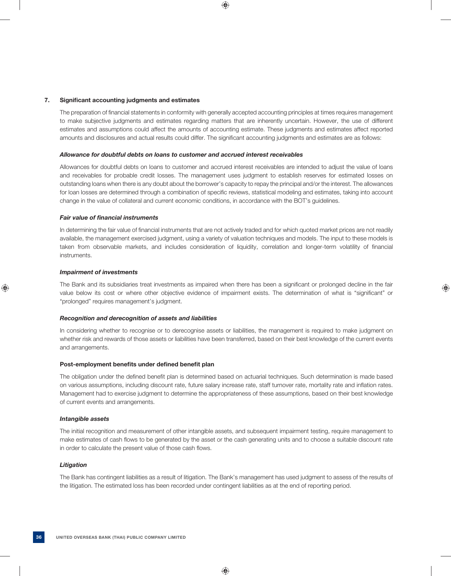### 7. Significant accounting judgments and estimates

The preparation of financial statements in conformity with generally accepted accounting principles at times requires management to make subjective judgments and estimates regarding matters that are inherently uncertain. However, the use of different estimates and assumptions could affect the amounts of accounting estimate. These judgments and estimates affect reported amounts and disclosures and actual results could differ. The significant accounting judgments and estimates are as follows:

### *Allowance for doubtful debts on loans to customer and accrued interest receivables*

 Allowances for doubtful debts on loans to customer and accrued interest receivables are intended to adjust the value of loans and receivables for probable credit losses. The management uses judgment to establish reserves for estimated losses on outstanding loans when there is any doubt about the borrower's capacity to repay the principal and/or the interest. The allowances for loan losses are determined through a combination of specific reviews, statistical modeling and estimates, taking into account change in the value of collateral and current economic conditions, in accordance with the BOT's guidelines.

### *Fair value of financial instruments*

In determining the fair value of financial instruments that are not actively traded and for which quoted market prices are not readily available, the management exercised judgment, using a variety of valuation techniques and models. The input to these models is taken from observable markets, and includes consideration of liquidity, correlation and longer-term volatility of financial instruments.

### *Impairment of investments*

The Bank and its subsidiaries treat investments as impaired when there has been a significant or prolonged decline in the fair value below its cost or where other objective evidence of impairment exists. The determination of what is "significant" or "prolonged" requires management's judgment.

#### *Recognition and derecognition of assets and liabilities*

 In considering whether to recognise or to derecognise assets or liabilities, the management is required to make judgment on whether risk and rewards of those assets or liabilities have been transferred, based on their best knowledge of the current events and arrangements.

#### Post-employment benefits under defined benefit plan

The obligation under the defined benefit plan is determined based on actuarial techniques. Such determination is made based on various assumptions, including discount rate, future salary increase rate, staff turnover rate, mortality rate and inflation rates. Management had to exercise judgment to determine the appropriateness of these assumptions, based on their best knowledge of current events and arrangements.

#### *Intangible assets*

 The initial recognition and measurement of other intangible assets, and subsequent impairment testing, require management to make estimates of cash flows to be generated by the asset or the cash generating units and to choose a suitable discount rate in order to calculate the present value of those cash flows.

#### *Litigation*

 The Bank has contingent liabilities as a result of litigation. The Bank's management has used judgment to assess of the results of the litigation. The estimated loss has been recorded under contingent liabilities as at the end of reporting period.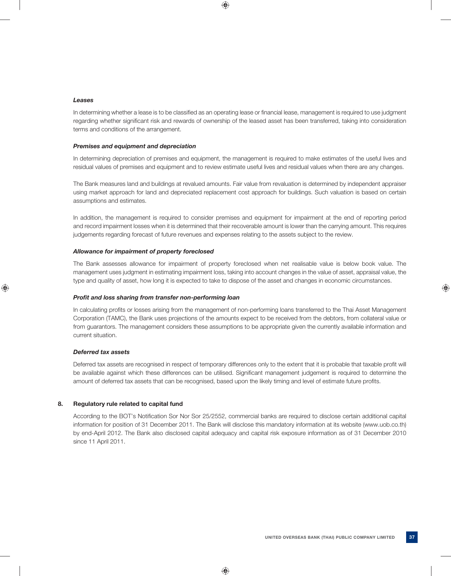#### *Leases*

In determining whether a lease is to be classified as an operating lease or financial lease, management is required to use judgment regarding whether significant risk and rewards of ownership of the leased asset has been transferred, taking into consideration terms and conditions of the arrangement.

### *Premises and equipment and depreciation*

 In determining depreciation of premises and equipment, the management is required to make estimates of the useful lives and residual values of premises and equipment and to review estimate useful lives and residual values when there are any changes.

 The Bank measures land and buildings at revalued amounts. Fair value from revaluation is determined by independent appraiser using market approach for land and depreciated replacement cost approach for buildings. Such valuation is based on certain assumptions and estimates.

 In addition, the management is required to consider premises and equipment for impairment at the end of reporting period and record impairment losses when it is determined that their recoverable amount is lower than the carrying amount. This requires judgements regarding forecast of future revenues and expenses relating to the assets subject to the review.

### *Allowance for impairment of property foreclosed*

 The Bank assesses allowance for impairment of property foreclosed when net realisable value is below book value. The management uses judgment in estimating impairment loss, taking into account changes in the value of asset, appraisal value, the type and quality of asset, how long it is expected to take to dispose of the asset and changes in economic circumstances.

#### *Profit and loss sharing from transfer non-performing loan*

In calculating profits or losses arising from the management of non-performing loans transferred to the Thai Asset Management Corporation (TAMC), the Bank uses projections of the amounts expect to be received from the debtors, from collateral value or from guarantors. The management considers these assumptions to be appropriate given the currently available information and current situation.

### *Deferred tax assets*

Deferred tax assets are recognised in respect of temporary differences only to the extent that it is probable that taxable profit will be available against which these differences can be utilised. Significant management judgement is required to determine the amount of deferred tax assets that can be recognised, based upon the likely timing and level of estimate future profits.

### **8. Regulatory rule related to capital fund**

According to the BOT's Notification Sor Nor Sor 25/2552, commercial banks are required to disclose certain additional capital information for position of 31 December 2011. The Bank will disclose this mandatory information at its website (www.uob.co.th) by end-April 2012. The Bank also disclosed capital adequacy and capital risk exposure information as of 31 December 2010 since 11 April 2011.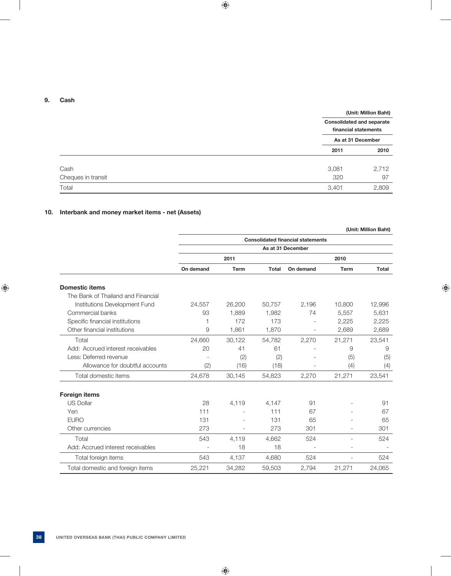### **9. Cash**

|                    | (Unit: Million Baht)                                     |
|--------------------|----------------------------------------------------------|
|                    | <b>Consolidated and separate</b><br>financial statements |
|                    | As at 31 December                                        |
|                    | 2010<br>2011                                             |
| Cash               | 3,081<br>2,712                                           |
| Cheques in transit | 320<br>97                                                |
| Total              | 2,809<br>3,401                                           |

## **10. Interbank and money market items - net (Assets)**

|                                    |           |                          |              |                                          |             | (Unit: Million Baht) |
|------------------------------------|-----------|--------------------------|--------------|------------------------------------------|-------------|----------------------|
|                                    |           |                          |              | <b>Consolidated financial statements</b> |             |                      |
|                                    |           |                          |              | As at 31 December                        |             |                      |
|                                    |           | 2011                     |              |                                          | 2010        |                      |
|                                    | On demand | Term                     | <b>Total</b> | On demand                                | <b>Term</b> | Total                |
| <b>Domestic items</b>              |           |                          |              |                                          |             |                      |
| The Bank of Thailand and Financial |           |                          |              |                                          |             |                      |
| Institutions Development Fund      | 24,557    | 26,200                   | 50,757       | 2,196                                    | 10,800      | 12,996               |
| Commercial banks                   | 93        | 1,889                    | 1,982        | 74                                       | 5,557       | 5,631                |
| Specific financial institutions    |           | 172                      | 173          |                                          | 2,225       | 2,225                |
| Other financial institutions       | 9         | 1,861                    | 1,870        |                                          | 2,689       | 2,689                |
| Total                              | 24,660    | 30,122                   | 54,782       | 2,270                                    | 21,271      | 23,541               |
| Add: Accrued interest receivables  | 20        | 41                       | 61           |                                          | 9           | 9                    |
| Less: Deferred revenue             |           | (2)                      | (2)          |                                          | (5)         | (5)                  |
| Allowance for doubtful accounts    | (2)       | (16)                     | (18)         |                                          | (4)         | (4)                  |
| Total domestic items               | 24,678    | 30,145                   | 54,823       | 2,270                                    | 21,271      | 23,541               |
| <b>Foreign items</b>               |           |                          |              |                                          |             |                      |
| <b>US Dollar</b>                   | 28        | 4,119                    | 4,147        | 91                                       |             | 91                   |
| Yen                                | 111       | $\overline{\phantom{a}}$ | 111          | 67                                       |             | 67                   |
| <b>EURO</b>                        | 131       |                          | 131          | 65                                       |             | 65                   |
| Other currencies                   | 273       |                          | 273          | 301                                      |             | 301                  |
| Total                              | 543       | 4,119                    | 4,662        | 524                                      |             | 524                  |
| Add: Accrued interest receivables  |           | 18                       | 18           |                                          |             |                      |
| Total foreign items                | 543       | 4,137                    | 4,680        | 524                                      |             | 524                  |
| Total domestic and foreign items   | 25,221    | 34,282                   | 59,503       | 2,794                                    | 21,271      | 24,065               |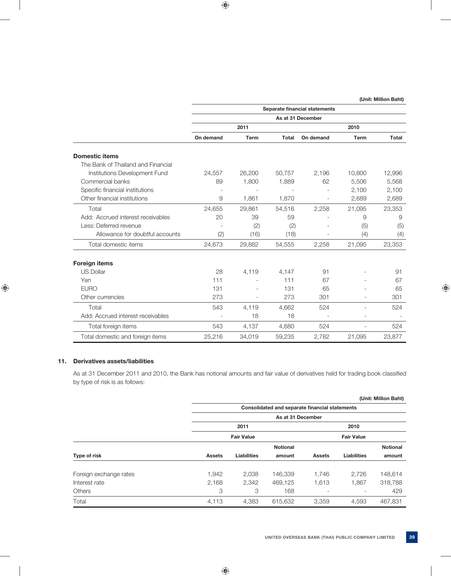|                                    | Separate financial statements<br>As at 31 December<br>2011<br>2010<br>On demand<br><b>Term</b><br><b>Total</b><br>On demand<br><b>Term</b><br>26,200<br>24,557<br>50,757<br>2,196<br>10,800<br>1,800<br>5,506<br>89<br>1,889<br>62<br>2,100<br>9<br>1,861<br>1,870<br>2,689<br>2,258<br>24,655<br>29,861<br>54,516<br>21,095<br>20<br>39<br>59<br>9<br>(2)<br>(2)<br>(5)<br>(2)<br>(16)<br>(18)<br>(4)<br>24,673<br>29,882<br>54,555<br>2,258<br>21,095<br>28<br>4,119<br>4,147<br>91<br>111<br>111<br>67<br>131<br>131<br>65<br>273<br>273<br>301<br>$\overline{\phantom{a}}$<br>543<br>4,662<br>4,119<br>524<br>18<br>18<br>$\overline{\phantom{a}}$<br>543<br>4,137<br>4,680<br>524<br>$\overline{a}$ |        |        |       |        |        |
|------------------------------------|----------------------------------------------------------------------------------------------------------------------------------------------------------------------------------------------------------------------------------------------------------------------------------------------------------------------------------------------------------------------------------------------------------------------------------------------------------------------------------------------------------------------------------------------------------------------------------------------------------------------------------------------------------------------------------------------------------|--------|--------|-------|--------|--------|
|                                    |                                                                                                                                                                                                                                                                                                                                                                                                                                                                                                                                                                                                                                                                                                          |        |        |       |        |        |
|                                    |                                                                                                                                                                                                                                                                                                                                                                                                                                                                                                                                                                                                                                                                                                          |        |        |       |        | Total  |
| <b>Domestic items</b>              |                                                                                                                                                                                                                                                                                                                                                                                                                                                                                                                                                                                                                                                                                                          |        |        |       |        |        |
| The Bank of Thailand and Financial |                                                                                                                                                                                                                                                                                                                                                                                                                                                                                                                                                                                                                                                                                                          |        |        |       |        |        |
| Institutions Development Fund      |                                                                                                                                                                                                                                                                                                                                                                                                                                                                                                                                                                                                                                                                                                          |        |        |       |        | 12,996 |
| Commercial banks                   |                                                                                                                                                                                                                                                                                                                                                                                                                                                                                                                                                                                                                                                                                                          |        |        |       |        | 5,568  |
| Specific financial institutions    |                                                                                                                                                                                                                                                                                                                                                                                                                                                                                                                                                                                                                                                                                                          |        |        |       |        | 2,100  |
| Other financial institutions       |                                                                                                                                                                                                                                                                                                                                                                                                                                                                                                                                                                                                                                                                                                          |        |        |       |        | 2,689  |
| Total                              |                                                                                                                                                                                                                                                                                                                                                                                                                                                                                                                                                                                                                                                                                                          |        |        |       |        | 23,353 |
| Add: Accrued interest receivables  |                                                                                                                                                                                                                                                                                                                                                                                                                                                                                                                                                                                                                                                                                                          |        |        |       |        | 9      |
| Less: Deferred revenue             |                                                                                                                                                                                                                                                                                                                                                                                                                                                                                                                                                                                                                                                                                                          |        |        |       |        | (5)    |
| Allowance for doubtful accounts    |                                                                                                                                                                                                                                                                                                                                                                                                                                                                                                                                                                                                                                                                                                          |        |        |       |        | (4)    |
| Total domestic items               |                                                                                                                                                                                                                                                                                                                                                                                                                                                                                                                                                                                                                                                                                                          |        |        |       |        | 23,353 |
| <b>Foreign items</b>               |                                                                                                                                                                                                                                                                                                                                                                                                                                                                                                                                                                                                                                                                                                          |        |        |       |        |        |
| <b>US Dollar</b>                   |                                                                                                                                                                                                                                                                                                                                                                                                                                                                                                                                                                                                                                                                                                          |        |        |       |        | 91     |
| Yen                                |                                                                                                                                                                                                                                                                                                                                                                                                                                                                                                                                                                                                                                                                                                          |        |        |       |        | 67     |
| <b>EURO</b>                        |                                                                                                                                                                                                                                                                                                                                                                                                                                                                                                                                                                                                                                                                                                          |        |        |       |        | 65     |
| Other currencies                   |                                                                                                                                                                                                                                                                                                                                                                                                                                                                                                                                                                                                                                                                                                          |        |        |       |        | 301    |
| Total                              |                                                                                                                                                                                                                                                                                                                                                                                                                                                                                                                                                                                                                                                                                                          |        |        |       |        | 524    |
| Add: Accrued interest receivables  |                                                                                                                                                                                                                                                                                                                                                                                                                                                                                                                                                                                                                                                                                                          |        |        |       |        |        |
| Total foreign items                |                                                                                                                                                                                                                                                                                                                                                                                                                                                                                                                                                                                                                                                                                                          |        |        |       |        | 524    |
| Total domestic and foreign items   | 25,216                                                                                                                                                                                                                                                                                                                                                                                                                                                                                                                                                                                                                                                                                                   | 34,019 | 59,235 | 2,782 | 21.095 | 23,877 |

## **11. Derivatives assets/liabilities**

As at 31 December 2011 and 2010, the Bank has notional amounts and fair value of derivatives held for trading book classified by type of risk is as follows:

| (Unit: Million Baht)   |               |                    |                                                |               |                    |                 |  |
|------------------------|---------------|--------------------|------------------------------------------------|---------------|--------------------|-----------------|--|
|                        |               |                    | Consolidated and separate financial statements |               |                    |                 |  |
|                        |               |                    | As at 31 December                              |               |                    |                 |  |
|                        |               | 2011               |                                                | 2010          |                    |                 |  |
|                        |               | <b>Fair Value</b>  |                                                |               | <b>Fair Value</b>  |                 |  |
|                        |               |                    | <b>Notional</b>                                |               |                    | <b>Notional</b> |  |
| Type of risk           | <b>Assets</b> | <b>Liabilities</b> | amount                                         | <b>Assets</b> | <b>Liabilities</b> | amount          |  |
| Foreign exchange rates | 1,942         | 2,038              | 146.339                                        | 1.746         | 2.726              | 148,614         |  |
| Interest rate          | 2,168         | 2,342              | 469.125                                        | 1,613         | 1,867              | 318,788         |  |
| Others                 | 3             | 3                  | 168                                            | ۰             |                    | 429             |  |
| Total                  | 4,113         | 4.383              | 615.632                                        | 3.359         | 4,593              | 467.831         |  |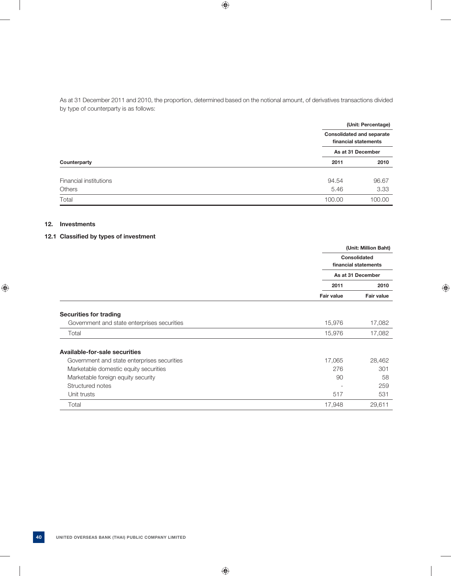As at 31 December 2011 and 2010, the proportion, determined based on the notional amount, of derivatives transactions divided by type of counterparty is as follows:

|                        |        | (Unit: Percentage)                                       |  |  |  |
|------------------------|--------|----------------------------------------------------------|--|--|--|
|                        |        | <b>Consolidated and separate</b><br>financial statements |  |  |  |
|                        |        | As at 31 December                                        |  |  |  |
| Counterparty           | 2011   | 2010                                                     |  |  |  |
| Financial institutions | 94.54  | 96.67                                                    |  |  |  |
| <b>Others</b>          | 5.46   | 3.33                                                     |  |  |  |
| Total                  | 100.00 | 100.00                                                   |  |  |  |

### **12. Investments**

## **12.1 Classified by types of investment**

|                                             |                   | (Unit: Million Baht)                 |
|---------------------------------------------|-------------------|--------------------------------------|
|                                             |                   | Consolidated<br>financial statements |
|                                             |                   | As at 31 December                    |
|                                             | 2011              | 2010                                 |
|                                             | <b>Fair value</b> | <b>Fair value</b>                    |
| <b>Securities for trading</b>               |                   |                                      |
| Government and state enterprises securities | 15,976            | 17,082                               |
| Total                                       | 15,976            | 17,082                               |
| <b>Available-for-sale securities</b>        |                   |                                      |
| Government and state enterprises securities | 17,065            | 28,462                               |
| Marketable domestic equity securities       | 276               | 301                                  |
| Marketable foreign equity security          | 90                | 58                                   |
| Structured notes                            |                   | 259                                  |
| Unit trusts                                 | 517               | 531                                  |
| Total                                       | 17,948            | 29,611                               |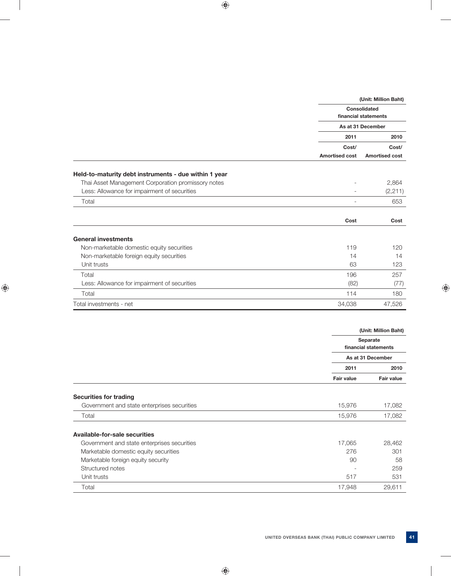|                                                                                                             |                          | (Unit: Million Baht)                        |
|-------------------------------------------------------------------------------------------------------------|--------------------------|---------------------------------------------|
|                                                                                                             |                          | <b>Consolidated</b><br>financial statements |
|                                                                                                             |                          | As at 31 December                           |
|                                                                                                             | 2011                     | 2010                                        |
|                                                                                                             | Cost/                    | Cost/                                       |
|                                                                                                             | <b>Amortised cost</b>    | <b>Amortised cost</b>                       |
|                                                                                                             |                          |                                             |
| Held-to-maturity debt instruments - due within 1 year<br>Thai Asset Management Corporation promissory notes |                          | 2,864                                       |
| Less: Allowance for impairment of securities                                                                | $\overline{\phantom{a}}$ | (2, 211)                                    |
| Total                                                                                                       |                          | 653                                         |
|                                                                                                             |                          |                                             |
|                                                                                                             | Cost                     | Cost                                        |
| <b>General investments</b>                                                                                  |                          |                                             |
| Non-marketable domestic equity securities                                                                   | 119                      | 120                                         |
| Non-marketable foreign equity securities                                                                    | 14                       | 14                                          |
| Unit trusts                                                                                                 | 63                       | 123                                         |
| Total                                                                                                       | 196                      | 257                                         |
| Less: Allowance for impairment of securities                                                                | (82)                     | (77)                                        |
| Total                                                                                                       | 114                      | 180                                         |
| Total investments - net                                                                                     | 34,038                   | 47,526                                      |
|                                                                                                             |                          |                                             |
|                                                                                                             |                          | (Unit: Million Baht)                        |
|                                                                                                             |                          | <b>Separate</b><br>financial statements     |
|                                                                                                             |                          | As at 31 December                           |
|                                                                                                             | 2011                     | 2010                                        |
|                                                                                                             | <b>Fair value</b>        | Fair value                                  |
|                                                                                                             |                          |                                             |
| <b>Securities for trading</b><br>Government and state enterprises securities                                | 15,976                   | 17,082                                      |
| Total                                                                                                       | 15,976                   | 17,082                                      |

| Government and state enterprises securities | 17,065 | 28.462 |
|---------------------------------------------|--------|--------|
| Marketable domestic equity securities       | 276    | 301    |
| Marketable foreign equity security          | 90     | 58     |
| Structured notes                            | -      | 259    |
| Unit trusts                                 | 517    | 531    |
| Total                                       | 17.948 | 29.611 |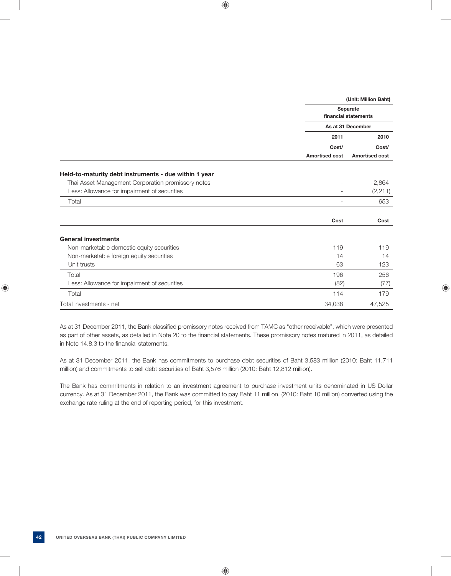|                                                       | (Unit: Million Baht)  |                                         |  |  |  |
|-------------------------------------------------------|-----------------------|-----------------------------------------|--|--|--|
|                                                       |                       | <b>Separate</b><br>financial statements |  |  |  |
|                                                       |                       | As at 31 December                       |  |  |  |
|                                                       | 2011                  | 2010                                    |  |  |  |
|                                                       | Cost/                 | Cost/                                   |  |  |  |
|                                                       | <b>Amortised cost</b> | <b>Amortised cost</b>                   |  |  |  |
| Held-to-maturity debt instruments - due within 1 year |                       |                                         |  |  |  |
| Thai Asset Management Corporation promissory notes    |                       | 2,864                                   |  |  |  |
| Less: Allowance for impairment of securities          |                       | (2, 211)                                |  |  |  |
| Total                                                 |                       | 653                                     |  |  |  |
|                                                       | Cost                  | Cost                                    |  |  |  |
| <b>General investments</b>                            |                       |                                         |  |  |  |
| Non-marketable domestic equity securities             | 119                   | 119                                     |  |  |  |
| Non-marketable foreign equity securities              | 14                    | 14                                      |  |  |  |
| Unit trusts                                           | 63                    | 123                                     |  |  |  |
| Total                                                 | 196                   | 256                                     |  |  |  |
| Less: Allowance for impairment of securities          | (82)                  | (77)                                    |  |  |  |
| Total                                                 | 114                   | 179                                     |  |  |  |
| Total investments - net                               | 34,038                | 47,525                                  |  |  |  |

As at 31 December 2011, the Bank classified promissory notes received from TAMC as "other receivable", which were presented as part of other assets, as detailed in Note 20 to the financial statements. These promissory notes matured in 2011, as detailed in Note 14.8.3 to the financial statements.

 As at 31 December 2011, the Bank has commitments to purchase debt securities of Baht 3,583 million (2010: Baht 11,711 million) and commitments to sell debt securities of Baht 3,576 million (2010: Baht 12,812 million).

 The Bank has commitments in relation to an investment agreement to purchase investment units denominated in US Dollar currency. As at 31 December 2011, the Bank was committed to pay Baht 11 million, (2010: Baht 10 million) converted using the exchange rate ruling at the end of reporting period, for this investment.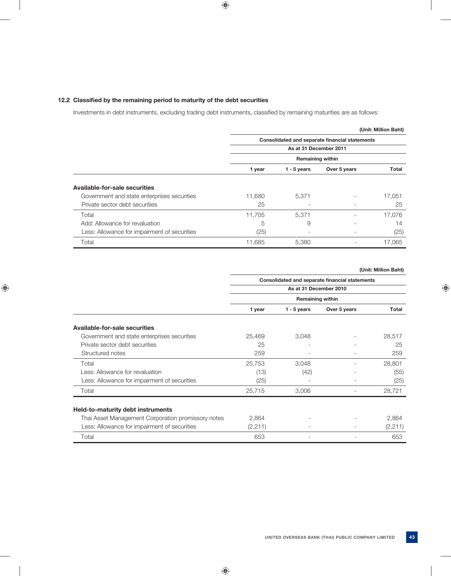### **12.2 Classified by the remaining period to maturity of the debt securities**

Investments in debt instruments, excluding trading debt instruments, classified by remaining maturities are as follows:

|                                              |                                                |                          |              | (Unit: Million Baht) |  |  |  |
|----------------------------------------------|------------------------------------------------|--------------------------|--------------|----------------------|--|--|--|
|                                              | Consolidated and separate financial statements |                          |              |                      |  |  |  |
|                                              |                                                | As at 31 December 2011   |              |                      |  |  |  |
|                                              | <b>Remaining within</b>                        |                          |              |                      |  |  |  |
|                                              | 1 year                                         | $1 - 5$ years            | Over 5 years | Total                |  |  |  |
| Available-for-sale securities                |                                                |                          |              |                      |  |  |  |
| Government and state enterprises securities  | 11,680                                         | 5,371                    | ۰            | 17,051               |  |  |  |
| Private sector debt securities               | 25                                             |                          |              | 25                   |  |  |  |
| Total                                        | 11,705                                         | 5,371                    |              | 17,076               |  |  |  |
| Add: Allowance for revaluation               | 5                                              | 9                        |              | 14                   |  |  |  |
| Less: Allowance for impairment of securities | (25)                                           | $\overline{\phantom{0}}$ |              | (25)                 |  |  |  |
| Total                                        | 11,685                                         | 5,380                    |              | 17,065               |  |  |  |

 **(Unit: Million Baht)**

|                                                    |                        |                         | Consolidated and separate financial statements |          |  |  |  |
|----------------------------------------------------|------------------------|-------------------------|------------------------------------------------|----------|--|--|--|
|                                                    | As at 31 December 2010 |                         |                                                |          |  |  |  |
|                                                    |                        | <b>Remaining within</b> |                                                |          |  |  |  |
|                                                    | 1 year                 | $1 - 5$ years           | Over 5 years                                   | Total    |  |  |  |
| Available-for-sale securities                      |                        |                         |                                                |          |  |  |  |
| Government and state enterprises securities        | 25,469                 | 3,048                   |                                                | 28,517   |  |  |  |
| Private sector debt securities                     | 25                     |                         |                                                | 25       |  |  |  |
| Structured notes                                   | 259                    |                         |                                                | 259      |  |  |  |
| Total                                              | 25,753                 | 3,048                   |                                                | 28,801   |  |  |  |
| Less: Allowance for revaluation                    | (13)                   | (42)                    |                                                | (55)     |  |  |  |
| Less: Allowance for impairment of securities       | (25)                   |                         |                                                | (25)     |  |  |  |
| Total                                              | 25,715                 | 3,006                   |                                                | 28,721   |  |  |  |
| Held-to-maturity debt instruments                  |                        |                         |                                                |          |  |  |  |
| Thai Asset Management Corporation promissory notes | 2,864                  |                         |                                                | 2,864    |  |  |  |
| Less: Allowance for impairment of securities       | (2, 211)               |                         |                                                | (2, 211) |  |  |  |
| Total                                              | 653                    |                         |                                                | 653      |  |  |  |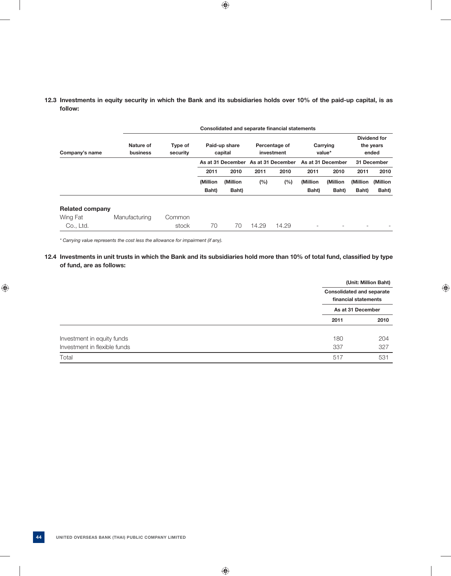### **12.3 Investments in equity security in which the Bank and its subsidiaries holds over 10% of the paid-up capital, is as follow:**

|                        |                       | Consolidated and separate financial statements |          |                                     |       |                             |          |                    |          |                                    |
|------------------------|-----------------------|------------------------------------------------|----------|-------------------------------------|-------|-----------------------------|----------|--------------------|----------|------------------------------------|
| Company's name         | Nature of<br>business | Type of<br>security                            |          | Paid-up share<br>capital            |       | Percentage of<br>investment |          | Carrying<br>value* |          | Dividend for<br>the years<br>ended |
|                        |                       |                                                |          | As at 31 December As at 31 December |       |                             |          | As at 31 December  |          | 31 December                        |
|                        |                       |                                                | 2011     | 2010                                | 2011  | 2010                        | 2011     | 2010               | 2011     | 2010                               |
|                        |                       |                                                | (Million | (Million                            | (%)   | (%)                         | (Million | (Million           | (Million | (Million                           |
|                        |                       |                                                | Baht)    | Baht)                               |       |                             | Baht)    | Baht)              | Baht)    | Baht)                              |
| <b>Related company</b> |                       |                                                |          |                                     |       |                             |          |                    |          |                                    |
| Wing Fat               | Manufacturing         | Common                                         |          |                                     |       |                             |          |                    |          |                                    |
| Co., Ltd.              |                       | stock                                          | 70       | 70                                  | 14.29 | 14.29                       | -        |                    |          |                                    |

 *\* Carrying value represents the cost less the allowance for impairment (if any).*

## 12.4 Investments in unit trusts in which the Bank and its subsidiaries hold more than 10% of total fund, classified by type  **of fund, are as follows:**

|                              | (Unit: Million Baht)                                     |      |
|------------------------------|----------------------------------------------------------|------|
|                              | <b>Consolidated and separate</b><br>financial statements |      |
|                              | As at 31 December                                        |      |
|                              | 2011                                                     | 2010 |
| Investment in equity funds   | 180                                                      | 204  |
| Investment in flexible funds | 337                                                      | 327  |
| Total                        | 517                                                      | 531  |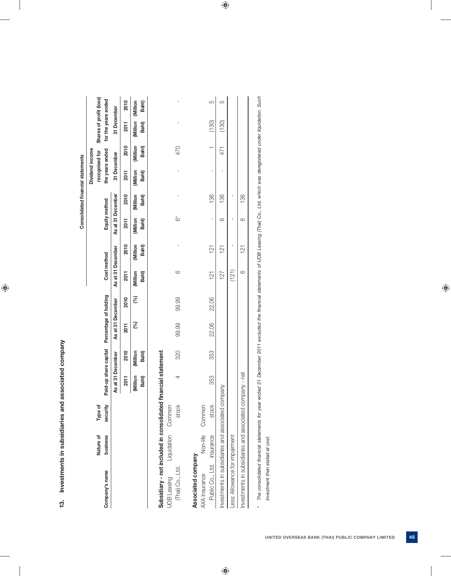| I |
|---|
|   |
|   |
|   |
| 1 |
|   |
|   |
|   |
|   |
| ı |
|   |
|   |
|   |
|   |
|   |
|   |
| ; |
|   |

Consolidated financial statements **Consolidated fi nancial statements**

|                                                               |                       |                     |                   |                          |                                             |       |                          |                  |                   |                  | Dividend income                   |                  |                                                |       |
|---------------------------------------------------------------|-----------------------|---------------------|-------------------|--------------------------|---------------------------------------------|-------|--------------------------|------------------|-------------------|------------------|-----------------------------------|------------------|------------------------------------------------|-------|
| Company's name                                                | business<br>Nature of | security<br>Type of |                   |                          | Paid-up share capital Percentage of holding |       | Cost method              |                  | Equity method     |                  | the years ended<br>recognised for |                  | Shares of profit (loss)<br>for the years ended |       |
|                                                               |                       |                     | As at 31 December |                          | As at 31 December                           |       | As at 31 December        |                  | As at 31 December |                  | 31 December                       |                  | 31 December                                    |       |
|                                                               |                       |                     | <b>2011</b>       | 2010                     | <b>2011</b>                                 | 2010  | <b>2011</b>              | 2010             | <b>2011</b>       | 2010             | <b>2011</b>                       | 2010             | <b>2011</b>                                    | 2010  |
|                                                               |                       |                     | Million<br>Baht)  | Million<br><b>Baht</b> ) | (%)                                         | (%)   | Million<br><b>Baht</b> ) | Million<br>Baht) | Million<br>Baht)  | Million<br>Baht) | Million<br>Baht)                  | Million<br>Baht) | Million (Million<br><b>Baht</b> )              | Baht) |
| Subsidiary - not included in consolidated financial statement |                       |                     |                   |                          |                                             |       |                          |                  |                   |                  |                                   |                  |                                                |       |
| <b>UOB</b> Leasing                                            | Liquidation Common    |                     |                   |                          |                                             |       |                          |                  |                   |                  |                                   |                  |                                                |       |
| (Thai) Co., Ltd.                                              |                       | stock               | 4                 | 320                      | 99.99                                       | 99.99 | $\circ$                  |                  | ڽ                 |                  |                                   | 470              |                                                |       |
| Associated company                                            |                       |                     |                   |                          |                                             |       |                          |                  |                   |                  |                                   |                  |                                                |       |
| AXA Insurance                                                 | Non-life              | Common              |                   |                          |                                             |       |                          |                  |                   |                  |                                   |                  |                                                |       |
| Public Co., Ltd. insurance                                    |                       | stock               | 353               | 353                      | 22.06                                       | 22.06 | $\frac{1}{2}$            | 121              | ı                 | 136              | I                                 |                  | (130)                                          | ပ     |
| Investments in subsidiaries and associated company            |                       |                     |                   |                          |                                             |       | 127                      | $\frac{1}{2}$    | ဖ                 | 136              |                                   | 471              | (130)                                          | 5     |
| Less: Allowance for impairment                                |                       |                     |                   |                          |                                             |       | (121)                    | I                |                   |                  |                                   |                  |                                                |       |
| Investments in subsidiaries and associated company - net      |                       |                     |                   |                          |                                             |       | $\circ$                  | $\frac{1}{2}$    | 6                 | 136              |                                   |                  |                                                |       |

The consolidated financial statements for year ended 31 December 2011 excluded the financial statements of UOB Leasing (Thai) Co., Ltd, which was deregistered under liquidation. Such *\* The consolidated fi nancial statements for year ended 31 December 2011 excluded the fi nancial statements of UOB Leasing (Thai) Co., Ltd, which was deregistered under liquidation. Such*   $_{\star}$ 

investment then stated at cost.  *investment then stated at cost.*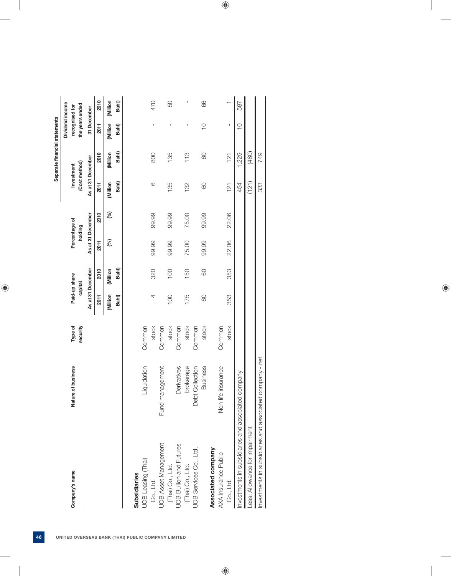|                                            |                          |                     |         |                          |       |                          |                   | Separate financial statements |                                   |         |
|--------------------------------------------|--------------------------|---------------------|---------|--------------------------|-------|--------------------------|-------------------|-------------------------------|-----------------------------------|---------|
|                                            |                          |                     |         |                          |       |                          |                   |                               | Dividend income                   |         |
| Company's name                             | Nature of business       | Type of<br>security |         | Paid-up share<br>capital |       | Percentage of<br>holding |                   | (Cost method)<br>Investment   | the years ended<br>recognised for |         |
|                                            |                          |                     |         | As at 31 December        |       | As at 31 December        | As at 31 December |                               | 31 December                       |         |
|                                            |                          |                     | 2011    | 2010                     | 2011  | 2010                     | 2011              | 2010                          | 2011                              | 2010    |
|                                            |                          |                     | Million | Million                  | (%)   | (%)                      | Million           | (Million                      | Million                           | Million |
|                                            |                          |                     | Baht)   | Baht)                    |       |                          | Baht)             | Baht)                         | <b>Baht</b> )                     | Baht)   |
| <b>Subsidiaries</b>                        |                          |                     |         |                          |       |                          |                   |                               |                                   |         |
| UOB Leasing (Thai)                         | Liquidation              | Common              |         |                          |       |                          |                   |                               |                                   |         |
| Co., Ltd.                                  |                          | stock               | 4       | 320                      | 99.99 | 99.99                    | 6                 | 800                           | ı                                 | 470     |
| <b>UOB Asset Management</b>                | anagement<br>Fund $\pi$  | Common              |         |                          |       |                          |                   |                               |                                   |         |
| (Thai) Co., Ltd.                           |                          | stock               | 100     | 100                      | 99.99 | 99.99                    | 135               | 135                           |                                   | 50      |
| <b>UOB Bullion and Futures</b>             | Derivatives              | Common              |         |                          |       |                          |                   |                               |                                   |         |
| (Thai) Co., Ltd.                           | brokerage                | stock               | 175     | 150                      | 75.00 | 75.00                    | 132               | 113                           | J                                 |         |
| UOB Services Co., Ltd.                     | Debt Collection          | Common              |         |                          |       |                          |                   |                               |                                   |         |
|                                            | <b>Business</b>          | stock               | $\odot$ | 8                        | 99.99 | 99.99                    | 80                | 60                            | $\overline{C}$                    | 66      |
| Associated company                         |                          |                     |         |                          |       |                          |                   |                               |                                   |         |
| AXA Insurance Public                       | fe insurance<br>Non-life | Common              |         |                          |       |                          |                   |                               |                                   |         |
| Co., Ltd.                                  |                          | stock               | 353     | 353                      | 22.06 | 22.06                    | 121               | 121                           | J                                 |         |
| Investments in subsidiaries and associated | company                  |                     |         |                          |       |                          | 454               | 1,229                         | $\overline{C}$                    | 587     |
| Less: Allowance for impairment             |                          |                     |         |                          |       |                          | (121)             | (480)                         |                                   |         |
| nvestments in subsidiaries and associated  | company - net            |                     |         |                          |       |                          | 333               | 749                           |                                   |         |

| UNITED OVERSEAS BANK (THAI) PUBLIC COMPANY LIMITED |  |  |  |
|----------------------------------------------------|--|--|--|
|                                                    |  |  |  |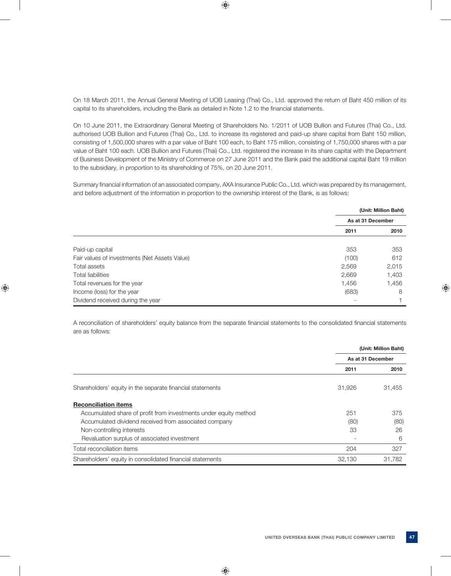On 18 March 2011, the Annual General Meeting of UOB Leasing (Thai) Co., Ltd. approved the return of Baht 450 million of its capital to its shareholders, including the Bank as detailed in Note 1.2 to the financial statements.

 On 10 June 2011, the Extraordinary General Meeting of Shareholders No. 1/2011 of UOB Bullion and Futures (Thai) Co., Ltd. authorised UOB Bullion and Futures (Thai) Co., Ltd. to increase its registered and paid-up share capital from Baht 150 million, consisting of 1,500,000 shares with a par value of Baht 100 each, to Baht 175 million, consisting of 1,750,000 shares with a par value of Baht 100 each. UOB Bullion and Futures (Thai) Co., Ltd. registered the increase in its share capital with the Department of Business Development of the Ministry of Commerce on 27 June 2011 and the Bank paid the additional capital Baht 19 million to the subsidiary, in proportion to its shareholding of 75%, on 20 June 2011.

Summary financial information of an associated company, AXA Insurance Public Co., Ltd. which was prepared by its management, and before adjustment of the information in proportion to the ownership interest of the Bank, is as follows:

|                                               |                   | (Unit: Million Baht) |
|-----------------------------------------------|-------------------|----------------------|
|                                               | As at 31 December |                      |
|                                               | 2011              | 2010                 |
| Paid-up capital                               | 353               | 353                  |
| Fair values of investments (Net Assets Value) | (100)             | 612                  |
| Total assets                                  | 2,569             | 2,015                |
| <b>Total liabilities</b>                      | 2,669             | 1,403                |
| Total revenues for the year                   | 1,456             | 1,456                |
| Income (loss) for the year                    | (683)             | 8                    |
| Dividend received during the year             |                   |                      |

A reconciliation of shareholders' equity balance from the separate financial statements to the consolidated financial statements are as follows:

|                                                                  |        | (Unit: Million Baht) |
|------------------------------------------------------------------|--------|----------------------|
|                                                                  |        | As at 31 December    |
|                                                                  | 2011   | 2010                 |
| Shareholders' equity in the separate financial statements        | 31,926 | 31,455               |
| <b>Reconciliation items</b>                                      |        |                      |
| Accumulated share of profit from investments under equity method | 251    | 375                  |
| Accumulated dividend received from associated company            | (80)   | (80)                 |
| Non-controlling interests                                        | 33     | 26                   |
| Revaluation surplus of associated investment                     |        | 6                    |
| Total reconciliation items                                       | 204    | 327                  |
| Shareholders' equity in consolidated financial statements        | 32.130 | 31.782               |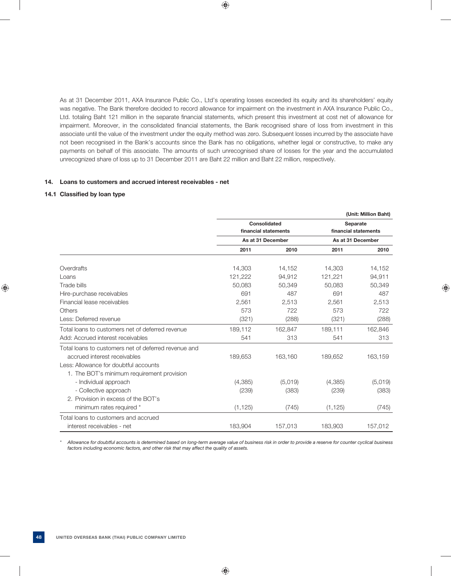As at 31 December 2011, AXA Insurance Public Co., Ltd's operating losses exceeded its equity and its shareholders' equity was negative. The Bank therefore decided to record allowance for impairment on the investment in AXA Insurance Public Co., Ltd. totaling Baht 121 million in the separate financial statements, which present this investment at cost net of allowance for impairment. Moreover, in the consolidated financial statements, the Bank recognised share of loss from investment in this associate until the value of the investment under the equity method was zero. Subsequent losses incurred by the associate have not been recognised in the Bank's accounts since the Bank has no obligations, whether legal or constructive, to make any payments on behalf of this associate. The amounts of such unrecognised share of losses for the year and the accumulated unrecognized share of loss up to 31 December 2011 are Baht 22 million and Baht 22 million, respectively.

### **14. Loans to customers and accrued interest receivables - net**

### **14.1 Classified by loan type**

|                                                      |          |                      |          | (Unit: Million Baht) |
|------------------------------------------------------|----------|----------------------|----------|----------------------|
|                                                      |          | Consolidated         |          | <b>Separate</b>      |
|                                                      |          | financial statements |          | financial statements |
|                                                      |          | As at 31 December    |          | As at 31 December    |
|                                                      | 2011     | 2010                 | 2011     | 2010                 |
| Overdrafts                                           | 14,303   | 14,152               | 14,303   | 14,152               |
| Loans                                                | 121,222  | 94,912               | 121,221  | 94,911               |
| Trade bills                                          | 50,083   | 50,349               | 50,083   | 50,349               |
| Hire-purchase receivables                            | 691      | 487                  | 691      | 487                  |
| Financial lease receivables                          | 2,561    | 2,513                | 2,561    | 2,513                |
| <b>Others</b>                                        | 573      | 722                  | 573      | 722                  |
| Less: Deferred revenue                               | (321)    | (288)                | (321)    | (288)                |
| Total loans to customers net of deferred revenue     | 189,112  | 162,847              | 189,111  | 162,846              |
| Add: Accrued interest receivables                    | 541      | 313                  | 541      | 313                  |
| Total loans to customers net of deferred revenue and |          |                      |          |                      |
| accrued interest receivables                         | 189,653  | 163,160              | 189,652  | 163,159              |
| Less: Allowance for doubtful accounts                |          |                      |          |                      |
| 1. The BOT's minimum requirement provision           |          |                      |          |                      |
| - Individual approach                                | (4,385)  | (5,019)              | (4,385)  | (5,019)              |
| - Collective approach                                | (239)    | (383)                | (239)    | (383)                |
| 2. Provision in excess of the BOT's                  |          |                      |          |                      |
| minimum rates required *                             | (1, 125) | (745)                | (1, 125) | (745)                |
| Total loans to customers and accrued                 |          |                      |          |                      |
| interest receivables - net                           | 183,904  | 157,013              | 183,903  | 157,012              |

 *\* Allowance for doubtful accounts is determined based on long-term average value of business risk in order to provide a reserve for counter cyclical business factors including economic factors, and other risk that may affect the quality of assets.*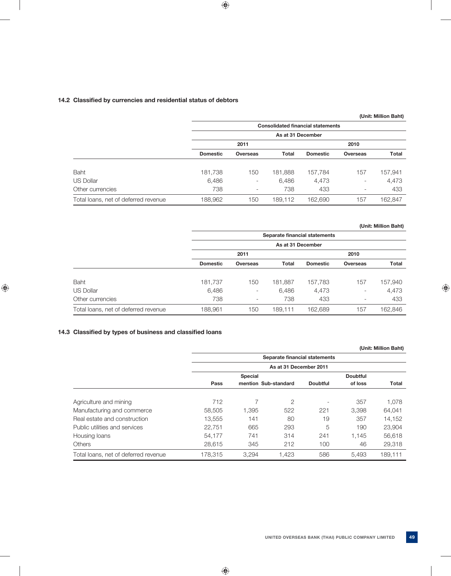## **14.2 Classified by currencies and residential status of debtors**

|                                      |                 |                          |                   |                                          |                          | (Unit: Million Baht) |
|--------------------------------------|-----------------|--------------------------|-------------------|------------------------------------------|--------------------------|----------------------|
|                                      |                 |                          |                   | <b>Consolidated financial statements</b> |                          |                      |
|                                      |                 |                          | As at 31 December |                                          |                          |                      |
|                                      |                 | 2011                     |                   |                                          | 2010                     |                      |
|                                      | <b>Domestic</b> | <b>Overseas</b>          | Total             | <b>Domestic</b>                          | <b>Overseas</b>          | <b>Total</b>         |
| <b>Baht</b>                          | 181,738         | 150                      | 181,888           | 157,784                                  | 157                      | 157,941              |
| <b>US Dollar</b>                     | 6,486           | $\overline{\phantom{a}}$ | 6,486             | 4,473                                    | $\overline{\phantom{0}}$ | 4,473                |
| Other currencies                     | 738             | $\overline{\phantom{a}}$ | 738               | 433                                      | $\overline{\phantom{a}}$ | 433                  |
| Total loans, net of deferred revenue | 188,962         | 150                      | 189,112           | 162,690                                  | 157                      | 162,847              |

### **(Unit: Million Baht)**

|                                      |                 |                          |                   | Separate financial statements |                          |              |
|--------------------------------------|-----------------|--------------------------|-------------------|-------------------------------|--------------------------|--------------|
|                                      |                 |                          | As at 31 December |                               |                          |              |
|                                      |                 | 2011                     |                   |                               | 2010                     |              |
|                                      | <b>Domestic</b> | <b>Overseas</b>          | <b>Total</b>      | <b>Domestic</b>               | <b>Overseas</b>          | <b>Total</b> |
|                                      |                 |                          |                   |                               |                          |              |
| Baht                                 | 181,737         | 150                      | 181,887           | 157,783                       | 157                      | 157,940      |
| US Dollar                            | 6,486           | $\overline{\phantom{a}}$ | 6,486             | 4,473                         | $\overline{\phantom{0}}$ | 4,473        |
| Other currencies                     | 738             | $\overline{\phantom{a}}$ | 738               | 433                           | $\overline{\phantom{0}}$ | 433          |
| Total loans, net of deferred revenue | 188,961         | 150                      | 189.111           | 162,689                       | 157                      | 162,846      |

### 14.3 Classified by types of business and classified loans

|                                      |         |                |                               |                          |                 | (Unit: Million Baht) |
|--------------------------------------|---------|----------------|-------------------------------|--------------------------|-----------------|----------------------|
|                                      |         |                | Separate financial statements |                          |                 |                      |
|                                      |         |                | As at 31 December 2011        |                          |                 |                      |
|                                      |         | <b>Special</b> |                               |                          | <b>Doubtful</b> |                      |
|                                      | Pass    |                | mention Sub-standard          | <b>Doubtful</b>          | of loss         | <b>Total</b>         |
| Agriculture and mining               | 712     |                | $\overline{2}$                | $\overline{\phantom{a}}$ | 357             | 1,078                |
| Manufacturing and commerce           | 58,505  | 1,395          | 522                           | 221                      | 3.398           | 64,041               |
| Real estate and construction         | 13.555  | 141            | 80                            | 19                       | 357             | 14.152               |
| Public utilities and services        | 22.751  | 665            | 293                           | 5                        | 190             | 23,904               |
| Housing loans                        | 54,177  | 741            | 314                           | 241                      | 1,145           | 56,618               |
| <b>Others</b>                        | 28,615  | 345            | 212                           | 100                      | 46              | 29,318               |
| Total loans, net of deferred revenue | 178.315 | 3.294          | 1.423                         | 586                      | 5.493           | 189.111              |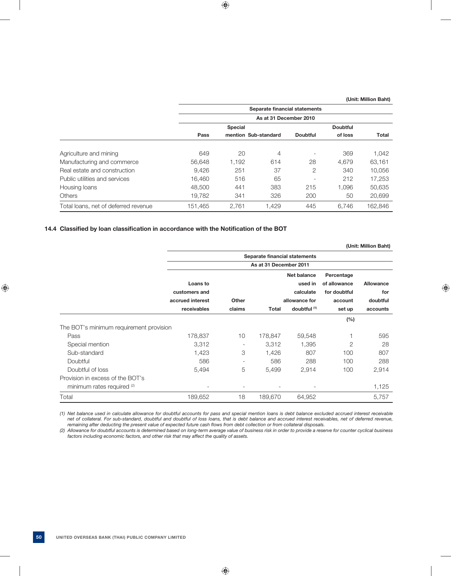|                                      |         |                | Separate financial statements |                          |                 |              |
|--------------------------------------|---------|----------------|-------------------------------|--------------------------|-----------------|--------------|
|                                      |         |                | As at 31 December 2010        |                          |                 |              |
|                                      |         | <b>Special</b> |                               |                          | <b>Doubtful</b> |              |
|                                      | Pass    |                | mention Sub-standard          | <b>Doubtful</b>          | of loss         | <b>Total</b> |
| Agriculture and mining               | 649     | 20             | 4                             | $\overline{\phantom{a}}$ | 369             | 1.042        |
| Manufacturing and commerce           | 56.648  | 1.192          | 614                           | 28                       | 4.679           | 63.161       |
| Real estate and construction         | 9.426   | 251            | 37                            | 2                        | 340             | 10.056       |
| Public utilities and services        | 16.460  | 516            | 65                            | $\overline{\phantom{a}}$ | 212             | 17.253       |
| Housing loans                        | 48,500  | 441            | 383                           | 215                      | 1.096           | 50,635       |
| <b>Others</b>                        | 19.782  | 341            | 326                           | 200                      | 50              | 20,699       |
| Total loans, net of deferred revenue | 151.465 | 2.761          | 1.429                         | 445                      | 6.746           | 162.846      |

### 14.4 Classified by loan classification in accordance with the Notification of the BOT

 **(Unit: Million Baht)**

|                                         |                  |                          | Separate financial statements |               |                |           |
|-----------------------------------------|------------------|--------------------------|-------------------------------|---------------|----------------|-----------|
|                                         |                  |                          | As at 31 December 2011        |               |                |           |
|                                         |                  |                          |                               | Net balance   | Percentage     |           |
|                                         | Loans to         |                          |                               | used in       | of allowance   | Allowance |
|                                         | customers and    |                          |                               | calculate     | for doubtful   | for       |
|                                         | accrued interest | Other                    |                               | allowance for | account        | doubtful  |
|                                         | receivables      | claims                   | <b>Total</b>                  | doubtful (1)  | set up         | accounts  |
|                                         |                  |                          |                               |               | (%)            |           |
| The BOT's minimum requirement provision |                  |                          |                               |               |                |           |
| Pass                                    | 178,837          | 10                       | 178,847                       | 59,548        |                | 595       |
| Special mention                         | 3,312            | -                        | 3.312                         | 1,395         | $\overline{2}$ | 28        |
| Sub-standard                            | 1,423            | 3                        | 1,426                         | 807           | 100            | 807       |
| Doubtful                                | 586              | $\overline{\phantom{a}}$ | 586                           | 288           | 100            | 288       |
| Doubtful of loss                        | 5,494            | 5                        | 5,499                         | 2,914         | 100            | 2,914     |
| Provision in excess of the BOT's        |                  |                          |                               |               |                |           |
| minimum rates required (2)              |                  | Ξ.                       | ۰                             |               |                | 1,125     |
| Total                                   | 189,652          | 18                       | 189,670                       | 64,952        |                | 5,757     |

 *(1) Net balance used in calculate allowance for doubtful accounts for pass and special mention loans is debt balance excluded accrued interest receivable net of collateral. For sub-standard, doubtful and doubtful of loss loans, that is debt balance and accrued interest receivables, net of deferred revenue, remaining after deducting the present value of expected future cash flows from debt collection or from collateral disposals.* 

 *(2) Allowance for doubtful accounts is determined based on long-term average value of business risk in order to provide a reserve for counter cyclical business factors including economic factors, and other risk that may affect the quality of assets.*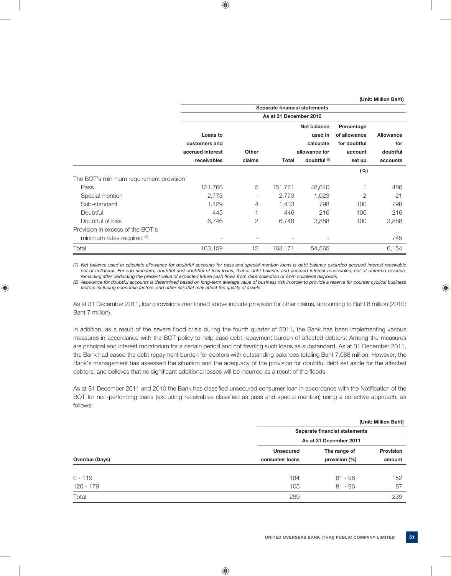|                                         |                  |                          | Separate financial statements |                         |              |                  |
|-----------------------------------------|------------------|--------------------------|-------------------------------|-------------------------|--------------|------------------|
|                                         |                  |                          | As at 31 December 2010        |                         |              |                  |
|                                         |                  |                          |                               | Net balance             | Percentage   |                  |
|                                         | Loans to         |                          |                               | used in                 | of allowance | <b>Allowance</b> |
|                                         | customers and    |                          |                               | calculate               | for doubtful | for              |
|                                         | accrued interest | Other                    |                               | allowance for           | account      | doubtful         |
|                                         | receivables      | claims                   | <b>Total</b>                  | doubtful <sup>(1)</sup> | set up       | accounts         |
|                                         |                  |                          |                               |                         | $(\%)$       |                  |
| The BOT's minimum requirement provision |                  |                          |                               |                         |              |                  |
| Pass                                    | 151,766          | 5                        | 151,771                       | 48,640                  |              | 486              |
| Special mention                         | 2,773            | Ξ.                       | 2,773                         | 1,023                   | 2            | 21               |
| Sub-standard                            | 1,429            | 4                        | 1,433                         | 798                     | 100          | 798              |
| Doubtful                                | 445              |                          | 446                           | 216                     | 100          | 216              |
| Doubtful of loss                        | 6,746            | 2                        | 6,748                         | 3,888                   | 100          | 3,888            |
| Provision in excess of the BOT's        |                  |                          |                               |                         |              |                  |
| minimum rates required (2)              |                  | $\overline{\phantom{0}}$ |                               |                         |              | 745              |
| Total                                   | 163,159          | 12                       | 163,171                       | 54,565                  |              | 6,154            |

 *(1) Net balance used in calculate allowance for doubtful accounts for pass and special mention loans is debt balance excluded accrued interest receivable net of collateral. For sub-standard, doubtful and doubtful of loss loans, that is debt balance and accrued interest receivables, net of deferred revenue, remaining after deducting the present value of expected future cash flows from debt collection or from collateral disposals.* 

 *(2) Allowance for doubtful accounts is determined based on long-term average value of business risk in order to provide a reserve for counter cyclical business factors including economic factors, and other risk that may affect the quality of assets.*

 As at 31 December 2011, loan provisions mentioned above include provision for other claims, amounting to Baht 8 million (2010: Baht 7 million).

In addition, as a result of the severe flood crisis during the fourth quarter of 2011, the Bank has been implementing various measures in accordance with the BOT policy to help ease debt repayment burden of affected debtors. Among the measures are principal and interest moratorium for a certain period and not treating such loans as substandard. As at 31 December 2011, the Bank had eased the debt repayment burden for debtors with outstanding balances totaling Baht 7,088 million. However, the Bank's management has assessed the situation and the adequacy of the provision for doubtful debt set aside for the affected debtors, and believes that no significant additional losses will be incurred as a result of the floods.

As at 31 December 2011 and 2010 the Bank has classified unsecured consumer loan in accordance with the Notification of the BOT for non-performing loans (excluding receivables classified as pass and special mention) using a collective approach, as follows:

|                |                  |                               | (Unit: Million Baht) |
|----------------|------------------|-------------------------------|----------------------|
|                |                  | Separate financial statements |                      |
|                |                  | As at 31 December 2011        |                      |
|                | <b>Unsecured</b> | The range of                  | <b>Provision</b>     |
| Overdue (Days) | consumer loans   | provision (%)                 | amount               |
|                |                  |                               |                      |
| $0 - 119$      | 184              | $81 - 96$                     | 152                  |
| 120 - 179      | 105              | $81 - 96$                     | 87                   |
| Total          | 289              |                               | 239                  |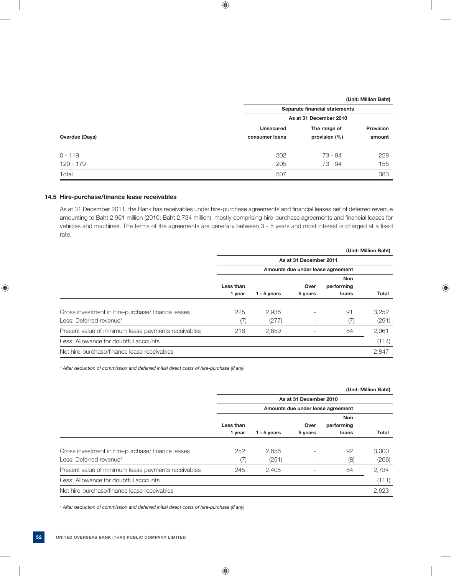|                |                  | Separate financial statements<br>As at 31 December 2010 |                  |  |  |
|----------------|------------------|---------------------------------------------------------|------------------|--|--|
|                |                  |                                                         |                  |  |  |
|                | <b>Unsecured</b> | The range of                                            | <b>Provision</b> |  |  |
| Overdue (Days) | consumer loans   | provision (%)                                           | amount           |  |  |
| $0 - 119$      | 302              | 73 - 94                                                 | 228              |  |  |
| $120 - 179$    | 205              | 73 - 94                                                 | 155              |  |  |
| Total          | 507              |                                                         | 383              |  |  |

### 14.5 Hire-purchase/finance lease receivables

As at 31 December 2011, the Bank has receivables under hire-purchase agreements and financial leases net of deferred revenue amounting to Baht 2,961 million (2010: Baht 2,734 million), mostly comprising hire-purchase agreements and financial leases for vehicles and machines. The terms of the agreements are generally between 3 - 5 years and most interest is charged at a fixed rate.

|                                                                             |                                   |                |                        |                                   | (Unit: Million Baht) |
|-----------------------------------------------------------------------------|-----------------------------------|----------------|------------------------|-----------------------------------|----------------------|
|                                                                             |                                   |                | As at 31 December 2011 |                                   |                      |
|                                                                             | Amounts due under lease agreement |                |                        |                                   |                      |
|                                                                             | Less than<br>1 year               | $1 - 5$ years  | Over<br>5 years        | <b>Non</b><br>performing<br>loans | Total                |
| Gross investment in hire-purchase/finance leases<br>Less: Deferred revenue* | 225<br>(7)                        | 2,936<br>(277) |                        | 91<br>(7)                         | 3,252<br>(291)       |
| Present value of minimum lease payments receivables                         | 218                               | 2,659          |                        | 84                                | 2,961                |
| Less: Allowance for doubtful accounts                                       |                                   |                |                        |                                   | (114)                |
| Net hire-purchase/finance lease receivables                                 |                                   |                |                        |                                   | 2,847                |

 *\* After deduction of commission and deferred initial direct costs of hire-purchase (if any)*

|                                                                             |                                   |                |                        |                                   | (Unit: Million Baht) |
|-----------------------------------------------------------------------------|-----------------------------------|----------------|------------------------|-----------------------------------|----------------------|
|                                                                             |                                   |                | As at 31 December 2010 |                                   |                      |
|                                                                             | Amounts due under lease agreement |                |                        |                                   |                      |
|                                                                             | Less than<br>1 year               | $1 - 5$ years  | Over<br>5 years        | <b>Non</b><br>performing<br>loans | Total                |
| Gross investment in hire-purchase/finance leases<br>Less: Deferred revenue* | 252<br>(7)                        | 2,656<br>(251) |                        | 92<br>(8)                         | 3,000<br>(266)       |
| Present value of minimum lease payments receivables                         | 245                               | 2,405          |                        | 84                                | 2,734                |
| Less: Allowance for doubtful accounts                                       |                                   |                |                        |                                   | (111)                |
| Net hire-purchase/finance lease receivables                                 |                                   |                |                        |                                   | 2,623                |

 *\* After deduction of commission and deferred initial direct costs of hire-purchase (if any)*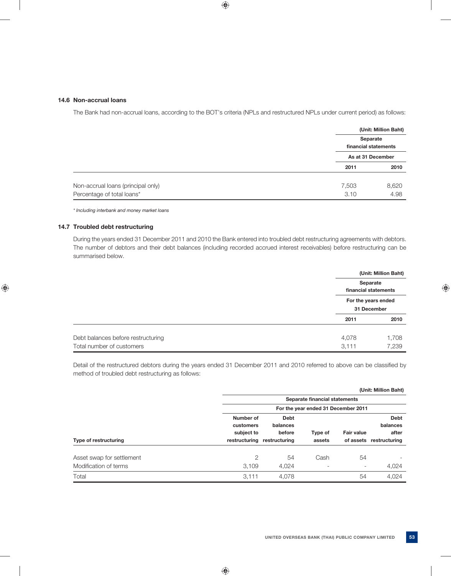### **14.6 Non-accrual loans**

The Bank had non-accrual loans, according to the BOT's criteria (NPLs and restructured NPLs under current period) as follows:

|                                    |       | (Unit: Million Baht)<br>Separate<br>financial statements |
|------------------------------------|-------|----------------------------------------------------------|
|                                    |       | As at 31 December                                        |
|                                    | 2011  | 2010                                                     |
| Non-accrual loans (principal only) | 7,503 | 8,620                                                    |
| Percentage of total loans*         | 3.10  | 4.98                                                     |

 *\* Including interbank and money market loans* 

## **14.7 Troubled debt restructuring**

 During the years ended 31 December 2011 and 2010 the Bank entered into troubled debt restructuring agreements with debtors. The number of debtors and their debt balances (including recorded accrued interest receivables) before restructuring can be summarised below.

|                                    |       | (Unit: Million Baht)               |
|------------------------------------|-------|------------------------------------|
|                                    |       | Separate<br>financial statements   |
|                                    |       | For the years ended<br>31 December |
|                                    | 2011  | 2010                               |
| Debt balances before restructuring | 4,078 | 1,708                              |
| Total number of customers          | 3,111 | 7,239                              |

Detail of the restructured debtors during the years ended 31 December 2011 and 2010 referred to above can be classified by method of troubled debt restructuring as follows:

|                           |                |                             |                                     |                   | (Unit: Million Baht)    |
|---------------------------|----------------|-----------------------------|-------------------------------------|-------------------|-------------------------|
|                           |                |                             | Separate financial statements       |                   |                         |
|                           |                |                             | For the year ended 31 December 2011 |                   |                         |
|                           | Number of      | <b>Debt</b>                 |                                     |                   | <b>Debt</b>             |
|                           | customers      | balances                    |                                     |                   | balances                |
|                           | subject to     | before                      | Type of                             | <b>Fair value</b> | after                   |
| Type of restructuring     |                | restructuring restructuring | assets                              |                   | of assets restructuring |
| Asset swap for settlement | $\overline{2}$ | 54                          | Cash                                | 54                |                         |
| Modification of terms     | 3,109          | 4,024                       |                                     | ٠                 | 4,024                   |
| Total                     | 3,111          | 4,078                       |                                     | 54                | 4.024                   |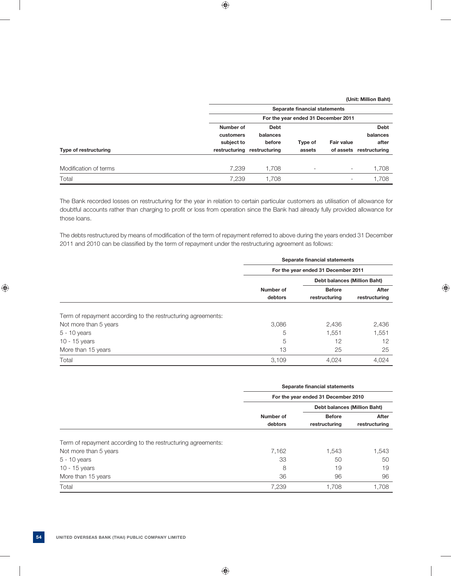|                       |                                      | Separate financial statements<br>For the year ended 31 December 2011 |                          |                          |                                  |  |
|-----------------------|--------------------------------------|----------------------------------------------------------------------|--------------------------|--------------------------|----------------------------------|--|
|                       |                                      |                                                                      |                          |                          |                                  |  |
|                       | Number of<br>customers<br>subject to | Debt<br>balances<br>before                                           | Type of                  | <b>Fair value</b>        | <b>Debt</b><br>balances<br>after |  |
| Type of restructuring | restructuring                        | restructuring                                                        | assets                   |                          | of assets restructuring          |  |
| Modification of terms | 7.239                                | 1,708                                                                | $\overline{\phantom{a}}$ | $\overline{\phantom{a}}$ | 1.708                            |  |
| Total                 | 7,239                                | 1.708                                                                |                          | $\overline{\phantom{a}}$ | 1.708                            |  |

 The Bank recorded losses on restructuring for the year in relation to certain particular customers as utilisation of allowance for doubtful accounts rather than charging to profit or loss from operation since the Bank had already fully provided allowance for those loans.

The debts restructured by means of modification of the term of repayment referred to above during the years ended 31 December 2011 and 2010 can be classified by the term of repayment under the restructuring agreement as follows:

|                                                              | Separate financial statements<br>For the year ended 31 December 2011 |                                |                              |  |
|--------------------------------------------------------------|----------------------------------------------------------------------|--------------------------------|------------------------------|--|
|                                                              |                                                                      |                                |                              |  |
|                                                              |                                                                      |                                | Debt balances (Million Baht) |  |
|                                                              | Number of<br>debtors                                                 | <b>Before</b><br>restructuring | After<br>restructuring       |  |
| Term of repayment according to the restructuring agreements: |                                                                      |                                |                              |  |
| Not more than 5 years                                        | 3,086                                                                | 2,436                          | 2,436                        |  |
| $5 - 10$ years                                               | 5                                                                    | 1,551                          | 1,551                        |  |
| 10 - 15 years                                                | 5                                                                    | 12                             | 12                           |  |
| More than 15 years                                           | 13                                                                   | 25                             |                              |  |
|                                                              |                                                                      |                                | 25                           |  |

|                                                              |                                     | Separate financial statements       |                        |
|--------------------------------------------------------------|-------------------------------------|-------------------------------------|------------------------|
|                                                              | For the year ended 31 December 2010 |                                     |                        |
|                                                              |                                     | <b>Debt balances (Million Baht)</b> |                        |
|                                                              | Number of<br>debtors                | <b>Before</b><br>restructuring      | After<br>restructuring |
| Term of repayment according to the restructuring agreements: |                                     |                                     |                        |
| Not more than 5 years                                        | 7.162                               | 1.543                               | 1,543                  |
| $5 - 10$ years                                               | 33                                  | 50                                  | 50                     |
| 10 - 15 years                                                | 8                                   | 19                                  | 19                     |
| More than 15 years                                           | 36                                  | 96                                  |                        |
|                                                              |                                     |                                     | 96                     |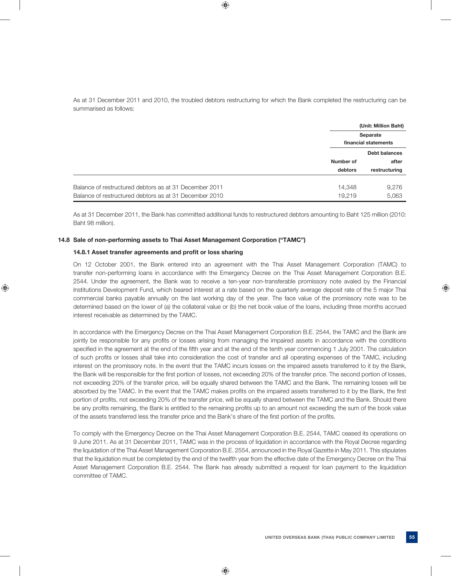As at 31 December 2011 and 2010, the troubled debtors restructuring for which the Bank completed the restructuring can be summarised as follows:

|                                                        | (Unit: Million Baht)<br>Separate<br>financial statements |               |
|--------------------------------------------------------|----------------------------------------------------------|---------------|
|                                                        |                                                          |               |
|                                                        |                                                          |               |
|                                                        |                                                          | Debt balances |
|                                                        | Number of                                                | after         |
|                                                        | debtors                                                  | restructuring |
| Balance of restructured debtors as at 31 December 2011 | 14,348                                                   | 9,276         |
| Balance of restructured debtors as at 31 December 2010 | 19,219                                                   | 5,063         |

 As at 31 December 2011, the Bank has committed additional funds to restructured debtors amounting to Baht 125 million (2010: Baht 98 million).

#### **14.8 Sale of non-performing assets to Thai Asset Management Corporation ("TAMC")**

### **14.8.1 Asset transfer agreements and profit or loss sharing**

 On 12 October 2001, the Bank entered into an agreement with the Thai Asset Management Corporation (TAMC) to transfer non-performing loans in accordance with the Emergency Decree on the Thai Asset Management Corporation B.E. 2544. Under the agreement, the Bank was to receive a ten-year non-transferable promissory note avaled by the Financial Institutions Development Fund, which beared interest at a rate based on the quarterly average deposit rate of the 5 major Thai commercial banks payable annually on the last working day of the year. The face value of the promissory note was to be determined based on the lower of (a) the collateral value or (b) the net book value of the loans, including three months accrued interest receivable as determined by the TAMC.

 In accordance with the Emergency Decree on the Thai Asset Management Corporation B.E. 2544, the TAMC and the Bank are jointly be responsible for any profits or losses arising from managing the impaired assets in accordance with the conditions specified in the agreement at the end of the fifth year and at the end of the tenth year commencing 1 July 2001. The calculation of such profits or losses shall take into consideration the cost of transfer and all operating expenses of the TAMC, including interest on the promissory note. In the event that the TAMC incurs losses on the impaired assets transferred to it by the Bank, the Bank will be responsible for the first portion of losses, not exceeding 20% of the transfer price. The second portion of losses, not exceeding 20% of the transfer price, will be equally shared between the TAMC and the Bank. The remaining losses will be absorbed by the TAMC. In the event that the TAMC makes profits on the impaired assets transferred to it by the Bank, the first portion of profits, not exceeding 20% of the transfer price, will be equally shared between the TAMC and the Bank. Should there be any profits remaining, the Bank is entitled to the remaining profits up to an amount not exceeding the sum of the book value of the assets transferred less the transfer price and the Bank's share of the first portion of the profits.

 To comply with the Emergency Decree on the Thai Asset Management Corporation B.E. 2544, TAMC ceased its operations on 9 June 2011. As at 31 December 2011, TAMC was in the process of liquidation in accordance with the Royal Decree regarding the liquidation of the Thai Asset Management Corporation B.E. 2554, announced in the Royal Gazette in May 2011. This stipulates that the liquidation must be completed by the end of the twelfth year from the effective date of the Emergency Decree on the Thai Asset Management Corporation B.E. 2544. The Bank has already submitted a request for loan payment to the liquidation committee of TAMC.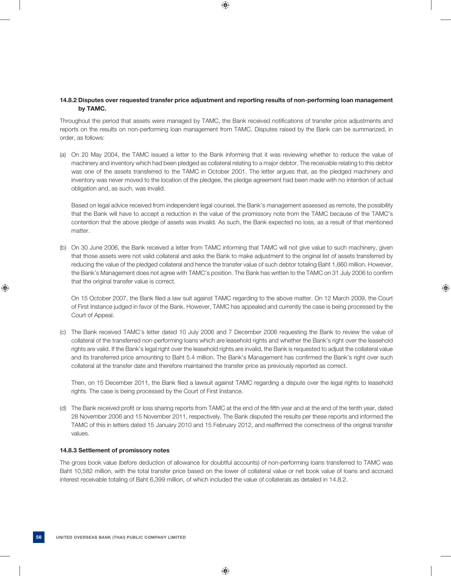### **14.8.2 Disputes over requested transfer price adjustment and reporting results of non-performing loan management by TAMC.**

Throughout the period that assets were managed by TAMC, the Bank received notifications of transfer price adjustments and reports on the results on non-performing loan management from TAMC. Disputes raised by the Bank can be summarized, in order, as follows:

 (a) On 20 May 2004, the TAMC issued a letter to the Bank informing that it was reviewing whether to reduce the value of machinery and inventory which had been pledged as collateral relating to a major debtor. The receivable relating to this debtor was one of the assets transferred to the TAMC in October 2001. The letter argues that, as the pledged machinery and inventory was never moved to the location of the pledgee, the pledge agreement had been made with no intention of actual obligation and, as such, was invalid.

 Based on legal advice received from independent legal counsel, the Bank's management assessed as remote, the possibility that the Bank will have to accept a reduction in the value of the promissory note from the TAMC because of the TAMC's contention that the above pledge of assets was invalid. As such, the Bank expected no loss, as a result of that mentioned matter

 (b) On 30 June 2006, the Bank received a letter from TAMC informing that TAMC will not give value to such machinery, given that those assets were not valid collateral and asks the Bank to make adjustment to the original list of assets transferred by reducing the value of the pledged collateral and hence the transfer value of such debtor totaling Baht 1,660 million. However, the Bank's Management does not agree with TAMC's position. The Bank has written to the TAMC on 31 July 2006 to confirm that the original transfer value is correct.

On 15 October 2007, the Bank filed a law suit against TAMC regarding to the above matter. On 12 March 2009, the Court of First Instance judged in favor of the Bank. However, TAMC has appealed and currently the case is being processed by the Court of Appeal.

 (c) The Bank received TAMC's letter dated 10 July 2006 and 7 December 2006 requesting the Bank to review the value of collateral of the transferred non-performing loans which are leasehold rights and whether the Bank's right over the leasehold rights are valid. If the Bank's legal right over the leasehold rights are invalid, the Bank is requested to adjust the collateral value and its transferred price amounting to Baht 5.4 million. The Bank's Management has confirmed the Bank's right over such collateral at the transfer date and therefore maintained the transfer price as previously reported as correct.

Then, on 15 December 2011, the Bank filed a lawsuit against TAMC regarding a dispute over the legal rights to leasehold rights. The case is being processed by the Court of First Instance.

(d) The Bank received profit or loss sharing reports from TAMC at the end of the fifth year and at the end of the tenth year, dated 28 November 2006 and 15 November 2011, respectively. The Bank disputed the results per these reports and informed the TAMC of this in letters dated 15 January 2010 and 15 February 2012, and reaffirmed the correctness of the original transfer values.

### **14.8.3 Settlement of promissory notes**

 The gross book value (before deduction of allowance for doubtful accounts) of non-performing loans transferred to TAMC was Baht 10,582 million, with the total transfer price based on the lower of collateral value or net book value of loans and accrued interest receivable totaling of Baht 6,399 million, of which included the value of collaterals as detailed in 14.8.2.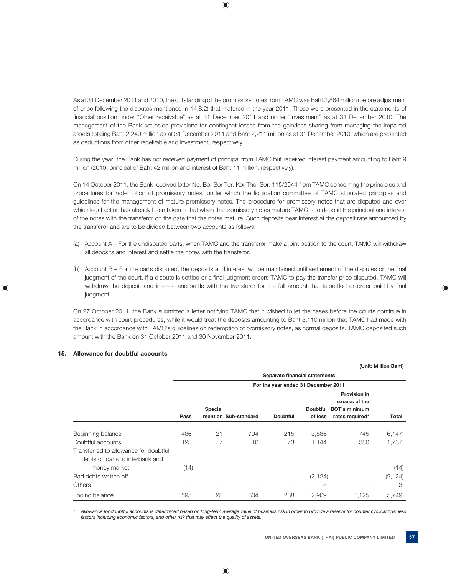As at 31 December 2011 and 2010, the outstanding of the promissory notes from TAMC was Baht 2,864 million (before adjustment of price following the disputes mentioned in 14.8.2) that matured in the year 2011. These were presented in the statements of financial position under "Other receivable" as at 31 December 2011 and under "Investment" as at 31 December 2010. The management of the Bank set aside provisions for contingent losses from the gain/loss sharing from managing the impaired assets totaling Baht 2,240 million as at 31 December 2011 and Baht 2,211 million as at 31 December 2010, which are presented as deductions from other receivable and investment, respectively.

 During the year, the Bank has not received payment of principal from TAMC but received interest payment amounting to Baht 9 million (2010: principal of Baht 42 million and interest of Baht 11 million, respectively).

 On 14 October 2011, the Bank received letter No. Bor Sor Tor. Kor Thor Sor. 115/2544 from TAMC concerning the principles and procedures for redemption of promissory notes, under which the liquidation committee of TAMC stipulated principles and guidelines for the management of mature promissory notes. The procedure for promissory notes that are disputed and over which legal action has already been taken is that when the promissory notes mature TAMC is to deposit the principal and interest of the notes with the transferor on the date that the notes mature. Such deposits bear interest at the deposit rate announced by the transferor and are to be divided between two accounts as follows:

- (a) Account A For the undisputed parts, when TAMC and the transferor make a joint petition to the court, TAMC will withdraw all deposits and interest and settle the notes with the transferor.
- (b) Account B For the parts disputed, the deposits and interest will be maintained until settlement of the disputes or the final judgment of the court. If a dispute is settled or a final judgment orders TAMC to pay the transfer price disputed, TAMC will withdraw the deposit and interest and settle with the transferor for the full amount that is settled or order paid by final judgment.

 On 27 October 2011, the Bank submitted a letter notifying TAMC that it wished to let the cases before the courts continue in accordance with court procedures, while it would treat the deposits amounting to Baht 3,110 million that TAMC had made with the Bank in accordance with TAMC's guidelines on redemption of promissory notes, as normal deposits. TAMC deposited such amount with the Bank on 31 October 2011 and 30 November 2011.

## **15. Allowance for doubtful accounts**

|                                                                          |      |                                        |                          |                                     |                            |                                         | (Unit: Million Baht) |
|--------------------------------------------------------------------------|------|----------------------------------------|--------------------------|-------------------------------------|----------------------------|-----------------------------------------|----------------------|
|                                                                          |      |                                        |                          | Separate financial statements       |                            |                                         |                      |
|                                                                          |      |                                        |                          | For the year ended 31 December 2011 |                            |                                         |                      |
|                                                                          |      |                                        |                          |                                     |                            | <b>Provision in</b><br>excess of the    |                      |
|                                                                          | Pass | <b>Special</b><br>mention Sub-standard |                          | <b>Doubtful</b>                     | <b>Doubtful</b><br>of loss | <b>BOT's minimum</b><br>rates required* | <b>Total</b>         |
|                                                                          |      |                                        |                          |                                     |                            |                                         |                      |
| Beginning balance                                                        | 486  | 21                                     | 794                      | 215                                 | 3,886                      | 745                                     | 6,147                |
| Doubtful accounts                                                        | 123  | 7                                      | 10                       | 73                                  | 1,144                      | 380                                     | 1,737                |
| Transferred to allowance for doubtful<br>debts of loans to interbank and |      |                                        |                          |                                     |                            |                                         |                      |
| money market                                                             | (14) | ۰                                      | $\overline{\phantom{a}}$ | $\overline{\phantom{a}}$            | $\overline{\phantom{a}}$   | $\overline{\phantom{a}}$                | (14)                 |
| Bad debts written off                                                    | ۰    | ۰                                      | $\overline{\phantom{a}}$ | $\overline{\phantom{a}}$            | (2, 124)                   |                                         | (2, 124)             |
| <b>Others</b>                                                            | ۰.   | ٠                                      | $\overline{\phantom{0}}$ | $\qquad \qquad -$                   | 3                          | $\overline{\phantom{a}}$                | 3                    |
| Ending balance                                                           | 595  | 28                                     | 804                      | 288                                 | 2,909                      | 1,125                                   | 5,749                |

 *\* Allowance for doubtful accounts is determined based on long-term average value of business risk in order to provide a reserve for counter cyclical business factors including economic factors, and other risk that may affect the quality of assets.*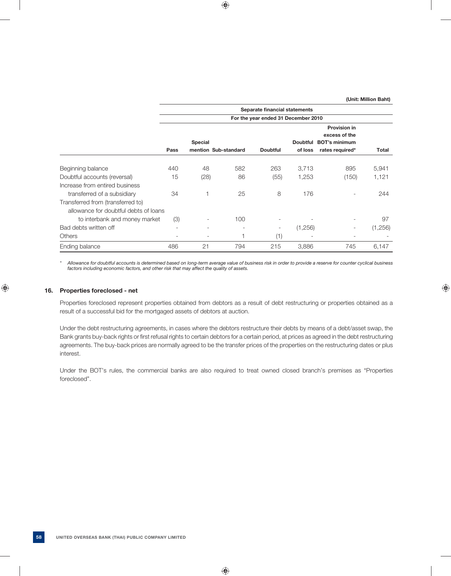|                                                                            |                                     |                                        |                          | Separate financial statements |                            |                                                                                 |         |
|----------------------------------------------------------------------------|-------------------------------------|----------------------------------------|--------------------------|-------------------------------|----------------------------|---------------------------------------------------------------------------------|---------|
|                                                                            | For the year ended 31 December 2010 |                                        |                          |                               |                            |                                                                                 |         |
|                                                                            | Pass                                | <b>Special</b><br>mention Sub-standard |                          | <b>Doubtful</b>               | <b>Doubtful</b><br>of loss | <b>Provision in</b><br>excess of the<br><b>BOT's minimum</b><br>rates required* | Total   |
| Beginning balance                                                          | 440                                 | 48                                     | 582                      | 263                           | 3,713                      | 895                                                                             | 5,941   |
| Doubtful accounts (reversal)                                               | 15                                  | (28)                                   | 86                       | (55)                          | 1,253                      | (150)                                                                           | 1,121   |
| Increase from entired business                                             |                                     |                                        |                          |                               |                            |                                                                                 |         |
| transferred of a subsidiary                                                | 34                                  | 1                                      | 25                       | 8                             | 176                        |                                                                                 | 244     |
| Transferred from (transferred to)<br>allowance for doubtful debts of loans |                                     |                                        |                          |                               |                            |                                                                                 |         |
| to interbank and money market                                              | (3)                                 |                                        | 100                      | ۰                             |                            |                                                                                 | 97      |
| Bad debts written off                                                      | $\overline{\phantom{0}}$            | $\overline{\phantom{a}}$               | $\overline{\phantom{0}}$ | -                             | (1,256)                    |                                                                                 | (1,256) |
| <b>Others</b>                                                              | Ξ.                                  | $\overline{\phantom{a}}$               |                          | (1)                           | $\overline{\phantom{a}}$   | ۰                                                                               |         |
| Ending balance                                                             | 486                                 | 21                                     | 794                      | 215                           | 3,886                      | 745                                                                             | 6,147   |

 *\* Allowance for doubtful accounts is determined based on long-term average value of business risk in order to provide a reserve for counter cyclical business factors including economic factors, and other risk that may affect the quality of assets.*

#### **16. Properties foreclosed - net**

 Properties foreclosed represent properties obtained from debtors as a result of debt restructuring or properties obtained as a result of a successful bid for the mortgaged assets of debtors at auction.

 Under the debt restructuring agreements, in cases where the debtors restructure their debts by means of a debt/asset swap, the Bank grants buy-back rights or first refusal rights to certain debtors for a certain period, at prices as agreed in the debt restructuring agreements. The buy-back prices are normally agreed to be the transfer prices of the properties on the restructuring dates or plus interest.

 Under the BOT's rules, the commercial banks are also required to treat owned closed branch's premises as "Properties foreclosed".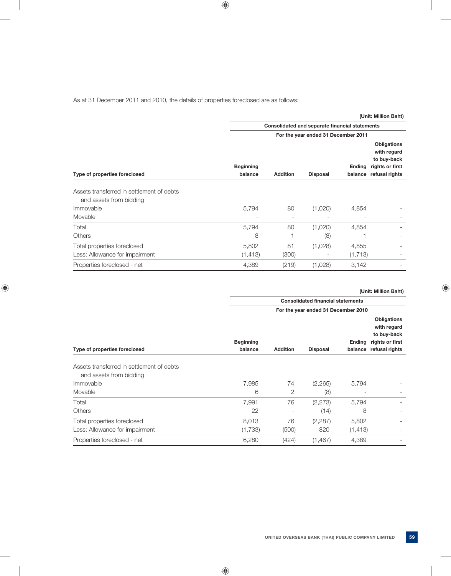## As at 31 December 2011 and 2010, the details of properties foreclosed are as follows:

|                                                                      |                                                |                 |                                     |               | (Unit: Million Baht)                                                                          |  |  |
|----------------------------------------------------------------------|------------------------------------------------|-----------------|-------------------------------------|---------------|-----------------------------------------------------------------------------------------------|--|--|
|                                                                      | Consolidated and separate financial statements |                 |                                     |               |                                                                                               |  |  |
|                                                                      |                                                |                 | For the year ended 31 December 2011 |               |                                                                                               |  |  |
| Type of properties foreclosed                                        | <b>Beginning</b><br>balance                    | <b>Addition</b> | <b>Disposal</b>                     | <b>Ending</b> | <b>Obligations</b><br>with regard<br>to buy-back<br>rights or first<br>balance refusal rights |  |  |
| Assets transferred in settlement of debts<br>and assets from bidding |                                                |                 |                                     |               |                                                                                               |  |  |
| Immovable                                                            | 5,794                                          | 80              | (1,020)                             | 4,854         |                                                                                               |  |  |
| Movable                                                              |                                                | ۰               |                                     |               |                                                                                               |  |  |
| Total                                                                | 5,794                                          | 80              | (1,020)                             | 4,854         |                                                                                               |  |  |
| <b>Others</b>                                                        | 8                                              |                 | (8)                                 |               |                                                                                               |  |  |
| Total properties foreclosed                                          | 5,802                                          | 81              | (1,028)                             | 4,855         |                                                                                               |  |  |
| Less: Allowance for impairment                                       | (1, 413)                                       | (300)           | $\overline{\phantom{a}}$            | (1, 713)      |                                                                                               |  |  |
| Properties foreclosed - net                                          | 4,389                                          | (219)           | (1,028)                             | 3,142         |                                                                                               |  |  |

|                                                                      |                                          |                          |                                     |                          | (Unit: Million Baht)                                                           |  |  |
|----------------------------------------------------------------------|------------------------------------------|--------------------------|-------------------------------------|--------------------------|--------------------------------------------------------------------------------|--|--|
|                                                                      | <b>Consolidated financial statements</b> |                          |                                     |                          |                                                                                |  |  |
|                                                                      |                                          |                          | For the year ended 31 December 2010 |                          |                                                                                |  |  |
| Type of properties foreclosed                                        | <b>Beginning</b><br>balance              | <b>Addition</b>          | <b>Disposal</b>                     | <b>Ending</b><br>balance | Obligations<br>with regard<br>to buy-back<br>rights or first<br>refusal rights |  |  |
| Assets transferred in settlement of debts<br>and assets from bidding |                                          |                          |                                     |                          |                                                                                |  |  |
| Immovable                                                            | 7,985                                    | 74                       | (2,265)                             | 5,794                    |                                                                                |  |  |
| Movable                                                              | 6                                        | 2                        | (8)                                 |                          |                                                                                |  |  |
| Total                                                                | 7,991                                    | 76                       | (2, 273)                            | 5,794                    |                                                                                |  |  |
| <b>Others</b>                                                        | 22                                       | $\overline{\phantom{a}}$ | (14)                                | 8                        |                                                                                |  |  |
| Total properties foreclosed                                          | 8,013                                    | 76                       | (2, 287)                            | 5,802                    |                                                                                |  |  |
| Less: Allowance for impairment                                       | (1,733)                                  | (500)                    | 820                                 | (1, 413)                 | $\overline{\phantom{a}}$                                                       |  |  |
| Properties foreclosed - net                                          | 6,280                                    | (424)                    | (1,467)                             | 4,389                    |                                                                                |  |  |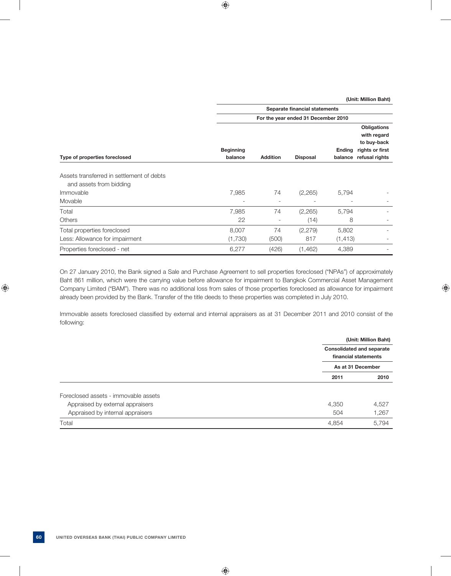|                                                                      | Separate financial statements       |                 |                 |                   |                                                                                       |  |  |
|----------------------------------------------------------------------|-------------------------------------|-----------------|-----------------|-------------------|---------------------------------------------------------------------------------------|--|--|
|                                                                      | For the year ended 31 December 2010 |                 |                 |                   |                                                                                       |  |  |
| Type of properties foreclosed                                        | <b>Beginning</b><br>balance         | <b>Addition</b> | <b>Disposal</b> | Ending<br>balance | <b>Obligations</b><br>with regard<br>to buy-back<br>rights or first<br>refusal rights |  |  |
| Assets transferred in settlement of debts<br>and assets from bidding |                                     |                 |                 |                   |                                                                                       |  |  |
| Immovable                                                            | 7,985                               | 74              | (2,265)         | 5,794             |                                                                                       |  |  |
| Movable                                                              | $\qquad \qquad \blacksquare$        | -               |                 |                   |                                                                                       |  |  |
| Total                                                                | 7,985                               | 74              | (2,265)         | 5,794             | ۰                                                                                     |  |  |
| <b>Others</b>                                                        | 22                                  | -               | (14)            | 8                 | $\overline{\phantom{a}}$                                                              |  |  |
| Total properties foreclosed                                          | 8,007                               | 74              | (2,279)         | 5,802             |                                                                                       |  |  |
| Less: Allowance for impairment                                       | (1,730)                             | (500)           | 817             | (1, 413)          |                                                                                       |  |  |
| Properties foreclosed - net                                          | 6,277                               | (426)           | (1,462)         | 4,389             |                                                                                       |  |  |

 On 27 January 2010, the Bank signed a Sale and Purchase Agreement to sell properties foreclosed ("NPAs") of approximately Baht 861 million, which were the carrying value before allowance for impairment to Bangkok Commercial Asset Management Company Limited ("BAM"). There was no additional loss from sales of those properties foreclosed as allowance for impairment already been provided by the Bank. Transfer of the title deeds to these properties was completed in July 2010.

Immovable assets foreclosed classified by external and internal appraisers as at 31 December 2011 and 2010 consist of the following:

|                                      | <b>Consolidated and separate</b><br>financial statements | (Unit: Million Baht) |
|--------------------------------------|----------------------------------------------------------|----------------------|
|                                      | As at 31 December                                        |                      |
|                                      | 2011                                                     | 2010                 |
| Foreclosed assets - immovable assets |                                                          |                      |
| Appraised by external appraisers     | 4,350                                                    | 4,527                |
| Appraised by internal appraisers     | 504                                                      | 1,267                |
| Total                                | 4,854                                                    | 5,794                |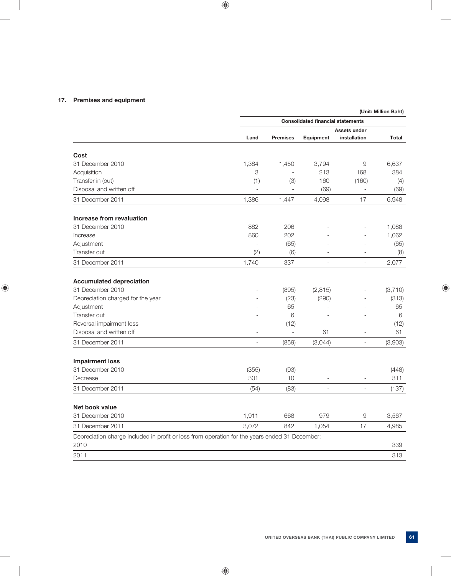## **17. Premises and equipment**

|                                                                                                        |                                          |                     |                          |                          | (Unit: Million Baht) |  |
|--------------------------------------------------------------------------------------------------------|------------------------------------------|---------------------|--------------------------|--------------------------|----------------------|--|
|                                                                                                        | <b>Consolidated financial statements</b> |                     |                          |                          |                      |  |
|                                                                                                        |                                          |                     |                          | Assets under             |                      |  |
|                                                                                                        | Land                                     | <b>Premises</b>     | Equipment                | installation             | <b>Total</b>         |  |
| Cost                                                                                                   |                                          |                     |                          |                          |                      |  |
| 31 December 2010                                                                                       | 1,384                                    | 1,450               | 3,794                    | 9                        | 6,637                |  |
| Acquisition                                                                                            | 3                                        |                     | 213                      | 168                      | 384                  |  |
| Transfer in (out)                                                                                      | (1)                                      | (3)                 | 160                      | (160)                    | (4)                  |  |
| Disposal and written off                                                                               | $\overline{a}$                           |                     | (69)                     |                          | (69)                 |  |
| 31 December 2011                                                                                       | 1,386                                    | 1,447               | 4,098                    | 17                       | 6,948                |  |
| Increase from revaluation                                                                              |                                          |                     |                          |                          |                      |  |
| 31 December 2010                                                                                       | 882                                      | 206                 |                          |                          | 1,088                |  |
| Increase                                                                                               | 860                                      | 202                 |                          |                          | 1,062                |  |
| Adjustment                                                                                             | $\overline{a}$                           | (65)                |                          |                          | (65)                 |  |
| Transfer out                                                                                           | (2)                                      | (6)                 | $\overline{\phantom{a}}$ | $\overline{\phantom{a}}$ | (8)                  |  |
| 31 December 2011                                                                                       | 1,740                                    | 337                 |                          | $\sim$                   | 2,077                |  |
| <b>Accumulated depreciation</b>                                                                        |                                          |                     |                          |                          |                      |  |
| 31 December 2010                                                                                       | $\overline{\phantom{a}}$                 | (895)               | (2, 815)                 | ٠                        | (3,710)              |  |
| Depreciation charged for the year                                                                      |                                          | (23)                | (290)                    |                          | (313)                |  |
| Adjustment                                                                                             |                                          | 65                  |                          |                          | 65                   |  |
| Transfer out                                                                                           |                                          | 6                   |                          |                          | 6                    |  |
| Reversal impairment loss                                                                               |                                          | (12)                |                          |                          | (12)                 |  |
| Disposal and written off                                                                               | ÷.                                       | $\bar{\phantom{a}}$ | 61                       | L.                       | 61                   |  |
| 31 December 2011                                                                                       | $\overline{a}$                           | (859)               | (3,044)                  | $\sim$                   | (3,903)              |  |
| <b>Impairment loss</b>                                                                                 |                                          |                     |                          |                          |                      |  |
| 31 December 2010                                                                                       | (355)                                    | (93)                |                          |                          | (448)                |  |
| Decrease                                                                                               | 301                                      | 10                  | $\overline{\phantom{a}}$ | $\overline{\phantom{a}}$ | 311                  |  |
| 31 December 2011                                                                                       | (54)                                     | (83)                |                          | $\overline{\phantom{a}}$ | (137)                |  |
| Net book value                                                                                         |                                          |                     |                          |                          |                      |  |
| 31 December 2010                                                                                       | 1,911                                    | 668                 | 979                      | 9                        | 3,567                |  |
| 31 December 2011                                                                                       | 3,072                                    | 842                 | 1,054                    | 17                       | 4,985                |  |
| Depreciation charge included in profit or loss from operation for the years ended 31 December:<br>2010 |                                          |                     |                          |                          | 339                  |  |
| 2011                                                                                                   |                                          |                     |                          |                          | 313                  |  |
|                                                                                                        |                                          |                     |                          |                          |                      |  |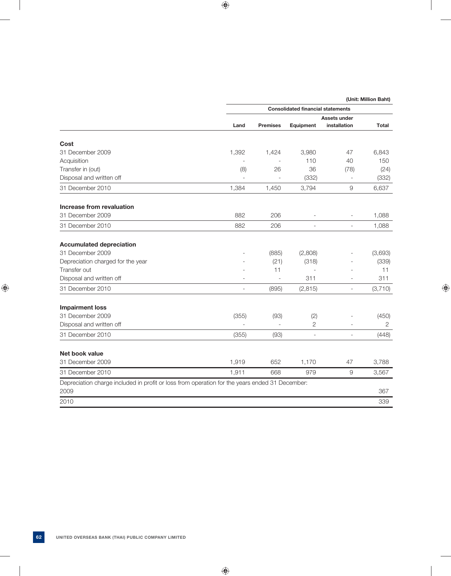|                                                                                                | <b>Consolidated financial statements</b> |                 |                          |                          |                |  |
|------------------------------------------------------------------------------------------------|------------------------------------------|-----------------|--------------------------|--------------------------|----------------|--|
|                                                                                                |                                          |                 |                          | Assets under             |                |  |
|                                                                                                | Land                                     | <b>Premises</b> | Equipment                | installation             | Total          |  |
| Cost                                                                                           |                                          |                 |                          |                          |                |  |
| 31 December 2009                                                                               | 1,392                                    | 1,424           | 3,980                    | 47                       | 6,843          |  |
| Acquisition                                                                                    |                                          |                 | 110                      | 40                       | 150            |  |
| Transfer in (out)                                                                              | (8)                                      | 26              | 36                       | (78)                     | (24)           |  |
| Disposal and written off                                                                       |                                          |                 | (332)                    | $\overline{\phantom{a}}$ | (332)          |  |
| 31 December 2010                                                                               | 1,384                                    | 1,450           | 3,794                    | $\overline{9}$           | 6,637          |  |
| Increase from revaluation                                                                      |                                          |                 |                          |                          |                |  |
| 31 December 2009                                                                               | 882                                      | 206             | $\overline{a}$           |                          | 1,088          |  |
| 31 December 2010                                                                               | 882                                      | 206             |                          |                          | 1,088          |  |
| <b>Accumulated depreciation</b>                                                                |                                          |                 |                          |                          |                |  |
| 31 December 2009                                                                               |                                          | (885)           | (2,808)                  |                          | (3,693)        |  |
| Depreciation charged for the year                                                              |                                          | (21)            | (318)                    |                          | (339)          |  |
| Transfer out                                                                                   |                                          | 11              |                          |                          | 11             |  |
| Disposal and written off                                                                       |                                          |                 | 311                      |                          | 311            |  |
| 31 December 2010                                                                               | $\overline{\phantom{a}}$                 | (895)           | (2, 815)                 | $\overline{\phantom{a}}$ | (3,710)        |  |
| <b>Impairment loss</b>                                                                         |                                          |                 |                          |                          |                |  |
| 31 December 2009                                                                               | (355)                                    | (93)            | (2)                      |                          | (450)          |  |
| Disposal and written off                                                                       |                                          | $\overline{a}$  | $\overline{2}$           |                          | $\overline{2}$ |  |
| 31 December 2010                                                                               | (355)                                    | (93)            | $\overline{\phantom{a}}$ | $\overline{\phantom{a}}$ | (448)          |  |
| Net book value                                                                                 |                                          |                 |                          |                          |                |  |
| 31 December 2009                                                                               | 1,919                                    | 652             | 1,170                    | 47                       | 3,788          |  |
| 31 December 2010                                                                               | 1,911                                    | 668             | 979                      | 9                        | 3,567          |  |
| Depreciation charge included in profit or loss from operation for the years ended 31 December: |                                          |                 |                          |                          |                |  |
| 2009                                                                                           |                                          |                 |                          |                          | 367            |  |
| 2010                                                                                           |                                          |                 |                          |                          | 339            |  |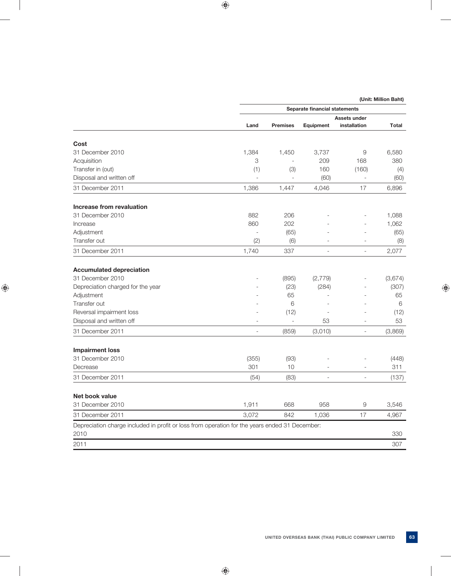|                                                                                                        |                | Separate financial statements |                |                          |         |  |
|--------------------------------------------------------------------------------------------------------|----------------|-------------------------------|----------------|--------------------------|---------|--|
|                                                                                                        |                | Assets under                  |                |                          |         |  |
|                                                                                                        | Land           | <b>Premises</b>               | Equipment      | installation             | Total   |  |
| Cost                                                                                                   |                |                               |                |                          |         |  |
| 31 December 2010                                                                                       | 1,384          | 1,450                         | 3,737          | 9                        | 6,580   |  |
| Acquisition                                                                                            | 3              | $\overline{a}$                | 209            | 168                      | 380     |  |
| Transfer in (out)                                                                                      | (1)            | (3)                           | 160            | (160)                    | (4)     |  |
| Disposal and written off                                                                               |                |                               | (60)           |                          | (60)    |  |
| 31 December 2011                                                                                       | 1,386          | 1,447                         | 4,046          | 17                       | 6,896   |  |
| Increase from revaluation                                                                              |                |                               |                |                          |         |  |
| 31 December 2010                                                                                       | 882            | 206                           |                |                          | 1,088   |  |
| Increase                                                                                               | 860            | 202                           |                |                          | 1,062   |  |
| Adjustment                                                                                             |                | (65)                          |                |                          | (65)    |  |
| Transfer out                                                                                           | (2)            | (6)                           |                |                          | (8)     |  |
| 31 December 2011                                                                                       | 1,740          | 337                           | L.             |                          | 2,077   |  |
| <b>Accumulated depreciation</b>                                                                        |                |                               |                |                          |         |  |
| 31 December 2010                                                                                       |                | (895)                         | (2,779)        |                          | (3,674) |  |
| Depreciation charged for the year                                                                      |                | (23)                          | (284)          |                          | (307)   |  |
| Adjustment                                                                                             |                | 65                            |                |                          | 65      |  |
| Transfer out                                                                                           |                | 6                             | ÷,             |                          | 6       |  |
| Reversal impairment loss                                                                               |                | (12)                          |                |                          | (12)    |  |
| Disposal and written off                                                                               |                | $\overline{a}$                | 53             |                          | 53      |  |
| 31 December 2011                                                                                       | $\overline{a}$ | (859)                         | (3,010)        | $\overline{\phantom{0}}$ | (3,869) |  |
| <b>Impairment loss</b>                                                                                 |                |                               |                |                          |         |  |
| 31 December 2010                                                                                       | (355)          | (93)                          |                |                          | (448)   |  |
| Decrease                                                                                               | 301            | 10                            |                | $\overline{a}$           | 311     |  |
| 31 December 2011                                                                                       | (54)           | (83)                          | $\overline{a}$ | L.                       | (137)   |  |
| Net book value                                                                                         |                |                               |                |                          |         |  |
| 31 December 2010                                                                                       | 1,911          | 668                           | 958            | 9                        | 3,546   |  |
| 31 December 2011                                                                                       | 3,072          | 842                           | 1,036          | 17                       | 4,967   |  |
| Depreciation charge included in profit or loss from operation for the years ended 31 December:<br>2010 |                |                               |                |                          | 330     |  |
|                                                                                                        |                |                               |                |                          |         |  |
| 2011                                                                                                   |                |                               |                |                          | 307     |  |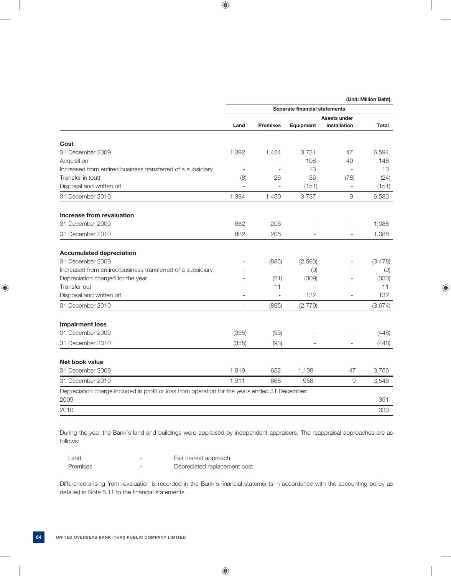|                                                                                                        | Separate financial statements |                 |           |                          |         |
|--------------------------------------------------------------------------------------------------------|-------------------------------|-----------------|-----------|--------------------------|---------|
|                                                                                                        |                               |                 |           | Assets under             |         |
|                                                                                                        | Land                          | <b>Premises</b> | Equipment | installation             | Total   |
| Cost                                                                                                   |                               |                 |           |                          |         |
| 31 December 2009                                                                                       | 1,392                         | 1,424           | 3.731     | 47                       | 6.594   |
| Acquisition                                                                                            |                               |                 | 108       | 40                       | 148     |
| Increased from entired business transferred of a subsidiary                                            | $\overline{a}$                | $\overline{a}$  | 13        | $\overline{a}$           | 13      |
| Transfer in (out)                                                                                      | (8)                           | 26              | 36        | (78)                     | (24)    |
| Disposal and written off                                                                               | $\overline{a}$                |                 | (151)     | $\overline{\phantom{a}}$ | (151)   |
| 31 December 2010                                                                                       | 1,384                         | 1,450           | 3,737     | $\mathcal{G}% _{0}$      | 6,580   |
| Increase from revaluation                                                                              |                               |                 |           |                          |         |
| 31 December 2009                                                                                       | 882                           | 206             |           | $\overline{\phantom{a}}$ | 1,088   |
| 31 December 2010                                                                                       | 882                           | 206             |           | $\overline{a}$           | 1,088   |
| <b>Accumulated depreciation</b>                                                                        |                               |                 |           |                          |         |
| 31 December 2009                                                                                       |                               | (885)           | (2, 593)  |                          | (3,478) |
| Increased from entired business transferred of a subsidiary                                            |                               |                 | (9)       |                          | (9)     |
| Depreciation charged for the year                                                                      |                               | (21)            | (309)     |                          | (330)   |
| Transfer out                                                                                           |                               | 11              |           |                          | 11      |
| Disposal and written off                                                                               |                               |                 | 132       |                          | 132     |
| 31 December 2010                                                                                       | ۰                             | (895)           | (2,779)   | $\sim$                   | (3,674) |
| <b>Impairment loss</b>                                                                                 |                               |                 |           |                          |         |
| 31 December 2009                                                                                       | (355)                         | (93)            |           |                          | (448)   |
| 31 December 2010                                                                                       | (355)                         | (93)            | ÷         | $\overline{a}$           | (448)   |
| Net book value                                                                                         |                               |                 |           |                          |         |
| 31 December 2009                                                                                       | 1,919                         | 652             | 1,138     | 47                       | 3,756   |
| 31 December 2010                                                                                       | 1,911                         | 668             | 958       | 9                        | 3,546   |
| Depreciation charge included in profit or loss from operation for the years ended 31 December:<br>2009 |                               |                 |           |                          | 351     |
| 2010                                                                                                   |                               |                 |           |                          | 330     |
|                                                                                                        |                               |                 |           |                          |         |

 During the year the Bank's land and buildings were appraised by independent appraisers. The reappraisal approaches are as follows:

| ∟and     | $\overline{\phantom{a}}$ | Fair market approach         |
|----------|--------------------------|------------------------------|
| Premises | -                        | Depreciated replacement cost |

Difference arising from revaluation is recorded in the Bank's financial statements in accordance with the accounting policy as detailed in Note 6.11 to the financial statements.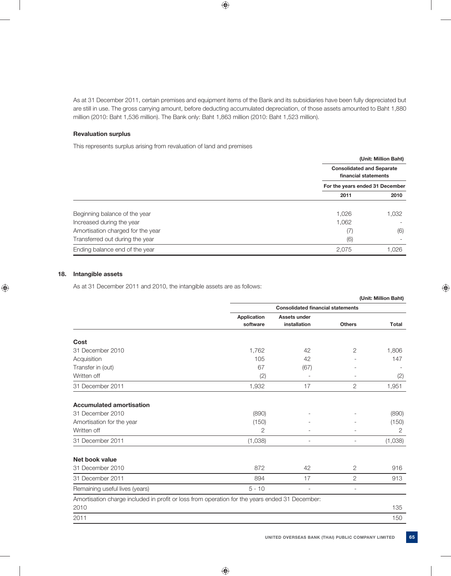As at 31 December 2011, certain premises and equipment items of the Bank and its subsidiaries have been fully depreciated but are still in use. The gross carrying amount, before deducting accumulated depreciation, of those assets amounted to Baht 1,880 million (2010: Baht 1,536 million). The Bank only: Baht 1,863 million (2010: Baht 1,523 million).

### **Revaluation surplus**

This represents surplus arising from revaluation of land and premises

|                                   |       | (Unit: Million Baht)                                     |
|-----------------------------------|-------|----------------------------------------------------------|
|                                   |       | <b>Consolidated and Separate</b><br>financial statements |
|                                   |       | For the years ended 31 December                          |
|                                   | 2011  | 2010                                                     |
|                                   |       |                                                          |
| Beginning balance of the year     | 1,026 | 1,032                                                    |
| Increased during the year         | 1,062 |                                                          |
| Amortisation charged for the year | (7)   | (6)                                                      |
| Transferred out during the year   | (6)   |                                                          |
| Ending balance end of the year    | 2,075 | 1,026                                                    |
|                                   |       |                                                          |

## **18. Intangible assets**

As at 31 December 2011 and 2010, the intangible assets are as follows:

|                                                                                                |                |                                          |                          | (Unit: Million Baht) |
|------------------------------------------------------------------------------------------------|----------------|------------------------------------------|--------------------------|----------------------|
|                                                                                                |                | <b>Consolidated financial statements</b> |                          |                      |
|                                                                                                | Application    | Assets under                             |                          |                      |
|                                                                                                | software       | installation                             | <b>Others</b>            | Total                |
| Cost                                                                                           |                |                                          |                          |                      |
| 31 December 2010                                                                               | 1,762          | 42                                       | 2                        | 1,806                |
| Acquisition                                                                                    | 105            | 42                                       |                          | 147                  |
| Transfer in (out)                                                                              | 67             | (67)                                     |                          |                      |
| Written off                                                                                    | (2)            |                                          |                          | (2)                  |
| 31 December 2011                                                                               | 1,932          | 17                                       | $\overline{2}$           | 1,951                |
| <b>Accumulated amortisation</b>                                                                |                |                                          |                          |                      |
| 31 December 2010                                                                               | (890)          |                                          |                          | (890)                |
| Amortisation for the year                                                                      | (150)          |                                          |                          | (150)                |
| Written off                                                                                    | $\overline{2}$ | ٠                                        |                          | $\overline{2}$       |
| 31 December 2011                                                                               | (1,038)        | $\overline{\phantom{a}}$                 | $\overline{\phantom{a}}$ | (1,038)              |
| Net book value                                                                                 |                |                                          |                          |                      |
| 31 December 2010                                                                               | 872            | 42                                       | $\overline{2}$           | 916                  |
| 31 December 2011                                                                               | 894            | 17                                       | $\overline{2}$           | 913                  |
| Remaining useful lives (years)                                                                 | $5 - 10$       | $\overline{\phantom{a}}$                 | $\overline{\phantom{a}}$ |                      |
| Amortisation charge included in profit or loss from operation for the years ended 31 December: |                |                                          |                          |                      |
| 2010                                                                                           |                |                                          |                          | 135                  |
| 2011                                                                                           |                |                                          |                          | 150                  |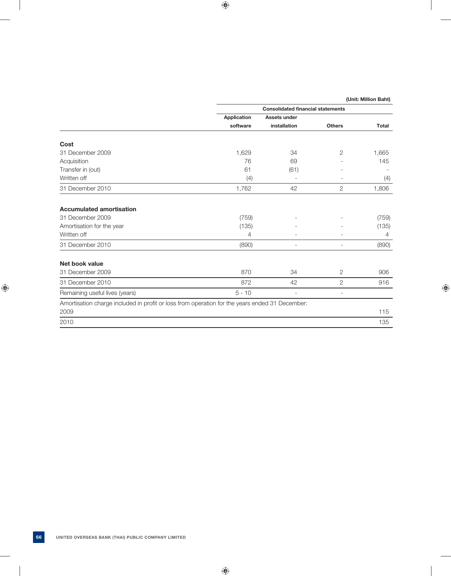|                                                                                                | <b>Consolidated financial statements</b> |                          |                          |              |  |
|------------------------------------------------------------------------------------------------|------------------------------------------|--------------------------|--------------------------|--------------|--|
|                                                                                                | <b>Application</b>                       | Assets under             |                          |              |  |
|                                                                                                | software                                 | installation             | <b>Others</b>            | <b>Total</b> |  |
| Cost                                                                                           |                                          |                          |                          |              |  |
| 31 December 2009                                                                               | 1,629                                    | 34                       | 2                        | 1,665        |  |
| Acquisition                                                                                    | 76                                       | 69                       |                          | 145          |  |
| Transfer in (out)                                                                              | 61                                       | (61)                     |                          |              |  |
| Written off                                                                                    | (4)                                      | $\overline{\phantom{a}}$ |                          | (4)          |  |
| 31 December 2010                                                                               | 1,762                                    | 42                       | $\mathbf{2}$             | 1,806        |  |
| <b>Accumulated amortisation</b>                                                                |                                          |                          |                          |              |  |
| 31 December 2009                                                                               | (759)                                    |                          |                          | (759)        |  |
| Amortisation for the year                                                                      | (135)                                    |                          |                          | (135)        |  |
| Written off                                                                                    | 4                                        |                          |                          | 4            |  |
| 31 December 2010                                                                               | (890)                                    | $\overline{\phantom{a}}$ | $\overline{\phantom{0}}$ | (890)        |  |
| Net book value                                                                                 |                                          |                          |                          |              |  |
| 31 December 2009                                                                               | 870                                      | 34                       | 2                        | 906          |  |
| 31 December 2010                                                                               | 872                                      | 42                       | 2                        | 916          |  |
| Remaining useful lives (years)                                                                 | $5 - 10$                                 | $\overline{\phantom{a}}$ | $\overline{\phantom{a}}$ |              |  |
| Amortisation charge included in profit or loss from operation for the years ended 31 December: |                                          |                          |                          |              |  |
| 2009                                                                                           |                                          |                          |                          | 115          |  |
| 2010                                                                                           |                                          |                          |                          | 135          |  |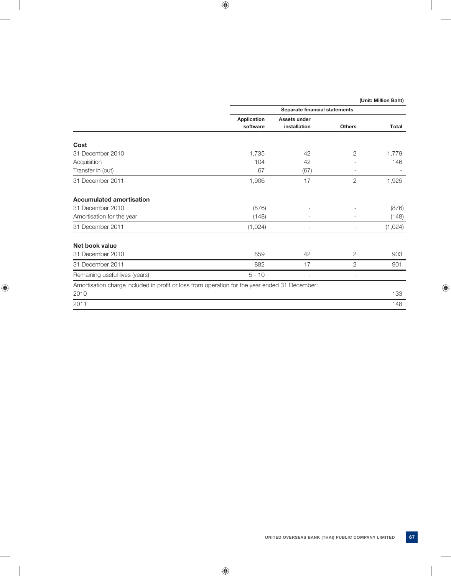|  | (Unit: Million Baht) |
|--|----------------------|
|--|----------------------|

|                                                                                               |                    | Separate financial statements |                          |         |
|-----------------------------------------------------------------------------------------------|--------------------|-------------------------------|--------------------------|---------|
|                                                                                               | <b>Application</b> | <b>Assets under</b>           |                          |         |
|                                                                                               | software           | installation                  | <b>Others</b>            | Total   |
| Cost                                                                                          |                    |                               |                          |         |
| 31 December 2010                                                                              | 1,735              | 42                            | 2                        | 1,779   |
| Acquisition                                                                                   | 104                | 42                            |                          | 146     |
| Transfer in (out)                                                                             | 67                 | (67)                          |                          |         |
| 31 December 2011                                                                              | 1,906              | 17                            | 2                        | 1,925   |
| <b>Accumulated amortisation</b>                                                               |                    |                               |                          |         |
| 31 December 2010                                                                              | (876)              |                               |                          | (876)   |
| Amortisation for the year                                                                     | (148)              |                               |                          | (148)   |
| 31 December 2011                                                                              | (1,024)            | $\overline{\phantom{a}}$      | $\overline{\phantom{0}}$ | (1,024) |
| Net book value                                                                                |                    |                               |                          |         |
| 31 December 2010                                                                              | 859                | 42                            | 2                        | 903     |
| 31 December 2011                                                                              | 882                | 17                            | $\overline{2}$           | 901     |
| Remaining useful lives (years)                                                                | $5 - 10$           | ٠                             |                          |         |
| Amortisation charge included in profit or loss from operation for the year ended 31 December: |                    |                               |                          |         |
| 2010                                                                                          |                    |                               |                          | 133     |
| 2011                                                                                          |                    |                               |                          | 148     |
|                                                                                               |                    |                               |                          |         |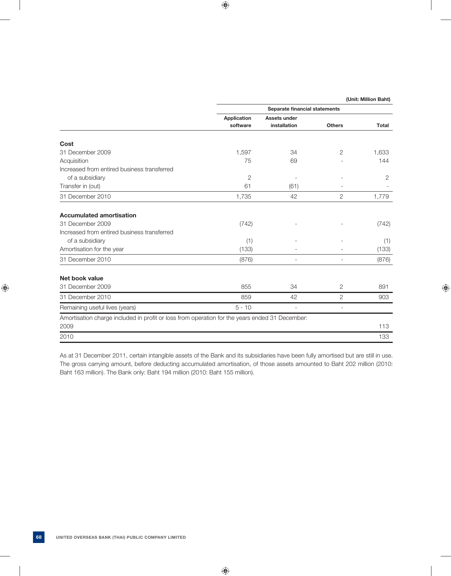|                                                                                                | Separate financial statements |              |                |       |  |
|------------------------------------------------------------------------------------------------|-------------------------------|--------------|----------------|-------|--|
|                                                                                                | <b>Application</b>            | Assets under |                |       |  |
|                                                                                                | software                      | installation | <b>Others</b>  | Total |  |
| Cost                                                                                           |                               |              |                |       |  |
| 31 December 2009                                                                               | 1,597                         | 34           | $\overline{2}$ | 1,633 |  |
| Acquisition                                                                                    | 75                            | 69           |                | 144   |  |
| Increased from entired business transferred                                                    |                               |              |                |       |  |
| of a subsidiary                                                                                | $\mathbf{2}$                  |              |                | 2     |  |
| Transfer in (out)                                                                              | 61                            | (61)         |                |       |  |
| 31 December 2010                                                                               | 1,735                         | 42           | $\overline{2}$ | 1,779 |  |
| <b>Accumulated amortisation</b>                                                                |                               |              |                |       |  |
| 31 December 2009                                                                               | (742)                         |              |                | (742) |  |
| Increased from entired business transferred                                                    |                               |              |                |       |  |
| of a subsidiary                                                                                | (1)                           |              |                | (1)   |  |
| Amortisation for the year                                                                      | (133)                         |              |                | (133) |  |
| 31 December 2010                                                                               | (876)                         |              |                | (876) |  |
| Net book value                                                                                 |                               |              |                |       |  |
| 31 December 2009                                                                               | 855                           | 34           | 2              | 891   |  |
| 31 December 2010                                                                               | 859                           | 42           | $\overline{2}$ | 903   |  |
| Remaining useful lives (years)                                                                 | $5 - 10$                      |              | ٠              |       |  |
| Amortisation charge included in profit or loss from operation for the years ended 31 December: |                               |              |                |       |  |
| 2009                                                                                           |                               |              |                | 113   |  |
| 2010                                                                                           |                               |              |                | 133   |  |

 As at 31 December 2011, certain intangible assets of the Bank and its subsidiaries have been fully amortised but are still in use. The gross carrying amount, before deducting accumulated amortisation, of those assets amounted to Baht 202 million (2010: Baht 163 million). The Bank only: Baht 194 million (2010: Baht 155 million).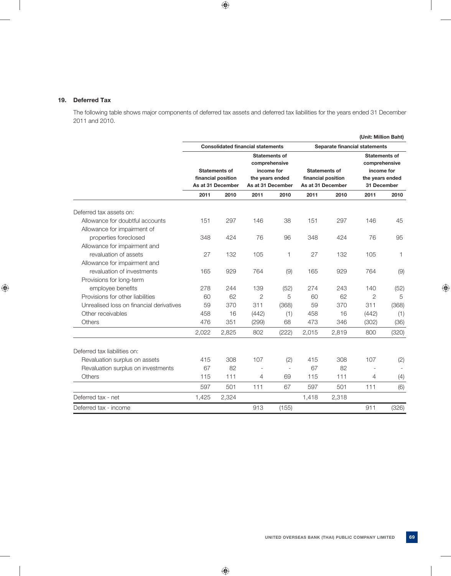### **19. Deferred Tax**

 The following table shows major components of deferred tax assets and deferred tax liabilities for the years ended 31 December 2011 and 2010.

|                                          |                                                                           |                                         |                                       |                          |       |                                         | (Unit: Million Baht)                  |              |
|------------------------------------------|---------------------------------------------------------------------------|-----------------------------------------|---------------------------------------|--------------------------|-------|-----------------------------------------|---------------------------------------|--------------|
|                                          | <b>Consolidated financial statements</b><br>Separate financial statements |                                         |                                       |                          |       |                                         |                                       |              |
|                                          |                                                                           |                                         | <b>Statements of</b><br>comprehensive |                          |       |                                         | <b>Statements of</b><br>comprehensive |              |
|                                          |                                                                           | <b>Statements of</b>                    | income for                            |                          |       | <b>Statements of</b>                    | income for                            |              |
|                                          |                                                                           | financial position<br>As at 31 December | the years ended<br>As at 31 December  |                          |       | financial position<br>As at 31 December | the years ended<br>31 December        |              |
|                                          | 2011                                                                      | 2010                                    | 2011                                  | 2010                     | 2011  | 2010                                    | 2011                                  | 2010         |
| Deferred tax assets on:                  |                                                                           |                                         |                                       |                          |       |                                         |                                       |              |
| Allowance for doubtful accounts          | 151                                                                       | 297                                     | 146                                   | 38                       | 151   | 297                                     | 146                                   | 45           |
| Allowance for impairment of              |                                                                           |                                         |                                       |                          |       |                                         |                                       |              |
| properties foreclosed                    | 348                                                                       | 424                                     | 76                                    | 96                       | 348   | 424                                     | 76                                    | 95           |
| Allowance for impairment and             |                                                                           |                                         |                                       |                          |       |                                         |                                       |              |
| revaluation of assets                    | 27                                                                        | 132                                     | 105                                   | 1                        | 27    | 132                                     | 105                                   | $\mathbf{1}$ |
| Allowance for impairment and             |                                                                           |                                         |                                       |                          |       |                                         |                                       |              |
| revaluation of investments               | 165                                                                       | 929                                     | 764                                   | (9)                      | 165   | 929                                     | 764                                   | (9)          |
| Provisions for long-term                 |                                                                           |                                         |                                       |                          |       |                                         |                                       |              |
| employee benefits                        | 278                                                                       | 244                                     | 139                                   | (52)                     | 274   | 243                                     | 140                                   | (52)         |
| Provisions for other liabilities         | 60                                                                        | 62                                      | $\overline{2}$                        | 5                        | 60    | 62                                      | $\overline{2}$                        | 5            |
| Unrealised loss on financial derivatives | 59                                                                        | 370                                     | 311                                   | (368)                    | 59    | 370                                     | 311                                   | (368)        |
| Other receivables                        | 458                                                                       | 16                                      | (442)                                 | (1)                      | 458   | 16                                      | (442)                                 | (1)          |
| <b>Others</b>                            | 476                                                                       | 351                                     | (299)                                 | 68                       | 473   | 346                                     | (302)                                 | (36)         |
|                                          | 2,022                                                                     | 2,825                                   | 802                                   | (222)                    | 2,015 | 2,819                                   | 800                                   | (320)        |
| Deferred tax liabilities on:             |                                                                           |                                         |                                       |                          |       |                                         |                                       |              |
| Revaluation surplus on assets            | 415                                                                       | 308                                     | 107                                   | (2)                      | 415   | 308                                     | 107                                   | (2)          |
| Revaluation surplus on investments       | 67                                                                        | 82                                      |                                       | $\overline{\phantom{a}}$ | 67    | 82                                      |                                       |              |
| Others                                   | 115                                                                       | 111                                     | 4                                     | 69                       | 115   | 111                                     | 4                                     | (4)          |
|                                          | 597                                                                       | 501                                     | 111                                   | 67                       | 597   | 501                                     | 111                                   | (6)          |
| Deferred tax - net                       | 1,425                                                                     | 2,324                                   |                                       |                          | 1,418 | 2,318                                   |                                       |              |
| Deferred tax - income                    |                                                                           |                                         | 913                                   | (155)                    |       |                                         | 911                                   | (326)        |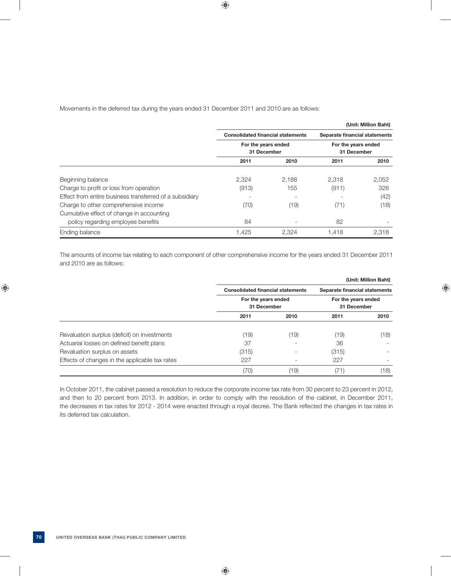Movements in the deferred tax during the years ended 31 December 2011 and 2010 are as follows:

|                                                         |                                          |       |                               | (Unit: Million Baht) |  |
|---------------------------------------------------------|------------------------------------------|-------|-------------------------------|----------------------|--|
|                                                         | <b>Consolidated financial statements</b> |       | Separate financial statements |                      |  |
|                                                         | For the years ended                      |       |                               | For the years ended  |  |
|                                                         | 31 December                              |       | 31 December                   |                      |  |
|                                                         | 2011                                     | 2010  | 2011                          | 2010                 |  |
| Beginning balance                                       | 2.324                                    | 2.188 | 2.318                         | 2,052                |  |
| Charge to profit or loss from operation                 | (913)                                    | 155   | (911)                         | 326                  |  |
| Effect from entire business transferred of a subsidiary |                                          |       |                               | (42)                 |  |
| Charge to other comprehensive income                    | (70)                                     | (19)  | (71)                          | (18)                 |  |
| Cumulative effect of change in accounting               |                                          |       |                               |                      |  |
| policy regarding employee benefits                      | 84                                       |       | 82                            |                      |  |
| Ending balance                                          | 1,425                                    | 2.324 | 1.418                         | 2,318                |  |

 The amounts of income tax relating to each component of other comprehensive income for the years ended 31 December 2011 and 2010 are as follows:

|                                                |                                    |                                          |                                    | (Unit: Million Baht) |  |
|------------------------------------------------|------------------------------------|------------------------------------------|------------------------------------|----------------------|--|
|                                                |                                    | <b>Consolidated financial statements</b> |                                    |                      |  |
|                                                | For the years ended<br>31 December |                                          | For the years ended<br>31 December |                      |  |
|                                                | 2011                               | 2010                                     | 2011                               | 2010                 |  |
| Revaluation surplus (deficit) on investments   | (19)                               | (19)                                     | (19)                               | (18)                 |  |
| Actuarial losses on defined benefit plans      | 37                                 |                                          | 36                                 |                      |  |
| Revaluation surplus on assets                  | (315)                              |                                          | (315)                              | -                    |  |
| Effects of changes in the applicable tax rates | 227                                |                                          | 227                                |                      |  |
|                                                | (70)                               | (19)                                     |                                    | (18)                 |  |

 In October 2011, the cabinet passed a resolution to reduce the corporate income tax rate from 30 percent to 23 percent in 2012, and then to 20 percent from 2013. In addition, in order to comply with the resolution of the cabinet, in December 2011, the decreases in tax rates for 2012 - 2014 were enacted through a royal decree. The Bank reflected the changes in tax rates in its deferred tax calculation.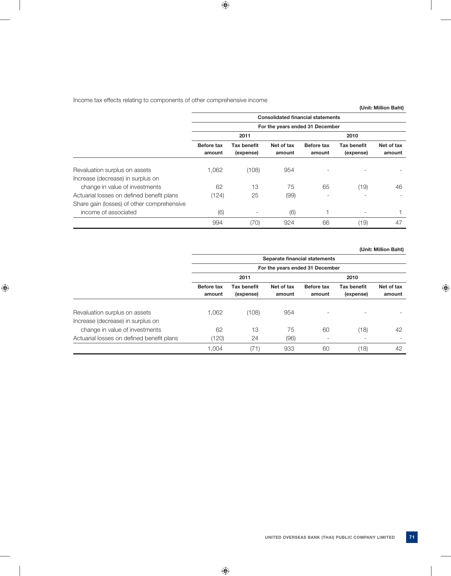# Income tax effects relating to components of other comprehensive income

|                                                                    |                             |                                 |                      |                                          |                                 | (Unit: Million Baht) |
|--------------------------------------------------------------------|-----------------------------|---------------------------------|----------------------|------------------------------------------|---------------------------------|----------------------|
|                                                                    |                             |                                 |                      | <b>Consolidated financial statements</b> |                                 |                      |
|                                                                    |                             |                                 |                      | For the years ended 31 December          |                                 |                      |
|                                                                    |                             | 2011                            |                      |                                          | 2010                            |                      |
|                                                                    | <b>Before tax</b><br>amount | <b>Tax benefit</b><br>(expense) | Net of tax<br>amount | <b>Before tax</b><br>amount              | <b>Tax benefit</b><br>(expense) | Net of tax<br>amount |
| Revaluation surplus on assets<br>Increase (decrease) in surplus on | 1,062                       | (108)                           | 954                  |                                          |                                 |                      |
| change in value of investments                                     | 62                          | 13                              | 75                   | 65                                       | (19)                            | 46                   |
| Actuarial losses on defined benefit plans                          | (124)                       | 25                              | (99)                 |                                          |                                 |                      |
| Share gain (losses) of other comprehensive                         |                             |                                 |                      |                                          |                                 |                      |
| income of associated                                               | (6)                         | $\overline{\phantom{a}}$        | (6)                  |                                          | $\overline{\phantom{a}}$        |                      |
|                                                                    | 994                         | (70)                            | 924                  | 66                                       | (19)                            | 47                   |

 **(Unit: Million Baht)**

|                                           |                                 |                                 |                      | Separate financial statements |                                 |                      |
|-------------------------------------------|---------------------------------|---------------------------------|----------------------|-------------------------------|---------------------------------|----------------------|
|                                           | For the years ended 31 December |                                 |                      |                               |                                 |                      |
|                                           |                                 | 2011                            |                      |                               | 2010                            |                      |
|                                           | <b>Before tax</b><br>amount     | <b>Tax benefit</b><br>(expense) | Net of tax<br>amount | Before tax<br>amount          | <b>Tax benefit</b><br>(expense) | Net of tax<br>amount |
| Revaluation surplus on assets             | 1,062                           | (108)                           | 954                  |                               |                                 |                      |
| Increase (decrease) in surplus on         |                                 |                                 |                      |                               |                                 |                      |
| change in value of investments            | 62                              | 13                              | 75                   | 60                            | (18)                            | 42                   |
| Actuarial losses on defined benefit plans | (120)                           | 24                              | (96)                 |                               |                                 |                      |
|                                           | 1,004                           | (71)                            | 933                  | 60                            | (18)                            | 42                   |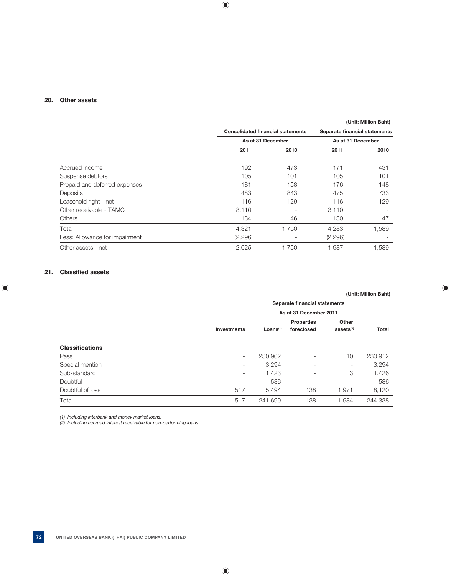### **20. Other assets**

|                                |                                          |       |                               | (Unit: Million Baht) |
|--------------------------------|------------------------------------------|-------|-------------------------------|----------------------|
|                                | <b>Consolidated financial statements</b> |       | Separate financial statements |                      |
|                                | As at 31 December                        |       | As at 31 December             |                      |
|                                | 2011                                     | 2010  | 2011                          | 2010                 |
| Accrued income                 | 192                                      | 473   | 171                           | 431                  |
| Suspense debtors               | 105                                      | 101   | 105                           | 101                  |
| Prepaid and deferred expenses  | 181                                      | 158   | 176                           | 148                  |
| Deposits                       | 483                                      | 843   | 475                           | 733                  |
| Leasehold right - net          | 116                                      | 129   | 116                           | 129                  |
| Other receivable - TAMC        | 3,110                                    |       | 3,110                         |                      |
| <b>Others</b>                  | 134                                      | 46    | 130                           | 47                   |
| Total                          | 4,321                                    | 1,750 | 4,283                         | 1,589                |
| Less: Allowance for impairment | (2,296)                                  |       | (2,296)                       |                      |
| Other assets - net             | 2,025                                    | 1,750 | 1,987                         | 1,589                |

### **21.** Classified assets

|                        |                          |                      |                               |                     | (Unit: Million Baht) |
|------------------------|--------------------------|----------------------|-------------------------------|---------------------|----------------------|
|                        |                          |                      | Separate financial statements |                     |                      |
|                        |                          |                      | As at 31 December 2011        |                     |                      |
|                        |                          |                      | <b>Properties</b>             | Other               |                      |
|                        | <b>Investments</b>       | Loans <sup>(1)</sup> | foreclosed                    | ases <sub>(2)</sub> | <b>Total</b>         |
| <b>Classifications</b> |                          |                      |                               |                     |                      |
| Pass                   | $\overline{\phantom{a}}$ | 230,902              | -                             | 10                  | 230,912              |
| Special mention        | $\overline{\phantom{a}}$ | 3,294                | ۰                             | ٠.                  | 3,294                |
| Sub-standard           | $\overline{\phantom{a}}$ | 1,423                | ۰                             | 3                   | 1,426                |
| Doubtful               | ۰                        | 586                  | $\overline{\phantom{a}}$      | ۰                   | 586                  |
| Doubtful of loss       | 517                      | 5,494                | 138                           | 1,971               | 8,120                |
| Total                  | 517                      | 241,699              | 138                           | 1,984               | 244,338              |

 *(1) Including interbank and money market loans.*

 *(2) Including accrued interest receivable for non-performing loans.*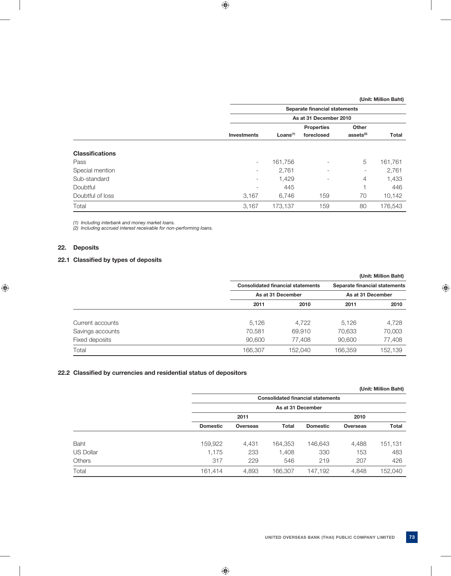|                        |                          | Separate financial statements |                                 |                                |         |  |  |
|------------------------|--------------------------|-------------------------------|---------------------------------|--------------------------------|---------|--|--|
|                        |                          |                               | As at 31 December 2010          |                                |         |  |  |
|                        | <b>Investments</b>       | Loans <sup>(1)</sup>          | <b>Properties</b><br>foreclosed | Other<br>assets <sup>(2)</sup> | Total   |  |  |
| <b>Classifications</b> |                          |                               |                                 |                                |         |  |  |
| Pass                   | $\overline{\phantom{a}}$ | 161,756                       | Ξ.                              | 5                              | 161,761 |  |  |
| Special mention        | $\overline{\phantom{0}}$ | 2,761                         | $\overline{\phantom{0}}$        | ٠.                             | 2,761   |  |  |
| Sub-standard           | $\overline{\phantom{a}}$ | 1,429                         | $\overline{\phantom{0}}$        | 4                              | 1,433   |  |  |
| Doubtful               | $\overline{\phantom{a}}$ | 445                           |                                 |                                | 446     |  |  |
| Doubtful of loss       | 3,167                    | 6,746                         | 159                             | 70                             | 10,142  |  |  |
| Total                  | 3,167                    | 173,137                       | 159                             | 80                             | 176,543 |  |  |

 *(1) Including interbank and money market loans.*

 *(2) Including accrued interest receivable for non-performing loans.* 

### **22. Deposits**

# **22.1 Classified by types of deposits**

|                  |         |                                          |         | (Unit: Million Baht)          |
|------------------|---------|------------------------------------------|---------|-------------------------------|
|                  |         | <b>Consolidated financial statements</b> |         | Separate financial statements |
|                  |         | As at 31 December                        |         |                               |
|                  | 2011    | 2010                                     | 2011    | 2010                          |
| Current accounts | 5.126   | 4.722                                    | 5.126   | 4,728                         |
| Savings accounts | 70,581  | 69,910                                   | 70,633  | 70,003                        |
| Fixed deposits   | 90,600  | 77.408                                   | 90,600  | 77,408                        |
| Total            | 166,307 | 152.040                                  | 166,359 | 152,139                       |

# **22.2 Classified by currencies and residential status of depositors**

|               |                 |                 |                   |                                          |                 | (Unit: Million Baht) |
|---------------|-----------------|-----------------|-------------------|------------------------------------------|-----------------|----------------------|
|               |                 |                 |                   | <b>Consolidated financial statements</b> |                 |                      |
|               |                 |                 | As at 31 December |                                          |                 |                      |
|               |                 | 2011            |                   |                                          | 2010            |                      |
|               | <b>Domestic</b> | <b>Overseas</b> | <b>Total</b>      | <b>Domestic</b>                          | <b>Overseas</b> | <b>Total</b>         |
| <b>Baht</b>   | 159,922         | 4,431           | 164,353           | 146,643                                  | 4,488           | 151,131              |
| US Dollar     | 1,175           | 233             | 1,408             | 330                                      | 153             | 483                  |
| <b>Others</b> | 317             | 229             | 546               | 219                                      | 207             | 426                  |
| Total         | 161,414         | 4,893           | 166,307           | 147,192                                  | 4,848           | 152,040              |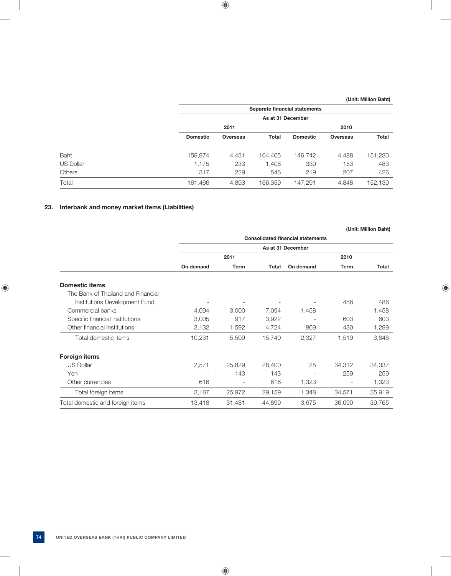|                  |                 | Separate financial statements |              |                 |                 |              |  |
|------------------|-----------------|-------------------------------|--------------|-----------------|-----------------|--------------|--|
|                  |                 | As at 31 December             |              |                 |                 |              |  |
|                  |                 | 2011                          |              |                 | 2010            |              |  |
|                  | <b>Domestic</b> | <b>Overseas</b>               | <b>Total</b> | <b>Domestic</b> | <b>Overseas</b> | <b>Total</b> |  |
|                  |                 |                               |              |                 |                 |              |  |
| Baht             | 159.974         | 4,431                         | 164,405      | 146,742         | 4,488           | 151,230      |  |
| <b>US Dollar</b> | 1,175           | 233                           | 1,408        | 330             | 153             | 483          |  |
| <b>Others</b>    | 317             | 229                           | 546          | 219             | 207             | 426          |  |
| Total            | 161,466         | 4,893                         | 166,359      | 147,291         | 4.848           | 152.139      |  |

# **23. Interbank and money market items (Liabilities)**

|                                    |           |        |              |                                          |             | (Unit: Million Baht) |
|------------------------------------|-----------|--------|--------------|------------------------------------------|-------------|----------------------|
|                                    |           |        |              | <b>Consolidated financial statements</b> |             |                      |
|                                    |           |        |              | As at 31 December                        |             |                      |
|                                    |           | 2011   |              |                                          | 2010        |                      |
|                                    | On demand | Term   | <b>Total</b> | On demand                                | <b>Term</b> | <b>Total</b>         |
| <b>Domestic items</b>              |           |        |              |                                          |             |                      |
| The Bank of Thailand and Financial |           |        |              |                                          |             |                      |
| Institutions Development Fund      |           |        |              |                                          | 486         | 486                  |
| Commercial banks                   | 4,094     | 3,000  | 7,094        | 1,458                                    |             | 1,458                |
| Specific financial institutions    | 3,005     | 917    | 3,922        |                                          | 603         | 603                  |
| Other financial institutions       | 3,132     | 1,592  | 4,724        | 869                                      | 430         | 1,299                |
| Total domestic items               | 10,231    | 5,509  | 15,740       | 2,327                                    | 1,519       | 3,846                |
| <b>Foreign items</b>               |           |        |              |                                          |             |                      |
| <b>US Dollar</b>                   | 2,571     | 25,829 | 28,400       | 25                                       | 34,312      | 34,337               |
| Yen                                | ۰         | 143    | 143          |                                          | 259         | 259                  |
| Other currencies                   | 616       |        | 616          | 1,323                                    |             | 1,323                |
| Total foreign items                | 3,187     | 25,972 | 29,159       | 1,348                                    | 34,571      | 35,919               |
| Total domestic and foreign items   | 13,418    | 31,481 | 44,899       | 3,675                                    | 36,090      | 39,765               |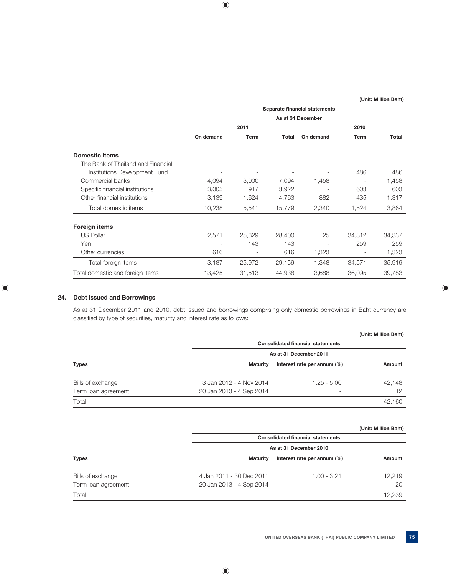|                                    | Separate financial statements |             |              |                   |                          |              |
|------------------------------------|-------------------------------|-------------|--------------|-------------------|--------------------------|--------------|
|                                    |                               |             |              | As at 31 December |                          |              |
|                                    |                               | 2011        |              |                   | 2010                     |              |
|                                    | On demand                     | <b>Term</b> | <b>Total</b> | On demand         | <b>Term</b>              | <b>Total</b> |
| <b>Domestic items</b>              |                               |             |              |                   |                          |              |
| The Bank of Thailand and Financial |                               |             |              |                   |                          |              |
| Institutions Development Fund      |                               |             |              |                   | 486                      | 486          |
| Commercial banks                   | 4,094                         | 3,000       | 7,094        | 1,458             |                          | 1,458        |
| Specific financial institutions    | 3,005                         | 917         | 3,922        |                   | 603                      | 603          |
| Other financial institutions       | 3,139                         | 1,624       | 4,763        | 882               | 435                      | 1,317        |
| Total domestic items               | 10,238                        | 5,541       | 15,779       | 2,340             | 1,524                    | 3,864        |
| <b>Foreign items</b>               |                               |             |              |                   |                          |              |
| <b>US Dollar</b>                   | 2,571                         | 25,829      | 28,400       | 25                | 34,312                   | 34,337       |
| Yen                                |                               | 143         | 143          |                   | 259                      | 259          |
| Other currencies                   | 616                           |             | 616          | 1,323             | $\overline{\phantom{a}}$ | 1,323        |
| Total foreign items                | 3,187                         | 25,972      | 29,159       | 1,348             | 34,571                   | 35,919       |
| Total domestic and foreign items   | 13,425                        | 31,513      | 44,938       | 3,688             | 36,095                   | 39,783       |

### **24. Debt issued and Borrowings**

 As at 31 December 2011 and 2010, debt issued and borrowings comprising only domestic borrowings in Baht currency are classified by type of securities, maturity and interest rate as follows:

|                     |                          |                                          | (Unit: Million Baht) |  |  |  |
|---------------------|--------------------------|------------------------------------------|----------------------|--|--|--|
|                     |                          | <b>Consolidated financial statements</b> |                      |  |  |  |
|                     |                          | As at 31 December 2011                   |                      |  |  |  |
| <b>Types</b>        | Maturity                 | Interest rate per annum (%)              | Amount               |  |  |  |
| Bills of exchange   | 3 Jan 2012 - 4 Nov 2014  | $1.25 - 5.00$                            | 42,148               |  |  |  |
| Term loan agreement | 20 Jan 2013 - 4 Sep 2014 |                                          | 12                   |  |  |  |
| Total               |                          |                                          | 42.160               |  |  |  |

#### **(Unit: Million Baht)**

| <b>Types</b>        |                          | <b>Consolidated financial statements</b> |        |  |  |  |  |
|---------------------|--------------------------|------------------------------------------|--------|--|--|--|--|
|                     | As at 31 December 2010   |                                          |        |  |  |  |  |
|                     | Maturity                 | Interest rate per annum (%)              | Amount |  |  |  |  |
| Bills of exchange   | 4 Jan 2011 - 30 Dec 2011 | $1.00 - 3.21$                            | 12.219 |  |  |  |  |
| Term loan agreement | 20 Jan 2013 - 4 Sep 2014 | $\overline{\phantom{a}}$                 | 20     |  |  |  |  |
| Total               |                          |                                          | 12.239 |  |  |  |  |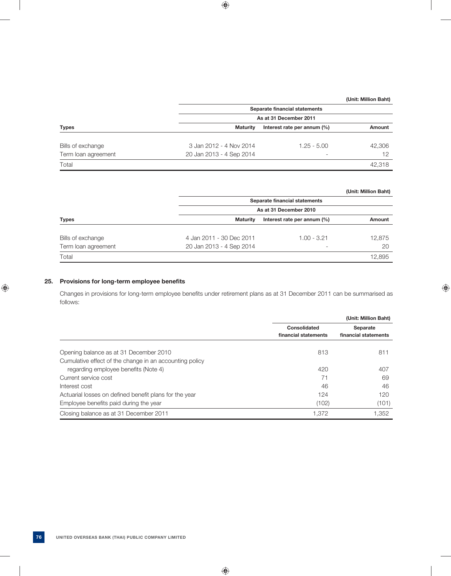| <b>Types</b>        |                          | Separate financial statements  |        |  |  |  |  |
|---------------------|--------------------------|--------------------------------|--------|--|--|--|--|
|                     |                          | As at 31 December 2011         |        |  |  |  |  |
|                     | <b>Maturity</b>          | Interest rate per annum $(\%)$ | Amount |  |  |  |  |
| Bills of exchange   | 3 Jan 2012 - 4 Nov 2014  | $1.25 - 5.00$                  | 42.306 |  |  |  |  |
| Term loan agreement | 20 Jan 2013 - 4 Sep 2014 | $\overline{\phantom{0}}$       | 12     |  |  |  |  |
| Total               |                          |                                | 42.318 |  |  |  |  |

### **(Unit: Million Baht)**

|                     |                          | Separate financial statements |        |  |  |  |  |
|---------------------|--------------------------|-------------------------------|--------|--|--|--|--|
| <b>Types</b>        |                          | As at 31 December 2010        |        |  |  |  |  |
|                     | <b>Maturity</b>          | Interest rate per annum (%)   | Amount |  |  |  |  |
|                     |                          |                               |        |  |  |  |  |
| Bills of exchange   | 4 Jan 2011 - 30 Dec 2011 | $1.00 - 3.21$                 | 12.875 |  |  |  |  |
| Term loan agreement | 20 Jan 2013 - 4 Sep 2014 | $\overline{\phantom{a}}$      | 20     |  |  |  |  |
| Total               |                          |                               | 12.895 |  |  |  |  |

# **25.** Provisions for long-term employee benefits

Changes in provisions for long-term employee benefits under retirement plans as at 31 December 2011 can be summarised as follows:

|                                                         |                                 | (Unit: Million Baht) |
|---------------------------------------------------------|---------------------------------|----------------------|
|                                                         | Consolidated<br><b>Separate</b> |                      |
|                                                         | financial statements            | financial statements |
| Opening balance as at 31 December 2010                  | 813                             | 811                  |
| Cumulative effect of the change in an accounting policy |                                 |                      |
| regarding employee benefits (Note 4)                    | 420                             | 407                  |
| Current service cost                                    | 71                              | 69                   |
| Interest cost                                           | 46                              | 46                   |
| Actuarial losses on defined benefit plans for the year  | 124                             | 120                  |
| Employee benefits paid during the year                  | (102)                           | (101)                |
| Closing balance as at 31 December 2011                  | 1.372                           | 1,352                |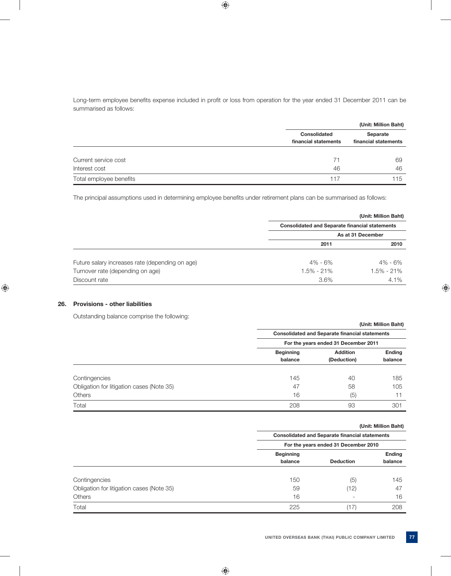Long-term employee benefits expense included in profit or loss from operation for the year ended 31 December 2011 can be summarised as follows:

|                         |                                             | (Unit: Million Baht)             |
|-------------------------|---------------------------------------------|----------------------------------|
|                         | <b>Consolidated</b><br>financial statements | Separate<br>financial statements |
| Current service cost    | 71                                          | 69                               |
| Interest cost           | 46                                          | 46                               |
| Total employee benefits | 117                                         | 115                              |

The principal assumptions used in determining employee benefits under retirement plans can be summarised as follows:

|                                                 |                                                       | (Unit: Million Baht) |
|-------------------------------------------------|-------------------------------------------------------|----------------------|
|                                                 | <b>Consolidated and Separate financial statements</b> |                      |
|                                                 |                                                       | As at 31 December    |
|                                                 | 2011                                                  | 2010                 |
| Future salary increases rate (depending on age) | $4\% - 6\%$                                           | 4% - 6%              |
| Turnover rate (depending on age)                | 1.5% - 21%                                            | 1.5% - 21%           |
| Discount rate                                   | 3.6%                                                  | $4.1\%$              |

# **26. Provisions - other liabilities**

Outstanding balance comprise the following:

|                                           |                                      | (Unit: Million Baht)                                  |                          |  |  |
|-------------------------------------------|--------------------------------------|-------------------------------------------------------|--------------------------|--|--|
|                                           |                                      | <b>Consolidated and Separate financial statements</b> |                          |  |  |
|                                           | For the years ended 31 December 2011 |                                                       |                          |  |  |
|                                           | <b>Beginning</b>                     | <b>Addition</b>                                       | <b>Ending</b><br>balance |  |  |
|                                           | balance                              | (Deduction)                                           |                          |  |  |
| Contingencies                             | 145                                  | 40                                                    | 185                      |  |  |
| Obligation for litigation cases (Note 35) | 47                                   | 58                                                    | 105                      |  |  |
| <b>Others</b>                             | 16                                   | (5)                                                   | 11                       |  |  |
| Total                                     | 208                                  | 93                                                    | 301                      |  |  |

| (Unit: Million Baht)<br>the contract of the contract of the contract of the contract of the contract of the contract of the contract of |
|-----------------------------------------------------------------------------------------------------------------------------------------|
|-----------------------------------------------------------------------------------------------------------------------------------------|

|                                           | <b>Consolidated and Separate financial statements</b><br>For the years ended 31 December 2010 |                          |         |  |  |  |  |               |
|-------------------------------------------|-----------------------------------------------------------------------------------------------|--------------------------|---------|--|--|--|--|---------------|
|                                           |                                                                                               |                          |         |  |  |  |  |               |
|                                           | <b>Beginning</b>                                                                              |                          |         |  |  |  |  | <b>Ending</b> |
|                                           | balance                                                                                       | <b>Deduction</b>         | balance |  |  |  |  |               |
| Contingencies                             | 150                                                                                           | (5)                      | 145     |  |  |  |  |               |
| Obligation for litigation cases (Note 35) | 59                                                                                            | (12)                     | 47      |  |  |  |  |               |
| <b>Others</b>                             | 16                                                                                            | $\overline{\phantom{a}}$ | 16      |  |  |  |  |               |
| Total                                     | 225                                                                                           |                          | 208     |  |  |  |  |               |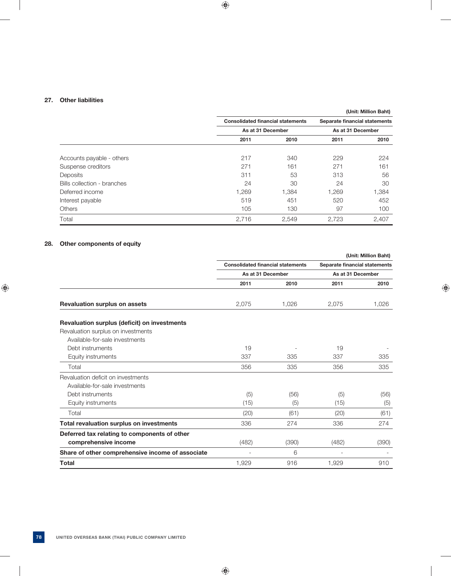### **27. Other liabilities**

# **(Unit: Million Baht) Consolidated financial statements Separate financial statements** As at 31 December As at 31 December  **2011 2010 2011 2010** Accounts payable - others 224 225 Suspense creditors 161 271 161 271 271 161 Deposits 311 53 313 56 Bills collection - branches 24 30 24 30 Deferred income 1,269 1,384 1,269 1,384 Interest payable 619 619 519 519 520 452 Others 105 130 97 100 Total 2,716 2,549 2,723 2,407

### **28. Other components of equity**

|                                                  |                                          |       |                               | (Unit: Million Baht) |
|--------------------------------------------------|------------------------------------------|-------|-------------------------------|----------------------|
|                                                  | <b>Consolidated financial statements</b> |       | Separate financial statements |                      |
|                                                  | As at 31 December                        |       | As at 31 December             |                      |
|                                                  | 2011                                     | 2010  | 2011                          | 2010                 |
| <b>Revaluation surplus on assets</b>             | 2,075                                    | 1,026 | 2,075                         | 1,026                |
| Revaluation surplus (deficit) on investments     |                                          |       |                               |                      |
| Revaluation surplus on investments               |                                          |       |                               |                      |
| Available-for-sale investments                   |                                          |       |                               |                      |
| Debt instruments                                 | 19                                       |       | 19                            |                      |
| Equity instruments                               | 337                                      | 335   | 337                           | 335                  |
| Total                                            | 356                                      | 335   | 356                           | 335                  |
| Revaluation deficit on investments               |                                          |       |                               |                      |
| Available-for-sale investments                   |                                          |       |                               |                      |
| Debt instruments                                 | (5)                                      | (56)  | (5)                           | (56)                 |
| Equity instruments                               | (15)                                     | (5)   | (15)                          | (5)                  |
| Total                                            | (20)                                     | (61)  | (20)                          | (61)                 |
| Total revaluation surplus on investments         | 336                                      | 274   | 336                           | 274                  |
| Deferred tax relating to components of other     |                                          |       |                               |                      |
| comprehensive income                             | (482)                                    | (390) | (482)                         | (390)                |
| Share of other comprehensive income of associate |                                          | 6     |                               |                      |
| <b>Total</b>                                     | 1,929                                    | 916   | 1,929                         | 910                  |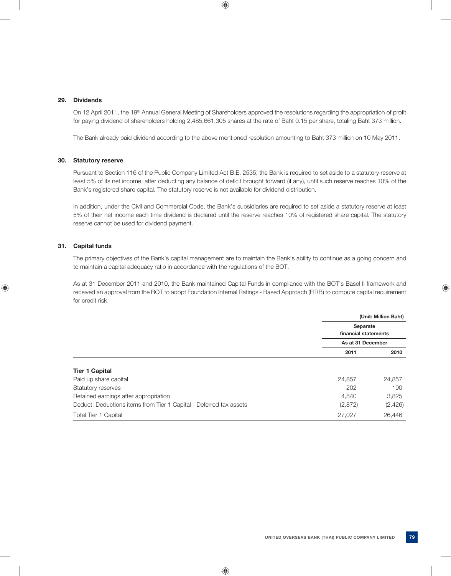#### **29. Dividends**

On 12 April 2011, the 19<sup>th</sup> Annual General Meeting of Shareholders approved the resolutions regarding the appropriation of profit for paying dividend of shareholders holding 2,485,661,305 shares at the rate of Baht 0.15 per share, totaling Baht 373 million.

The Bank already paid dividend according to the above mentioned resolution amounting to Baht 373 million on 10 May 2011.

### **30. Statutory reserve**

 Pursuant to Section 116 of the Public Company Limited Act B.E. 2535, the Bank is required to set aside to a statutory reserve at least 5% of its net income, after deducting any balance of deficit brought forward (if any), until such reserve reaches 10% of the Bank's registered share capital. The statutory reserve is not available for dividend distribution.

 In addition, under the Civil and Commercial Code, the Bank's subsidiaries are required to set aside a statutory reserve at least 5% of their net income each time dividend is declared until the reserve reaches 10% of registered share capital. The statutory reserve cannot be used for dividend payment.

# **31. Capital funds**

 The primary objectives of the Bank's capital management are to maintain the Bank's ability to continue as a going concern and to maintain a capital adequacy ratio in accordance with the regulations of the BOT.

 As at 31 December 2011 and 2010, the Bank maintained Capital Funds in compliance with the BOT's Basel II framework and received an approval from the BOT to adopt Foundation Internal Ratings - Based Approach (FIRB) to compute capital requirement for credit risk.

|                                                                    |                      | (Unit: Million Baht) |
|--------------------------------------------------------------------|----------------------|----------------------|
|                                                                    | Separate             |                      |
|                                                                    | financial statements |                      |
|                                                                    | As at 31 December    |                      |
|                                                                    | 2011                 | 2010                 |
| <b>Tier 1 Capital</b>                                              |                      |                      |
| Paid up share capital                                              | 24,857               | 24,857               |
| Statutory reserves                                                 | 202                  | 190                  |
| Retained earnings after appropriation                              | 4,840                | 3,825                |
| Deduct: Deductions items from Tier 1 Capital - Deferred tax assets | (2,872)              | (2, 426)             |
| <b>Total Tier 1 Capital</b>                                        | 27,027               | 26,446               |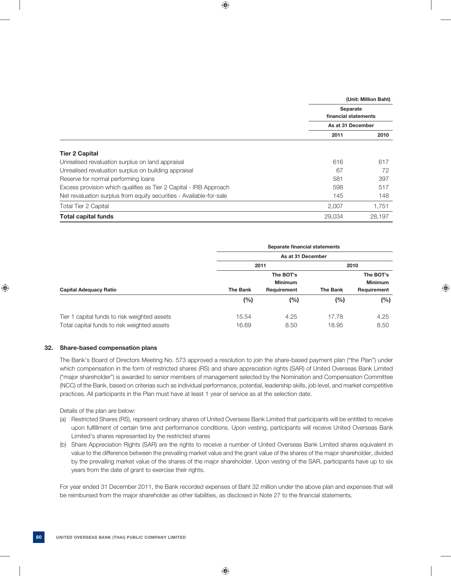|                                                                     |                      | (Unit: Million Baht) |  |  |
|---------------------------------------------------------------------|----------------------|----------------------|--|--|
|                                                                     | <b>Separate</b>      |                      |  |  |
|                                                                     | financial statements |                      |  |  |
|                                                                     | As at 31 December    |                      |  |  |
|                                                                     | 2011                 | 2010                 |  |  |
| <b>Tier 2 Capital</b>                                               |                      |                      |  |  |
| Unrealised revaluation surplus on land appraisal                    | 616                  | 617                  |  |  |
| Unrealised revaluation surplus on building appraisal                | 67                   | 72                   |  |  |
| Reserve for normal performing loans                                 | 581                  | 397                  |  |  |
| Excess provision which qualifies as Tier 2 Capital - IRB Approach   | 598                  | 517                  |  |  |
| Net revaluation surplus from equity securities - Available-for-sale | 145                  | 148                  |  |  |
| <b>Total Tier 2 Capital</b>                                         | 2,007                | 1,751                |  |  |
| <b>Total capital funds</b>                                          | 29.034               | 28.197               |  |  |

|                                              | Separate financial statements<br>As at 31 December |                             |                 |                             |
|----------------------------------------------|----------------------------------------------------|-----------------------------|-----------------|-----------------------------|
|                                              |                                                    |                             |                 |                             |
|                                              | 2011                                               |                             | 2010            |                             |
|                                              |                                                    | The BOT's<br><b>Minimum</b> |                 | The BOT's<br><b>Minimum</b> |
| <b>Capital Adequacy Ratio</b>                | <b>The Bank</b>                                    | Requirement                 | <b>The Bank</b> | Requirement                 |
|                                              | (%)                                                | $(\% )$                     | (%)             | (%)                         |
| Tier 1 capital funds to risk weighted assets | 15.54                                              | 4.25                        | 17.78           | 4.25                        |
| Total capital funds to risk weighted assets  | 16.69                                              | 8.50                        | 18.95           | 8.50                        |

### **32. Share-based compensation plans**

 The Bank's Board of Directors Meeting No. 573 approved a resolution to join the share-based payment plan ("the Plan") under which compensation in the form of restricted shares (RS) and share appreciation rights (SAR) of United Overseas Bank Limited ("major shareholder") is awarded to senior members of management selected by the Nomination and Compensation Committee (NCC) of the Bank, based on criterias such as individual performance, potential, leadership skills, job level, and market competitive practices. All participants in the Plan must have at least 1 year of service as at the selection date.

Details of the plan are below:

- (a) Restricted Shares (RS), represent ordinary shares of United Overseas Bank Limited that participants will be entitled to receive upon fulfillment of certain time and performance conditions. Upon vesting, participants will receive United Overseas Bank Limited's shares represented by the restricted shares
- (b) Share Appreciation Rights (SAR) are the rights to receive a number of United Overseas Bank Limited shares equivalent in value to the difference between the prevailing market value and the grant value of the shares of the major shareholder, divided by the prevailing market value of the shares of the major shareholder. Upon vesting of the SAR, participants have up to six years from the date of grant to exercise their rights.

 For year ended 31 December 2011, the Bank recorded expenses of Baht 32 million under the above plan and expenses that will be reimbursed from the major shareholder as other liabilities, as disclosed in Note 27 to the financial statements.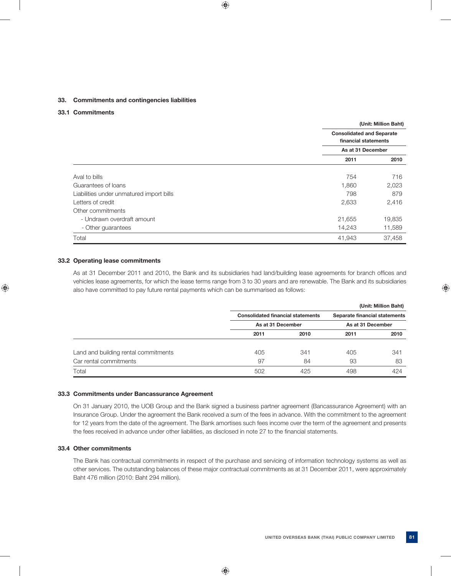#### **33. Commitments and contingencies liabilities**

### **33.1 Commitments**

|                                          |                                                          | (Unit: Million Baht) |  |
|------------------------------------------|----------------------------------------------------------|----------------------|--|
|                                          | <b>Consolidated and Separate</b><br>financial statements |                      |  |
|                                          | As at 31 December                                        |                      |  |
|                                          | 2011                                                     | 2010                 |  |
| Aval to bills                            | 754                                                      | 716                  |  |
| Guarantees of loans                      | 1,860                                                    | 2,023                |  |
| Liabilities under unmatured import bills | 798                                                      | 879                  |  |
| Letters of credit                        | 2,633                                                    | 2,416                |  |
| Other commitments                        |                                                          |                      |  |
| - Undrawn overdraft amount               | 21,655                                                   | 19,835               |  |
| - Other guarantees                       | 14,243                                                   | 11,589               |  |
| Total                                    | 41,943                                                   | 37,458               |  |

### **33.2 Operating lease commitments**

As at 31 December 2011 and 2010, the Bank and its subsidiaries had land/building lease agreements for branch offices and vehicles lease agreements, for which the lease terms range from 3 to 30 years and are renewable. The Bank and its subsidiaries also have committed to pay future rental payments which can be summarised as follows:

|                                      |                                          |                   |                               | (Unit: Million Baht) |  |
|--------------------------------------|------------------------------------------|-------------------|-------------------------------|----------------------|--|
|                                      | <b>Consolidated financial statements</b> |                   | Separate financial statements |                      |  |
|                                      |                                          | As at 31 December |                               | As at 31 December    |  |
|                                      | 2011                                     | 2010              | 2011                          | 2010                 |  |
| Land and building rental commitments | 405                                      | 341               | 405                           | 341                  |  |
| Car rental commitments               | 97                                       | 84                | 93                            | 83                   |  |
| Total                                | 502                                      | 425               | 498                           | 424                  |  |

#### **33.3 Commitments under Bancassurance Agreement**

 On 31 January 2010, the UOB Group and the Bank signed a business partner agreement (Bancassurance Agreement) with an Insurance Group. Under the agreement the Bank received a sum of the fees in advance. With the commitment to the agreement for 12 years from the date of the agreement. The Bank amortises such fees income over the term of the agreement and presents the fees received in advance under other liabilities, as disclosed in note 27 to the financial statements.

#### **33.4 Other commitments**

 The Bank has contractual commitments in respect of the purchase and servicing of information technology systems as well as other services. The outstanding balances of these major contractual commitments as at 31 December 2011, were approximately Baht 476 million (2010: Baht 294 million).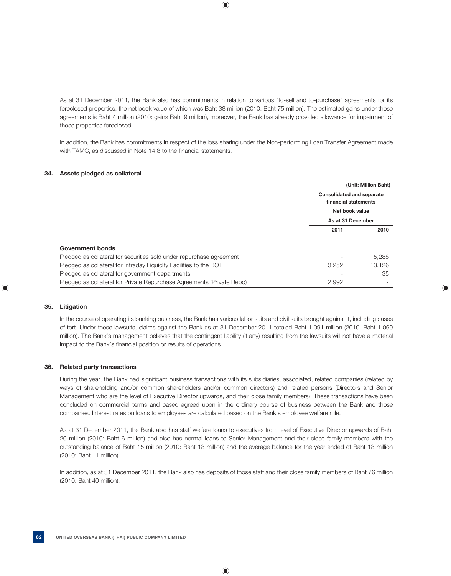As at 31 December 2011, the Bank also has commitments in relation to various "to-sell and to-purchase" agreements for its foreclosed properties, the net book value of which was Baht 38 million (2010: Baht 75 million). The estimated gains under those agreements is Baht 4 million (2010: gains Baht 9 million), moreover, the Bank has already provided allowance for impairment of those properties foreclosed.

 In addition, the Bank has commitments in respect of the loss sharing under the Non-performing Loan Transfer Agreement made with TAMC, as discussed in Note 14.8 to the financial statements.

### **34. Assets pledged as collateral**

|                                                                        |                                  | (Unit: Million Baht) |
|------------------------------------------------------------------------|----------------------------------|----------------------|
|                                                                        | <b>Consolidated and separate</b> |                      |
|                                                                        | financial statements             |                      |
|                                                                        | Net book value                   |                      |
|                                                                        | As at 31 December                |                      |
|                                                                        | 2011                             | 2010                 |
|                                                                        |                                  |                      |
| <b>Government bonds</b>                                                |                                  |                      |
| Pledged as collateral for securities sold under repurchase agreement   |                                  | 5,288                |
| Pledged as collateral for Intraday Liquidity Facilities to the BOT     | 3,252                            | 13.126               |
| Pledged as collateral for government departments                       |                                  | 35                   |
| Pledged as collateral for Private Repurchase Agreements (Private Repo) | 2,992                            |                      |

#### **35. Litigation**

 In the course of operating its banking business, the Bank has various labor suits and civil suits brought against it, including cases of tort. Under these lawsuits, claims against the Bank as at 31 December 2011 totaled Baht 1,091 million (2010: Baht 1,069 million). The Bank's management believes that the contingent liability (if any) resulting from the lawsuits will not have a material impact to the Bank's financial position or results of operations.

#### **36. Related party transactions**

During the year, the Bank had significant business transactions with its subsidiaries, associated, related companies (related by ways of shareholding and/or common shareholders and/or common directors) and related persons (Directors and Senior Management who are the level of Executive Director upwards, and their close family members). These transactions have been concluded on commercial terms and based agreed upon in the ordinary course of business between the Bank and those companies. Interest rates on loans to employees are calculated based on the Bank's employee welfare rule.

 As at 31 December 2011, the Bank also has staff welfare loans to executives from level of Executive Director upwards of Baht 20 million (2010: Baht 6 million) and also has normal loans to Senior Management and their close family members with the outstanding balance of Baht 15 million (2010: Baht 13 million) and the average balance for the year ended of Baht 13 million (2010: Baht 11 million).

 In addition, as at 31 December 2011, the Bank also has deposits of those staff and their close family members of Baht 76 million (2010: Baht 40 million).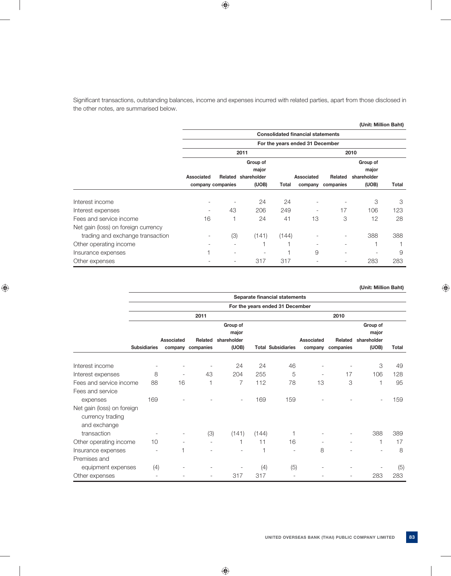Significant transactions, outstanding balances, income and expenses incurred with related parties, apart from those disclosed in the other notes, are summarised below.

|                                     |                          |         |             |       |                                          |                          | (Unit: Million Baht) |       |
|-------------------------------------|--------------------------|---------|-------------|-------|------------------------------------------|--------------------------|----------------------|-------|
|                                     |                          |         |             |       | <b>Consolidated financial statements</b> |                          |                      |       |
|                                     |                          |         |             |       | For the years ended 31 December          |                          |                      |       |
|                                     |                          |         | 2011        |       |                                          |                          | 2010                 |       |
|                                     |                          |         | Group of    |       |                                          |                          | Group of             |       |
|                                     |                          |         | major       |       |                                          |                          | major                |       |
|                                     | Associated               | Related | shareholder |       | Associated                               | Related                  | shareholder          |       |
|                                     | company companies        |         | (UOB)       | Total | company                                  | companies                | (UOB)                | Total |
| Interest income                     |                          |         | 24          | 24    | ٠                                        |                          | 3                    | 3     |
| Interest expenses                   | $\overline{\phantom{a}}$ | 43      | 206         | 249   | -                                        | 17                       | 106                  | 123   |
| Fees and service income             | 16                       |         | 24          | 41    | 13                                       | 3                        | 12                   | 28    |
| Net gain (loss) on foreign currency |                          |         |             |       |                                          |                          |                      |       |
| trading and exchange transaction    | $\overline{\phantom{a}}$ | (3)     | (141)       | (144) | $\overline{a}$                           | $\qquad \qquad -$        | 388                  | 388   |
| Other operating income              |                          |         |             |       | $\overline{\phantom{a}}$                 | $\overline{\phantom{a}}$ |                      |       |
| Insurance expenses                  |                          |         |             |       | 9                                        | ۰                        |                      | 9     |
| Other expenses                      |                          |         | 317         | 317   |                                          | $\overline{\phantom{0}}$ | 283                  | 283   |

# **(Unit: Million Baht)**

|                                                                |                     |                          |                   |                   |       | Separate financial statements   |                          |                          |                   |       |
|----------------------------------------------------------------|---------------------|--------------------------|-------------------|-------------------|-------|---------------------------------|--------------------------|--------------------------|-------------------|-------|
|                                                                |                     |                          |                   |                   |       | For the years ended 31 December |                          |                          |                   |       |
|                                                                |                     |                          | 2011              |                   |       |                                 |                          | 2010                     |                   |       |
|                                                                |                     |                          |                   | Group of<br>major |       |                                 |                          |                          | Group of<br>major |       |
|                                                                |                     | Associated               | Related           | shareholder       |       |                                 | Associated               | Related                  | shareholder       |       |
|                                                                | <b>Subsidiaries</b> |                          | company companies | (UOB)             |       | <b>Total Subsidiaries</b>       |                          | company companies        | (UOB)             | Total |
| Interest income                                                |                     |                          |                   | 24                | 24    | 46                              |                          |                          | 3                 | 49    |
| Interest expenses                                              | 8                   | $\overline{\phantom{m}}$ | 43                | 204               | 255   | 5                               | $\overline{\phantom{a}}$ | 17                       | 106               | 128   |
| Fees and service income                                        | 88                  | 16                       | 1                 | $\overline{7}$    | 112   | 78                              | 13                       | 3                        | 1                 | 95    |
| Fees and service                                               |                     |                          |                   |                   |       |                                 |                          |                          |                   |       |
| expenses                                                       | 169                 |                          |                   |                   | 169   | 159                             |                          |                          |                   | 159   |
| Net gain (loss) on foreign<br>currency trading<br>and exchange |                     |                          |                   |                   |       |                                 |                          |                          |                   |       |
| transaction                                                    |                     |                          | (3)               | (141)             | (144) |                                 |                          | $\overline{\phantom{0}}$ | 388               | 389   |
| Other operating income                                         | 10                  |                          |                   |                   | 11    | 16                              |                          | $\overline{\phantom{0}}$ |                   | 17    |
| Insurance expenses                                             |                     |                          |                   |                   | 1     |                                 | 8                        |                          |                   | 8     |
| Premises and                                                   |                     |                          |                   |                   |       |                                 |                          |                          |                   |       |
| equipment expenses                                             | (4)                 |                          |                   |                   | (4)   | (5)                             |                          |                          |                   | (5)   |
| Other expenses                                                 |                     |                          |                   | 317               | 317   |                                 |                          |                          | 283               | 283   |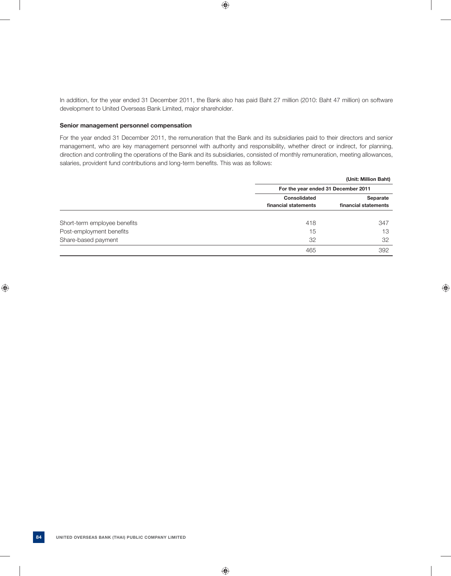In addition, for the year ended 31 December 2011, the Bank also has paid Baht 27 million (2010: Baht 47 million) on software development to United Overseas Bank Limited, major shareholder.

#### **Senior management personnel compensation**

 For the year ended 31 December 2011, the remuneration that the Bank and its subsidiaries paid to their directors and senior management, who are key management personnel with authority and responsibility, whether direct or indirect, for planning, direction and controlling the operations of the Bank and its subsidiaries, consisted of monthly remuneration, meeting allowances, salaries, provident fund contributions and long-term benefits. This was as follows:

|                              |                      | (Unit: Million Baht)                |
|------------------------------|----------------------|-------------------------------------|
|                              |                      | For the year ended 31 December 2011 |
|                              | Consolidated         | Separate                            |
|                              | financial statements | financial statements                |
| Short-term employee benefits | 418                  | 347                                 |
| Post-employment benefits     | 15                   | 13                                  |
| Share-based payment          | 32                   | 32                                  |
|                              | 465                  | 392                                 |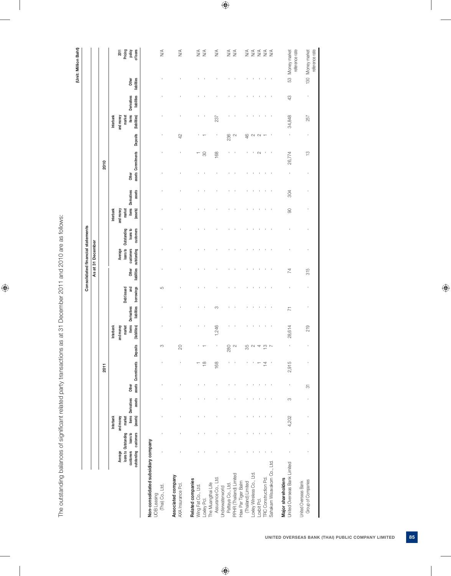| j<br><b>14 CAC CAC - 1</b><br>.<br>ל<br>$\frac{2}{2}$<br>ĺ<br>ļ                                                                                                            |  |
|----------------------------------------------------------------------------------------------------------------------------------------------------------------------------|--|
| 3<br> -<br> -<br> -<br>.<br>;<br>۱<br>$\frac{5}{1}$<br>l                                                                                                                   |  |
| こうしょう りょう りょうしょう<br>I<br>)<br>2<br>2<br>2<br>2<br>2<br>.<br>.<br>.                                                                                                         |  |
| į<br>5 (<br>֖֖֖֖֖֖֧ׅׅ֚֚֚֚֚֚֚֚֚֚֚֚֚֚֚֚֚֚֚֡֝֓֡֬֓֡֬֓֓֞֓֡֬֓֓֞֓֡֬֓֞֬֓֞֓֬֓֓֬֝֓֞֬֝֓֬<br>ֺ֚<br>こうせつ こうこう うちょうこう サンクリ<br>5<br>$\overline{\phantom{a}}$<br>$\ddot{\phantom{0}}$<br>j |  |
| ļ<br>١<br>ֺ֚֘֝֬<br>i<br>l<br>j<br>İ                                                                                                                                        |  |

|                                                                        |                                    |          |                     |                             |                |                             |                            |                        |                                   |                   | Consolidated financial statements                       |                       |           |                                         |       |                    |                 |                        |                                          |                      | (Unit: Million Baht)                                            |
|------------------------------------------------------------------------|------------------------------------|----------|---------------------|-----------------------------|----------------|-----------------------------|----------------------------|------------------------|-----------------------------------|-------------------|---------------------------------------------------------|-----------------------|-----------|-----------------------------------------|-------|--------------------|-----------------|------------------------|------------------------------------------|----------------------|-----------------------------------------------------------------|
|                                                                        |                                    |          |                     |                             |                |                             |                            |                        |                                   |                   | As at 31 December                                       |                       |           |                                         |       |                    |                 |                        |                                          |                      |                                                                 |
|                                                                        |                                    |          |                     |                             |                | 2011                        |                            |                        |                                   |                   |                                                         |                       |           |                                         |       | 2010               |                 |                        |                                          |                      |                                                                 |
|                                                                        |                                    |          | Interbank           |                             |                |                             |                            | Interbank              |                                   |                   |                                                         |                       | Interbank |                                         |       |                    |                 | Interbank              |                                          |                      |                                                                 |
|                                                                        | loans to Outstanding<br>Average    |          | market<br>and money |                             |                |                             |                            | and money<br>market    | Debt issued                       |                   | loans to<br>Average                                     | Outstanding           | and money | market                                  |       |                    |                 | market<br>and money    |                                          |                      | Pricing<br>2011                                                 |
|                                                                        | outstanding customers<br>customers | loans to | (assets)            | items Derivatives<br>assets | Other          | assets Commitments Deposits |                            | items<br>(liabilities) | liabilities<br><b>Derivatives</b> | borrowings<br>and | customers<br>outstanding<br>liabilities<br><b>Other</b> | loans to<br>customers |           | items Derivatives<br>assets<br>(assets) | Other | assets Commitments | <b>Deposits</b> | items<br>(liabilities) | <b>Derivatives</b><br><b>liabilities</b> | liabilities<br>Other | of loans<br>policy                                              |
|                                                                        |                                    |          |                     |                             |                |                             |                            |                        |                                   |                   |                                                         |                       |           |                                         |       |                    |                 |                        |                                          |                      |                                                                 |
| Non-consolidated subsidiary company<br>(Thai) Co., Ltd.<br>UOB Leasing |                                    |          |                     |                             |                |                             | S                          |                        |                                   | 5                 |                                                         |                       |           |                                         |       |                    |                 |                        |                                          |                      | $\lessgtr$                                                      |
| Associated company<br>AXA Insurance Pd.                                |                                    |          |                     |                             |                |                             | $\infty$                   |                        |                                   |                   |                                                         |                       |           |                                         |       | t,                 | 42              |                        |                                          |                      | $\frac{4}{2}$                                                   |
| Related companies<br>Wing Fat Co., Ltd.                                |                                    |          |                     |                             |                |                             |                            |                        |                                   |                   |                                                         |                       |           |                                         |       | ┯                  |                 | ٠                      |                                          |                      | $\stackrel{\triangleleft}{\geq}$                                |
| Loxley Pd.                                                             |                                    |          |                     |                             |                | $\frac{\infty}{\infty}$     |                            |                        |                                   |                   |                                                         |                       |           |                                         |       | $\infty$           |                 |                        |                                          |                      | $\lesssim$                                                      |
| Assurance Co., Ltd.<br>The Muangthai Life                              |                                    |          |                     |                             |                | 168                         |                            | 1,246                  | S                                 |                   |                                                         |                       |           |                                         |       | 168                |                 | 237                    |                                          |                      | $\frac{4}{2}$                                                   |
| Pattaya Co., Ltd.<br>Underwaterworld                                   |                                    |          |                     |                             |                |                             | 280                        |                        |                                   |                   |                                                         |                       |           |                                         |       |                    | 236             |                        |                                          |                      | $\frac{4}{2}$                                                   |
| PPHR (Thailand) Limited                                                |                                    |          |                     |                             |                |                             | $\sim$                     |                        |                                   |                   |                                                         |                       |           |                                         |       |                    | $\sim$          |                        |                                          |                      | $\lessgtr$                                                      |
| Haw Par Tiger Balm<br>(Thailand) Limited                               |                                    |          |                     |                             |                |                             | 35                         |                        |                                   |                   |                                                         |                       |           |                                         |       |                    | 46              |                        |                                          |                      |                                                                 |
| Loxley Wireless Co., Ltd.                                              |                                    |          |                     |                             |                |                             | $\sim$ 4                   |                        |                                   |                   |                                                         |                       |           |                                         |       | ×                  |                 |                        |                                          |                      | $\stackrel{\triangleleft}{\geq} \stackrel{\triangleleft}{\geq}$ |
| Loxbit Pol.                                                            |                                    |          |                     |                             |                |                             |                            |                        |                                   |                   |                                                         |                       |           |                                         |       | $\sim$             | $N$ $N$         |                        |                                          |                      | $\lessgtr$                                                      |
| <b>TRC Construction Pcl.</b>                                           |                                    |          |                     |                             |                | 4                           | $\overline{\omega}$ $\sim$ |                        |                                   |                   |                                                         |                       |           |                                         |       | $\,$               |                 |                        |                                          |                      |                                                                 |
| Sahakam Wisavakom Co., Ltd.                                            |                                    |          |                     |                             |                |                             |                            |                        |                                   |                   |                                                         |                       |           |                                         |       | ×                  |                 |                        |                                          |                      | $\frac{4}{5}$                                                   |
| United Overseas Bank Limited<br>Major shareholders                     |                                    |          | 4,202               | S                           | $\blacksquare$ | 2,915                       | ł                          | 28,614                 | $\overline{r}$                    |                   | 74                                                      |                       |           | 304<br>$\overline{0}$                   |       | 26,774             |                 | 34,848                 | $\frac{3}{4}$                            |                      | 53 Money market<br>reference rate                               |
| Group of Companies<br>United Overseas Bank                             |                                    |          |                     |                             | ਨ              |                             |                            | 219                    |                                   |                   | 315                                                     |                       |           |                                         |       | 5                  |                 | 257                    |                                          |                      | reference rate<br>130 Money market                              |

 $\overline{\phantom{a}}$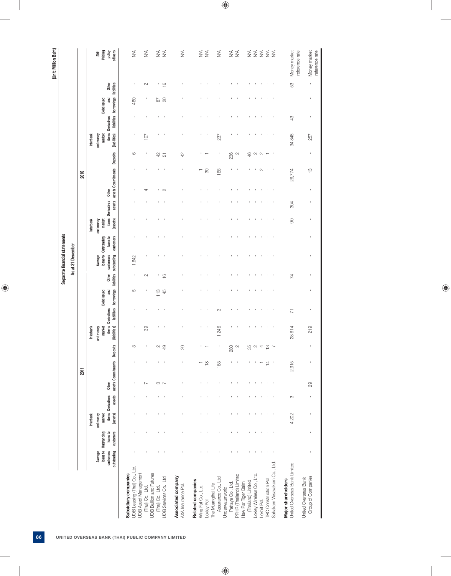|                               |                   |      | Pricing<br>2011<br>policy                             | of loans                           | $\frac{4}{2}$                                        |                             | $\stackrel{\triangleleft}{\geq}$ |                                                    | $\frac{4}{5}$          | $\frac{4}{2}$                            | $\lessgtr$                              | $\frac{4}{2}$                   |                    | $\frac{4}{2}$       | $\stackrel{\triangleleft}{\geq}$     | $\frac{4}{\sqrt{2}}$    |                    | $\stackrel{\triangleleft}{\geq} \stackrel{\triangleleft}{\geq}$ |                           | $\begin{array}{c}\n 4 \\ 2 \\ 3\n \end{array}$ |                              |                              | Money market                                       | reference rate<br>Money market             |
|-------------------------------|-------------------|------|-------------------------------------------------------|------------------------------------|------------------------------------------------------|-----------------------------|----------------------------------|----------------------------------------------------|------------------------|------------------------------------------|-----------------------------------------|---------------------------------|--------------------|---------------------|--------------------------------------|-------------------------|--------------------|-----------------------------------------------------------------|---------------------------|------------------------------------------------|------------------------------|------------------------------|----------------------------------------------------|--------------------------------------------|
|                               |                   |      | Other                                                 |                                    | J.                                                   |                             | $\sim$                           |                                                    | $\cong$                |                                          |                                         |                                 |                    |                     |                                      |                         |                    |                                                                 |                           |                                                |                              |                              | S                                                  | ï                                          |
|                               |                   |      | and<br>Debt issued                                    |                                    | 460                                                  |                             |                                  |                                                    | $\frac{87}{20}$        |                                          |                                         |                                 |                    |                     |                                      |                         |                    |                                                                 |                           |                                                |                              |                              |                                                    |                                            |
|                               |                   |      |                                                       | liabilities borrowings liabilities |                                                      |                             |                                  |                                                    |                        |                                          |                                         |                                 |                    |                     |                                      |                         |                    |                                                                 |                           |                                                |                              |                              | 43                                                 |                                            |
|                               |                   |      | items Derivatives<br>market<br>and money<br>Interbank | (liabilities)                      | J.                                                   |                             | 107                              |                                                    |                        |                                          |                                         |                                 |                    | 237                 |                                      |                         |                    |                                                                 |                           |                                                |                              |                              | 34,848                                             | 257                                        |
|                               |                   |      |                                                       | <b>Deposits</b>                    | $\circ$                                              |                             |                                  | $42$                                               | 51                     | 42                                       |                                         |                                 |                    |                     | 236                                  | $\sim$                  |                    | 46                                                              | $\sim$                    | $\sim$                                         |                              |                              | $\,$                                               |                                            |
|                               |                   | 2010 |                                                       |                                    |                                                      |                             |                                  |                                                    | $\blacksquare$         |                                          |                                         | $\rm ^{50}$                     |                    | 168                 |                                      |                         |                    |                                                                 |                           | $\sim$                                         |                              |                              | 26,774                                             | $\frac{1}{2}$                              |
|                               |                   |      |                                                       |                                    |                                                      |                             | ₹                                |                                                    | $\sim$                 |                                          |                                         |                                 |                    |                     |                                      |                         |                    |                                                                 |                           |                                                |                              |                              | $\,$                                               |                                            |
|                               |                   |      | Other                                                 | assets assets Commitments          |                                                      |                             |                                  |                                                    |                        |                                          |                                         |                                 |                    |                     |                                      |                         |                    |                                                                 |                           |                                                |                              |                              | 304                                                |                                            |
|                               |                   |      | items Derivatives<br>market<br>Interbank<br>and money | (assets)                           |                                                      |                             |                                  |                                                    |                        |                                          |                                         |                                 |                    |                     |                                      |                         |                    |                                                                 |                           |                                                |                              |                              | $\otimes$                                          |                                            |
|                               |                   |      | loans to                                              | customers                          |                                                      |                             |                                  |                                                    | $\,$ 1 $\,$            |                                          |                                         | $\blacksquare$                  |                    |                     |                                      |                         |                    |                                                                 |                           |                                                |                              |                              |                                                    |                                            |
| Separate financial statements | As at 31 December |      | loans to Outstanding<br>Average                       |                                    | 1,642                                                |                             |                                  |                                                    |                        |                                          |                                         |                                 |                    |                     |                                      |                         |                    |                                                                 |                           |                                                |                              |                              |                                                    |                                            |
|                               |                   |      | customers<br>Other                                    | liabilities outstanding            | $\,$                                                 |                             | $\sim$                           |                                                    | $\frac{6}{1}$          |                                          |                                         |                                 |                    |                     |                                      |                         |                    |                                                                 |                           |                                                |                              |                              | 74                                                 |                                            |
|                               |                   |      | and                                                   |                                    | LO                                                   |                             |                                  | 113                                                | $\overline{4}$         |                                          |                                         |                                 |                    |                     |                                      |                         |                    |                                                                 |                           |                                                |                              |                              |                                                    |                                            |
|                               |                   |      | Debt issued                                           | borrowings                         |                                                      |                             |                                  |                                                    | $\mathbf{I}$           |                                          |                                         | J.                              |                    | S                   |                                      |                         |                    |                                                                 |                           |                                                |                              |                              | $\overline{7}$                                     |                                            |
|                               |                   |      | items Derivatives                                     | liabilities                        |                                                      |                             | 89                               |                                                    |                        |                                          |                                         |                                 |                    |                     |                                      |                         |                    |                                                                 |                           |                                                |                              |                              |                                                    |                                            |
|                               |                   |      | market<br>and money<br>Interbank                      | (liabilities)                      |                                                      |                             |                                  |                                                    |                        |                                          |                                         |                                 |                    | 1,246               |                                      |                         |                    |                                                                 |                           |                                                |                              |                              | 28,614                                             | 219                                        |
|                               |                   |      |                                                       |                                    | S                                                    |                             |                                  | $\sim$                                             | $\frac{9}{4}$          | 20                                       |                                         |                                 |                    |                     | 280                                  | $\sim$                  |                    | 35                                                              | $\sim$                    | 4                                              | $\frac{10}{2}$ $\sim$        |                              |                                                    |                                            |
|                               |                   | 2011 |                                                       | assets Commitments Deposits        |                                                      |                             |                                  |                                                    |                        |                                          |                                         | $\stackrel{\infty}{\leftarrow}$ |                    | 168                 |                                      |                         |                    |                                                                 |                           |                                                | $\overline{4}$               |                              | 2,915                                              |                                            |
|                               |                   |      | Other                                                 |                                    | J.                                                   |                             | N                                |                                                    | $\frac{1}{2}$          |                                          |                                         |                                 |                    | $\mathbf{I}$        |                                      | $\blacksquare$          |                    |                                                                 |                           |                                                |                              |                              | $\mathbf{r}$                                       | 29                                         |
|                               |                   |      | items Derivatives                                     | assets                             |                                                      |                             |                                  |                                                    | $\,$ 1 $\,$            |                                          |                                         |                                 |                    |                     |                                      |                         |                    |                                                                 |                           |                                                |                              |                              | S                                                  | ï                                          |
|                               |                   |      | and money<br>market<br>Interbank                      | (assets)                           |                                                      |                             |                                  |                                                    |                        |                                          |                                         |                                 |                    |                     |                                      |                         |                    |                                                                 |                           |                                                |                              |                              | 4,202                                              | 1                                          |
|                               |                   |      | loans to                                              | customers                          |                                                      |                             |                                  |                                                    |                        |                                          |                                         |                                 |                    |                     |                                      |                         |                    |                                                                 |                           |                                                |                              |                              | $\overline{1}$                                     |                                            |
|                               |                   |      | loans to Outstanding<br>customers<br>Average          |                                    | J.                                                   |                             |                                  |                                                    |                        |                                          |                                         |                                 |                    |                     |                                      |                         |                    |                                                                 |                           |                                                |                              |                              |                                                    |                                            |
|                               |                   |      |                                                       | outstanding                        | UOB Leasing (Thai) Co., Ltd.<br>Subsidiary companies | <b>UOB Asset Management</b> | (Thai) Co., Ltd.                 | <b>UOB Bullion and Futures</b><br>(Thai) Co., Ltd. | UOB Services Co., Ltd. | Associated company<br>AXA Insurance Pcl. | Related companies<br>Wing Fat Co., Ltd. | Loxley Pd.                      | The Muangthai Life | Assurance Co., Ltd. | Pattaya Co., Ltd.<br>Underwaterworld | PPHR (Thailand) Limited | Haw Par Tiger Balm | (Thailand) Limited                                              | Loxley Wireless Co., Ltd. | Loxbit Pd.                                     | <b>TRC Construction Pcl.</b> | Sahakarn Wisavakom Co., Ltd. | United Overseas Bank Limited<br>Major shareholders | Group of Companies<br>United Overseas Bank |

ت الملك الملك الملك الملك الملك الملك الملك الملك الملك الملك الملك الملك الملك الملك الملك الملك الملك الملك ا<br>تعلم الملك الملك الملك الملك الملك الملك الملك الملك الملك الملك الملك الملك الملك الملك الملك الملك الملك ال reference rate<br>reference rate

Money market<br>reference rate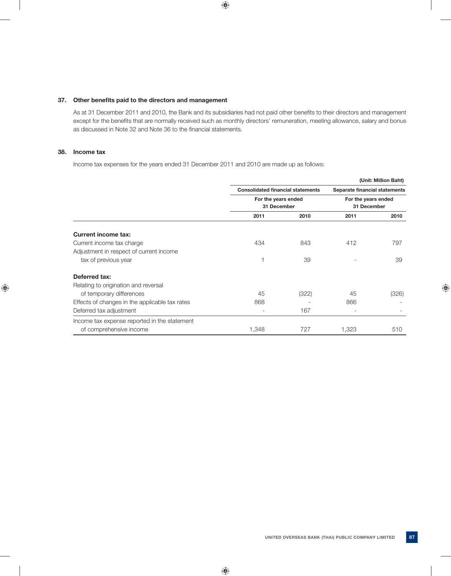### 37. Other benefits paid to the directors and management

As at 31 December 2011 and 2010, the Bank and its subsidiaries had not paid other benefits to their directors and management except for the benefits that are normally received such as monthly directors' remuneration, meeting allowance, salary and bonus as discussed in Note 32 and Note 36 to the financial statements.

### **38. Income tax**

Income tax expenses for the years ended 31 December 2011 and 2010 are made up as follows:

|                                                |                                          |       |                               | (Unit: Million Baht) |
|------------------------------------------------|------------------------------------------|-------|-------------------------------|----------------------|
|                                                | <b>Consolidated financial statements</b> |       | Separate financial statements |                      |
|                                                | For the years ended                      |       | For the years ended           |                      |
|                                                | 31 December                              |       | 31 December                   |                      |
|                                                | 2011                                     | 2010  | 2011                          | 2010                 |
| <b>Current income tax:</b>                     |                                          |       |                               |                      |
| Current income tax charge                      | 434                                      | 843   | 412                           | 797                  |
| Adjustment in respect of current income        |                                          |       |                               |                      |
| tax of previous year                           |                                          | 39    |                               | 39                   |
| Deferred tax:                                  |                                          |       |                               |                      |
| Relating to origination and reversal           |                                          |       |                               |                      |
| of temporary differences                       | 45                                       | (322) | 45                            | (326)                |
| Effects of changes in the applicable tax rates | 868                                      |       | 866                           |                      |
| Deferred tax adjustment                        |                                          | 167   |                               |                      |
| Income tax expense reported in the statement   |                                          |       |                               |                      |
| of comprehensive income                        | 1,348                                    | 727   | 1,323                         | 510                  |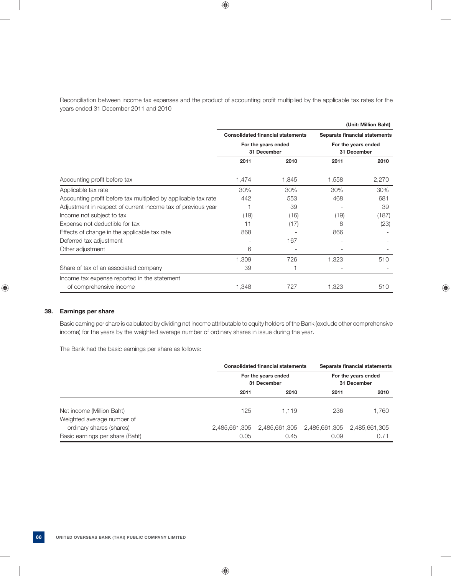Reconciliation between income tax expenses and the product of accounting profit multiplied by the applicable tax rates for the years ended 31 December 2011 and 2010

|                                                                |                                          |       |                               | (Unit: Million Baht) |
|----------------------------------------------------------------|------------------------------------------|-------|-------------------------------|----------------------|
|                                                                | <b>Consolidated financial statements</b> |       | Separate financial statements |                      |
|                                                                | For the years ended                      |       | For the years ended           |                      |
|                                                                | 31 December                              |       | 31 December                   |                      |
|                                                                | 2011                                     | 2010  | 2011                          | 2010                 |
| Accounting profit before tax                                   | 1,474                                    | 1,845 | 1,558                         | 2,270                |
| Applicable tax rate                                            | 30%                                      | 30%   | 30%                           | 30%                  |
| Accounting profit before tax multiplied by applicable tax rate | 442                                      | 553   | 468                           | 681                  |
| Adjustment in respect of current income tax of previous year   |                                          | 39    |                               | 39                   |
| Income not subject to tax                                      | (19)                                     | (16)  | (19)                          | (187)                |
| Expense not deductible for tax                                 | 11                                       | (17)  | 8                             | (23)                 |
| Effects of change in the applicable tax rate                   | 868                                      |       | 866                           |                      |
| Deferred tax adjustment                                        |                                          | 167   |                               |                      |
| Other adjustment                                               | 6                                        |       |                               |                      |
|                                                                | 1,309                                    | 726   | 1,323                         | 510                  |
| Share of tax of an associated company                          | 39                                       |       |                               |                      |
| Income tax expense reported in the statement                   |                                          |       |                               |                      |
| of comprehensive income                                        | 1,348                                    | 727   | 1,323                         | 510                  |

### **39. Earnings per share**

 Basic earning per share is calculated by dividing net income attributable to equity holders of the Bank (exclude other comprehensive income) for the years by the weighted average number of ordinary shares in issue during the year.

The Bank had the basic earnings per share as follows:

|                                                        |      | <b>Consolidated financial statements</b>                |      | Separate financial statements      |
|--------------------------------------------------------|------|---------------------------------------------------------|------|------------------------------------|
|                                                        |      | For the years ended<br>31 December                      |      | For the years ended<br>31 December |
|                                                        | 2011 | 2010                                                    | 2011 | 2010                               |
| Net income (Million Baht)                              | 125  | 1.119                                                   | 236  | 1,760                              |
| Weighted average number of<br>ordinary shares (shares) |      | 2,485,661,305 2,485,661,305 2,485,661,305 2,485,661,305 |      |                                    |
| Basic earnings per share (Baht)                        | 0.05 | 0.45                                                    | 0.09 | 0.71                               |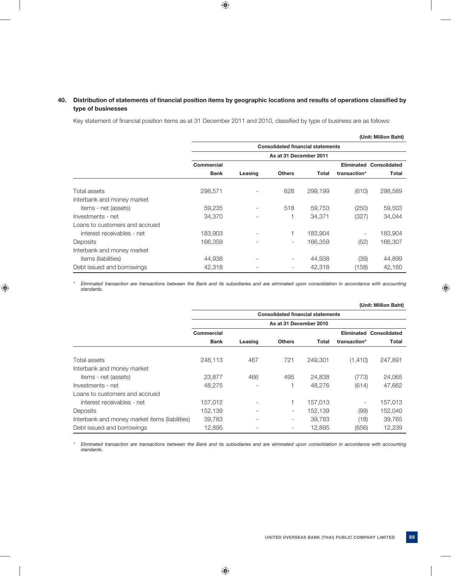# 40. Distribution of statements of financial position items by geographic locations and results of operations classified by  **type of businesses**

Key statement of financial position items as at 31 December 2011 and 2010, classified by type of business are as follows:

|                                |             |                          |                                          |         |                          | (Unit: Million Baht) |
|--------------------------------|-------------|--------------------------|------------------------------------------|---------|--------------------------|----------------------|
|                                |             |                          | <b>Consolidated financial statements</b> |         |                          |                      |
|                                |             |                          | As at 31 December 2011                   |         |                          |                      |
|                                | Commercial  |                          |                                          |         | Eliminated               | Consolidated         |
|                                | <b>Bank</b> | Leasing                  | <b>Others</b>                            | Total   | transaction*             | <b>Total</b>         |
| Total assets                   | 298,571     | $\overline{a}$           | 628                                      | 299,199 | (610)                    | 298,589              |
| Interbank and money market     |             |                          |                                          |         |                          |                      |
| items - net (assets)           | 59,235      | $\overline{\phantom{a}}$ | 518                                      | 59.753  | (250)                    | 59,503               |
| Investments - net              | 34,370      | $\qquad \qquad -$        |                                          | 34,371  | (327)                    | 34,044               |
| Loans to customers and accrued |             |                          |                                          |         |                          |                      |
| interest receivables - net     | 183,903     | $\qquad \qquad -$        |                                          | 183,904 | $\overline{\phantom{a}}$ | 183,904              |
| Deposits                       | 166,359     |                          | $\overline{\phantom{0}}$                 | 166.359 | (52)                     | 166,307              |
| Interbank and money market     |             |                          |                                          |         |                          |                      |
| items (liabilities)            | 44,938      | $\overline{a}$           | -                                        | 44,938  | (39)                     | 44,899               |
| Debt issued and borrowings     | 42,318      |                          | $\overline{\phantom{a}}$                 | 42,318  | (158)                    | 42,160               |

 *\* Eliminated transaction are transactions between the Bank and its subsidiaries and are eliminated upon consolidation in accordance with accounting standards.*

|                                                |             |                          |                                          |         |              | (Unit: Million Baht)           |
|------------------------------------------------|-------------|--------------------------|------------------------------------------|---------|--------------|--------------------------------|
|                                                |             |                          | <b>Consolidated financial statements</b> |         |              |                                |
|                                                |             |                          | As at 31 December 2010                   |         |              |                                |
|                                                | Commercial  |                          |                                          |         |              | <b>Eliminated Consolidated</b> |
|                                                | <b>Bank</b> | Leasing                  | <b>Others</b>                            | Total   | transaction* | Total                          |
| Total assets                                   | 248.113     | 467                      | 721                                      | 249.301 | (1,410)      | 247,891                        |
| Interbank and money market                     |             |                          |                                          |         |              |                                |
| items - net (assets)                           | 23,877      | 466                      | 495                                      | 24.838  | (773)        | 24,065                         |
| Investments - net                              | 48.275      | $\overline{\phantom{a}}$ |                                          | 48.276  | (614)        | 47,662                         |
| Loans to customers and accrued                 |             |                          |                                          |         |              |                                |
| interest receivables - net                     | 157,012     | $\overline{\phantom{a}}$ |                                          | 157,013 | ٠.           | 157,013                        |
| Deposits                                       | 152,139     | $\overline{\phantom{a}}$ | -                                        | 152,139 | (99)         | 152,040                        |
| Interbank and money market items (liabilities) | 39,783      | ٠                        | -                                        | 39.783  | (18)         | 39,765                         |
| Debt issued and borrowings                     | 12,895      | $\overline{\phantom{a}}$ | $\overline{\phantom{a}}$                 | 12,895  | (656)        | 12,239                         |

 *\* Eliminated transaction are transactions between the Bank and its subsidiaries and are eliminated upon consolidation in accordance with accounting standards.*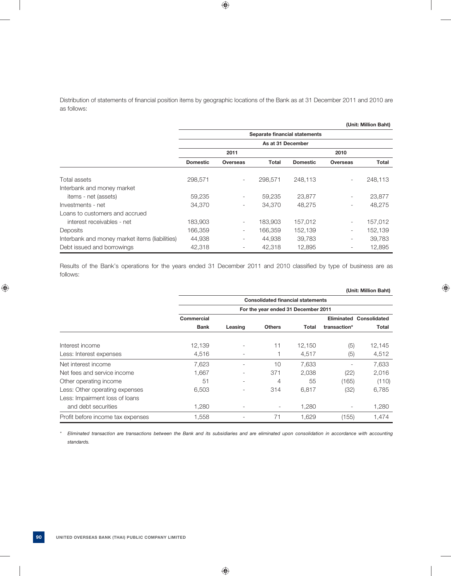Distribution of statements of financial position items by geographic locations of the Bank as at 31 December 2011 and 2010 are as follows:

|                                                |                               |                          |                   |                 |                          | (Unit: Million Baht) |  |
|------------------------------------------------|-------------------------------|--------------------------|-------------------|-----------------|--------------------------|----------------------|--|
|                                                | Separate financial statements |                          |                   |                 |                          |                      |  |
|                                                |                               |                          | As at 31 December |                 |                          |                      |  |
|                                                |                               | 2011                     |                   |                 | 2010                     |                      |  |
|                                                | <b>Domestic</b>               | <b>Overseas</b>          | Total             | <b>Domestic</b> | <b>Overseas</b>          | Total                |  |
| Total assets                                   | 298,571                       | $\overline{\phantom{a}}$ | 298,571           | 248,113         |                          | 248,113              |  |
| Interbank and money market                     |                               |                          |                   |                 |                          |                      |  |
| items - net (assets)                           | 59,235                        | $\overline{\phantom{a}}$ | 59,235            | 23,877          | Ξ.                       | 23,877               |  |
| Investments - net                              | 34,370                        | $\overline{\phantom{0}}$ | 34,370            | 48,275          |                          | 48,275               |  |
| Loans to customers and accrued                 |                               |                          |                   |                 |                          |                      |  |
| interest receivables - net                     | 183,903                       | $\overline{\phantom{a}}$ | 183,903           | 157,012         | $\overline{\phantom{a}}$ | 157,012              |  |
| Deposits                                       | 166,359                       | $\overline{\phantom{a}}$ | 166,359           | 152,139         |                          | 152,139              |  |
| Interbank and money market items (liabilities) | 44,938                        | $\overline{\phantom{0}}$ | 44,938            | 39,783          |                          | 39,783               |  |
| Debt issued and borrowings                     | 42,318                        | $\overline{\phantom{0}}$ | 42,318            | 12,895          |                          | 12,895               |  |

Results of the Bank's operations for the years ended 31 December 2011 and 2010 classified by type of business are as follows:

|                                   |                                     |                          |                                          |        |              | (Unit: Million Baht)           |
|-----------------------------------|-------------------------------------|--------------------------|------------------------------------------|--------|--------------|--------------------------------|
|                                   |                                     |                          | <b>Consolidated financial statements</b> |        |              |                                |
|                                   | For the year ended 31 December 2011 |                          |                                          |        |              |                                |
|                                   | Commercial                          |                          |                                          |        |              | <b>Eliminated Consolidated</b> |
|                                   | <b>Bank</b>                         | Leasing                  | <b>Others</b>                            | Total  | transaction* | <b>Total</b>                   |
| Interest income                   | 12,139                              |                          | 11                                       | 12,150 | (5)          | 12,145                         |
| Less: Interest expenses           | 4,516                               | $\overline{\phantom{a}}$ |                                          | 4,517  | (5)          | 4,512                          |
| Net interest income               | 7,623                               | ٠                        | 10                                       | 7,633  |              | 7,633                          |
| Net fees and service income       | 1,667                               |                          | 371                                      | 2,038  | (22)         | 2,016                          |
| Other operating income            | 51                                  | ٠                        | 4                                        | 55     | (165)        | (110)                          |
| Less: Other operating expenses    | 6,503                               | $\overline{\phantom{0}}$ | 314                                      | 6,817  | (32)         | 6,785                          |
| Less: Impairment loss of loans    |                                     |                          |                                          |        |              |                                |
| and debt securities               | 1,280                               |                          |                                          | 1,280  |              | 1,280                          |
| Profit before income tax expenses | 1,558                               |                          | 71                                       | 1,629  | (155)        | 1,474                          |

 *\* Eliminated transaction are transactions between the Bank and its subsidiaries and are eliminated upon consolidation in accordance with accounting standards.*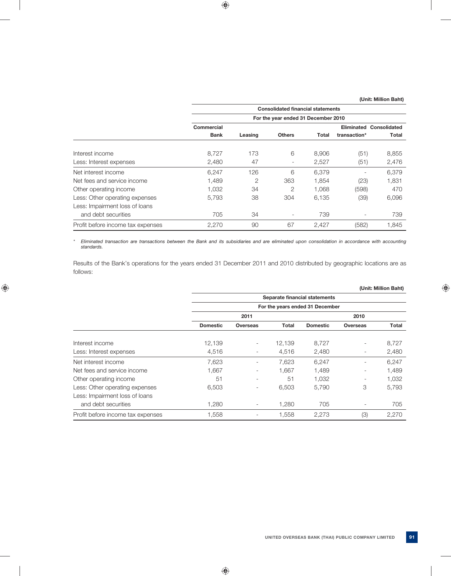|                                   |                                     | <b>Consolidated financial statements</b> |                          |       |              |                                |  |  |
|-----------------------------------|-------------------------------------|------------------------------------------|--------------------------|-------|--------------|--------------------------------|--|--|
|                                   | For the year ended 31 December 2010 |                                          |                          |       |              |                                |  |  |
|                                   | Commercial                          |                                          |                          |       |              | <b>Eliminated Consolidated</b> |  |  |
|                                   | <b>Bank</b>                         | Leasing                                  | <b>Others</b>            | Total | transaction* | Total                          |  |  |
| Interest income                   | 8.727                               | 173                                      | 6                        | 8.906 | (51)         | 8,855                          |  |  |
| Less: Interest expenses           | 2,480                               | 47                                       | -                        | 2,527 | (51)         | 2,476                          |  |  |
| Net interest income               | 6.247                               | 126                                      | 6                        | 6.379 |              | 6.379                          |  |  |
| Net fees and service income       | 1.489                               | $\overline{2}$                           | 363                      | 1,854 | (23)         | 1,831                          |  |  |
| Other operating income            | 1.032                               | 34                                       | $\overline{2}$           | 1.068 | (598)        | 470                            |  |  |
| Less: Other operating expenses    | 5.793                               | 38                                       | 304                      | 6,135 | (39)         | 6,096                          |  |  |
| Less: Impairment loss of loans    |                                     |                                          |                          |       |              |                                |  |  |
| and debt securities               | 705                                 | 34                                       | $\overline{\phantom{a}}$ | 739   |              | 739                            |  |  |
| Profit before income tax expenses | 2,270                               | 90                                       | 67                       | 2,427 | (582)        | 1,845                          |  |  |

 *\* Eliminated transaction are transactions between the Bank and its subsidiaries and are eliminated upon consolidation in accordance with accounting standards.*

 Results of the Bank's operations for the years ended 31 December 2011 and 2010 distributed by geographic locations are as follows:

|                                   |                 |                                 |              |                               |                          | (Unit: Million Baht) |  |
|-----------------------------------|-----------------|---------------------------------|--------------|-------------------------------|--------------------------|----------------------|--|
|                                   |                 |                                 |              | Separate financial statements |                          |                      |  |
|                                   |                 | For the years ended 31 December |              |                               |                          |                      |  |
|                                   |                 | 2011                            |              |                               | 2010                     |                      |  |
|                                   | <b>Domestic</b> | <b>Overseas</b>                 | <b>Total</b> | <b>Domestic</b>               | <b>Overseas</b>          | <b>Total</b>         |  |
| Interest income                   | 12,139          | $\overline{\phantom{a}}$        | 12,139       | 8,727                         | $\qquad \qquad -$        | 8,727                |  |
| Less: Interest expenses           | 4,516           | Ξ.                              | 4,516        | 2,480                         | $\qquad \qquad -$        | 2,480                |  |
| Net interest income               | 7,623           | $\overline{\phantom{0}}$        | 7,623        | 6,247                         | ۰                        | 6,247                |  |
| Net fees and service income       | 1,667           | ۰.                              | 1,667        | 1,489                         | $\qquad \qquad -$        | 1,489                |  |
| Other operating income            | 51              | $\overline{\phantom{a}}$        | 51           | 1,032                         | -                        | 1,032                |  |
| Less: Other operating expenses    | 6,503           | -                               | 6,503        | 5,790                         | 3                        | 5,793                |  |
| Less: Impairment loss of loans    |                 |                                 |              |                               |                          |                      |  |
| and debt securities               | 1,280           | Ξ.                              | 1,280        | 705                           | $\overline{\phantom{a}}$ | 705                  |  |
| Profit before income tax expenses | 1,558           |                                 | 1.558        | 2,273                         | (3)                      | 2,270                |  |
|                                   |                 |                                 |              |                               |                          |                      |  |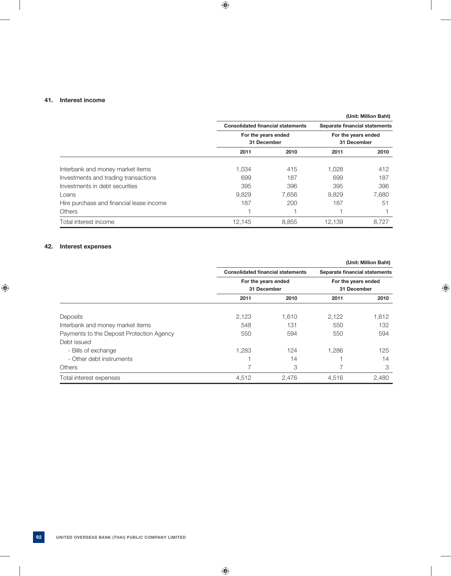### **41. Interest income**

|                                          |        |                                          |                                    | (Unit: Million Baht) |
|------------------------------------------|--------|------------------------------------------|------------------------------------|----------------------|
|                                          |        | <b>Consolidated financial statements</b> | Separate financial statements      |                      |
|                                          |        | For the years ended                      | For the years ended<br>31 December |                      |
|                                          |        | 31 December                              |                                    |                      |
|                                          | 2011   | 2010                                     | 2011                               | 2010                 |
| Interbank and money market items         | 1.034  | 415                                      | 1.028                              | 412                  |
| Investments and trading transactions     | 699    | 187                                      | 699                                | 187                  |
| Investments in debt securities           | 395    | 396                                      | 395                                | 396                  |
| Loans                                    | 9,829  | 7.656                                    | 9,829                              | 7,680                |
| Hire purchase and financial lease income | 187    | 200                                      | 187                                | 51                   |
| <b>Others</b>                            |        |                                          |                                    |                      |
| Total interest income                    | 12,145 | 8,855                                    | 12,139                             | 8,727                |

# **42. Interest expenses**

|                                           |                                          |                               |                                    | (Unit: Million Baht) |
|-------------------------------------------|------------------------------------------|-------------------------------|------------------------------------|----------------------|
|                                           | <b>Consolidated financial statements</b> | Separate financial statements |                                    |                      |
|                                           | For the years ended                      |                               | For the years ended<br>31 December |                      |
|                                           | 31 December                              |                               |                                    |                      |
|                                           | 2011                                     | 2010                          | 2011                               | 2010                 |
| Deposits                                  | 2,123                                    | 1,610                         | 2,122                              | 1,612                |
| Interbank and money market items          | 548                                      | 131                           | 550                                | 132                  |
| Payments to the Deposit Protection Agency | 550                                      | 594                           | 550                                | 594                  |
| Debt issued                               |                                          |                               |                                    |                      |
| - Bills of exchange                       | 1,283                                    | 124                           | 1,286                              | 125                  |
| - Other debt instruments                  |                                          | 14                            |                                    | 14                   |
| <b>Others</b>                             |                                          | 3                             |                                    | 3                    |
| Total interest expenses                   | 4.512                                    | 2.476                         | 4.516                              | 2.480                |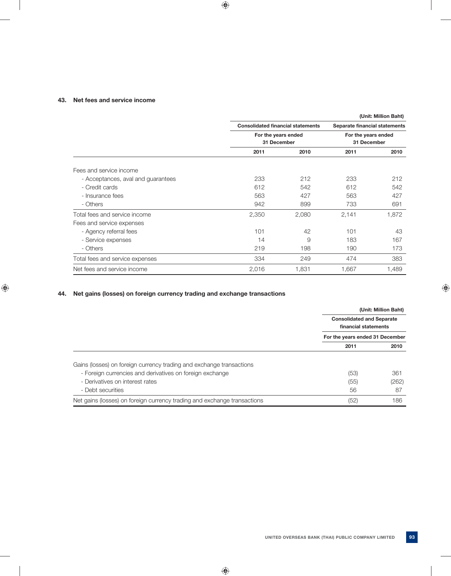## **43. Net fees and service income**

|                                    |                                          |       |                               | (Unit: Million Baht) |
|------------------------------------|------------------------------------------|-------|-------------------------------|----------------------|
|                                    | <b>Consolidated financial statements</b> |       | Separate financial statements |                      |
|                                    | For the years ended                      |       | For the years ended           |                      |
|                                    | 31 December                              |       | 31 December                   |                      |
|                                    | 2011                                     | 2010  | 2011                          | 2010                 |
| Fees and service income            |                                          |       |                               |                      |
| - Acceptances, aval and guarantees | 233                                      | 212   | 233                           | 212                  |
| - Credit cards                     | 612                                      | 542   | 612                           | 542                  |
| - Insurance fees                   | 563                                      | 427   | 563                           | 427                  |
| - Others                           | 942                                      | 899   | 733                           | 691                  |
| Total fees and service income      | 2,350                                    | 2,080 | 2,141                         | 1,872                |
| Fees and service expenses          |                                          |       |                               |                      |
| - Agency referral fees             | 101                                      | 42    | 101                           | 43                   |
| - Service expenses                 | 14                                       | 9     | 183                           | 167                  |
| - Others                           | 219                                      | 198   | 190                           | 173                  |
| Total fees and service expenses    | 334                                      | 249   | 474                           | 383                  |
| Net fees and service income        | 2,016                                    | 1,831 | 1,667                         | 1,489                |

# **44. Net gains (losses) on foreign currency trading and exchange transactions**

|                                                                          | <b>Consolidated and Separate</b><br>financial statements | (Unit: Million Baht) |
|--------------------------------------------------------------------------|----------------------------------------------------------|----------------------|
|                                                                          | For the years ended 31 December                          |                      |
|                                                                          | 2011                                                     | 2010                 |
| Gains (losses) on foreign currency trading and exchange transactions     |                                                          |                      |
| - Foreign currencies and derivatives on foreign exchange                 | (53)                                                     | 361                  |
| - Derivatives on interest rates                                          | (55)                                                     | (262)                |
| - Debt securities                                                        | 56                                                       | 87                   |
| Net gains (losses) on foreign currency trading and exchange transactions | (52)                                                     | 186                  |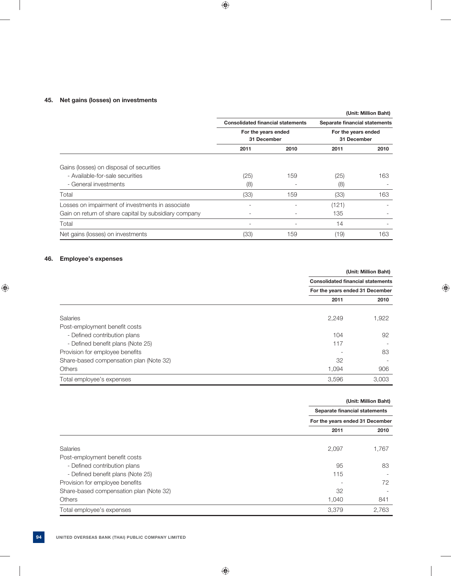# **45. Net gains (losses) on investments**

|                                                       |                          |                                          |                     | (Unit: Million Baht)          |  |
|-------------------------------------------------------|--------------------------|------------------------------------------|---------------------|-------------------------------|--|
|                                                       |                          | <b>Consolidated financial statements</b> |                     | Separate financial statements |  |
|                                                       | For the years ended      |                                          | For the years ended |                               |  |
|                                                       |                          | 31 December                              |                     | 31 December                   |  |
|                                                       | 2011                     | 2010                                     | 2011                | 2010                          |  |
| Gains (losses) on disposal of securities              |                          |                                          |                     |                               |  |
| - Available-for-sale securities                       | (25)                     | 159                                      | (25)                | 163                           |  |
| - General investments                                 | (8)                      |                                          | (8)                 |                               |  |
| Total                                                 | (33)                     | 159                                      | (33)                | 163                           |  |
| Losses on impairment of investments in associate      | $\overline{\phantom{0}}$ |                                          | (121)               |                               |  |
| Gain on return of share capital by subsidiary company |                          |                                          | 135                 |                               |  |
| Total                                                 | $\overline{\phantom{0}}$ |                                          | 14                  |                               |  |
| Net gains (losses) on investments                     | (33)                     | 159                                      | (19)                | 163                           |  |

### **46. Employee's expenses**

|                                         |                                          | (Unit: Million Baht) |
|-----------------------------------------|------------------------------------------|----------------------|
|                                         | <b>Consolidated financial statements</b> |                      |
|                                         | For the years ended 31 December          |                      |
|                                         | 2011                                     | 2010                 |
| <b>Salaries</b>                         | 2,249                                    | 1,922                |
| Post-employment benefit costs           |                                          |                      |
| - Defined contribution plans            | 104                                      | 92                   |
| - Defined benefit plans (Note 25)       | 117                                      |                      |
| Provision for employee benefits         |                                          | 83                   |
| Share-based compensation plan (Note 32) | 32                                       |                      |
| <b>Others</b>                           | 1,094                                    | 906                  |
| Total employee's expenses               | 3,596                                    | 3.003                |

|                                         |                                 | (Unit: Million Baht) |
|-----------------------------------------|---------------------------------|----------------------|
|                                         | Separate financial statements   |                      |
|                                         | For the years ended 31 December |                      |
|                                         | 2011                            | 2010                 |
| <b>Salaries</b>                         | 2,097                           | 1,767                |
| Post-employment benefit costs           |                                 |                      |
| - Defined contribution plans            | 95                              | 83                   |
| - Defined benefit plans (Note 25)       | 115                             |                      |
| Provision for employee benefits         |                                 | 72                   |
| Share-based compensation plan (Note 32) | 32                              |                      |
| <b>Others</b>                           | 1,040                           | 841                  |
| Total employee's expenses               | 3,379                           | 2,763                |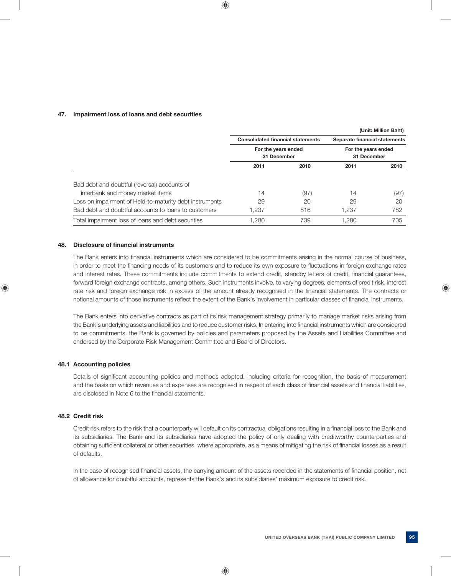### **47. Impairment loss of loans and debt securities**

|                                                         |                                          |      |                                    | (Unit: Million Baht) |
|---------------------------------------------------------|------------------------------------------|------|------------------------------------|----------------------|
|                                                         | <b>Consolidated financial statements</b> |      | Separate financial statements      |                      |
|                                                         | For the years ended<br>31 December       |      | For the years ended<br>31 December |                      |
|                                                         | 2011                                     | 2010 | 2011                               | 2010                 |
| Bad debt and doubtful (reversal) accounts of            |                                          |      |                                    |                      |
| interbank and money market items                        | 14                                       | (97) | 14                                 | (97)                 |
| Loss on impairment of Held-to-maturity debt instruments | 29                                       | 20   | 29                                 | 20                   |
| Bad debt and doubtful accounts to loans to customers    | 1.237                                    | 816  | 1.237                              | 782                  |
| Total impairment loss of loans and debt securities      | 1.280                                    | 739  | 1.280                              | 705                  |

### **48.** Disclosure of financial instruments

The Bank enters into financial instruments which are considered to be commitments arising in the normal course of business, in order to meet the financing needs of its customers and to reduce its own exposure to fluctuations in foreign exchange rates and interest rates. These commitments include commitments to extend credit, standby letters of credit, financial guarantees, forward foreign exchange contracts, among others. Such instruments involve, to varying degrees, elements of credit risk, interest rate risk and foreign exchange risk in excess of the amount already recognised in the financial statements. The contracts or notional amounts of those instruments reflect the extent of the Bank's involvement in particular classes of financial instruments.

 The Bank enters into derivative contracts as part of its risk management strategy primarily to manage market risks arising from the Bank's underlying assets and liabilities and to reduce customer risks. In entering into financial instruments which are considered to be commitments, the Bank is governed by policies and parameters proposed by the Assets and Liabilities Committee and endorsed by the Corporate Risk Management Committee and Board of Directors.

#### **48.1 Accounting policies**

Details of significant accounting policies and methods adopted, including criteria for recognition, the basis of measurement and the basis on which revenues and expenses are recognised in respect of each class of financial assets and financial liabilities, are disclosed in Note 6 to the financial statements.

### **48.2 Credit risk**

Credit risk refers to the risk that a counterparty will default on its contractual obligations resulting in a financial loss to the Bank and its subsidiaries. The Bank and its subsidiaries have adopted the policy of only dealing with creditworthy counterparties and obtaining sufficient collateral or other securities, where appropriate, as a means of mitigating the risk of financial losses as a result of defaults.

In the case of recognised financial assets, the carrying amount of the assets recorded in the statements of financial position, net of allowance for doubtful accounts, represents the Bank's and its subsidiaries' maximum exposure to credit risk.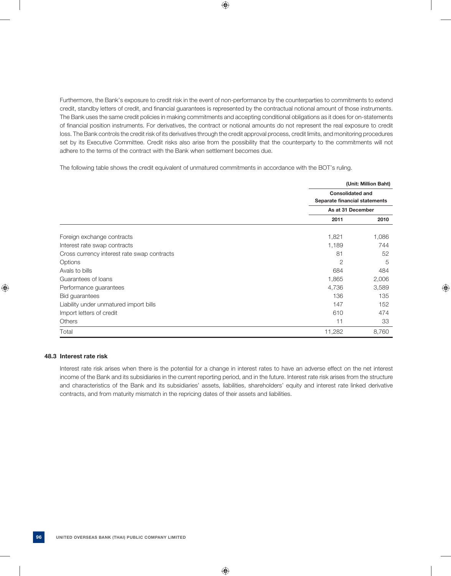Furthermore, the Bank's exposure to credit risk in the event of non-performance by the counterparties to commitments to extend credit, standby letters of credit, and financial guarantees is represented by the contractual notional amount of those instruments. The Bank uses the same credit policies in making commitments and accepting conditional obligations as it does for on-statements of financial position instruments. For derivatives, the contract or notional amounts do not represent the real exposure to credit loss. The Bank controls the credit risk of its derivatives through the credit approval process, credit limits, and monitoring procedures set by its Executive Committee. Credit risks also arise from the possibility that the counterparty to the commitments will not adhere to the terms of the contract with the Bank when settlement becomes due.

The following table shows the credit equivalent of unmatured commitments in accordance with the BOT's ruling.

|                                             |                                                          | (Unit: Million Baht) |
|---------------------------------------------|----------------------------------------------------------|----------------------|
|                                             | <b>Consolidated and</b><br>Separate financial statements |                      |
|                                             | As at 31 December                                        |                      |
|                                             | 2011                                                     | 2010                 |
| Foreign exchange contracts                  | 1,821                                                    | 1,086                |
| Interest rate swap contracts                | 1,189                                                    | 744                  |
| Cross currency interest rate swap contracts | 81                                                       | 52                   |
| Options                                     | $\overline{2}$                                           | 5                    |
| Avals to bills                              | 684                                                      | 484                  |
| Guarantees of loans                         | 1,865                                                    | 2,006                |
| Performance guarantees                      | 4,736                                                    | 3,589                |
| <b>Bid guarantees</b>                       | 136                                                      | 135                  |
| Liability under unmatured import bills      | 147                                                      | 152                  |
| Import letters of credit                    | 610                                                      | 474                  |
| <b>Others</b>                               | 11                                                       | 33                   |
| Total                                       | 11,282                                                   | 8,760                |

### **48.3 Interest rate risk**

 Interest rate risk arises when there is the potential for a change in interest rates to have an adverse effect on the net interest income of the Bank and its subsidiaries in the current reporting period, and in the future. Interest rate risk arises from the structure and characteristics of the Bank and its subsidiaries' assets, liabilities, shareholders' equity and interest rate linked derivative contracts, and from maturity mismatch in the repricing dates of their assets and liabilities.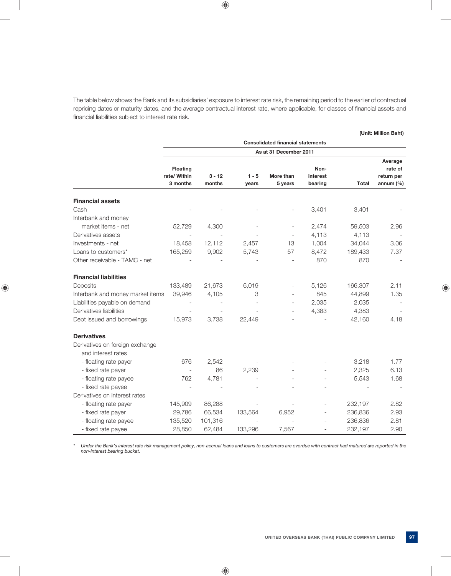The table below shows the Bank and its subsidiaries' exposure to interest rate risk, the remaining period to the earlier of contractual repricing dates or maturity dates, and the average contractual interest rate, where applicable, for classes of financial assets and financial liabilities subject to interest rate risk.

|                                  |                                                                    |                    |                  |                      |                             |              | (Unit: Million Baht)                  |  |  |
|----------------------------------|--------------------------------------------------------------------|--------------------|------------------|----------------------|-----------------------------|--------------|---------------------------------------|--|--|
|                                  | <b>Consolidated financial statements</b><br>As at 31 December 2011 |                    |                  |                      |                             |              |                                       |  |  |
|                                  |                                                                    |                    |                  |                      |                             |              | Average                               |  |  |
|                                  | <b>Floating</b><br>rate/ Within<br>3 months                        | $3 - 12$<br>months | $1 - 5$<br>years | More than<br>5 years | Non-<br>interest<br>bearing | <b>Total</b> | rate of<br>return per<br>annum $(\%)$ |  |  |
| <b>Financial assets</b>          |                                                                    |                    |                  |                      |                             |              |                                       |  |  |
| Cash                             |                                                                    |                    |                  |                      | 3,401                       | 3,401        |                                       |  |  |
| Interbank and money              |                                                                    |                    |                  |                      |                             |              |                                       |  |  |
| market items - net               | 52,729                                                             | 4,300              |                  |                      | 2,474                       | 59,503       | 2.96                                  |  |  |
| Derivatives assets               |                                                                    |                    |                  | L,                   | 4,113                       | 4,113        |                                       |  |  |
| Investments - net                | 18,458                                                             | 12,112             | 2,457            | 13                   | 1,004                       | 34,044       | 3.06                                  |  |  |
| Loans to customers*              | 165,259                                                            | 9,902              | 5,743            | 57                   | 8,472                       | 189,433      | 7.37                                  |  |  |
| Other receivable - TAMC - net    |                                                                    |                    |                  |                      | 870                         | 870          |                                       |  |  |
| <b>Financial liabilities</b>     |                                                                    |                    |                  |                      |                             |              |                                       |  |  |
| Deposits                         | 133,489                                                            | 21,673             | 6,019            |                      | 5,126                       | 166,307      | 2.11                                  |  |  |
| Interbank and money market items | 39,946                                                             | 4,105              | 3                |                      | 845                         | 44,899       | 1.35                                  |  |  |
| Liabilities payable on demand    |                                                                    |                    |                  |                      | 2,035                       | 2,035        |                                       |  |  |
| Derivatives liabilities          |                                                                    |                    |                  |                      | 4,383                       | 4,383        |                                       |  |  |
| Debt issued and borrowings       | 15,973                                                             | 3,738              | 22,449           |                      | $\overline{a}$              | 42,160       | 4.18                                  |  |  |
| <b>Derivatives</b>               |                                                                    |                    |                  |                      |                             |              |                                       |  |  |
| Derivatives on foreign exchange  |                                                                    |                    |                  |                      |                             |              |                                       |  |  |
| and interest rates               |                                                                    |                    |                  |                      |                             |              |                                       |  |  |
| - floating rate payer            | 676                                                                | 2,542              |                  |                      |                             | 3,218        | 1.77                                  |  |  |
| - fixed rate payer               |                                                                    | 86                 | 2,239            |                      |                             | 2,325        | 6.13                                  |  |  |
| - floating rate payee            | 762                                                                | 4,781              |                  |                      |                             | 5,543        | 1.68                                  |  |  |
| - fixed rate payee               |                                                                    |                    |                  |                      |                             |              |                                       |  |  |
| Derivatives on interest rates    |                                                                    |                    |                  |                      |                             |              |                                       |  |  |
| - floating rate payer            | 145,909                                                            | 86,288             |                  |                      |                             | 232,197      | 2.82                                  |  |  |
| - fixed rate payer               | 29,786                                                             | 66,534             | 133,564          | 6,952                |                             | 236,836      | 2.93                                  |  |  |
| - floating rate payee            | 135,520                                                            | 101,316            |                  |                      | L,                          | 236,836      | 2.81                                  |  |  |
| - fixed rate payee               | 28,850                                                             | 62,484             | 133,296          | 7,567                | $\overline{a}$              | 232,197      | 2.90                                  |  |  |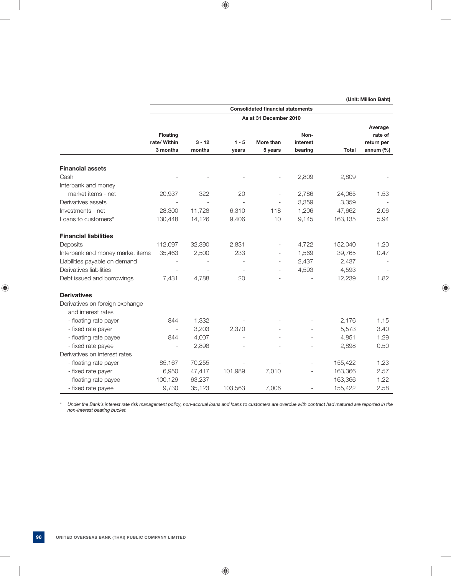|                                                       |                                             |                    |                  | <b>Consolidated financial statements</b> |                             |              |                                                 |
|-------------------------------------------------------|---------------------------------------------|--------------------|------------------|------------------------------------------|-----------------------------|--------------|-------------------------------------------------|
|                                                       |                                             |                    |                  | As at 31 December 2010                   |                             |              |                                                 |
|                                                       | <b>Floating</b><br>rate/ Within<br>3 months | $3 - 12$<br>months | $1 - 5$<br>years | More than<br>5 years                     | Non-<br>interest<br>bearing | <b>Total</b> | Average<br>rate of<br>return per<br>annum $(%)$ |
| <b>Financial assets</b>                               |                                             |                    |                  |                                          |                             |              |                                                 |
| Cash                                                  |                                             |                    |                  |                                          | 2,809                       | 2,809        |                                                 |
| Interbank and money                                   |                                             |                    |                  |                                          |                             |              |                                                 |
| market items - net                                    | 20,937                                      | 322                | 20               |                                          | 2,786                       | 24,065       | 1.53                                            |
| Derivatives assets                                    |                                             |                    |                  |                                          | 3,359                       | 3,359        |                                                 |
| Investments - net                                     | 28,300                                      | 11,728             | 6,310            | 118                                      | 1,206                       | 47,662       | 2.06                                            |
| Loans to customers*                                   | 130,448                                     | 14,126             | 9,406            | 10                                       | 9,145                       | 163,135      | 5.94                                            |
| <b>Financial liabilities</b>                          |                                             |                    |                  |                                          |                             |              |                                                 |
| Deposits                                              | 112,097                                     | 32,390             | 2,831            |                                          | 4,722                       | 152,040      | 1.20                                            |
| Interbank and money market items                      | 35,463                                      | 2,500              | 233              |                                          | 1,569                       | 39,765       | 0.47                                            |
| Liabilities payable on demand                         |                                             |                    |                  | ٠                                        | 2,437                       | 2,437        |                                                 |
| Derivatives liabilities                               |                                             |                    |                  |                                          | 4,593                       | 4,593        |                                                 |
| Debt issued and borrowings                            | 7,431                                       | 4.788              | 20               |                                          |                             | 12,239       | 1.82                                            |
| <b>Derivatives</b>                                    |                                             |                    |                  |                                          |                             |              |                                                 |
| Derivatives on foreign exchange<br>and interest rates |                                             |                    |                  |                                          |                             |              |                                                 |
| - floating rate payer                                 | 844                                         | 1,332              |                  |                                          |                             | 2,176        | 1.15                                            |
| - fixed rate payer                                    |                                             | 3,203              | 2,370            |                                          |                             | 5,573        | 3.40                                            |
| - floating rate payee                                 | 844                                         | 4,007              |                  |                                          | $\overline{a}$              | 4,851        | 1.29                                            |
| - fixed rate payee                                    |                                             | 2,898              |                  |                                          |                             | 2,898        | 0.50                                            |
| Derivatives on interest rates                         |                                             |                    |                  |                                          |                             |              |                                                 |
| - floating rate payer                                 | 85,167                                      | 70,255             |                  |                                          | L,                          | 155,422      | 1.23                                            |
| - fixed rate payer                                    | 6,950                                       | 47,417             | 101,989          | 7,010                                    | ۰                           | 163,366      | 2.57                                            |
| - floating rate payee                                 | 100,129                                     | 63,237             |                  |                                          |                             | 163,366      | 1.22                                            |
| - fixed rate payee                                    | 9,730                                       | 35,123             | 103,563          | 7,006                                    |                             | 155,422      | 2.58                                            |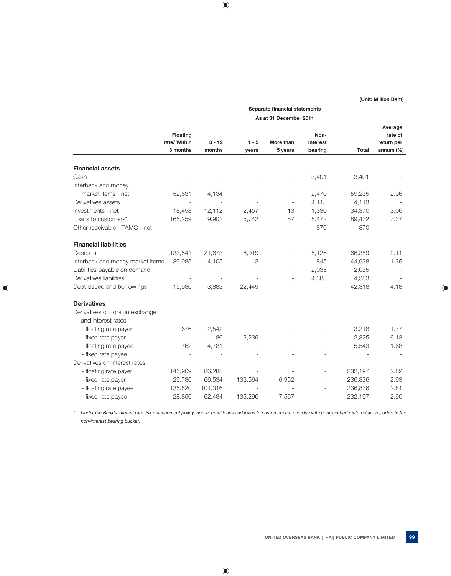|                                                       |                                             |                    |                  | Separate financial statements |                             |              |                                                  |
|-------------------------------------------------------|---------------------------------------------|--------------------|------------------|-------------------------------|-----------------------------|--------------|--------------------------------------------------|
|                                                       |                                             |                    |                  | As at 31 December 2011        |                             |              |                                                  |
|                                                       | <b>Floating</b><br>rate/ Within<br>3 months | $3 - 12$<br>months | $1 - 5$<br>years | More than<br>5 years          | Non-<br>interest<br>bearing | <b>Total</b> | Average<br>rate of<br>return per<br>annum $(\%)$ |
| <b>Financial assets</b>                               |                                             |                    |                  |                               |                             |              |                                                  |
| Cash                                                  |                                             |                    |                  |                               | 3,401                       | 3,401        |                                                  |
| Interbank and money                                   |                                             |                    |                  |                               |                             |              |                                                  |
| market items - net                                    | 52,631                                      | 4,134              |                  |                               | 2,470                       | 59,235       | 2.96                                             |
| Derivatives assets                                    |                                             |                    |                  | $\overline{a}$                | 4,113                       | 4,113        |                                                  |
| Investments - net                                     | 18,458                                      | 12,112             | 2,457            | 13                            | 1,330                       | 34,370       | 3.06                                             |
| Loans to customers*                                   | 165,259                                     | 9,902              | 5,742            | 57                            | 8,472                       | 189,432      | 7.37                                             |
| Other receivable - TAMC - net                         |                                             |                    |                  | $\overline{a}$                | 870                         | 870          |                                                  |
| <b>Financial liabilities</b>                          |                                             |                    |                  |                               |                             |              |                                                  |
| Deposits                                              | 133,541                                     | 21,673             | 6,019            |                               | 5,126                       | 166,359      | 2.11                                             |
| Interbank and money market items                      | 39,985                                      | 4,105              | 3                | $\overline{a}$                | 845                         | 44,938       | 1.35                                             |
| Liabilities payable on demand                         |                                             |                    | $\overline{a}$   |                               | 2,035                       | 2,035        |                                                  |
| Derivatives liabilities                               |                                             |                    |                  | $\overline{a}$                | 4,383                       | 4,383        |                                                  |
| Debt issued and borrowings                            | 15,986                                      | 3,883              | 22,449           |                               |                             | 42,318       | 4.18                                             |
| <b>Derivatives</b>                                    |                                             |                    |                  |                               |                             |              |                                                  |
| Derivatives on foreign exchange<br>and interest rates |                                             |                    |                  |                               |                             |              |                                                  |
| - floating rate payer                                 | 676                                         | 2,542              |                  |                               |                             | 3,218        | 1.77                                             |
| - fixed rate payer                                    |                                             | 86                 | 2,239            |                               |                             | 2,325        | 6.13                                             |
| - floating rate payee                                 | 762                                         | 4,781              |                  |                               |                             | 5,543        | 1.68                                             |
| - fixed rate payee                                    | $\overline{\phantom{a}}$                    |                    |                  |                               |                             |              |                                                  |
| Derivatives on interest rates                         |                                             |                    |                  |                               |                             |              |                                                  |
| - floating rate payer                                 | 145,909                                     | 86,288             |                  |                               |                             | 232,197      | 2.82                                             |
| - fixed rate payer                                    | 29,786                                      | 66,534             | 133,564          | 6,952                         |                             | 236,836      | 2.93                                             |
| - floating rate payee                                 | 135,520                                     | 101,316            |                  |                               |                             | 236,836      | 2.81                                             |
| - fixed rate payee                                    | 28,850                                      | 62,484             | 133,296          | 7,567                         |                             | 232,197      | 2.90                                             |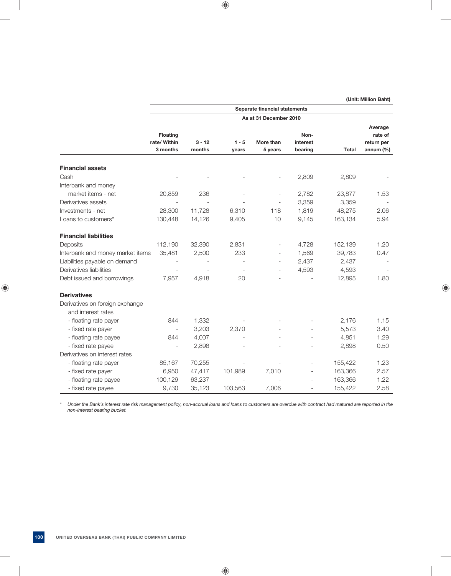|                                                       |                                             |                    |                  | Separate financial statements |                             |              |                                                  |
|-------------------------------------------------------|---------------------------------------------|--------------------|------------------|-------------------------------|-----------------------------|--------------|--------------------------------------------------|
|                                                       |                                             |                    |                  | As at 31 December 2010        |                             |              |                                                  |
|                                                       | <b>Floating</b><br>rate/ Within<br>3 months | $3 - 12$<br>months | $1 - 5$<br>years | More than<br>5 years          | Non-<br>interest<br>bearing | <b>Total</b> | Average<br>rate of<br>return per<br>annum $(\%)$ |
|                                                       |                                             |                    |                  |                               |                             |              |                                                  |
| <b>Financial assets</b>                               |                                             |                    |                  |                               |                             |              |                                                  |
| Cash                                                  |                                             |                    |                  |                               | 2,809                       | 2,809        |                                                  |
| Interbank and money                                   |                                             |                    |                  |                               |                             |              |                                                  |
| market items - net                                    | 20,859                                      | 236                |                  |                               | 2,782                       | 23,877       | 1.53                                             |
| Derivatives assets                                    |                                             |                    |                  |                               | 3,359                       | 3,359        |                                                  |
| Investments - net                                     | 28,300                                      | 11,728             | 6.310            | 118                           | 1,819                       | 48,275       | 2.06                                             |
| Loans to customers*                                   | 130,448                                     | 14,126             | 9,405            | 10                            | 9,145                       | 163,134      | 5.94                                             |
| <b>Financial liabilities</b>                          |                                             |                    |                  |                               |                             |              |                                                  |
| Deposits                                              | 112,190                                     | 32,390             | 2,831            | $\overline{a}$                | 4,728                       | 152,139      | 1.20                                             |
| Interbank and money market items                      | 35,481                                      | 2,500              | 233              | $\overline{\phantom{a}}$      | 1,569                       | 39,783       | 0.47                                             |
| Liabilities payable on demand                         |                                             |                    | $\overline{a}$   | $\overline{\phantom{a}}$      | 2,437                       | 2,437        |                                                  |
| Derivatives liabilities                               |                                             |                    |                  | $\overline{a}$                | 4,593                       | 4,593        |                                                  |
| Debt issued and borrowings                            | 7,957                                       | 4,918              | 20               |                               |                             | 12,895       | 1.80                                             |
| <b>Derivatives</b>                                    |                                             |                    |                  |                               |                             |              |                                                  |
| Derivatives on foreign exchange<br>and interest rates |                                             |                    |                  |                               |                             |              |                                                  |
| - floating rate payer                                 | 844                                         | 1,332              |                  |                               |                             | 2,176        | 1.15                                             |
| - fixed rate payer                                    |                                             | 3,203              | 2,370            |                               |                             | 5,573        | 3.40                                             |
| - floating rate payee                                 | 844                                         | 4,007              |                  |                               | ÷                           | 4,851        | 1.29                                             |
| - fixed rate payee                                    |                                             | 2,898              |                  |                               |                             | 2,898        | 0.50                                             |
| Derivatives on interest rates                         |                                             |                    |                  |                               |                             |              |                                                  |
| - floating rate payer                                 | 85,167                                      | 70,255             |                  |                               | L,                          | 155,422      | 1.23                                             |
| - fixed rate payer                                    | 6,950                                       | 47,417             | 101,989          | 7,010                         | $\overline{\phantom{a}}$    | 163,366      | 2.57                                             |
| - floating rate payee                                 | 100,129                                     | 63,237             |                  |                               |                             | 163,366      | 1.22                                             |
| - fixed rate payee                                    | 9,730                                       | 35,123             | 103,563          | 7,006                         |                             | 155,422      | 2.58                                             |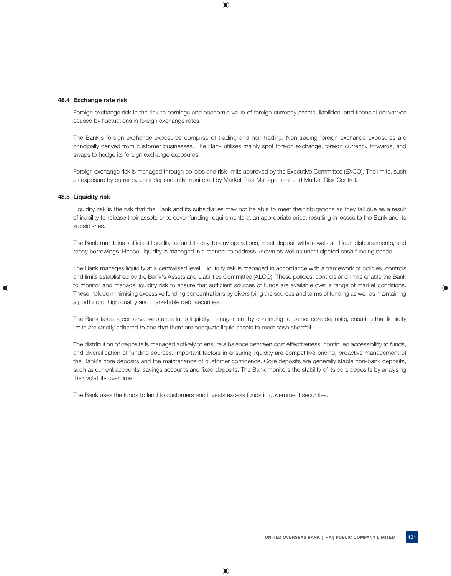#### **48.4 Exchange rate risk**

Foreign exchange risk is the risk to earnings and economic value of foreign currency assets, liabilities, and financial derivatives caused by fluctuations in foreign exchange rates.

 The Bank's foreign exchange exposures comprise of trading and non-trading. Non-trading foreign exchange exposures are principally derived from customer businesses. The Bank utilises mainly spot foreign exchange, foreign currency forwards, and swaps to hedge its foreign exchange exposures.

 Foreign exchange risk is managed through policies and risk limits approved by the Executive Committee (EXCO). The limits, such as exposure by currency are independently monitored by Market Risk Management and Market Risk Control.

#### **48.5 Liquidity risk**

 Liquidity risk is the risk that the Bank and its subsidiaries may not be able to meet their obligations as they fall due as a result of inability to release their assets or to cover funding requirements at an appropriate price, resulting in losses to the Bank and its subsidiaries.

The Bank maintains sufficient liquidity to fund its day-to-day operations, meet deposit withdrawals and loan disbursements, and repay borrowings. Hence, liquidity is managed in a manner to address known as well as unanticipated cash funding needs.

 The Bank manages liquidity at a centralised level. Liquidity risk is managed in accordance with a framework of policies, controls and limits established by the Bank's Assets and Liabilities Committee (ALCO). These policies, controls and limits enable the Bank to monitor and manage liquidity risk to ensure that sufficient sources of funds are available over a range of market conditions. These include minimising excessive funding concentrations by diversifying the sources and terms of funding as well as maintaining a portfolio of high quality and marketable debt securities.

 The Bank takes a conservative stance in its liquidity management by continuing to gather core deposits, ensuring that liquidity limits are strictly adhered to and that there are adequate liquid assets to meet cash shortfall.

 The distribution of deposits is managed actively to ensure a balance between cost effectiveness, continued accessibility to funds, and diversification of funding sources. Important factors in ensuring liquidity are competitive pricing, proactive management of the Bank's core deposits and the maintenance of customer confidence. Core deposits are generally stable non-bank deposits, such as current accounts, savings accounts and fixed deposits. The Bank monitors the stability of its core deposits by analysing their volatility over time.

The Bank uses the funds to lend to customers and invests excess funds in government securities.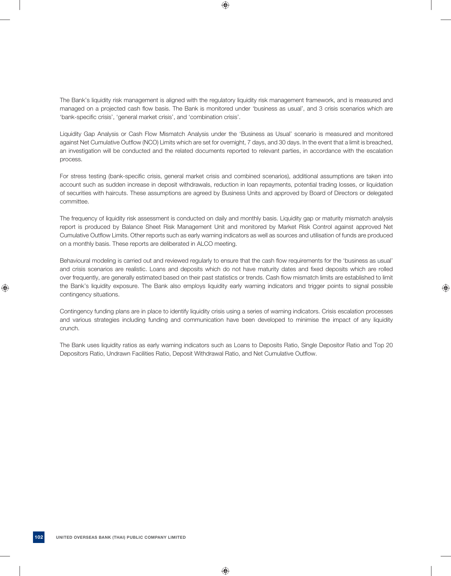The Bank's liquidity risk management is aligned with the regulatory liquidity risk management framework, and is measured and managed on a projected cash flow basis. The Bank is monitored under 'business as usual', and 3 crisis scenarios which are 'bank-specific crisis', 'general market crisis', and 'combination crisis'.

 Liquidity Gap Analysis or Cash Flow Mismatch Analysis under the 'Business as Usual' scenario is measured and monitored against Net Cumulative Outflow (NCO) Limits which are set for overnight, 7 days, and 30 days. In the event that a limit is breached, an investigation will be conducted and the related documents reported to relevant parties, in accordance with the escalation process.

For stress testing (bank-specific crisis, general market crisis and combined scenarios), additional assumptions are taken into account such as sudden increase in deposit withdrawals, reduction in loan repayments, potential trading losses, or liquidation of securities with haircuts. These assumptions are agreed by Business Units and approved by Board of Directors or delegated committee.

 The frequency of liquidity risk assessment is conducted on daily and monthly basis. Liquidity gap or maturity mismatch analysis report is produced by Balance Sheet Risk Management Unit and monitored by Market Risk Control against approved Net Cumulative Outflow Limits. Other reports such as early warning indicators as well as sources and utilisation of funds are produced on a monthly basis. These reports are deliberated in ALCO meeting.

Behavioural modeling is carried out and reviewed regularly to ensure that the cash flow requirements for the 'business as usual' and crisis scenarios are realistic. Loans and deposits which do not have maturity dates and fixed deposits which are rolled over frequently, are generally estimated based on their past statistics or trends. Cash flow mismatch limits are established to limit the Bank's liquidity exposure. The Bank also employs liquidity early warning indicators and trigger points to signal possible contingency situations.

 Contingency funding plans are in place to identify liquidity crisis using a series of warning indicators. Crisis escalation processes and various strategies including funding and communication have been developed to minimise the impact of any liquidity crunch.

 The Bank uses liquidity ratios as early warning indicators such as Loans to Deposits Ratio, Single Depositor Ratio and Top 20 Depositors Ratio, Undrawn Facilities Ratio, Deposit Withdrawal Ratio, and Net Cumulative Outflow.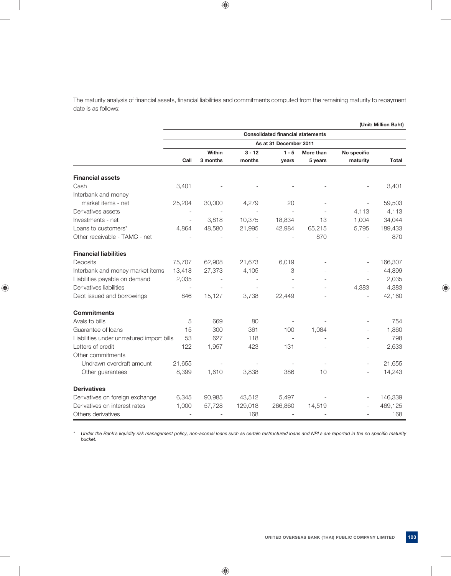The maturity analysis of financial assets, financial liabilities and commitments computed from the remaining maturity to repayment date is as follows:

|                                          |                        |          |          | <b>Consolidated financial statements</b> |           |             |         |
|------------------------------------------|------------------------|----------|----------|------------------------------------------|-----------|-------------|---------|
|                                          | As at 31 December 2011 |          |          |                                          |           |             |         |
|                                          |                        | Within   | $3 - 12$ | $1 - 5$                                  | More than | No specific |         |
|                                          | Call                   | 3 months | months   | years                                    | 5 years   | maturity    | Total   |
| <b>Financial assets</b>                  |                        |          |          |                                          |           |             |         |
| Cash                                     | 3,401                  |          |          |                                          |           |             | 3,401   |
| Interbank and money                      |                        |          |          |                                          |           |             |         |
| market items - net                       | 25,204                 | 30,000   | 4,279    | 20                                       |           |             | 59,503  |
| Derivatives assets                       |                        |          |          |                                          |           | 4,113       | 4,113   |
| Investments - net                        | $\overline{a}$         | 3,818    | 10,375   | 18,834                                   | 13        | 1,004       | 34,044  |
| Loans to customers*                      | 4.864                  | 48,580   | 21,995   | 42,984                                   | 65,215    | 5,795       | 189,433 |
| Other receivable - TAMC - net            |                        |          |          |                                          | 870       |             | 870     |
| <b>Financial liabilities</b>             |                        |          |          |                                          |           |             |         |
| Deposits                                 | 75,707                 | 62,908   | 21,673   | 6,019                                    |           |             | 166,307 |
| Interbank and money market items         | 13,418                 | 27,373   | 4,105    | 3                                        |           |             | 44,899  |
| Liabilities payable on demand            | 2,035                  |          |          |                                          |           |             | 2,035   |
| Derivatives liabilities                  |                        |          |          |                                          |           | 4,383       | 4,383   |
| Debt issued and borrowings               | 846                    | 15,127   | 3,738    | 22,449                                   |           |             | 42,160  |
| <b>Commitments</b>                       |                        |          |          |                                          |           |             |         |
| Avals to bills                           | 5                      | 669      | 80       |                                          |           |             | 754     |
| Guarantee of loans                       | 15                     | 300      | 361      | 100                                      | 1,084     |             | 1,860   |
| Liabilities under unmatured import bills | 53                     | 627      | 118      |                                          |           |             | 798     |
| Letters of credit                        | 122                    | 1,957    | 423      | 131                                      |           |             | 2,633   |
| Other commitments                        |                        |          |          |                                          |           |             |         |
| Undrawn overdraft amount                 | 21,655                 |          |          |                                          |           |             | 21,655  |
| Other guarantees                         | 8,399                  | 1,610    | 3,838    | 386                                      | 10        |             | 14,243  |
| <b>Derivatives</b>                       |                        |          |          |                                          |           |             |         |
| Derivatives on foreign exchange          | 6,345                  | 90,985   | 43,512   | 5,497                                    |           |             | 146,339 |
| Derivatives on interest rates            | 1,000                  | 57,728   | 129,018  | 266,860                                  | 14,519    |             | 469,125 |
| Others derivatives                       |                        |          | 168      |                                          |           |             | 168     |

\* Under the Bank's liquidity risk management policy, non-accrual loans such as certain restructured loans and NPLs are reported in the no specific maturity  *bucket.*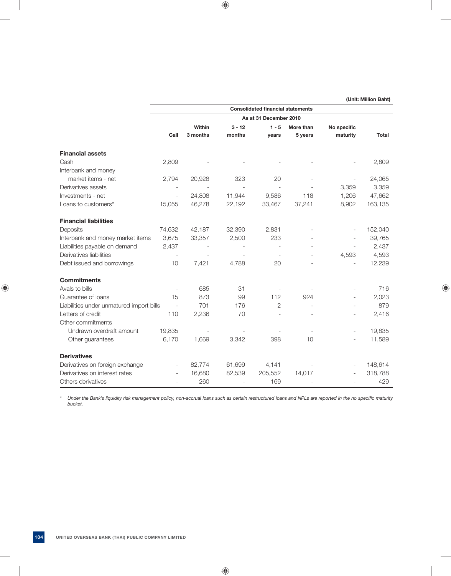|                                          |                          |          |          | <b>Consolidated financial statements</b> |                          |                          |         |
|------------------------------------------|--------------------------|----------|----------|------------------------------------------|--------------------------|--------------------------|---------|
|                                          |                          |          |          | As at 31 December 2010                   |                          |                          |         |
|                                          |                          | Within   | $3 - 12$ | $1 - 5$                                  | More than                | No specific              |         |
|                                          | Call                     | 3 months | months   | years                                    | 5 years                  | maturity                 | Total   |
| <b>Financial assets</b>                  |                          |          |          |                                          |                          |                          |         |
| Cash                                     | 2,809                    |          |          |                                          |                          |                          | 2,809   |
| Interbank and money                      |                          |          |          |                                          |                          |                          |         |
| market items - net                       | 2,794                    | 20,928   | 323      | 20                                       |                          |                          | 24,065  |
| Derivatives assets                       |                          |          |          |                                          |                          | 3,359                    | 3,359   |
| Investments - net                        | $\equiv$                 | 24,808   | 11,944   | 9,586                                    | 118                      | 1,206                    | 47,662  |
| Loans to customers*                      | 15,055                   | 46,278   | 22,192   | 33,467                                   | 37,241                   | 8,902                    | 163,135 |
| <b>Financial liabilities</b>             |                          |          |          |                                          |                          |                          |         |
| Deposits                                 | 74,632                   | 42,187   | 32,390   | 2,831                                    |                          |                          | 152,040 |
| Interbank and money market items         | 3,675                    | 33,357   | 2,500    | 233                                      |                          |                          | 39,765  |
| Liabilities payable on demand            | 2,437                    |          |          |                                          |                          |                          | 2,437   |
| Derivatives liabilities                  |                          |          |          | $\overline{\phantom{a}}$                 |                          | 4,593                    | 4,593   |
| Debt issued and borrowings               | 10                       | 7,421    | 4,788    | 20                                       |                          | $\overline{a}$           | 12,239  |
| <b>Commitments</b>                       |                          |          |          |                                          |                          |                          |         |
| Avals to bills                           | $\overline{\phantom{a}}$ | 685      | 31       |                                          |                          |                          | 716     |
| Guarantee of loans                       | 15                       | 873      | 99       | 112                                      | 924                      | $\overline{\phantom{a}}$ | 2,023   |
| Liabilities under unmatured import bills | $\sim$                   | 701      | 176      | $\overline{2}$                           |                          | $\overline{\phantom{a}}$ | 879     |
| Letters of credit                        | 110                      | 2,236    | 70       |                                          |                          |                          | 2,416   |
| Other commitments                        |                          |          |          |                                          |                          |                          |         |
| Undrawn overdraft amount                 | 19,835                   |          |          |                                          | $\overline{\phantom{a}}$ | $\overline{\phantom{a}}$ | 19,835  |
| Other guarantees                         | 6,170                    | 1,669    | 3,342    | 398                                      | 10                       | $\overline{\phantom{a}}$ | 11,589  |
| <b>Derivatives</b>                       |                          |          |          |                                          |                          |                          |         |
| Derivatives on foreign exchange          |                          | 82,774   | 61,699   | 4,141                                    |                          |                          | 148,614 |
| Derivatives on interest rates            |                          | 16,680   | 82,539   | 205,552                                  | 14,017                   |                          | 318,788 |
| Others derivatives                       |                          | 260      |          | 169                                      |                          |                          | 429     |

\* Under the Bank's liquidity risk management policy, non-accrual loans such as certain restructured loans and NPLs are reported in the no specific maturity  *bucket.*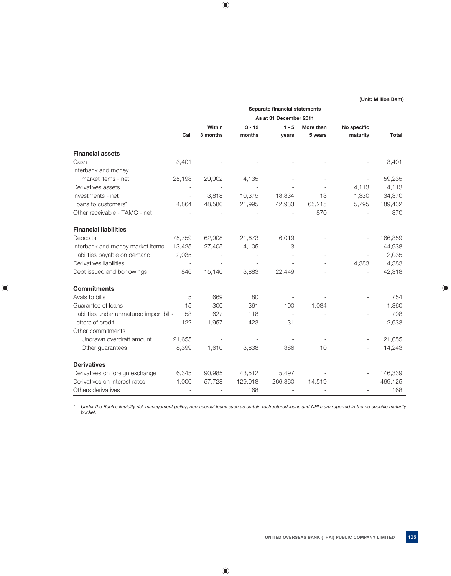|                                          |                          |                          |          | Separate financial statements |           |             |              |
|------------------------------------------|--------------------------|--------------------------|----------|-------------------------------|-----------|-------------|--------------|
|                                          |                          |                          |          | As at 31 December 2011        |           |             |              |
|                                          |                          | Within                   | $3 - 12$ | $1 - 5$                       | More than | No specific |              |
|                                          | Call                     | 3 months                 | months   | years                         | 5 years   | maturity    | <b>Total</b> |
| <b>Financial assets</b>                  |                          |                          |          |                               |           |             |              |
| Cash                                     | 3,401                    |                          |          |                               |           |             | 3,401        |
| Interbank and money                      |                          |                          |          |                               |           |             |              |
| market items - net                       | 25,198                   | 29,902                   | 4,135    |                               |           |             | 59,235       |
| Derivatives assets                       |                          | $\overline{\phantom{a}}$ |          |                               |           | 4,113       | 4,113        |
| Investments - net                        | $\overline{\phantom{m}}$ | 3,818                    | 10,375   | 18,834                        | 13        | 1,330       | 34,370       |
| Loans to customers*                      | 4,864                    | 48,580                   | 21,995   | 42,983                        | 65,215    | 5,795       | 189,432      |
| Other receivable - TAMC - net            |                          |                          |          |                               | 870       |             | 870          |
| <b>Financial liabilities</b>             |                          |                          |          |                               |           |             |              |
| Deposits                                 | 75,759                   | 62,908                   | 21,673   | 6,019                         |           |             | 166,359      |
| Interbank and money market items         | 13,425                   | 27,405                   | 4,105    | 3                             |           |             | 44,938       |
| Liabilities payable on demand            | 2,035                    |                          |          |                               |           |             | 2,035        |
| Derivatives liabilities                  |                          |                          |          |                               |           | 4,383       | 4,383        |
| Debt issued and borrowings               | 846                      | 15,140                   | 3,883    | 22,449                        |           |             | 42,318       |
| <b>Commitments</b>                       |                          |                          |          |                               |           |             |              |
| Avals to bills                           | 5                        | 669                      | 80       |                               |           |             | 754          |
| Guarantee of loans                       | 15                       | 300                      | 361      | 100                           | 1,084     |             | 1,860        |
| Liabilities under unmatured import bills | 53                       | 627                      | 118      |                               |           |             | 798          |
| Letters of credit                        | 122                      | 1,957                    | 423      | 131                           |           |             | 2,633        |
| Other commitments                        |                          |                          |          |                               |           |             |              |
| Undrawn overdraft amount                 | 21,655                   |                          |          |                               |           |             | 21,655       |
| Other guarantees                         | 8,399                    | 1,610                    | 3,838    | 386                           | 10        |             | 14,243       |
| <b>Derivatives</b>                       |                          |                          |          |                               |           |             |              |
| Derivatives on foreign exchange          | 6,345                    | 90,985                   | 43,512   | 5,497                         |           |             | 146,339      |
| Derivatives on interest rates            | 1,000                    | 57,728                   | 129,018  | 266,860                       | 14,519    |             | 469,125      |
| Others derivatives                       |                          |                          | 168      |                               |           |             | 168          |

\* Under the Bank's liquidity risk management policy, non-accrual loans such as certain restructured loans and NPLs are reported in the no specific maturity  *bucket.*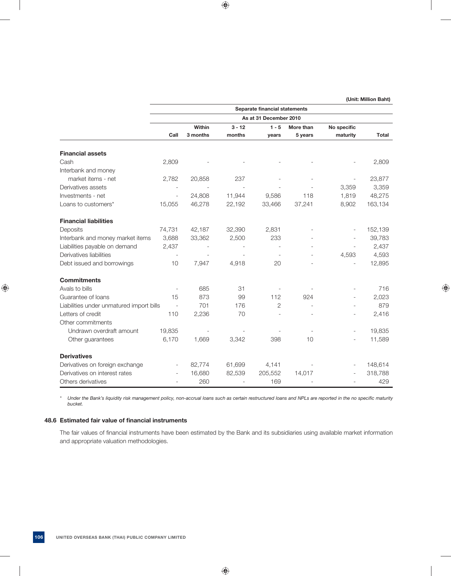**As at 31 December 2010 1 - 5 More than No specific 1 - 5 More than No specific Call 3 months months years 5 years maturity Total** Cash 2,809 - - - - - 2,809 market items - net 2.782 20,858 237 - - - 23,877

**Separate financial statements** 

 **(Unit: Million Baht)**

|                                          |                          |        |        |              |                          |                          | <u>_</u> _,_. |
|------------------------------------------|--------------------------|--------|--------|--------------|--------------------------|--------------------------|---------------|
| Derivatives assets                       |                          |        |        |              |                          | 3,359                    | 3,359         |
| Investments - net                        | $\overline{\phantom{m}}$ | 24,808 | 11,944 | 9,586        | 118                      | 1,819                    | 48,275        |
| Loans to customers*                      | 15,055                   | 46,278 | 22,192 | 33,466       | 37,241                   | 8,902                    | 163,134       |
| <b>Financial liabilities</b>             |                          |        |        |              |                          |                          |               |
| Deposits                                 | 74,731                   | 42,187 | 32,390 | 2,831        |                          |                          | 152,139       |
| Interbank and money market items         | 3,688                    | 33,362 | 2,500  | 233          |                          |                          | 39,783        |
| Liabilities payable on demand            | 2,437                    |        |        |              |                          |                          | 2,437         |
| Derivatives liabilities                  | $\overline{\phantom{a}}$ |        |        |              |                          | 4,593                    | 4,593         |
| Debt issued and borrowings               | 10 <sup>°</sup>          | 7,947  | 4,918  | 20           | $\overline{\phantom{a}}$ |                          | 12,895        |
| <b>Commitments</b>                       |                          |        |        |              |                          |                          |               |
| Avals to bills                           | $\overline{\phantom{a}}$ | 685    | 31     |              |                          |                          | 716           |
| Guarantee of loans                       | 15                       | 873    | 99     | 112          | 924                      |                          | 2,023         |
| Liabilities under unmatured import bills | $\overline{\phantom{a}}$ | 701    | 176    | $\mathbf{2}$ |                          |                          | 879           |
| Letters of credit                        | 110                      | 2,236  | 70     |              |                          |                          | 2,416         |
| Other commitments                        |                          |        |        |              |                          |                          |               |
| Undrawn overdraft amount                 | 19,835                   |        |        |              |                          | $\overline{\phantom{a}}$ | 19,835        |
| Other guarantees                         | 6,170                    | 1,669  | 3,342  | 398          | 10                       | $\overline{\phantom{a}}$ | 11,589        |
| <b>Derivatives</b>                       |                          |        |        |              |                          |                          |               |
| Derivatives on foreign exchange          | $\overline{\phantom{a}}$ | 82,774 | 61,699 | 4,141        |                          |                          | 148,614       |
| Derivatives on interest rates            | $\overline{\phantom{a}}$ | 16,680 | 82,539 | 205,552      | 14,017                   |                          | 318,788       |
| Others derivatives                       |                          | 260    |        | 169          |                          |                          | 429           |

Under the Bank's liquidity risk management policy, non-accrual loans such as certain restructured loans and NPLs are reported in the no specific maturity  *bucket.*

### **48.6 Estimated fair value of financial instruments**

 **Financial assets**

Interbank and money

The fair values of financial instruments have been estimated by the Bank and its subsidiaries using available market information and appropriate valuation methodologies.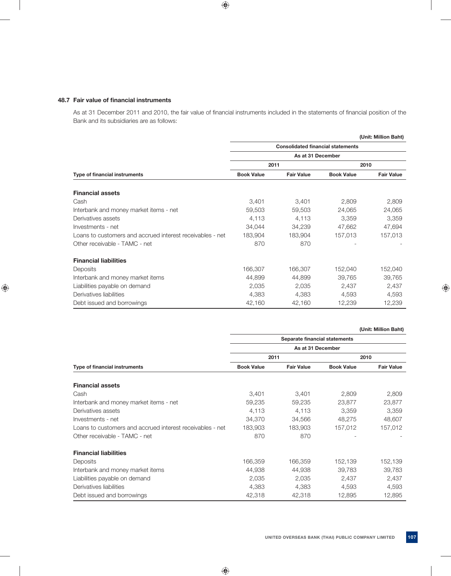### **48.7 Fair value of financial instruments**

As at 31 December 2011 and 2010, the fair value of financial instruments included in the statements of financial position of the Bank and its subsidiaries are as follows:

|                                                           |                   |                                          |                   | (Unit: Million Baht) |  |  |  |  |
|-----------------------------------------------------------|-------------------|------------------------------------------|-------------------|----------------------|--|--|--|--|
|                                                           |                   | <b>Consolidated financial statements</b> |                   |                      |  |  |  |  |
|                                                           |                   | As at 31 December                        |                   |                      |  |  |  |  |
|                                                           | 2011              |                                          | 2010              |                      |  |  |  |  |
| Type of financial instruments                             | <b>Book Value</b> | <b>Fair Value</b>                        | <b>Book Value</b> | <b>Fair Value</b>    |  |  |  |  |
| <b>Financial assets</b>                                   |                   |                                          |                   |                      |  |  |  |  |
| Cash                                                      | 3,401             | 3,401                                    | 2,809             | 2,809                |  |  |  |  |
| Interbank and money market items - net                    | 59,503            | 59,503                                   | 24,065            | 24,065               |  |  |  |  |
| Derivatives assets                                        | 4,113             | 4,113                                    | 3,359             | 3,359                |  |  |  |  |
| Investments - net                                         | 34,044            | 34,239                                   | 47,662            | 47,694               |  |  |  |  |
| Loans to customers and accrued interest receivables - net | 183,904           | 183.904                                  | 157,013           | 157,013              |  |  |  |  |
| Other receivable - TAMC - net                             | 870               | 870                                      |                   |                      |  |  |  |  |
| <b>Financial liabilities</b>                              |                   |                                          |                   |                      |  |  |  |  |
| Deposits                                                  | 166,307           | 166,307                                  | 152,040           | 152,040              |  |  |  |  |
| Interbank and money market items                          | 44,899            | 44,899                                   | 39,765            | 39,765               |  |  |  |  |
| Liabilities payable on demand                             | 2,035             | 2,035                                    | 2,437             | 2,437                |  |  |  |  |
| Derivatives liabilities                                   | 4,383             | 4,383                                    | 4,593             | 4,593                |  |  |  |  |
| Debt issued and borrowings                                | 42,160            | 42,160                                   | 12,239            | 12,239               |  |  |  |  |

 **(Unit: Million Baht)**

|                                                           |                   | Separate financial statements |                   |                   |  |  |  |  |  |
|-----------------------------------------------------------|-------------------|-------------------------------|-------------------|-------------------|--|--|--|--|--|
|                                                           |                   | As at 31 December             |                   |                   |  |  |  |  |  |
|                                                           | 2011              |                               |                   | 2010              |  |  |  |  |  |
| Type of financial instruments                             | <b>Book Value</b> | <b>Fair Value</b>             | <b>Book Value</b> | <b>Fair Value</b> |  |  |  |  |  |
| <b>Financial assets</b>                                   |                   |                               |                   |                   |  |  |  |  |  |
| Cash                                                      | 3,401             | 3,401                         | 2,809             | 2,809             |  |  |  |  |  |
| Interbank and money market items - net                    | 59,235            | 59,235                        | 23,877            | 23,877            |  |  |  |  |  |
| Derivatives assets                                        | 4,113             | 4,113                         | 3,359             | 3,359             |  |  |  |  |  |
| Investments - net                                         | 34,370            | 34,566                        | 48,275            | 48,607            |  |  |  |  |  |
| Loans to customers and accrued interest receivables - net | 183,903           | 183.903                       | 157,012           | 157,012           |  |  |  |  |  |
| Other receivable - TAMC - net                             | 870               | 870                           |                   |                   |  |  |  |  |  |
| <b>Financial liabilities</b>                              |                   |                               |                   |                   |  |  |  |  |  |
| Deposits                                                  | 166,359           | 166,359                       | 152,139           | 152,139           |  |  |  |  |  |
| Interbank and money market items                          | 44,938            | 44,938                        | 39,783            | 39,783            |  |  |  |  |  |
| Liabilities payable on demand                             | 2,035             | 2,035                         | 2,437             | 2,437             |  |  |  |  |  |
| Derivatives liabilities                                   | 4,383             | 4,383                         | 4,593             | 4,593             |  |  |  |  |  |
| Debt issued and borrowings                                | 42,318            | 42,318                        | 12,895            | 12,895            |  |  |  |  |  |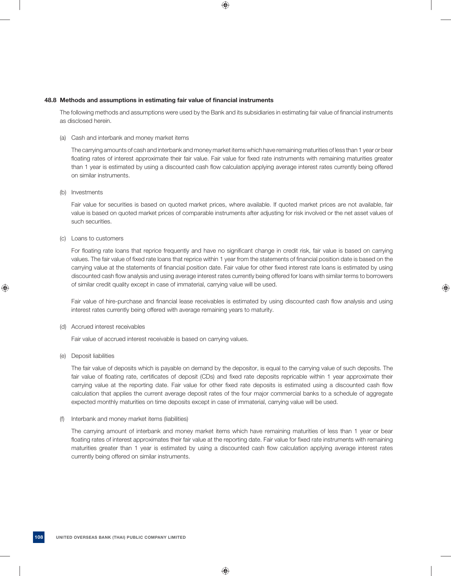### **48.8 Methods and assumptions in estimating fair value of financial instruments**

The following methods and assumptions were used by the Bank and its subsidiaries in estimating fair value of financial instruments as disclosed herein.

## (a) Cash and interbank and money market items

 The carrying amounts of cash and interbank and money market items which have remaining maturities of less than 1 year or bear floating rates of interest approximate their fair value. Fair value for fixed rate instruments with remaining maturities greater than 1 year is estimated by using a discounted cash flow calculation applying average interest rates currently being offered on similar instruments.

## (b) Investments

 Fair value for securities is based on quoted market prices, where available. If quoted market prices are not available, fair value is based on quoted market prices of comparable instruments after adjusting for risk involved or the net asset values of such securities.

## (c) Loans to customers

For floating rate loans that reprice frequently and have no significant change in credit risk, fair value is based on carrying values. The fair value of fixed rate loans that reprice within 1 year from the statements of financial position date is based on the carrying value at the statements of financial position date. Fair value for other fixed interest rate loans is estimated by using discounted cash flow analysis and using average interest rates currently being offered for loans with similar terms to borrowers of similar credit quality except in case of immaterial, carrying value will be used.

Fair value of hire-purchase and financial lease receivables is estimated by using discounted cash flow analysis and using interest rates currently being offered with average remaining years to maturity.

### (d) Accrued interest receivables

Fair value of accrued interest receivable is based on carrying values.

### (e) Deposit liabilities

 The fair value of deposits which is payable on demand by the depositor, is equal to the carrying value of such deposits. The fair value of floating rate, certificates of deposit (CDs) and fixed rate deposits repricable within 1 year approximate their carrying value at the reporting date. Fair value for other fixed rate deposits is estimated using a discounted cash flow calculation that applies the current average deposit rates of the four major commercial banks to a schedule of aggregate expected monthly maturities on time deposits except in case of immaterial, carrying value will be used.

### (f) Interbank and money market items (liabilities)

 The carrying amount of interbank and money market items which have remaining maturities of less than 1 year or bear floating rates of interest approximates their fair value at the reporting date. Fair value for fixed rate instruments with remaining maturities greater than 1 year is estimated by using a discounted cash flow calculation applying average interest rates currently being offered on similar instruments.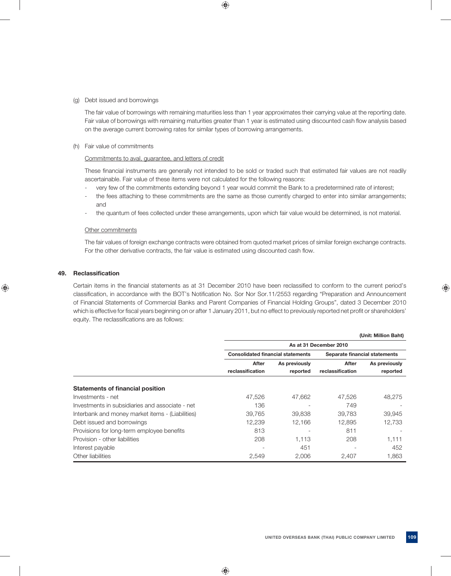## (g) Debt issued and borrowings

 The fair value of borrowings with remaining maturities less than 1 year approximates their carrying value at the reporting date. Fair value of borrowings with remaining maturities greater than 1 year is estimated using discounted cash flow analysis based on the average current borrowing rates for similar types of borrowing arrangements.

## (h) Fair value of commitments

## Commitments to aval, guarantee, and letters of credit

These financial instruments are generally not intended to be sold or traded such that estimated fair values are not readily ascertainable. Fair value of these items were not calculated for the following reasons:

- very few of the commitments extending beyond 1 year would commit the Bank to a predetermined rate of interest;
- the fees attaching to these commitments are the same as those currently charged to enter into similar arrangements; and
- the quantum of fees collected under these arrangements, upon which fair value would be determined, is not material.

## Other commitments

 The fair values of foreign exchange contracts were obtained from quoted market prices of similar foreign exchange contracts. For the other derivative contracts, the fair value is estimated using discounted cash flow.

## **49. Reclassifi cation**

Certain items in the financial statements as at 31 December 2010 have been reclassified to conform to the current period's classification, in accordance with the BOT's Notification No. Sor Nor Sor.11/2553 regarding "Preparation and Announcement of Financial Statements of Commercial Banks and Parent Companies of Financial Holding Groups", dated 3 December 2010 which is effective for fiscal years beginning on or after 1 January 2011, but no effect to previously reported net profit or shareholders' equity. The reclassifications are as follows:

|                                                  | (Unit: Million Baht)                     |                          |                               |               |  |  |
|--------------------------------------------------|------------------------------------------|--------------------------|-------------------------------|---------------|--|--|
|                                                  | As at 31 December 2010                   |                          |                               |               |  |  |
|                                                  | <b>Consolidated financial statements</b> |                          | Separate financial statements |               |  |  |
|                                                  | After                                    | As previously            | After                         | As previously |  |  |
|                                                  | reclassification                         | reported                 | reclassification              | reported      |  |  |
| <b>Statements of financial position</b>          |                                          |                          |                               |               |  |  |
| Investments - net                                | 47,526                                   | 47,662                   | 47,526                        | 48,275        |  |  |
| Investments in subsidiaries and associate - net  | 136                                      | $\overline{\phantom{0}}$ | 749                           |               |  |  |
| Interbank and money market items - (Liabilities) | 39,765                                   | 39,838                   | 39.783                        | 39,945        |  |  |
| Debt issued and borrowings                       | 12.239                                   | 12,166                   | 12.895                        | 12.733        |  |  |
| Provisions for long-term employee benefits       | 813                                      |                          | 811                           |               |  |  |
| Provision - other liabilities                    | 208                                      | 1.113                    | 208                           | 1.111         |  |  |
| Interest payable                                 |                                          | 451                      |                               | 452           |  |  |
| Other liabilities                                | 2,549                                    | 2.006                    | 2.407                         | 1.863         |  |  |
|                                                  |                                          |                          |                               |               |  |  |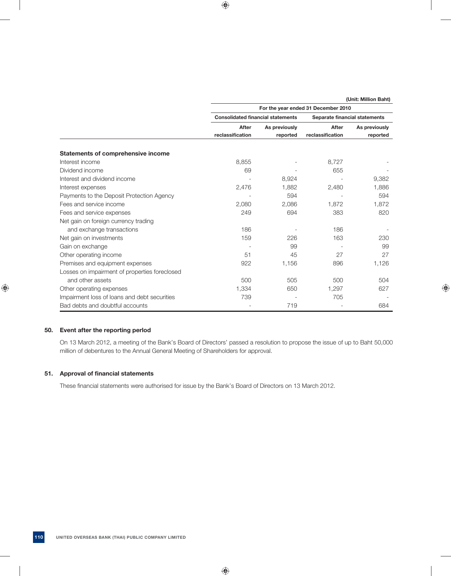|                                               | (Unit: Million Baht)                     |               |                               |               |  |  |
|-----------------------------------------------|------------------------------------------|---------------|-------------------------------|---------------|--|--|
|                                               | For the year ended 31 December 2010      |               |                               |               |  |  |
|                                               | <b>Consolidated financial statements</b> |               | Separate financial statements |               |  |  |
|                                               | After                                    | As previously | After                         | As previously |  |  |
|                                               | reclassification                         | reported      | reclassification              | reported      |  |  |
| <b>Statements of comprehensive income</b>     |                                          |               |                               |               |  |  |
| Interest income                               | 8,855                                    |               | 8,727                         |               |  |  |
| Dividend income                               | 69                                       |               | 655                           |               |  |  |
| Interest and dividend income                  |                                          | 8,924         |                               | 9,382         |  |  |
| Interest expenses                             | 2,476                                    | 1,882         | 2,480                         | 1,886         |  |  |
| Payments to the Deposit Protection Agency     |                                          | 594           |                               | 594           |  |  |
| Fees and service income                       | 2,080                                    | 2,086         | 1,872                         | 1.872         |  |  |
| Fees and service expenses                     | 249                                      | 694           | 383                           | 820           |  |  |
| Net gain on foreign currency trading          |                                          |               |                               |               |  |  |
| and exchange transactions                     | 186                                      |               | 186                           |               |  |  |
| Net gain on investments                       | 159                                      | 226           | 163                           | 230           |  |  |
| Gain on exchange                              |                                          | 99            |                               | 99            |  |  |
| Other operating income                        | 51                                       | 45            | 27                            | 27            |  |  |
| Premises and equipment expenses               | 922                                      | 1,156         | 896                           | 1,126         |  |  |
| Losses on impairment of properties foreclosed |                                          |               |                               |               |  |  |
| and other assets                              | 500                                      | 505           | 500                           | 504           |  |  |
| Other operating expenses                      | 1,334                                    | 650           | 1,297                         | 627           |  |  |
| Impairment loss of loans and debt securities  | 739                                      |               | 705                           |               |  |  |
| Bad debts and doubtful accounts               |                                          | 719           |                               | 684           |  |  |

## **50. Event after the reporting perlod**

 On 13 March 2012, a meeting of the Bank's Board of Directors' passed a resolution to propose the issue of up to Baht 50,000 million of debentures to the Annual General Meeting of Shareholders for approval.

## **51.** Approval of financial statements

These financial statements were authorised for issue by the Bank's Board of Directors on 13 March 2012.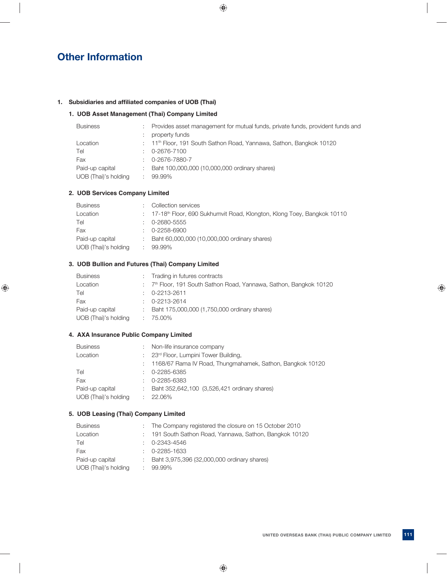## **Other Information**

## 1. Subsidiaries and affiliated companies of UOB (Thai)

## **1. UOB Asset Management (Thai) Company Limited**

| <b>Business</b>      | Provides asset management for mutual funds, private funds, provident funds and  |
|----------------------|---------------------------------------------------------------------------------|
|                      | property funds                                                                  |
| Location             | : 11 <sup>th</sup> Floor, 191 South Sathon Road, Yannawa, Sathon, Bangkok 10120 |
| Tel                  | 0-2676-7100                                                                     |
| Fax                  | 0-2676-7880-7                                                                   |
| Paid-up capital      | Baht 100,000,000 (10,000,000 ordinary shares)                                   |
| UOB (Thai)'s holding | 99.99%                                                                          |
|                      |                                                                                 |

## **2. UOB Services Company Limited**

| <b>Business</b>      | Collection services                                                                  |
|----------------------|--------------------------------------------------------------------------------------|
| Location             | : 17-18 <sup>th</sup> Floor, 690 Sukhumvit Road, Klongton, Klong Toey, Bangkok 10110 |
| Tel                  | 0-2680-5555                                                                          |
| Fax                  | 0-2258-6900                                                                          |
| Paid-up capital      | Baht 60,000,000 (10,000,000 ordinary shares)                                         |
| UOB (Thai)'s holding | 99.99%                                                                               |

## **3. UOB Bullion and Futures (Thai) Company Limited**

| <b>Business</b>      | : Trading in futures contracts                                                 |
|----------------------|--------------------------------------------------------------------------------|
| Location             | : 7 <sup>th</sup> Floor, 191 South Sathon Road, Yannawa, Sathon, Bangkok 10120 |
| Tel                  | $\therefore$ 0-2213-2611                                                       |
| Fax                  | $\therefore$ 0-2213-2614                                                       |
| Paid-up capital      | : Baht 175,000,000 (1,750,000 ordinary shares)                                 |
| UOB (Thai)'s holding | $: 75.00\%$                                                                    |
|                      |                                                                                |

## **4. AXA Insurance Public Company Limited**

| <b>Business</b>      |   | Non-life insurance company                                  |
|----------------------|---|-------------------------------------------------------------|
| Location             |   | : 23 <sup>rd</sup> Floor, Lumpini Tower Building,           |
|                      |   | : 1168/67 Rama IV Road, Thungmahamek, Sathon, Bangkok 10120 |
| Tel                  |   | 0-2285-6385                                                 |
| Fax                  |   | 0-2285-6383                                                 |
| Paid-up capital      | ÷ | Baht 352,642,100 (3,526,421 ordinary shares)                |
| UOB (Thai)'s holding |   | 22.06%                                                      |
|                      |   |                                                             |

## **5. UOB Leasing (Thai) Company Limited**

| <b>Business</b>      | : The Company registered the closure on 15 October 2010 |
|----------------------|---------------------------------------------------------|
| Location             | : 191 South Sathon Road, Yannawa, Sathon, Bangkok 10120 |
| Tel                  | $\therefore$ 0-2343-4546                                |
| Fax                  | $\therefore$ 0-2285-1633                                |
| Paid-up capital      | : Baht 3,975,396 (32,000,000 ordinary shares)           |
| UOB (Thai)'s holding | 99.99%                                                  |
|                      |                                                         |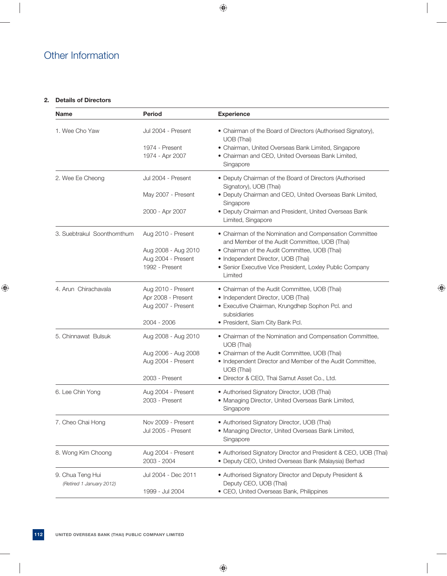## Other Information

## **2. Details of Directors**

| <b>Name</b>                                  | <b>Period</b>                                                                      | <b>Experience</b>                                                                                                                                                                                                                                                      |
|----------------------------------------------|------------------------------------------------------------------------------------|------------------------------------------------------------------------------------------------------------------------------------------------------------------------------------------------------------------------------------------------------------------------|
| 1. Wee Cho Yaw                               | Jul 2004 - Present<br>1974 - Present<br>1974 - Apr 2007                            | • Chairman of the Board of Directors (Authorised Signatory),<br>UOB (Thai)<br>• Chairman, United Overseas Bank Limited, Singapore<br>• Chairman and CEO, United Overseas Bank Limited,<br>Singapore                                                                    |
| 2. Wee Ee Cheong                             | Jul 2004 - Present<br>May 2007 - Present<br>2000 - Apr 2007                        | • Deputy Chairman of the Board of Directors (Authorised<br>Signatory), UOB (Thai)<br>· Deputy Chairman and CEO, United Overseas Bank Limited,<br>Singapore<br>• Deputy Chairman and President, United Overseas Bank<br>Limited, Singapore                              |
| 3. Suebtrakul Soonthornthum                  | Aug 2010 - Present<br>Aug 2008 - Aug 2010<br>Aug 2004 - Present<br>1992 - Present  | • Chairman of the Nomination and Compensation Committee<br>and Member of the Audit Committee, UOB (Thai)<br>• Chairman of the Audit Committee, UOB (Thai)<br>• Independent Director, UOB (Thai)<br>• Senior Executive Vice President, Loxley Public Company<br>Limited |
| 4. Arun Chirachavala                         | Aug 2010 - Present<br>Apr 2008 - Present<br>Aug 2007 - Present<br>2004 - 2006      | • Chairman of the Audit Committee, UOB (Thai)<br>• Independent Director, UOB (Thai)<br>• Executive Chairman, Krungdhep Sophon Pcl. and<br>subsidiaries<br>• President, Siam City Bank Pcl.                                                                             |
| 5. Chinnawat Bulsuk                          | Aug 2008 - Aug 2010<br>Aug 2006 - Aug 2008<br>Aug 2004 - Present<br>2003 - Present | • Chairman of the Nomination and Compensation Committee,<br>UOB (Thai)<br>• Chairman of the Audit Committee, UOB (Thai)<br>• Independent Director and Member of the Audit Committee,<br>UOB (Thai)<br>· Director & CEO, Thai Samut Asset Co., Ltd.                     |
| 6. Lee Chin Yong                             | Aug 2004 - Present<br>2003 - Present                                               | • Authorised Signatory Director, UOB (Thai)<br>• Managing Director, United Overseas Bank Limited,<br>Singapore                                                                                                                                                         |
| 7. Cheo Chai Hong                            | Nov 2009 - Present<br>Jul 2005 - Present                                           | • Authorised Signatory Director, UOB (Thai)<br>• Managing Director, United Overseas Bank Limited,<br>Singapore                                                                                                                                                         |
| 8. Wong Kim Choong                           | Aug 2004 - Present<br>2003 - 2004                                                  | • Authorised Signatory Director and President & CEO, UOB (Thai)<br>• Deputy CEO, United Overseas Bank (Malaysia) Berhad                                                                                                                                                |
| 9. Chua Teng Hui<br>(Retired 1 January 2012) | Jul 2004 - Dec 2011<br>1999 - Jul 2004                                             | • Authorised Signatory Director and Deputy President &<br>Deputy CEO, UOB (Thai)<br>• CEO, United Overseas Bank, Philippines                                                                                                                                           |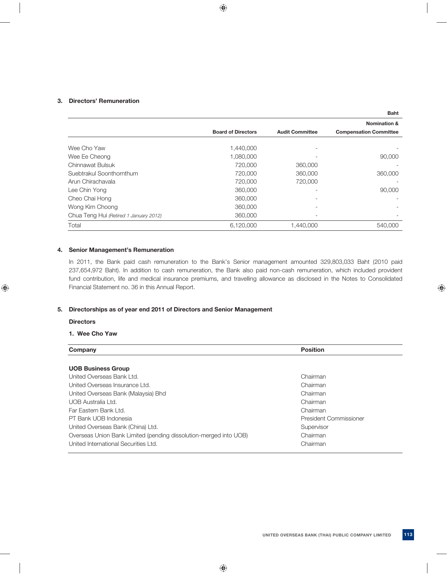## **3. Directors' Remuneration**

|                                        |                           |                        | <b>Baht</b>                   |
|----------------------------------------|---------------------------|------------------------|-------------------------------|
|                                        |                           |                        | <b>Nomination &amp;</b>       |
|                                        | <b>Board of Directors</b> | <b>Audit Committee</b> | <b>Compensation Committee</b> |
| Wee Cho Yaw                            | 1,440,000                 |                        |                               |
| Wee Ee Cheong                          | 1,080,000                 |                        | 90,000                        |
| Chinnawat Bulsuk                       | 720,000                   | 360,000                |                               |
| Suebtrakul Soonthornthum               | 720,000                   | 360,000                | 360,000                       |
| Arun Chirachavala                      | 720,000                   | 720,000                |                               |
| Lee Chin Yong                          | 360,000                   |                        | 90,000                        |
| Cheo Chai Hong                         | 360,000                   | $\qquad \qquad =$      |                               |
| Wong Kim Choong                        | 360,000                   |                        |                               |
| Chua Teng Hui (Retired 1 January 2012) | 360,000                   |                        |                               |
| Total                                  | 6,120,000                 | 1,440,000              | 540,000                       |

## **4. Senior Management's Remuneration**

 In 2011, the Bank paid cash remuneration to the Bank's Senior management amounted 329,803,033 Baht (2010 paid 237,654,972 Baht). In addition to cash remuneration, the Bank also paid non-cash remuneration, which included provident fund contribution, life and medical insurance premiums, and travelling allowance as disclosed in the Notes to Consolidated Financial Statement no. 36 in this Annual Report.

## **5. Directorships as of year end 2011 of Directors and Senior Management**

## **Directors**

## **1. Wee Cho Yaw**

| Company                                                           | <b>Position</b>        |  |
|-------------------------------------------------------------------|------------------------|--|
|                                                                   |                        |  |
| <b>UOB Business Group</b>                                         |                        |  |
| United Overseas Bank Ltd.                                         | Chairman               |  |
| United Overseas Insurance Ltd.                                    | Chairman               |  |
| United Overseas Bank (Malaysia) Bhd                               | Chairman               |  |
| UOB Australia Ltd.                                                | Chairman               |  |
| Far Eastern Bank Ltd.                                             | Chairman               |  |
| PT Bank UOB Indonesia                                             | President Commissioner |  |
| United Overseas Bank (China) Ltd.                                 | Supervisor             |  |
| Overseas Union Bank Limited (pending dissolution-merged into UOB) | Chairman               |  |
| United International Securities Ltd.                              | Chairman               |  |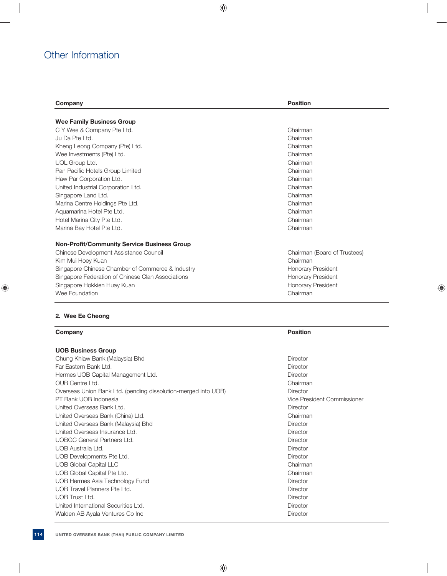## Other Information

| Company                                            | <b>Position</b>              |  |  |
|----------------------------------------------------|------------------------------|--|--|
| <b>Wee Family Business Group</b>                   |                              |  |  |
| C Y Wee & Company Pte Ltd.                         | Chairman                     |  |  |
| Ju Da Pte Ltd.                                     | Chairman                     |  |  |
| Kheng Leong Company (Pte) Ltd.                     | Chairman                     |  |  |
| Wee Investments (Pte) Ltd.                         | Chairman                     |  |  |
| UOL Group Ltd.                                     | Chairman                     |  |  |
| Pan Pacific Hotels Group Limited                   | Chairman                     |  |  |
| Haw Par Corporation Ltd.                           | Chairman                     |  |  |
| United Industrial Corporation Ltd.                 | Chairman                     |  |  |
| Singapore Land Ltd.                                | Chairman                     |  |  |
| Marina Centre Holdings Pte Ltd.                    | Chairman                     |  |  |
| Aquamarina Hotel Pte Ltd.                          | Chairman                     |  |  |
| Hotel Marina City Pte Ltd.                         | Chairman                     |  |  |
| Marina Bay Hotel Pte Ltd.                          | Chairman                     |  |  |
| <b>Non-Profit/Community Service Business Group</b> |                              |  |  |
| Chinese Development Assistance Council             | Chairman (Board of Trustees) |  |  |
| Kim Mui Hoey Kuan                                  | Chairman                     |  |  |
| Singapore Chinese Chamber of Commerce & Industry   | Honorary President           |  |  |
| Singapore Federation of Chinese Clan Associations  | Honorary President           |  |  |
| Singapore Hokkien Huay Kuan                        | Honorary President           |  |  |
| Wee Foundation                                     | Chairman                     |  |  |

## **2. Wee Ee Cheong**

| Company                                                        | <b>Position</b>             |  |
|----------------------------------------------------------------|-----------------------------|--|
|                                                                |                             |  |
| <b>UOB Business Group</b>                                      |                             |  |
| Chung Khiaw Bank (Malaysia) Bhd                                | Director                    |  |
| Far Fastern Bank Ltd.                                          | Director                    |  |
| Hermes UOB Capital Management Ltd.                             | Director                    |  |
| OUB Centre Ltd.                                                | Chairman                    |  |
| Overseas Union Bank Ltd. (pending dissolution-merged into UOB) | Director                    |  |
| PT Bank UOB Indonesia                                          | Vice President Commissioner |  |
| United Overseas Bank Ltd.                                      | Director                    |  |
| United Overseas Bank (China) Ltd.                              | Chairman                    |  |
| United Overseas Bank (Malaysia) Bhd                            | Director                    |  |
| United Overseas Insurance Ltd.                                 | Director                    |  |
| <b>UOBGC General Partners Ltd.</b>                             | Director                    |  |
| UOB Australia Ltd.                                             | Director                    |  |
| UOB Developments Pte Ltd.                                      | Director                    |  |
| <b>UOB Global Capital LLC</b>                                  | Chairman                    |  |
| UOB Global Capital Pte Ltd.                                    | Chairman                    |  |
| UOB Hermes Asia Technology Fund                                | Director                    |  |
| <b>UOB Travel Planners Pte Ltd.</b>                            | Director                    |  |
| UOB Trust Ltd.                                                 | Director                    |  |
| United International Securities Ltd.                           | Director                    |  |
| Walden AB Ayala Ventures Co Inc                                | Director                    |  |
|                                                                |                             |  |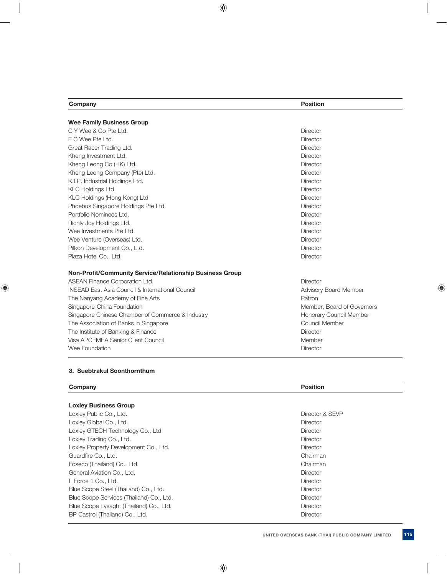| Company                                                         | <b>Position</b>            |
|-----------------------------------------------------------------|----------------------------|
|                                                                 |                            |
| <b>Wee Family Business Group</b><br>C Y Wee & Co Pte Ltd.       | Director                   |
|                                                                 |                            |
| E C Wee Pte Ltd.                                                | Director                   |
| Great Racer Trading Ltd.                                        | Director                   |
| Kheng Investment Ltd.                                           | Director                   |
| Kheng Leong Co (HK) Ltd.                                        | Director                   |
| Kheng Leong Company (Pte) Ltd.                                  | Director                   |
| K.I.P. Industrial Holdings Ltd.                                 | Director                   |
| KLC Holdings Ltd.                                               | Director                   |
| KLC Holdings (Hong Kong) Ltd                                    | Director                   |
| Phoebus Singapore Holdings Pte Ltd.                             | Director                   |
| Portfolio Nominees Ltd.                                         | Director                   |
| Richly Joy Holdings Ltd.                                        | Director                   |
| Wee Investments Pte Ltd.                                        | Director                   |
| Wee Venture (Overseas) Ltd.                                     | Director                   |
| Pilkon Development Co., Ltd.                                    | Director                   |
| Plaza Hotel Co., Ltd.                                           | Director                   |
| <b>Non-Profit/Community Service/Relationship Business Group</b> |                            |
| ASEAN Finance Corporation Ltd.                                  | Director                   |
| <b>INSEAD East Asia Council &amp; International Council</b>     | Advisory Board Member      |
| The Nanyang Academy of Fine Arts                                | Patron                     |
| Singapore-China Foundation                                      | Member, Board of Governors |
| Singapore Chinese Chamber of Commerce & Industry                | Honorary Council Member    |
| The Association of Banks in Singapore                           | Council Member             |
| The Institute of Banking & Finance                              | Director                   |
| Visa APCEMEA Senior Client Council                              | Member                     |
| Wee Foundation                                                  | Director                   |

## **3. Suebtrakul Soonthornthum**

| Company                      | Position |
|------------------------------|----------|
|                              |          |
| <b>Loxley Business Group</b> |          |

| = ,, =                                   |                 |
|------------------------------------------|-----------------|
| Loxley Public Co., Ltd.                  | Director & SEVP |
| Loxley Global Co., Ltd.                  | Director        |
| Loxley GTECH Technology Co., Ltd.        | Director        |
| Loxley Trading Co., Ltd.                 | Director        |
| Loxley Property Development Co., Ltd.    | Director        |
| Guardfire Co., Ltd.                      | Chairman        |
| Foseco (Thailand) Co., Ltd.              | Chairman        |
| General Aviation Co., Ltd.               | Director        |
| L Force 1 Co., Ltd.                      | <b>Director</b> |
| Blue Scope Steel (Thailand) Co., Ltd.    | <b>Director</b> |
| Blue Scope Services (Thailand) Co., Ltd. | <b>Director</b> |
| Blue Scope Lysaght (Thailand) Co., Ltd.  | Director        |
| BP Castrol (Thailand) Co., Ltd.          | <b>Director</b> |
|                                          |                 |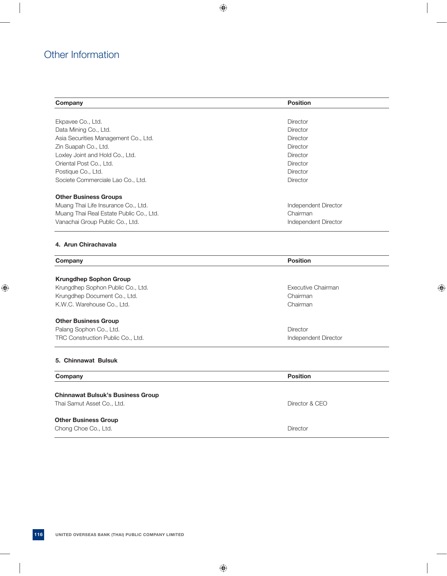## Other Information

| Company                                 | <b>Position</b>      |
|-----------------------------------------|----------------------|
|                                         |                      |
| Ekpavee Co., Ltd.                       | <b>Director</b>      |
| Data Mining Co., Ltd.                   | <b>Director</b>      |
| Asia Securities Management Co., Ltd.    | <b>Director</b>      |
| Zin Suapah Co., Ltd.                    | <b>Director</b>      |
| Loxley Joint and Hold Co., Ltd.         | <b>Director</b>      |
| Oriental Post Co., Ltd.                 | Director             |
| Postique Co., Ltd.                      | <b>Director</b>      |
| Societe Commerciale Lao Co., Ltd.       | <b>Director</b>      |
| <b>Other Business Groups</b>            |                      |
| Muang Thai Life Insurance Co., Ltd.     | Independent Director |
| Muang Thai Real Estate Public Co., Ltd. | Chairman             |
| Vanachai Group Public Co., Ltd.         | Independent Director |
| 4. Arun Chirachavala                    |                      |
| Company                                 | <b>Position</b>      |

## **Krungdhep Sophon Group**

Krungdhep Sophon Public Co., Ltd. **Executive Chairman** Krungdhep Document Co., Ltd. Chairman K.W.C. Warehouse Co., Ltd. Chairman

## **Other Business Group**

Palang Sophon Co., Ltd. **Director** Co., Ltd. **Director** Co., Ltd. **Director** Co., Ltd. **Director** Co., 2014 TRC Construction Public Co., Ltd. Independent Director

## **5. Chinnawat Bulsuk**

## **Company** Position

## **Chinnawat Bulsuk's Business Group**  Thai Samut Asset Co., Ltd. **Director & CEO**

 **Other Business Group** 

Chong Choe Co., Ltd. **Director**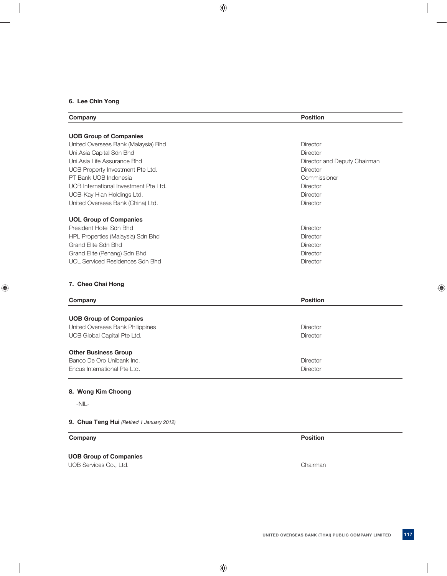## **6. Lee Chin Yong**

| Company                                | <b>Position</b>              |
|----------------------------------------|------------------------------|
| <b>UOB Group of Companies</b>          |                              |
| United Overseas Bank (Malaysia) Bhd    | Director                     |
| Uni.Asia Capital Sdn Bhd               | <b>Director</b>              |
| Uni. Asia Life Assurance Bhd           | Director and Deputy Chairman |
| UOB Property Investment Pte Ltd.       | Director                     |
| PT Bank UOB Indonesia                  | Commissioner                 |
| UOB International Investment Pte Ltd.  | <b>Director</b>              |
| UOB-Kay Hian Holdings Ltd.             | Director                     |
| United Overseas Bank (China) Ltd.      | Director                     |
| <b>UOL Group of Companies</b>          |                              |
| President Hotel Sdn Bhd                | Director                     |
| HPL Properties (Malaysia) Sdn Bhd      | Director                     |
| Grand Elite Sdn Bhd                    | Director                     |
| Grand Elite (Penang) Sdn Bhd           | Director                     |
| <b>UOL Serviced Residences Sdn Bhd</b> | <b>Director</b>              |
| 7. Cheo Chai Hong                      |                              |
| Company                                | <b>Position</b>              |

| <b>UOB Group of Companies</b>    |                 |
|----------------------------------|-----------------|
| United Overseas Bank Philippines | Director        |
| UOB Global Capital Pte Ltd.      | Director        |
| <b>Other Business Group</b>      |                 |
| Banco De Oro Unibank Inc.        | Director        |
| Encus International Pte Ltd.     | <b>Director</b> |
|                                  |                 |

## **8. Wong Kim Choong**

-NIL-

## **9. Chua Teng Hui** *(Retired 1 January 2012)*

| Company                       | <b>Position</b> |
|-------------------------------|-----------------|
| <b>UOB Group of Companies</b> |                 |
| UOB Services Co., Ltd.        | Chairman        |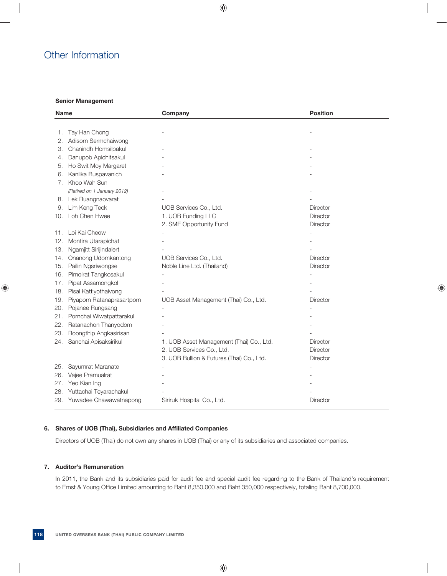## Other Information

## **Senior Management**

| Name                              | Company                                   | <b>Position</b> |
|-----------------------------------|-------------------------------------------|-----------------|
|                                   |                                           |                 |
| Tay Han Chong<br>1.               |                                           |                 |
| Adisorn Sermchaiwong<br>2.        |                                           |                 |
| Chanindh Homsilpakul<br>З.        |                                           |                 |
| Danupob Apichitsakul<br>4.        |                                           |                 |
| Ho Swit Moy Margaret<br>5.        |                                           |                 |
| Kanlika Buspavanich<br>6.         |                                           |                 |
| 7. Khoo Wah Sun                   |                                           |                 |
| (Retired on 1 January 2012)       |                                           |                 |
| Lek Ruangnaovarat<br>8.           |                                           |                 |
| Lim Keng Teck<br>9.               | UOB Services Co., Ltd.                    | <b>Director</b> |
| Loh Chen Hwee<br>10.              | 1. UOB Funding LLC                        | <b>Director</b> |
|                                   | 2. SME Opportunity Fund                   | Director        |
| Loi Kai Cheow<br>11.              |                                           |                 |
| Montira Utarapichat<br>12.        |                                           |                 |
| Ngamjitt Sirijindalert<br>13.     |                                           |                 |
| Onanong Udomkantong<br>14.        | UOB Services Co., Ltd.                    | <b>Director</b> |
| Pailin Ngsriwongse<br>15.         | Noble Line Ltd. (Thailand)                | Director        |
| Pimolrat Tangkosakul<br>16.       |                                           |                 |
| Pipat Assamongkol<br>17.          |                                           |                 |
| Pisal Kattiyothaivong<br>18.      |                                           |                 |
| Piyaporn Ratanaprasartporn<br>19. | UOB Asset Management (Thai) Co., Ltd.     | Director        |
| Pojanee Rungsang<br>20.           |                                           |                 |
| Pornchai Wiwatpattarakul<br>21.   |                                           |                 |
| Ratanachon Thanyodom<br>22.       |                                           |                 |
| Roongthip Angkasirisan<br>23.     |                                           |                 |
| Sanchai Apisaksirikul<br>24.      | 1. UOB Asset Management (Thai) Co., Ltd.  | Director        |
|                                   | 2. UOB Services Co., Ltd.                 | <b>Director</b> |
|                                   | 3. UOB Bullion & Futures (Thai) Co., Ltd. | <b>Director</b> |
| Sayumrat Maranate<br>25.          |                                           |                 |
| Vajee Pramualrat<br>26.           |                                           |                 |
| Yeo Kian Ing<br>27.               |                                           |                 |
| Yuttachai Teyarachakul<br>28.     |                                           |                 |
| 29.<br>Yuwadee Chawawatnapong     | Siriruk Hospital Co., Ltd.                | Director        |
|                                   |                                           |                 |

## **6.** Shares of UOB (Thai), Subsidiaries and Affiliated Companies

Directors of UOB (Thai) do not own any shares in UOB (Thai) or any of its subsidiaries and associated companies.

## **7. Auditor's Remuneration**

In 2011, the Bank and its subsidiaries paid for audit fee and special audit fee regarding to the Bank of Thailand's requirement to Ernst & Young Office Limited amounting to Baht 8,350,000 and Baht 350,000 respectively, totaling Baht 8,700,000.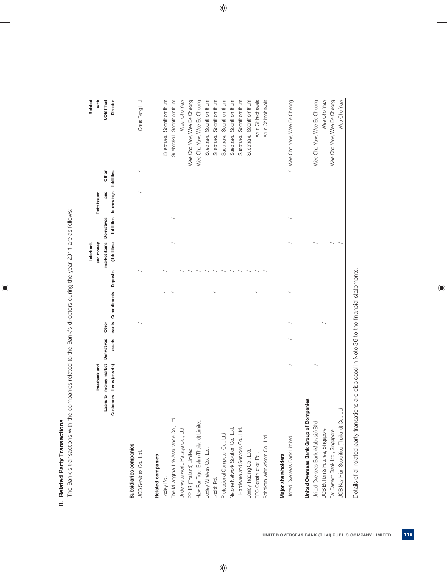| ١ |
|---|
| ı |
|   |

The Bank's transactions with the companies related to the Bank's directors during the year 2011 are as follows: The Bank's transactions with the companies related to the Bank's directors during the year 2011 are as follows:

|                                              |           |                |             |       |                             | Interbank     |             |                        |       | Related                      |
|----------------------------------------------|-----------|----------------|-------------|-------|-----------------------------|---------------|-------------|------------------------|-------|------------------------------|
|                                              |           | Interbank and  |             |       |                             | and money     |             | Debt issued            |       | with                         |
|                                              | Loans to  | money market   | Derivatives | Other |                             | market items  | Derivatives | and                    | Other | UOB (Thai)                   |
|                                              | Customers | items (assets) | assets      |       | assets Commitments Deposits | (liabilities) | liabilities | borrowings liabilities |       | Director                     |
|                                              |           |                |             |       |                             |               |             |                        |       |                              |
| Subsidiaries companies                       |           |                |             |       |                             |               |             |                        |       |                              |
| UOB Services Co., Ltd.                       |           |                |             |       |                             |               |             |                        |       | Chua Teng Hui                |
| Related companies                            |           |                |             |       |                             |               |             |                        |       |                              |
| Loxley Pcl.                                  |           |                |             |       |                             |               |             |                        |       | Suebtrakul Soonthornthum     |
| The Muangthai Life Assurance Co., Ltd.       |           |                |             |       |                             |               |             |                        |       | Suebtrakul Soonthomthum      |
| Underwaterworld Pattaya Co., Ltd.            |           |                |             |       |                             |               |             |                        |       | Wee Cho Yaw                  |
| PPHR (Thailand) Limited                      |           |                |             |       |                             |               |             |                        |       | Wee Cho Yaw, Wee Ee Cheong   |
| Haw Par Tiger Balm (Thailand) Limited        |           |                |             |       |                             |               |             |                        |       | Wee Cho Yaw, Wee Ee Cheong   |
| Loxley Wireless Co., Ltd.                    |           |                |             |       |                             |               |             |                        |       | Suebtrakul Soonthornthum     |
| -oxbit PcI.                                  |           |                |             |       |                             |               |             |                        |       | Suebtrakul Soonthornthum     |
| Professional Computer Co., Ltd.              |           |                |             |       |                             |               |             |                        |       | Suebtrakul Soonthornthum     |
| Netone Network Solution Co., Ltd.            |           |                |             |       |                             |               |             |                        |       | Suebtrakul Soonthornthum     |
| L Hardware and Services Co., Ltd.            |           |                |             |       |                             |               |             |                        |       | Suebtrakul Soonthornthum     |
| Loxley Trading Co., Ltd.                     |           |                |             |       |                             |               |             |                        |       | Suebtrakul Soonthornthum     |
| <b>TRC Construction Pcl.</b>                 |           |                |             |       |                             |               |             |                        |       | Arun Chirachavala            |
| Sahakarn Wisavakorn Co., Ltd.                |           |                |             |       |                             |               |             |                        |       | Arun Chirachavala            |
| Major shareholders                           |           |                |             |       |                             |               |             |                        |       |                              |
| United Overseas Bank Limited                 |           |                |             |       |                             |               |             |                        |       | / Wee Cho Yaw, Wee Ee Cheong |
| United Overseas Bank Group of Companies      |           |                |             |       |                             |               |             |                        |       |                              |
| Jnited Overseas Bank (Malaysia) Bhd          |           |                |             |       |                             |               |             |                        |       | Wee Cho Yaw, Wee Ee Cheong   |
| JOB Bullion & Futures, Singapore             |           |                |             |       |                             |               |             |                        |       | Wee Cho Yaw                  |
| Far Eastern Bank Ltd., Singapore             |           |                |             |       |                             |               |             |                        |       | Wee Cho Yaw, Wee Ee Cheong   |
| UOB Kay Hian Securities (Thailand) Co., Ltd. |           |                |             |       |                             |               |             |                        |       | Wee Cho Yaw                  |
|                                              |           |                |             |       |                             |               |             |                        |       |                              |

 Details of all related party transations are disclosed in Note 36 to the financial statements. Details of all related party transations are disclosed in Note 36 to the financial statements.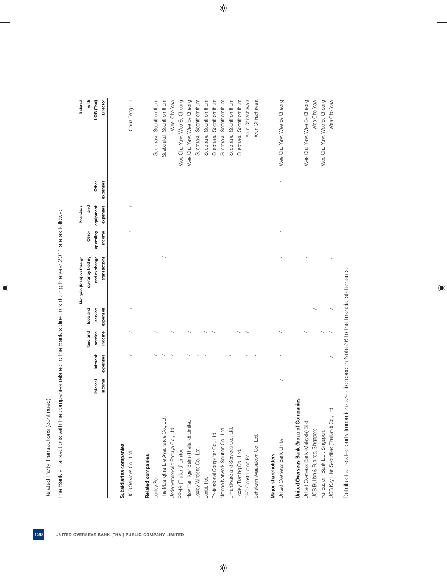| Ĩ |
|---|
|   |
|   |
|   |
|   |
|   |
|   |
|   |
|   |
|   |
|   |
|   |
|   |
|   |
|   |
|   |
| j |
|   |
|   |
|   |
|   |
|   |
|   |
|   |
|   |
|   |
| ı |
|   |
|   |
|   |
|   |
|   |
|   |
|   |
|   |
|   |
|   |
|   |
|   |

|                                              |                           |                      |                   |                     | Net gain (loss) on foreign   |                     | Premises              |                   | Related                    |
|----------------------------------------------|---------------------------|----------------------|-------------------|---------------------|------------------------------|---------------------|-----------------------|-------------------|----------------------------|
|                                              |                           |                      | fees and          | fees and            | currency trading             | Other               | and                   |                   | with                       |
|                                              | <b>Interest</b><br>income | Interest<br>expenses | service<br>income | expenses<br>service | and exchange<br>transactions | operating<br>income | equipment<br>expenses | Other<br>expenses | UOB (Thai)<br>Director     |
| Subsidiaries companies                       |                           |                      |                   |                     |                              |                     |                       |                   |                            |
| UOB Services Co., Ltd.                       |                           |                      |                   |                     |                              |                     |                       |                   | Chua Teng Hui              |
| Related companies                            |                           |                      |                   |                     |                              |                     |                       |                   |                            |
| Loxley Pcl.                                  |                           |                      |                   |                     |                              |                     |                       |                   | Suebtrakul Soonthornthum   |
| The Muangthai Life Assurance Co., Ltd.       |                           |                      |                   |                     |                              |                     |                       |                   | Suebtrakul Soonthornthum   |
| Underwaterworld Pattaya Co., Ltd.            |                           |                      |                   |                     |                              |                     |                       |                   | Wee Cho Yaw                |
| PPHR (Thailand) Limited                      |                           |                      |                   |                     |                              |                     |                       |                   | Wee Cho Yaw, Wee Ee Cheong |
| Haw Par Tiger Balm (Thailand) Limited        |                           |                      |                   |                     |                              |                     |                       |                   | Wee Cho Yaw, Wee Ee Cheong |
| Loxley Wireless Co., Ltd.                    |                           |                      |                   |                     |                              |                     |                       |                   | Suebtrakul Soonthornthum   |
| Loxbit Pcl.                                  |                           |                      |                   |                     |                              |                     |                       |                   | Suebtrakul Soonthornthum   |
| Professional Computer Co., Ltd.              |                           |                      |                   |                     |                              |                     |                       |                   | Suebtrakul Soonthornthum   |
| Netone Network Solution Co., Ltd.            |                           |                      |                   |                     |                              |                     |                       |                   | Suebtrakul Soonthornthum   |
| L Hardware and Services Co., Ltd.            |                           |                      |                   |                     |                              |                     |                       |                   | Suebtrakul Soonthornthum   |
| Loxley Trading Co., Ltd.                     |                           |                      |                   |                     |                              |                     |                       |                   | Suebtrakul Soonthornthum   |
| <b>TRC Construction Pcl.</b>                 |                           |                      |                   |                     |                              |                     |                       |                   | Arun Chirachavala          |
| Sahakarn Wisavakorn Co., Ltd.                |                           |                      |                   |                     |                              |                     |                       |                   | Arun Chirachavala          |
| Major shareholders                           |                           |                      |                   |                     |                              |                     |                       |                   |                            |
| United Overseas Bank Limite                  |                           |                      |                   |                     |                              |                     |                       |                   | Wee Cho Yaw, Wee Ee Cheong |
| United Overseas Bank Group of Companies      |                           |                      |                   |                     |                              |                     |                       |                   |                            |
| United Overseas Bank (Malaysia) Bhd          |                           |                      |                   |                     |                              |                     |                       |                   | Wee Cho Yaw, Wee Ee Cheong |
| <b>UOB Bullion &amp; Futures, Singapore</b>  |                           |                      |                   |                     |                              |                     |                       |                   | Wee Cho Yaw                |
| Far Eastern Bank Ltd., Singapore             |                           |                      |                   |                     |                              |                     |                       |                   | Wee Cho Yaw, Wee Ee Cheong |
| UOB Kay Hian Securities (Thailand) Co., Ltd. |                           |                      |                   |                     |                              |                     |                       |                   | Wee Cho Yaw                |

 Details of all related party transations are disclosed in Note 36 to the financial statements. Details of all related party transations are disclosed in Note 36 to the financial statements.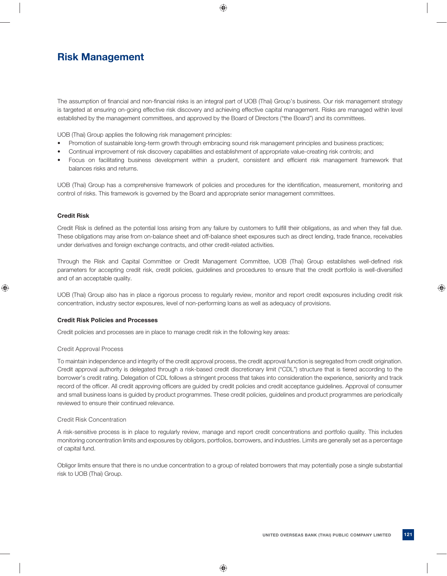## **Risk Management**

The assumption of financial and non-financial risks is an integral part of UOB (Thai) Group's business. Our risk management strategy is targeted at ensuring on-going effective risk discovery and achieving effective capital management. Risks are managed within level established by the management committees, and approved by the Board of Directors ("the Board") and its committees.

UOB (Thai) Group applies the following risk management principles:

- Promotion of sustainable long-term growth through embracing sound risk management principles and business practices;
- Continual improvement of risk discovery capabilities and establishment of appropriate value-creating risk controls; and
- Focus on facilitating business development within a prudent, consistent and efficient risk management framework that balances risks and returns.

UOB (Thai) Group has a comprehensive framework of policies and procedures for the identification, measurement, monitoring and control of risks. This framework is governed by the Board and appropriate senior management committees.

## **Credit Risk**

Credit Risk is defined as the potential loss arising from any failure by customers to fulfill their obligations, as and when they fall due. These obligations may arise from on-balance sheet and off-balance sheet exposures such as direct lending, trade finance, receivables under derivatives and foreign exchange contracts, and other credit-related activities.

Through the Risk and Capital Committee or Credit Management Committee, UOB (Thai) Group establishes well-defined risk parameters for accepting credit risk, credit policies, quidelines and procedures to ensure that the credit portfolio is well-diversified and of an acceptable quality.

UOB (Thai) Group also has in place a rigorous process to regularly review, monitor and report credit exposures including credit risk concentration, industry sector exposures, level of non-performing loans as well as adequacy of provisions.

## **Credit Risk Policies and Processes**

Credit policies and processes are in place to manage credit risk in the following key areas:

## Credit Approval Process

To maintain independence and integrity of the credit approval process, the credit approval function is segregated from credit origination. Credit approval authority is delegated through a risk-based credit discretionary limit ("CDL") structure that is tiered according to the borrower's credit rating. Delegation of CDL follows a stringent process that takes into consideration the experience, seniority and track record of the officer. All credit approving officers are guided by credit policies and credit acceptance guidelines. Approval of consumer and small business loans is guided by product programmes. These credit policies, guidelines and product programmes are periodically reviewed to ensure their continued relevance.

## Credit Risk Concentration

A risk-sensitive process is in place to regularly review, manage and report credit concentrations and portfolio quality. This includes monitoring concentration limits and exposures by obligors, portfolios, borrowers, and industries. Limits are generally set as a percentage of capital fund.

Obligor limits ensure that there is no undue concentration to a group of related borrowers that may potentially pose a single substantial risk to UOB (Thai) Group.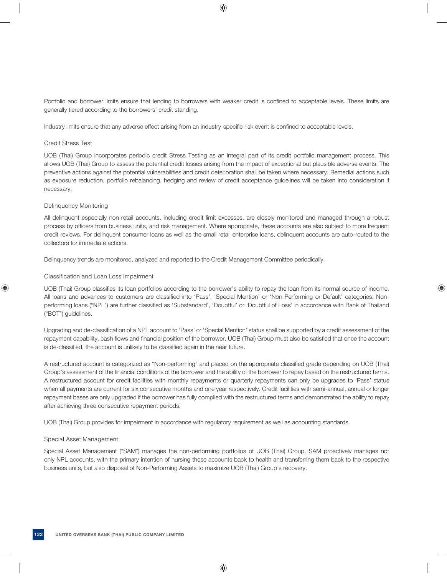Portfolio and borrower limits ensure that lending to borrowers with weaker credit is confined to acceptable levels. These limits are generally tiered according to the borrowers' credit standing.

Industry limits ensure that any adverse effect arising from an industry-specific risk event is confined to acceptable levels.

## Credit Stress Test

UOB (Thai) Group incorporates periodic credit Stress Testing as an integral part of its credit portfolio management process. This allows UOB (Thai) Group to assess the potential credit losses arising from the impact of exceptional but plausible adverse events. The preventive actions against the potential vulnerabilities and credit deterioration shall be taken where necessary. Remedial actions such as exposure reduction, portfolio rebalancing, hedging and review of credit acceptance guidelines will be taken into consideration if necessary.

## Delinquency Monitoring

All delinquent especially non-retail accounts, including credit limit excesses, are closely monitored and managed through a robust process by officers from business units, and risk management. Where appropriate, these accounts are also subject to more frequent credit reviews. For delinquent consumer loans as well as the small retail enterprise loans, delinquent accounts are auto-routed to the collectors for immediate actions.

Delinquency trends are monitored, analyzed and reported to the Credit Management Committee periodically.

## Classification and Loan Loss Impairment

UOB (Thai) Group classifies its loan portfolios according to the borrower's ability to repay the loan from its normal source of income. All loans and advances to customers are classified into 'Pass', 'Special Mention' or 'Non-Performing or Default' categories. Nonperforming loans ("NPL") are further classified as 'Substandard', 'Doubtful' or 'Doubtful of Loss' in accordance with Bank of Thailand ("BOT") guidelines.

Upgrading and de-classification of a NPL account to 'Pass' or 'Special Mention' status shall be supported by a credit assessment of the repayment capability, cash flows and financial position of the borrower. UOB (Thai) Group must also be satisfied that once the account is de-classified, the account is unlikely to be classified again in the near future.

A restructured account is categorized as "Non-performing" and placed on the appropriate classified grade depending on UOB (Thai) Group's assessment of the financial conditions of the borrower and the ability of the borrower to repay based on the restructured terms. A restructured account for credit facilities with monthly repayments or quarterly repayments can only be upgrades to 'Pass' status when all payments are current for six consecutive months and one year respectively. Credit facilities with semi-annual, annual or longer repayment bases are only upgraded if the borrower has fully complied with the restructured terms and demonstrated the ability to repay after achieving three consecutive repayment periods.

UOB (Thai) Group provides for impairment in accordance with regulatory requirement as well as accounting standards.

## Special Asset Management

Special Asset Management ("SAM") manages the non-performing portfolios of UOB (Thai) Group. SAM proactively manages not only NPL accounts, with the primary intention of nursing these accounts back to health and transferring them back to the respective business units, but also disposal of Non-Performing Assets to maximize UOB (Thai) Group's recovery.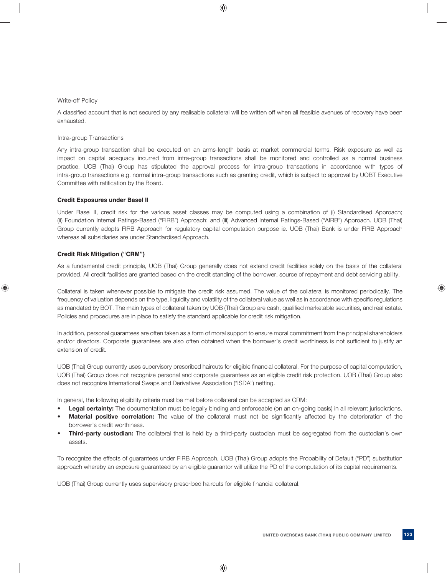## Write-off Policy

A classified account that is not secured by any realisable collateral will be written off when all feasible avenues of recovery have been exhausted.

Intra-group Transactions

Any intra-group transaction shall be executed on an arms-length basis at market commercial terms. Risk exposure as well as impact on capital adequacy incurred from intra-group transactions shall be monitored and controlled as a normal business practice. UOB (Thai) Group has stipulated the approval process for intra-group transactions in accordance with types of intra-group transactions e.g. normal intra-group transactions such as granting credit, which is subject to approval by UOBT Executive Committee with ratification by the Board.

## **Credit Exposures under Basel II**

Under Basel II, credit risk for the various asset classes may be computed using a combination of (i) Standardised Approach; (ii) Foundation Internal Ratings-Based ("FIRB") Approach; and (iii) Advanced Internal Ratings-Based ("AIRB") Approach. UOB (Thai) Group currently adopts FIRB Approach for regulatory capital computation purpose ie. UOB (Thai) Bank is under FIRB Approach whereas all subsidiaries are under Standardised Approach.

## **Credit Risk Mitigation ("CRM")**

As a fundamental credit principle, UOB (Thai) Group generally does not extend credit facilities solely on the basis of the collateral provided. All credit facilities are granted based on the credit standing of the borrower, source of repayment and debt servicing ability.

Collateral is taken whenever possible to mitigate the credit risk assumed. The value of the collateral is monitored periodically. The frequency of valuation depends on the type, liquidity and volatility of the collateral value as well as in accordance with specific regulations as mandated by BOT. The main types of collateral taken by UOB (Thai) Group are cash, qualified marketable securities, and real estate. Policies and procedures are in place to satisfy the standard applicable for credit risk mitigation.

In addition, personal guarantees are often taken as a form of moral support to ensure moral commitment from the principal shareholders and/or directors. Corporate guarantees are also often obtained when the borrower's credit worthiness is not sufficient to justify an extension of credit.

UOB (Thai) Group currently uses supervisory prescribed haircuts for eligible financial collateral. For the purpose of capital computation, UOB (Thai) Group does not recognize personal and corporate guarantees as an eligible credit risk protection. UOB (Thai) Group also does not recognize International Swaps and Derivatives Association ("ISDA") netting.

In general, the following eligibility criteria must be met before collateral can be accepted as CRM:

- Legal certainty: The documentation must be legally binding and enforceable (on an on-going basis) in all relevant jurisdictions.
- Material positive correlation: The value of the collateral must not be significantly affected by the deterioration of the borrower's credit worthiness.
- **Third-party custodian:** The collateral that is held by a third-party custodian must be segregated from the custodian's own assets.

To recognize the effects of guarantees under FIRB Approach, UOB (Thai) Group adopts the Probability of Default ("PD") substitution approach whereby an exposure guaranteed by an eligible guarantor will utilize the PD of the computation of its capital requirements.

UOB (Thai) Group currently uses supervisory prescribed haircuts for eligible financial collateral.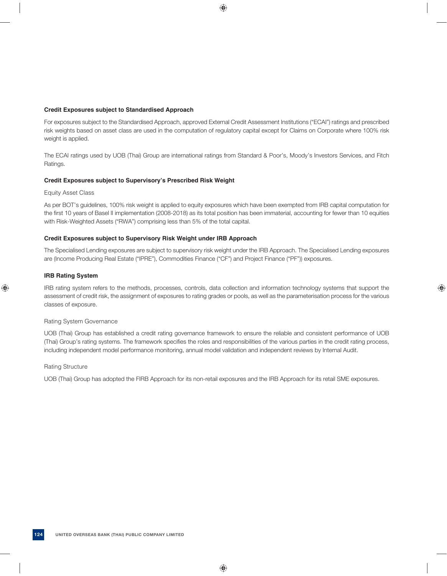## **Credit Exposures subject to Standardised Approach**

For exposures subject to the Standardised Approach, approved External Credit Assessment Institutions ("ECAI") ratings and prescribed risk weights based on asset class are used in the computation of regulatory capital except for Claims on Corporate where 100% risk weight is applied.

The ECAI ratings used by UOB (Thai) Group are international ratings from Standard & Poor's, Moody's Investors Services, and Fitch Ratings.

## **Credit Exposures subject to Supervisory's Prescribed Risk Weight**

## Equity Asset Class

As per BOT's guidelines, 100% risk weight is applied to equity exposures which have been exempted from IRB capital computation for the first 10 years of Basel II implementation (2008-2018) as its total position has been immaterial, accounting for fewer than 10 equities with Risk-Weighted Assets ("RWA") comprising less than 5% of the total capital.

## **Credit Exposures subject to Supervisory Risk Weight under IRB Approach**

The Specialised Lending exposures are subject to supervisory risk weight under the IRB Approach. The Specialised Lending exposures are (Income Producing Real Estate ("IPRE"), Commodities Finance ("CF") and Project Finance ("PF")) exposures.

## **IRB Rating System**

IRB rating system refers to the methods, processes, controls, data collection and information technology systems that support the assessment of credit risk, the assignment of exposures to rating grades or pools, as well as the parameterisation process for the various classes of exposure.

## Rating System Governance

UOB (Thai) Group has established a credit rating governance framework to ensure the reliable and consistent performance of UOB (Thai) Group's rating systems. The framework specifies the roles and responsibilities of the various parties in the credit rating process, including independent model performance monitoring, annual model validation and independent reviews by Internal Audit.

## Rating Structure

UOB (Thai) Group has adopted the FIRB Approach for its non-retail exposures and the IRB Approach for its retail SME exposures.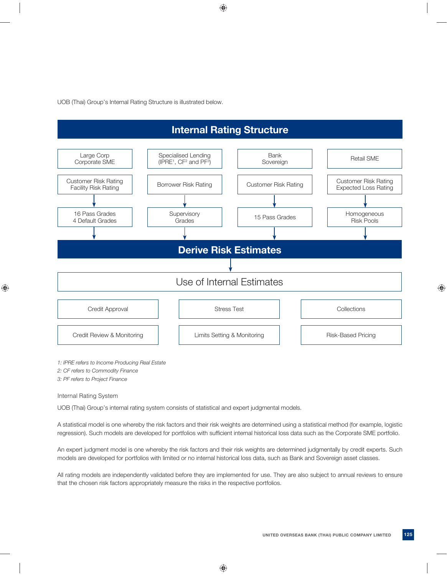UOB (Thai) Group's Internal Rating Structure is illustrated below.

# **Internal Rating Structure**



*2: CF refers to Commodity Finance*

*3: PF refers to Project Finance*

Internal Rating System

UOB (Thai) Group's internal rating system consists of statistical and expert judgmental models.

A statistical model is one whereby the risk factors and their risk weights are determined using a statistical method (for example, logistic regression). Such models are developed for portfolios with sufficient internal historical loss data such as the Corporate SME portfolio.

An expert judgment model is one whereby the risk factors and their risk weights are determined judgmentally by credit experts. Such models are developed for portfolios with limited or no internal historical loss data, such as Bank and Sovereign asset classes.

All rating models are independently validated before they are implemented for use. They are also subject to annual reviews to ensure that the chosen risk factors appropriately measure the risks in the respective portfolios.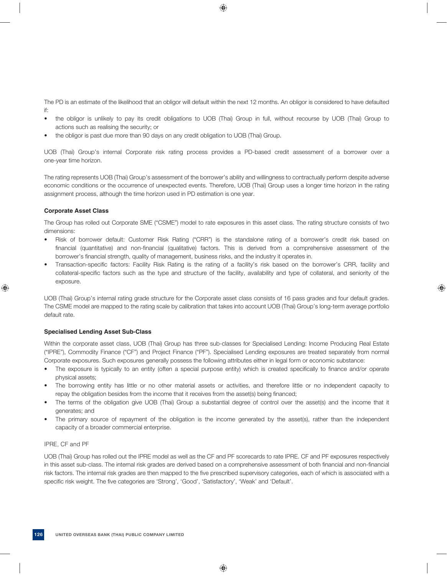The PD is an estimate of the likelihood that an obligor will default within the next 12 months. An obligor is considered to have defaulted if:

- the obligor is unlikely to pay its credit obligations to UOB (Thai) Group in full, without recourse by UOB (Thai) Group to actions such as realising the security; or
- the obligor is past due more than 90 days on any credit obligation to UOB (Thai) Group.

UOB (Thai) Group's internal Corporate risk rating process provides a PD-based credit assessment of a borrower over a one-year time horizon.

The rating represents UOB (Thai) Group's assessment of the borrower's ability and willingness to contractually perform despite adverse economic conditions or the occurrence of unexpected events. Therefore, UOB (Thai) Group uses a longer time horizon in the rating assignment process, although the time horizon used in PD estimation is one year.

## **Corporate Asset Class**

The Group has rolled out Corporate SME ("CSME") model to rate exposures in this asset class. The rating structure consists of two dimensions:

- Risk of borrower default: Customer Risk Rating ("CRR") is the standalone rating of a borrower's credit risk based on financial (quantitative) and non-financial (qualitative) factors. This is derived from a comprehensive assessment of the borrower's financial strength, quality of management, business risks, and the industry it operates in.
- Transaction-specific factors: Facility Risk Rating is the rating of a facility's risk based on the borrower's CRR, facility and collateral-specific factors such as the type and structure of the facility, availability and type of collateral, and seniority of the exposure.

UOB (Thai) Group's internal rating grade structure for the Corporate asset class consists of 16 pass grades and four default grades. The CSME model are mapped to the rating scale by calibration that takes into account UOB (Thai) Group's long-term average portfolio default rate.

## **Specialised Lending Asset Sub-Class**

Within the corporate asset class, UOB (Thai) Group has three sub-classes for Specialised Lending: Income Producing Real Estate ("IPRE"), Commodity Finance ("CF") and Project Finance ("PF"). Specialised Lending exposures are treated separately from normal Corporate exposures. Such exposures generally possess the following attributes either in legal form or economic substance:

- The exposure is typically to an entity (often a special purpose entity) which is created specifically to finance and/or operate physical assets;
- The borrowing entity has little or no other material assets or activities, and therefore little or no independent capacity to repay the obligation besides from the income that it receives from the asset(s) being financed;
- The terms of the obligation give UOB (Thai) Group a substantial degree of control over the asset(s) and the income that it generates; and
- The primary source of repayment of the obligation is the income generated by the asset(s), rather than the independent capacity of a broader commercial enterprise.

## IPRE, CF and PF

UOB (Thai) Group has rolled out the IPRE model as well as the CF and PF scorecards to rate IPRE. CF and PF exposures respectively in this asset sub-class. The internal risk grades are derived based on a comprehensive assessment of both financial and non-financial risk factors. The internal risk grades are then mapped to the five prescribed supervisory categories, each of which is associated with a specific risk weight. The five categories are 'Strong', 'Good', 'Satisfactory', 'Weak' and 'Default'.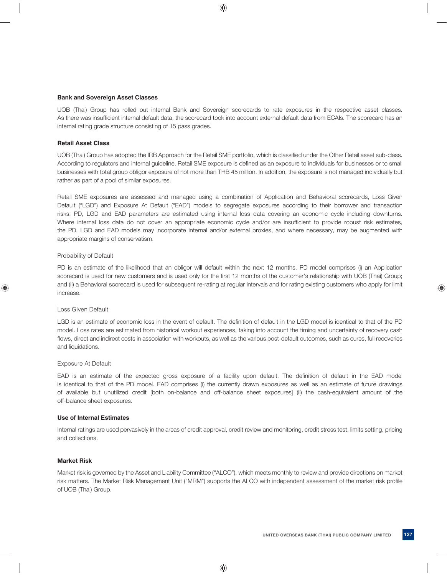## **Bank and Sovereign Asset Classes**

UOB (Thai) Group has rolled out internal Bank and Sovereign scorecards to rate exposures in the respective asset classes. As there was insufficient internal default data, the scorecard took into account external default data from ECAIs. The scorecard has an internal rating grade structure consisting of 15 pass grades.

## **Retail Asset Class**

UOB (Thai) Group has adopted the IRB Approach for the Retail SME portfolio, which is classified under the Other Retail asset sub-class. According to regulators and internal guideline, Retail SME exposure is defined as an exposure to individuals for businesses or to small businesses with total group obligor exposure of not more than THB 45 million. In addition, the exposure is not managed individually but rather as part of a pool of similar exposures.

Retail SME exposures are assessed and managed using a combination of Application and Behavioral scorecards, Loss Given Default ("LGD") and Exposure At Default ("EAD") models to segregate exposures according to their borrower and transaction risks. PD, LGD and EAD parameters are estimated using internal loss data covering an economic cycle including downturns. Where internal loss data do not cover an appropriate economic cycle and/or are insufficient to provide robust risk estimates, the PD, LGD and EAD models may incorporate internal and/or external proxies, and where necessary, may be augmented with appropriate margins of conservatism.

## Probability of Default

PD is an estimate of the likelihood that an obligor will default within the next 12 months. PD model comprises (i) an Application scorecard is used for new customers and is used only for the first 12 months of the customer's relationship with UOB (Thai) Group; and (ii) a Behavioral scorecard is used for subsequent re-rating at regular intervals and for rating existing customers who apply for limit increase.

## Loss Given Default

LGD is an estimate of economic loss in the event of default. The definition of default in the LGD model is identical to that of the PD model. Loss rates are estimated from historical workout experiences, taking into account the timing and uncertainty of recovery cash flows, direct and indirect costs in association with workouts, as well as the various post-default outcomes, such as cures, full recoveries and liquidations.

## Exposure At Default

EAD is an estimate of the expected gross exposure of a facility upon default. The definition of default in the EAD model is identical to that of the PD model. EAD comprises (i) the currently drawn exposures as well as an estimate of future drawings of available but unutilized credit [both on-balance and off-balance sheet exposures] (ii) the cash-equivalent amount of the off-balance sheet exposures.

## **Use of Internal Estimates**

Internal ratings are used pervasively in the areas of credit approval, credit review and monitoring, credit stress test, limits setting, pricing and collections.

## **Market Risk**

Market risk is governed by the Asset and Liability Committee ("ALCO"), which meets monthly to review and provide directions on market risk matters. The Market Risk Management Unit ("MRM") supports the ALCO with independent assessment of the market risk profile of UOB (Thai) Group.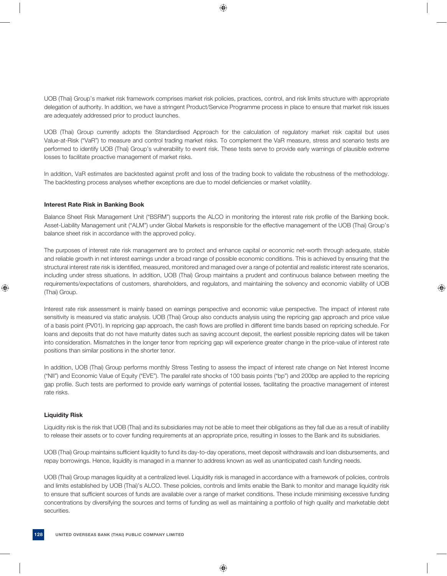UOB (Thai) Group's market risk framework comprises market risk policies, practices, control, and risk limits structure with appropriate delegation of authority. In addition, we have a stringent Product/Service Programme process in place to ensure that market risk issues are adequately addressed prior to product launches.

UOB (Thai) Group currently adopts the Standardised Approach for the calculation of regulatory market risk capital but uses Value-at-Risk ("VaR") to measure and control trading market risks. To complement the VaR measure, stress and scenario tests are performed to identify UOB (Thai) Group's vulnerability to event risk. These tests serve to provide early warnings of plausible extreme losses to facilitate proactive management of market risks.

In addition, VaR estimates are backtested against profit and loss of the trading book to validate the robustness of the methodology. The backtesting process analyses whether exceptions are due to model deficiencies or market volatility.

## **Interest Rate Risk in Banking Book**

Balance Sheet Risk Management Unit ("BSRM") supports the ALCO in monitoring the interest rate risk profile of the Banking book. Asset-Liability Management unit ("ALM") under Global Markets is responsible for the effective management of the UOB (Thai) Group's balance sheet risk in accordance with the approved policy.

The purposes of interest rate risk management are to protect and enhance capital or economic net-worth through adequate, stable and reliable growth in net interest earnings under a broad range of possible economic conditions. This is achieved by ensuring that the structural interest rate risk is identified, measured, monitored and managed over a range of potential and realistic interest rate scenarios, including under stress situations. In addition, UOB (Thai) Group maintains a prudent and continuous balance between meeting the requirements/expectations of customers, shareholders, and regulators, and maintaining the solvency and economic viability of UOB (Thai) Group.

Interest rate risk assessment is mainly based on earnings perspective and economic value perspective. The impact of interest rate sensitivity is measured via static analysis. UOB (Thai) Group also conducts analysis using the repricing gap approach and price value of a basis point (PV01). In repricing gap approach, the cash flows are profiled in different time bands based on repricing schedule. For loans and deposits that do not have maturity dates such as saving account deposit, the earliest possible repricing dates will be taken into consideration. Mismatches in the longer tenor from repricing gap will experience greater change in the price-value of interest rate positions than similar positions in the shorter tenor.

In addition, UOB (Thai) Group performs monthly Stress Testing to assess the impact of interest rate change on Net Interest Income ("NII") and Economic Value of Equity ("EVE"). The parallel rate shocks of 100 basis points ("bp") and 200bp are applied to the repricing gap profile. Such tests are performed to provide early warnings of potential losses, facilitating the proactive management of interest rate risks.

## **Liquidity Risk**

Liquidity risk is the risk that UOB (Thai) and its subsidiaries may not be able to meet their obligations as they fall due as a result of inability to release their assets or to cover funding requirements at an appropriate price, resulting in losses to the Bank and its subsidiaries.

UOB (Thai) Group maintains sufficient liquidity to fund its day-to-day operations, meet deposit withdrawals and loan disbursements, and repay borrowings. Hence, liquidity is managed in a manner to address known as well as unanticipated cash funding needs.

UOB (Thai) Group manages liquidity at a centralized level. Liquidity risk is managed in accordance with a framework of policies, controls and limits established by UOB (Thai)'s ALCO. These policies, controls and limits enable the Bank to monitor and manage liquidity risk to ensure that sufficient sources of funds are available over a range of market conditions. These include minimising excessive funding concentrations by diversifying the sources and terms of funding as well as maintaining a portfolio of high quality and marketable debt securities.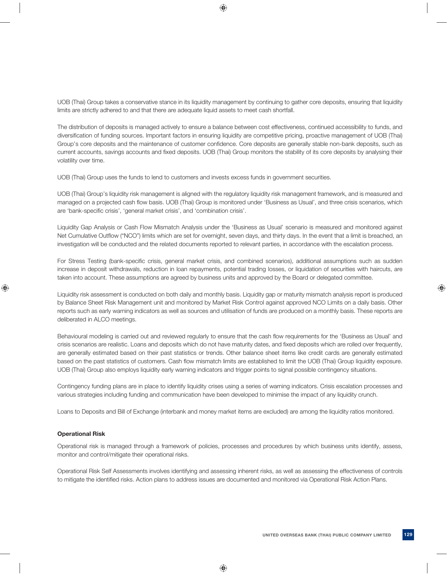UOB (Thai) Group takes a conservative stance in its liquidity management by continuing to gather core deposits, ensuring that liquidity limits are strictly adhered to and that there are adequate liquid assets to meet cash shortfall.

The distribution of deposits is managed actively to ensure a balance between cost effectiveness, continued accessibility to funds, and diversification of funding sources. Important factors in ensuring liquidity are competitive pricing, proactive management of UOB (Thai) Group's core deposits and the maintenance of customer confidence. Core deposits are generally stable non-bank deposits, such as current accounts, savings accounts and fixed deposits. UOB (Thai) Group monitors the stability of its core deposits by analysing their volatility over time.

UOB (Thai) Group uses the funds to lend to customers and invests excess funds in government securities.

UOB (Thai) Group's liquidity risk management is aligned with the regulatory liquidity risk management framework, and is measured and managed on a projected cash flow basis. UOB (Thai) Group is monitored under 'Business as Usual', and three crisis scenarios, which are 'bank-specific crisis', 'general market crisis', and 'combination crisis'.

Liquidity Gap Analysis or Cash Flow Mismatch Analysis under the 'Business as Usual' scenario is measured and monitored against Net Cumulative Outflow ("NCO") limits which are set for overnight, seven days, and thirty days. In the event that a limit is breached, an investigation will be conducted and the related documents reported to relevant parties, in accordance with the escalation process.

For Stress Testing (bank-specific crisis, general market crisis, and combined scenarios), additional assumptions such as sudden increase in deposit withdrawals, reduction in loan repayments, potential trading losses, or liquidation of securities with haircuts, are taken into account. These assumptions are agreed by business units and approved by the Board or delegated committee.

Liquidity risk assessment is conducted on both daily and monthly basis. Liquidity gap or maturity mismatch analysis report is produced by Balance Sheet Risk Management unit and monitored by Market Risk Control against approved NCO Limits on a daily basis. Other reports such as early warning indicators as well as sources and utilisation of funds are produced on a monthly basis. These reports are deliberated in ALCO meetings.

Behavioural modeling is carried out and reviewed regularly to ensure that the cash flow requirements for the 'Business as Usual' and crisis scenarios are realistic. Loans and deposits which do not have maturity dates, and fixed deposits which are rolled over frequently, are generally estimated based on their past statistics or trends. Other balance sheet items like credit cards are generally estimated based on the past statistics of customers. Cash flow mismatch limits are established to limit the UOB (Thai) Group liquidity exposure. UOB (Thai) Group also employs liquidity early warning indicators and trigger points to signal possible contingency situations.

Contingency funding plans are in place to identify liquidity crises using a series of warning indicators. Crisis escalation processes and various strategies including funding and communication have been developed to minimise the impact of any liquidity crunch.

Loans to Deposits and Bill of Exchange (interbank and money market items are excluded) are among the liquidity ratios monitored.

## **Operational Risk**

Operational risk is managed through a framework of policies, processes and procedures by which business units identify, assess, monitor and control/mitigate their operational risks.

Operational Risk Self Assessments involves identifying and assessing inherent risks, as well as assessing the effectiveness of controls to mitigate the identified risks. Action plans to address issues are documented and monitored via Operational Risk Action Plans.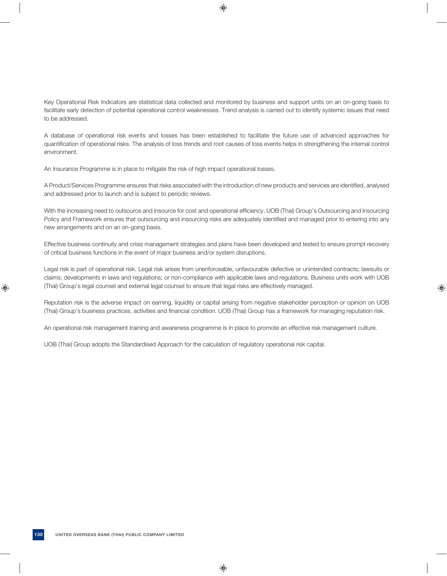Key Operational Risk Indicators are statistical data collected and monitored by business and support units on an on-going basis to facilitate early detection of potential operational control weaknesses. Trend analysis is carried out to identify systemic issues that need to be addressed.

A database of operational risk events and losses has been established to facilitate the future use of advanced approaches for quantifi cation of operational risks. The analysis of loss trends and root causes of loss events helps in strengthening the internal control environment.

An Insurance Programme is in place to mitigate the risk of high impact operational losses.

A Product/Services Programme ensures that risks associated with the introduction of new products and services are identified, analysed and addressed prior to launch and is subject to periodic reviews.

With the increasing need to outsource and insource for cost and operational efficiency, UOB (Thai) Group's Outsourcing and Insourcing Policy and Framework ensures that outsourcing and insourcing risks are adequately identified and managed prior to entering into any new arrangements and on an on-going basis.

Effective business continuity and crisis management strategies and plans have been developed and tested to ensure prompt recovery of critical business functions in the event of major business and/or system disruptions.

Legal risk is part of operational risk. Legal risk arises from unenforceable, unfavourable defective or unintended contracts; lawsuits or claims; developments in laws and regulations; or non-compliance with applicable laws and regulations. Business units work with UOB (Thai) Group's legal counsel and external legal counsel to ensure that legal risks are effectively managed.

Reputation risk is the adverse impact on earning, liquidity or capital arising from negative stakeholder perception or opinion on UOB (Thai) Group's business practices, activities and financial condition. UOB (Thai) Group has a framework for managing reputation risk.

An operational risk management training and awareness programme is in place to promote an effective risk management culture.

UOB (Thai) Group adopts the Standardised Approach for the calculation of regulatory operational risk capital.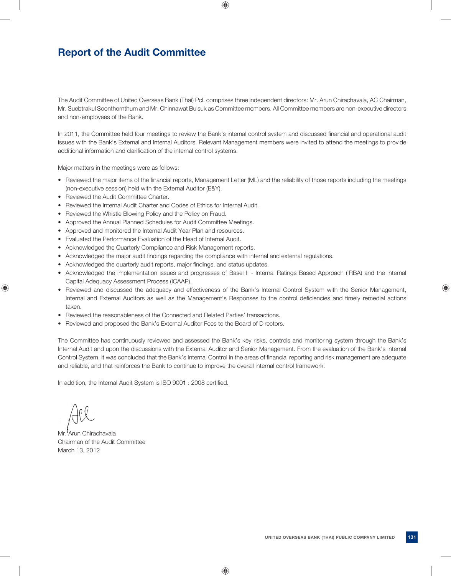## **Report of the Audit Committee**

The Audit Committee of United Overseas Bank (Thai) Pcl. comprises three independent directors: Mr. Arun Chirachavala, AC Chairman, Mr. Suebtrakul Soonthornthum and Mr. Chinnawat Bulsuk as Committee members. All Committee members are non-executive directors and non-employees of the Bank.

In 2011, the Committee held four meetings to review the Bank's internal control system and discussed financial and operational audit issues with the Bank's External and Internal Auditors. Relevant Management members were invited to attend the meetings to provide additional information and clarification of the internal control systems.

Major matters in the meetings were as follows:

- Reviewed the major items of the financial reports, Management Letter (ML) and the reliability of those reports including the meetings (non-executive session) held with the External Auditor (E&Y).
- Reviewed the Audit Committee Charter.
- Reviewed the Internal Audit Charter and Codes of Ethics for Internal Audit.
- Reviewed the Whistle Blowing Policy and the Policy on Fraud.
- Approved the Annual Planned Schedules for Audit Committee Meetings.
- Approved and monitored the Internal Audit Year Plan and resources.
- Evaluated the Performance Evaluation of the Head of Internal Audit.
- Acknowledged the Quarterly Compliance and Risk Management reports.
- Acknowledged the major audit findings regarding the compliance with internal and external regulations.
- Acknowledged the quarterly audit reports, major findings, and status updates.
- Acknowledged the implementation issues and progresses of Basel II Internal Ratings Based Approach (IRBA) and the Internal Capital Adequacy Assessment Process (ICAAP).
- Reviewed and discussed the adequacy and effectiveness of the Bank's Internal Control System with the Senior Management, Internal and External Auditors as well as the Management's Responses to the control deficiencies and timely remedial actions taken.
- Reviewed the reasonableness of the Connected and Related Parties' transactions.
- Reviewed and proposed the Bank's External Auditor Fees to the Board of Directors.

The Committee has continuously reviewed and assessed the Bank's key risks, controls and monitoring system through the Bank's Internal Audit and upon the discussions with the External Auditor and Senior Management. From the evaluation of the Bank's Internal Control System, it was concluded that the Bank's Internal Control in the areas of financial reporting and risk management are adequate and reliable, and that reinforces the Bank to continue to improve the overall internal control framework.

In addition, the Internal Audit System is ISO 9001 : 2008 certified.

Mr<sup>1</sup>Arun Chirachavala Chairman of the Audit Committee March 13, 2012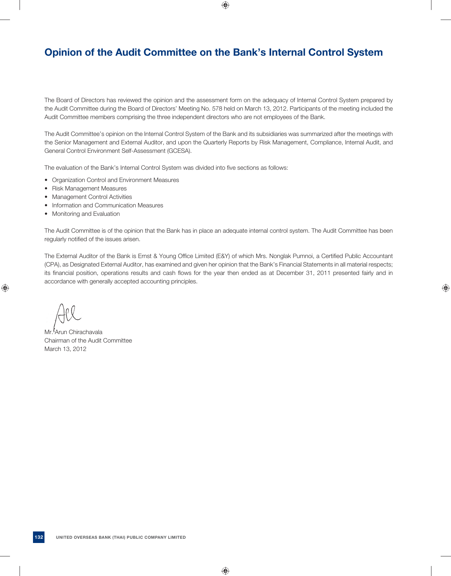## **Opinion of the Audit Committee on the Bank's Internal Control System**

The Board of Directors has reviewed the opinion and the assessment form on the adequacy of Internal Control System prepared by the Audit Committee during the Board of Directors' Meeting No. 578 held on March 13, 2012. Participants of the meeting included the Audit Committee members comprising the three independent directors who are not employees of the Bank.

The Audit Committee's opinion on the Internal Control System of the Bank and its subsidiaries was summarized after the meetings with the Senior Management and External Auditor, and upon the Quarterly Reports by Risk Management, Compliance, Internal Audit, and General Control Environment Self-Assessment (GCESA).

The evaluation of the Bank's Internal Control System was divided into five sections as follows:

- Organization Control and Environment Measures
- Risk Management Measures
- Management Control Activities
- Information and Communication Measures
- Monitoring and Evaluation

The Audit Committee is of the opinion that the Bank has in place an adequate internal control system. The Audit Committee has been regularly notified of the issues arisen.

The External Auditor of the Bank is Ernst & Young Office Limited (E&Y) of which Mrs. Nonglak Pumnoi, a Certified Public Accountant (CPA), as Designated External Auditor, has examined and given her opinion that the Bank's Financial Statements in all material respects; its financial position, operations results and cash flows for the year then ended as at December 31, 2011 presented fairly and in accordance with generally accepted accounting principles.

Mr. Arun Chirachavala Chairman of the Audit Committee March 13, 2012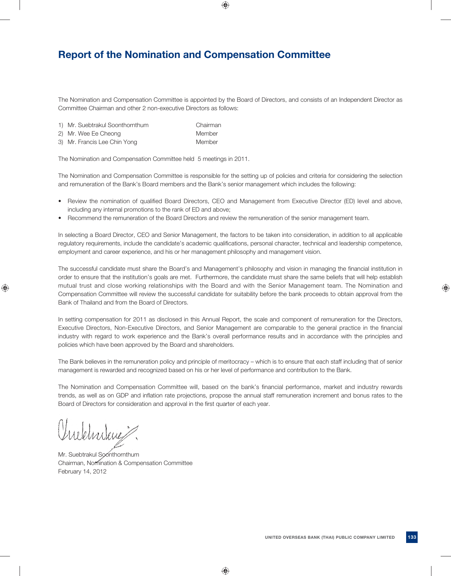## **Report of the Nomination and Compensation Committee**

The Nomination and Compensation Committee is appointed by the Board of Directors, and consists of an Independent Director as Committee Chairman and other 2 non-executive Directors as follows:

- 1) Mr. Suebtrakul Soonthornthum Chairman
- 2) Mr. Wee Ee Cheong Member

3) Mr. Francis Lee Chin Yong Member

The Nomination and Compensation Committee held 5 meetings in 2011.

The Nomination and Compensation Committee is responsible for the setting up of policies and criteria for considering the selection and remuneration of the Bank's Board members and the Bank's senior management which includes the following:

- Review the nomination of qualified Board Directors, CEO and Management from Executive Director (ED) level and above, including any internal promotions to the rank of ED and above;
- Recommend the remuneration of the Board Directors and review the remuneration of the senior management team.

In selecting a Board Director, CEO and Senior Management, the factors to be taken into consideration, in addition to all applicable regulatory requirements, include the candidate's academic qualifications, personal character, technical and leadership competence, employment and career experience, and his or her management philosophy and management vision.

The successful candidate must share the Board's and Management's philosophy and vision in managing the financial institution in order to ensure that the institution's goals are met. Furthermore, the candidate must share the same beliefs that will help establish mutual trust and close working relationships with the Board and with the Senior Management team. The Nomination and Compensation Committee will review the successful candidate for suitability before the bank proceeds to obtain approval from the Bank of Thailand and from the Board of Directors.

In setting compensation for 2011 as disclosed in this Annual Report, the scale and component of remuneration for the Directors, Executive Directors, Non-Executive Directors, and Senior Management are comparable to the general practice in the financial industry with regard to work experience and the Bank's overall performance results and in accordance with the principles and policies which have been approved by the Board and shareholders.

The Bank believes in the remuneration policy and principle of meritocracy – which is to ensure that each staff including that of senior management is rewarded and recognized based on his or her level of performance and contribution to the Bank.

The Nomination and Compensation Committee will, based on the bank's financial performance, market and industry rewards trends, as well as on GDP and inflation rate projections, propose the annual staff remuneration increment and bonus rates to the Board of Directors for consideration and approval in the first quarter of each year.

Mr. Suebtrakul Soonthornthum

Chairman, Nomination & Compensation Committee February 14, 2012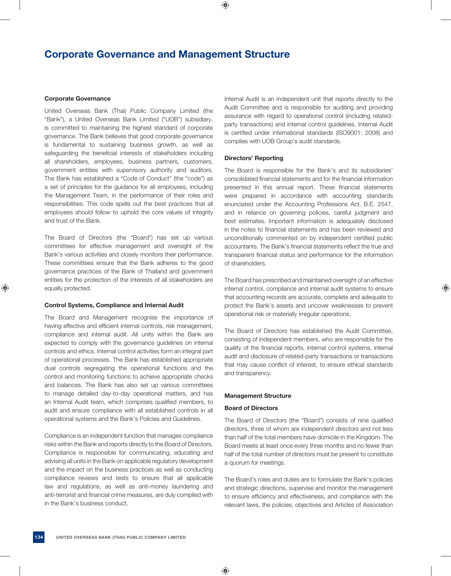## **Corporate Governance and Management Structure**

## **Corporate Governance**

United Overseas Bank (Thai) Public Company Limited (the "Bank"), a United Overseas Bank Limited ("UOB") subsidiary, is committed to maintaining the highest standard of corporate governance. The Bank believes that good corporate governance is fundamental to sustaining business growth, as well as safeguarding the beneficial interests of stakeholders including all shareholders, employees, business partners, customers, government entities with supervisory authority and auditors. The Bank has established a "Code of Conduct" (the "code") as a set of principles for the guidance for all employees, including the Management Team, in the performance of their roles and responsibilities. This code spells out the best practices that all employees should follow to uphold the core values of integrity and trust of the Bank.

The Board of Directors (the "Board") has set up various committees for effective management and oversight of the Bank's various activities and closely monitors their performance. These committees ensure that the Bank adheres to the good governance practices of the Bank of Thailand and government entities for the protection of the interests of all stakeholders are equally protected.

## **Control Systems, Compliance and Internal Audit**

The Board and Management recognise the importance of having effective and efficient internal controls, risk management, compliance and internal audit. All units within the Bank are expected to comply with the governance guidelines on internal controls and ethics. Internal control activities form an integral part of operational processes. The Bank has established appropriate dual controls segregating the operational functions and the control and monitoring functions to achieve appropriate checks and balances. The Bank has also set up various committees to manage detailed day-to-day operational matters, and has an Internal Audit team, which comprises qualified members, to audit and ensure compliance with all established controls in all operational systems and the Bank's Policies and Guidelines.

Compliance is an independent function that manages compliance risks within the Bank and reports directly to the Board of Directors. Compliance is responsible for communicating, educating and advising all units in the Bank on applicable regulatory development and the impact on the business practices as well as conducting compliance reviews and tests to ensure that all applicable law and regulations, as well as anti-money laundering and anti-terrorist and financial crime measures, are duly complied with in the Bank's business conduct.

Internal Audit is an independent unit that reports directly to the Audit Committee and is responsible for auditing and providing assurance with regard to operational control (including relatedparty transactions) and internal control guidelines. Internal Audit is certified under international standards (ISO9001: 2008) and complies with UOB Group's audit standards.

#### **Directors' Reporting**

The Board is responsible for the Bank's and its subsidiaries' consolidated financial statements and for the financial information presented in this annual report. These financial statements were prepared in accordance with accounting standards enunciated under the Accounting Professions Act. B.E. 2547, and in reliance on governing policies, careful judgment and best estimates. Important information is adequately disclosed in the notes to financial statements and has been reviewed and unconditionally commented on by independent certified public accountants. The Bank's financial statements reflect the true and transparent financial status and performance for the information of shareholders.

The Board has prescribed and maintained oversight of an effective internal control, compliance and internal audit systems to ensure that accounting records are accurate, complete and adequate to protect the Bank's assets and uncover weaknesses to prevent operational risk or materially irregular operations.

The Board of Directors has established the Audit Committee, consisting of independent members, who are responsible for the quality of the financial reports, internal control systems, internal audit and disclosure of related-party transactions or transactions that may cause conflict of interest, to ensure ethical standards and transparency.

## **Management Structure**

## **Board of Directors**

The Board of Directors (the "Board") consists of nine qualified directors, three of whom are independent directors and not less than half of the total members have domicile in the Kingdom. The Board meets at least once every three months and no fewer than half of the total number of directors must be present to constitute a quorum for meetings.

The Board's roles and duties are to formulate the Bank's policies and strategic directions, supervise and monitor the management to ensure efficiency and effectiveness, and compliance with the relevant laws, the policies, objectives and Articles of Association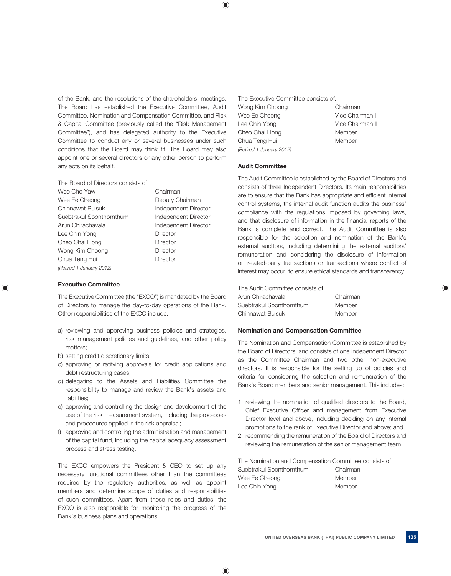of the Bank, and the resolutions of the shareholders' meetings. The Board has established the Executive Committee, Audit Committee, Nomination and Compensation Committee, and Risk & Capital Committee (previously called the "Risk Management Committee"), and has delegated authority to the Executive Committee to conduct any or several businesses under such conditions that the Board may think fit. The Board may also appoint one or several directors or any other person to perform any acts on its behalf.

The Board of Directors consists of:

| Wee Cho Yaw              | Chairman             |
|--------------------------|----------------------|
| Wee Ee Cheong            | Deputy Chairman      |
| Chinnawat Bulsuk         | Independent Director |
| Suebtrakul Soonthornthum | Independent Director |
| Arun Chirachavala        | Independent Director |
| Lee Chin Yong            | Director             |
| Cheo Chai Hong           | Director             |
| Wong Kim Choong          | Director             |
| Chua Teng Hui            | Director             |
| (Retired 1 January 2012) |                      |

## **Executive Committee**

The Executive Committee (the "EXCO") is mandated by the Board of Directors to manage the day-to-day operations of the Bank. Other responsibilities of the EXCO include:

- a) reviewing and approving business policies and strategies, risk management policies and guidelines, and other policy matters;
- b) setting credit discretionary limits;
- c) approving or ratifying approvals for credit applications and debt restructuring cases;
- d) delegating to the Assets and Liabilities Committee the responsibility to manage and review the Bank's assets and liabilities;
- e) approving and controlling the design and development of the use of the risk measurement system, including the processes and procedures applied in the risk appraisal;
- f) approving and controlling the administration and management of the capital fund, including the capital adequacy assessment process and stress testing.

The EXCO empowers the President & CEO to set up any necessary functional committees other than the committees required by the regulatory authorities, as well as appoint members and determine scope of duties and responsibilities of such committees. Apart from these roles and duties, the EXCO is also responsible for monitoring the progress of the Bank's business plans and operations.

The Executive Committee consists of:

Wong Kim Choong Chairman Wee Ee Cheong Vice Chairman I Lee Chin Yong Vice Chairman II Cheo Chai Hong Member Chua Teng Hui **Member** *(Retired 1 January 2012)*

## **Audit Committee**

The Audit Committee is established by the Board of Directors and consists of three Independent Directors. Its main responsibilities are to ensure that the Bank has appropriate and efficient internal control systems, the internal audit function audits the business' compliance with the regulations imposed by governing laws, and that disclosure of information in the financial reports of the Bank is complete and correct. The Audit Committee is also responsible for the selection and nomination of the Bank's external auditors, including determining the external auditors' remuneration and considering the disclosure of information on related-party transactions or transactions where conflict of interest may occur, to ensure ethical standards and transparency.

The Audit Committee consists of:

| Arun Chirachavala        | Chairman |
|--------------------------|----------|
| Suebtrakul Soonthornthum | Member   |
| Chinnawat Bulsuk         | Member   |

### **Nomination and Compensation Committee**

The Nomination and Compensation Committee is established by the Board of Directors, and consists of one Independent Director as the Committee Chairman and two other non-executive directors. It is responsible for the setting up of policies and criteria for considering the selection and remuneration of the Bank's Board members and senior management. This includes:

- 1. reviewing the nomination of qualified directors to the Board, Chief Executive Officer and management from Executive Director level and above, including deciding on any internal promotions to the rank of Executive Director and above; and
- 2. recommending the remuneration of the Board of Directors and reviewing the remuneration of the senior management team.

The Nomination and Compensation Committee consists of: Suebtrakul Soonthornthum Chairman Wee Ee Cheong Member Lee Chin Yong Member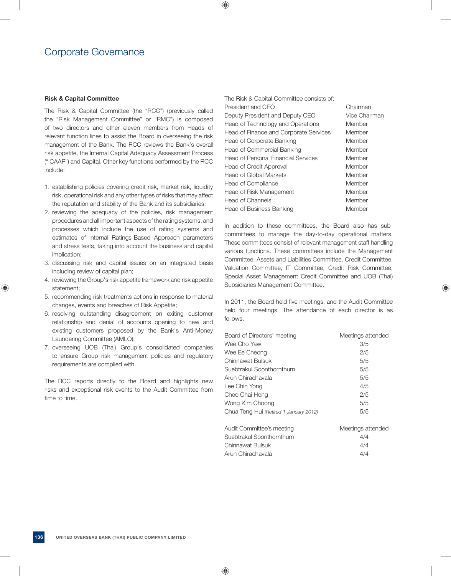## **Risk & Capital Committee**

The Risk & Capital Committee (the "RCC") (previously called the "Risk Management Committee" or "RMC") is composed of two directors and other eleven members from Heads of relevant function lines to assist the Board in overseeing the risk management of the Bank. The RCC reviews the Bank's overall risk appetite, the Internal Capital Adequacy Assessment Process ("ICAAP") and Capital. Other key functions performed by the RCC include:

- 1. establishing policies covering credit risk, market risk, liquidity risk, operational risk and any other types of risks that may affect the reputation and stability of the Bank and its subsidiaries;
- 2. reviewing the adequacy of the policies, risk management procedures and all important aspects of the rating systems, and processes which include the use of rating systems and estimates of Internal Ratings-Based Approach parameters and stress tests, taking into account the business and capital implication;
- 3. discussing risk and capital issues on an integrated basis including review of capital plan;
- 4. reviewing the Group's risk appetite framework and risk appetite statement;
- 5. recommending risk treatments actions in response to material changes, events and breaches of Risk Appetite;
- 6. resolving outstanding disagreement on exiting customer relationship and denial of accounts opening to new and existing customers proposed by the Bank's Anti-Money Laundering Committee (AMLO);
- 7. overseeing UOB (Thai) Group's consolidated companies to ensure Group risk management policies and regulatory requirements are complied with.

The RCC reports directly to the Board and highlights new risks and exceptional risk events to the Audit Committee from time to time.

| The Risk & Capital Committee consists of:  |               |
|--------------------------------------------|---------------|
| President and CEO                          | Chairman      |
| Deputy President and Deputy CEO            | Vice Chairman |
| Head of Technology and Operations          | Member        |
| Head of Finance and Corporate Services     | Member        |
| Head of Corporate Banking                  | Member        |
| <b>Head of Commercial Banking</b>          | Member        |
| <b>Head of Personal Financial Services</b> | Member        |
| Head of Credit Approval                    | Member        |
| <b>Head of Global Markets</b>              | Member        |
| <b>Head of Compliance</b>                  | Member        |
| Head of Risk Management                    | Member        |
| <b>Head of Channels</b>                    | Member        |
| Head of Business Banking                   | Member        |

In addition to these committees, the Board also has subcommittees to manage the day-to-day operational matters. These committees consist of relevant management staff handling various functions. These committees include the Management Committee, Assets and Liabilities Committee, Credit Committee, Valuation Committee, IT Committee, Credit Risk Committee, Special Asset Management Credit Committee and UOB (Thai) Subsidiaries Management Committee.

In 2011, the Board held five meetings, and the Audit Committee held four meetings. The attendance of each director is as follows.

| Board of Directors' meeting            | Meetings attended |
|----------------------------------------|-------------------|
| Wee Cho Yaw                            | 3/5               |
| Wee Ee Cheong                          | 2/5               |
| Chinnawat Bulsuk                       | 5/5               |
| Suebtrakul Soonthornthum               | 5/5               |
| Arun Chirachavala                      | 5/5               |
| Lee Chin Yong                          | 4/5               |
| Cheo Chai Hong                         | 2/5               |
| Wong Kim Choong                        | 5/5               |
| Chua Teng Hui (Retired 1 January 2012) | 5/5               |
|                                        |                   |
|                                        |                   |

| <b>Meetings attended</b> |
|--------------------------|
| 4/4                      |
| 4/4                      |
| 4/4                      |
|                          |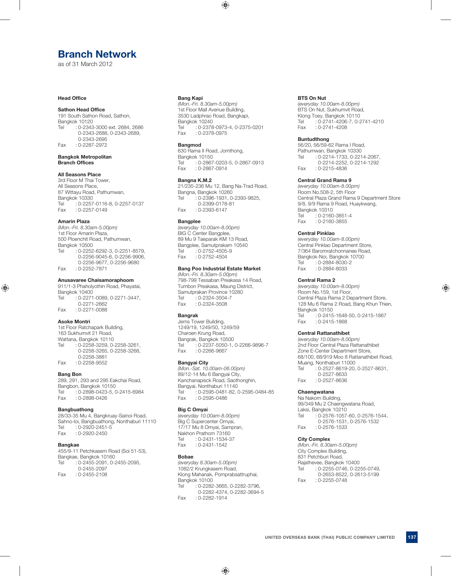## **Branch Network**

as of 31 March 2012

#### **Head Office**

#### **Sathon Head Office**

191 South Sathon Road, Sathon, Bangkok 10120 Tel : 0-2343-3000 ext. 2684, 2686 0-2343-2688, 0-2343-2689, 0-2343-2695 Fax : 0-2287-2972

#### **Bangkok Metropolitan Branch Offices**

### **All Seasons Place**

3rd Floor M Thai Tower, All Seasons Place, 87 Wittayu Road, Pathumwan, Bangkok 10330<br>Tel 0-2257 : 0-2257-0116-8, 0-2257-0137 Fax : 0-2257-0149

#### **Amarin Plaza**

*(Mon.-Fri. 8.30am-5.00pm)*  1st Floor Amarin Plaza, 500 Ploenchit Road, Pathumwan, Bangkok 10500<br>Tel : 0-2252 : 0-2252-6292-3, 0-2251-8579, 0-2256-9045-6, 0-2256-9906, 0-2256-9677, 0-2256-9680<br>Eax: 0-2252-7871  $: 0 - 2252 - 7871$ 

#### **Anusavaree Chaisamoraphoom**

911/1-3 Phaholyothin Road, Phayatai, Bangkok 10400 Tel : 0-2271-0089, 0-2271-3447, 0-2271-2662<br>Co-2271-0088 Fax  $: 0 - 2271 - 0088$ 

#### **Asoke Montri**

1st Floor Ratchapark Building, 163 Sukhumvit 21 Road, Wattana, Bangkok 10110 Tel : 0-2258-3259, 0-2258-3261, 0-2258-3265, 0-2258-3268, 0-2258-3881 Fax : 0-2258-9552

#### **Bang Bon**

289, 291, 293 and 295 Eakchai Road, Bangbon, Bangkok 10150<br>Tel : 0-2898-0423-5  $: 0 - 2898 - 0423 - 5, 0 - 2415 - 6984$ Fax : 0-2898-0426

#### **Bangbuathong**

28/33-35 Mu 4, Bangkruay-Sainoi Road, Sahno-loi, Bangbuathong, Nonthaburi 11110<br>Tel : 0-2920-2451-5  $: 0 - 2920 - 2451 - 5$ Fax : 0-2920-2450

#### **Bangkae**

455/9-11 Petchkasem Road (Soi 51-53), Bangkae, Bangkok 10160 Tel : 0-2455-2091, 0-2455-2095, 0-2455-2097 Fax : 0-2455-2108

#### **Bang Kapi**

*(Mon.-Fri. 8.30am-5.00pm)*  1st Floor Mall Avenue Building, 3530 Ladphrao Road, Bangkapi, Bangkok 10240 Tel : 0-2378-0973-4, 0-2375-0201<br>Fax : 0-2378-0975 Fax : 0-2378-0975

#### **Bangmod**

630 Rama II Road, Jomthong, Bangkok 10150<br>Tel 0-2867 Tel : 0-2867-0203-5, 0-2867-0913<br>Fax : 0-2867-0914  $: 0 - 2867 - 0914$ 

#### **Bangna K.M.2**

21/235-236 Mu 12, Bang Na-Trad Road, Bangna, Bangkok 10260 Tel : 0-2396-1931, 0-2393-9825, 0-2399-0178-81 Fax : 0-2393-6147

#### **Bangplee**

*(everyday 10.00am-8.00pm)*  BIG C Center Bangplee, 89 Mu 9 Taeparak KM 13 Road, Bangplee, Samutprakarn 10540<br>Tel : 0-2752-4505-9  $: 0 - 2752 - 4505 - 9$ Fax : 0-2752-4504

### **Bang Poo Industrial Estate Market**

*(Mon.-Fri. 8.30am-5.00pm)*  798-799 Tessaban Preakasa 14 Road, Tumbon Preakasa, Maung District, Samutprakan Province 10280<br>Tel 0-2324-3504-7 : 0-2324-3504-7 Fax : 0-2324-3508

#### **Bangrak**

Jems Tower Building, 1249/19, 1249/50, 1249/59 Charoen Krung Road, Bangrak, Bangkok 10500 Tel : 0-2237-5050-1, 0-2266-9896-7<br>Fax : 0-2266-9667  $: 0 - 2266 - 9667$ 

#### **Bangyai City**

*(Mon.-Sat. 10.00am-06.00pm)*  89/12-14 Mu 6 Bangyai City, Kanchanapisck Road, Saothonghin, Bangyai, Nonthaburi 11140<br>Tel (0-2595-0481-82) : 0-2595-0481-82, 0-2595-0484-85 Fax : 0-2595-0486

## **Big C Omyai**

*(everyday 10.00am-8.00pm)*  Big C Supercenter Omyai, 17/17 Mu 8 Omyai, Sampran, Nakhon Prathom 73160 Tel : 0-2431-1534-37 Fax : 0-2431-1542

#### **Bobae**

*(everyday 8.30am-5.00pm)*  1082/2 Krungkasem Road, Klong Mahanak, Pomprabsattruphai, Bangkok 10100<br>Tel : 0-2282 : 0-2282-3665, 0-2282-3796, 0-2282-4374, 0-2282-3694-5 Fax : 0-2282-1914

#### **BTS On Nut**

*(everyday 10.00am-8.00pm)*  BTS On Nut, Sukhumvit Road, Klong Toey, Bangkok 10110 Tel : 0-2741-4206-7, 0-2741-4210 Fax : 0-2741-4208

#### **Buntudthong**

56/20, 56/59-62 Rama I Road, Pathumwan, Bangkok 10330<br>Tel : 0-2214-1733, 0-221  $: 0 - 2214 - 1733, 0 - 2214 - 2067,$ 0-2214-2252, 0-2214-1292<br>Fax: 0-2215-4836  $: 0 - 2215 - 4836$ 

#### **Central Grand Rama 9**

*(everyday 10.00am-8.00pm)*  Room No.508-2, 5th Floor Central Plaza Grand Rama 9 Department Store 9/8, 9/9 Rama 9 Road, Huaykwang, Bangkok 10310<br>Tel : 0-2160  $: 0 - 2160 - 3851 - 4$ Fax : 0-2160-3855

#### **Central Pinklao**

*(everyday 10.00am-8.00pm)*  Central Pinklao Department Store, 7/364 Baromratchonnanee Road, Bangkok-Noi, Bangkok 10700 Tel : 0-2884-8030-2<br>Fax : 0-2884-8033  $: 0 - 2884 - 8033$ 

#### **Central Rama 2**

*(everyday 10.00am-8.00pm)*  Room No.159, 1st Floor, Central Plaza Rama 2 Department Store, 128 Mu 6 Rama 2 Road, Bang Khun Thien, Bangkok 10150<br>Tel : 0-2415  $: 0 - 2415 - 1648 - 50, 0 - 2415 - 1867$ Fax : 0-2415-1868

#### **Central Rattanathibet**

*(everyday 10.00am-8.00pm)*  2nd Floor Central Plaza Rattanathibet Zone E-Center Department Store, 68/100, 68/919 Moo 8 Rattanathibet Road, Muang, Nonthaburi 11000 Tel : 0-2527-8619-20, 0-2527-8631, 0-2527-8633 Fax : 0-2527-8636

#### **Chaengwatana**

Na Nakorn Building, 99/349 Mu 2 Chaengwatana Road, Laksi, Bangkok 10210 Tel : 0-2576-1057-60, 0-2576-1544, 0-2576-1531, 0-2576-1532<br>Fax: 0-2576-1533  $: 0 - 2576 - 1533$ 

#### **City Complex**

*(Mon.-Fri. 8.30am-5.00pm)*  City Complex Building, 831 Petchburi Road, Rajathevee, Bangkok 10400 Tel : 0-2255-0746, 0-2255-0749, 0-2653-8522, 0-2613-5199 Fax : 0-2255-0748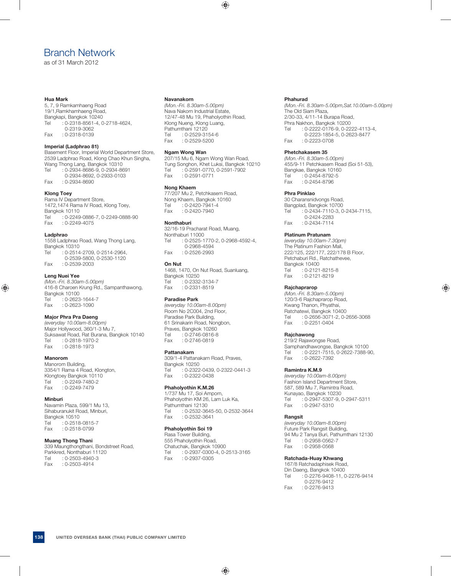## Branch Network

as of 31 March 2012

#### **Hua Mark**

5, 7, 9 Ramkamhaeng Road 19/1,Ramkhamhaeng Road, Bangkapi, Bangkok 10240<br>Tel 0-2318-8561-4 0  $: 0 - 2318 - 8561 - 4, 0 - 2718 - 4624,$  0-2319-3062 Fax : 0-2318-0139

### **Imperial (Ladphrao 81)**

Basement Floor, Imperial World Department Store, 2539 Ladphrao Road, Klong Chao Khun Singha, Wang Thong Lang, Bangkok 10310 Tel : 0-2934-8686-9, 0-2934-8691 0-2934-8692, 0-2933-0103<br>Fax: 0-2934-8690  $: 0 - 2934 - 8690$ 

### **Klong Toey**

Rama IV Department Store, 1472,1474 Rama IV Road, Klong Toey, Bangkok 10110 Tel : 0-2249-0886-7, 0-2249-0888-90 Fax : 0-2249-4075

#### **Ladphrao**

1558 Ladphrao Road, Wang Thong Lang, Bangkok 10310 Tel : 0-2514-2709, 0-2514-2964, 0-2539-5800, 0-2530-1120 Fax : 0-2539-2003

## **Leng Nuei Yee**

*(Mon.-Fri. 8.30am-5.00pm)*  416-8 Charoen Krung Rd., Sampanthawong, Bangkok 10100<br>Tel 0-2623  $: 0 - 2623 - 1644 - 7$ Fax : 0-2623-1090

### **Major Phra Pra Daeng**

*(everyday 10.00am-8.00pm)*  Major Hollywood, 360/1-3 Mu 7, Suksawat Road, Rat Burana, Bangkok 10140 Tel : 0-2818-1970-2 Fax : 0-2818-1973

### **Manorom**

Manorom Building, 3354/1 Rama 4 Road, Klongton, Klongtoey Bangkok 10110 Tel : 0-2249-7480-2 Fax : 0-2249-7479

#### **Minburi**

Navamin Plaza, 599/1 Mu 13, Sihaburanukit Road, Minburi, Bangkok 10510<br>Tel 0-2518  $: 0 - 2518 - 0815 - 7$ Fax : 0-2518-0799

#### **Muang Thong Thani**

339 Maungthongthani, Bondstreet Road, Parkkred, Nonthaburi 11120 Tel : 0-2503-4940-3 Fax : 0-2503-4914

#### **Navanakorn**

*(Mon.-Fri. 8.30am-5.00pm)*  Nava Nakorn Industrial Estate, 12/47-48 Mu 19, Phaholyothin Road, Klong Nueng, Klong Luang, Pathumthani 12120<br>Tel : 0-2529-31 Tel : 0-2529-3154-6 Fax : 0-2529-5200

#### **Ngam Wong Wan**

207/15 Mu 6, Ngam Wong Wan Road, Tung Songhon, Khet Luksi, Bangkok 10210 Tel : 0-2591-0770, 0-2591-7902 Fax : 0-2591-0771

#### **Nong Khaem**

77/207 Mu 2, Petchkasem Road, Nong Khaem, Bangkok 10160 Tel : 0-2420-7941-4<br>Fax : 0-2420-7940  $: 0 - 2420 - 7940$ 

#### **Nonthaburi**

32/16-19 Pracharat Road, Muang, Nonthaburi 11000<br>Tel : 0-2525-1 : 0-2525-1770-2, 0-2968-4592-4, 0-2968-4594<br>0-2526-2993 Fax  $: 0 - 2526 - 2993$ 

#### **On Nut**

1468, 1470, On Nut Road, Suanluang, Bangkok 10250<br>Tel : 0-2332 : 0-2332-3134-7 Fax : 0-2331-8519

#### **Paradise Park**

*(everyday 10.00am-8.00pm)*  Room No 2C004, 2nd Floor, Paradise Park Building, 61 Srinakarin Road, Nongbon, Praves, Bangkok 10260<br>Tel : 0-2746-0816-8  $: 0 - 2746 - 0816 - 8$ Fax : 0-2746-0819

#### **Pattanakarn**

309/1-4 Pattanakarn Road, Praves, Bangkok 10250 Tel : 0-2322-0439, 0-2322-0441-3<br>Fax : 0-2322-0438  $: 0 - 2322 - 0438$ 

### **Phaholyothin K.M.26**

1/737 Mu 17, Soi Amporn, Phaholyothin KM 26, Lam Luk Ka, Pathumthani 12130 Tel : 0-2532-3645-50, 0-2532-3644<br>Fax : 0-2532-3641  $: 0 - 2532 - 3641$ 

#### **Phaholyothin Soi 19**

Rasa Tower Building, 555 Phaholyothin Road, Chatuchak, Bangkok 10900<br>Tel 0-2937-0300-4 0-2 Tel : 0-2937-0300-4, 0-2513-3165<br>Fax : 0-2937-0305  $: 0 - 2937 - 0305$ 

#### **Phahurad**

*(Mon.-Fri. 8.30am-5.00pm,Sat.10.00am-5.00pm)*  The Old Siam Plaza, 2/30-33, 4/11-14 Burapa Road, Phra Nakhon, Bangkok 10200 Tel : 0-2222-0176-9, 0-2222-4113-4, 0-2223-1854-5, 0-2623-8477<br>Fax: : 0-2223-0708  $: 0 - 2223 - 0708$ 

#### **Phetchakasem 35**

*(Mon.-Fri. 8.30am-5.00pm)*  455/9-11 Petchkasem Road (Soi 51-53), Bangkae, Bangkok 10160 Tel : 0-2454-8792-5<br>Eax : 0-2454-8796  $: 0 - 2454 - 8796$ 

#### **Phra Pinklao**

30 Charansnidvongs Road, Bangplad, Bangkok 10700<br>Tel 0-2434-7110-3.0  $: 0 - 2434 - 7110 - 3, 0 - 2434 - 7115,$ 0-2424-2283<br>114-0-2434-7114  $: 0 - 2434 - 7114$ 

#### **Platinum Pratunam**

*(everyday 10.00am-7.30pm)*  The Platinum Fashion Mall, 222/125, 222/177, 222/178 B Floor, Petchaburi Rd., Ratchathevee, Bangkok 10400 Tel : 0-2121-8215-8 Fax : 0-2121-8219

#### **Rajchaprarop**

*(Mon.-Fri. 8.30am-5.00pm)*  120/3-6 Rajchaprarop Road, Kwang Thanon, Phyathai, Ratchatewi, Bangkok 10400<br>Tel : 0-2656-3071-2.0-4 Tel : 0-2656-3071-2, 0-2656-3068<br>Fax : 0-2251-0404  $: 0 - 2251 - 0404$ 

#### **Rajchawong**

219/2 Rajawongse Road, Samphandhawongse, Bangkok 10100 Tel : 0-2221-7515, 0-2622-7388-90,<br>Fax : 0-2622-7392  $: 0 - 2622 - 7392$ 

#### **Ramintra K.M.9**

*(everyday 10.00am-8.00pm)*  Fashion Island Department Store, 587, 589 Mu 7, Ramintra Road, Kunayao, Bangkok 10230 Tel : 0-2947-5307-9, 0-2947-5311 Fax : 0-2947-5310

#### **Rangsit**

*(everyday 10.00am-8.00pm)*  Future Park Rangsit Building, 94 Mu 2 Tanya Buri, Pathumthani 12130<br>Tel : 0-2958-0562-7  $: 0 - 2958 - 0562 - 7$ Fax : 0-2958-0568

#### **Ratchada-Huay Khwang**

167/8 Ratchadaphisek Road, Din Daeng, Bangkok 10400 Tel : 0-2276-9408-11, 0-2276-9414 0-2276-9412 Fax : 0-2276-9413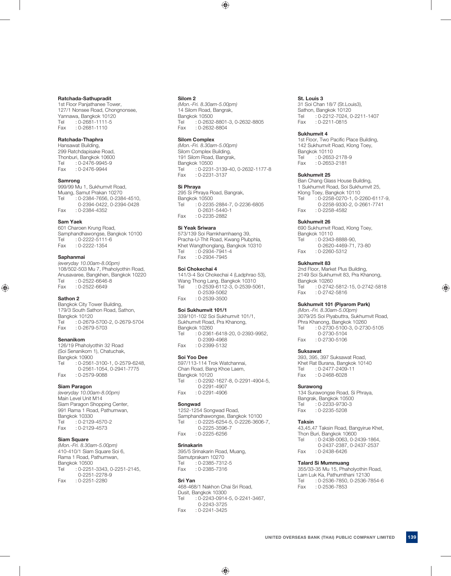#### **Ratchada-Sathupradit**

1st Floor Panjathanee Tower, 127/1 Nonsee Road, Chongnonsee, Yannawa, Bangkok 10120  $0-2681-1111-5$ Fax : 0-2681-1110

### **Ratchada-Thaphra**

Hansawat Building, 299 Ratchdapisake Road, Thonburi, Bangkok 10600 Tel : 0-2476-9945-9 Fax : 0-2476-9944

#### **Samrong**

999/99 Mu 1, Sukhumvit Road, Muang, Samut Prakan 10270 Tel : 0-2384-7656, 0-2384-4510, 0-2394-0422, 0-2394-0428<br>Fax: 0-2384-4352  $: 0 - 2384 - 4352$ 

#### **Sam Yaek**

601 Charoen Krung Road, Samphandhawongse, Bangkok 10100<br>Tel 0-2222-5111-6  $.0 - 2222 - 5111 - 6$ Fax : 0-2222-1354

#### **Saphanmai**

*(everyday 10.00am-8.00pm)*  108/502-503 Mu 7, Phaholyothin Road, Anusavaree, Bangkhen, Bangkok 10220 Tel : 0-2522-6646-8 Fax : 0-2522-6649

#### **Sathon 2**

Bangkok City Tower Building, 179/3 South Sathon Road, Sathon, Bangkok 10120 Tel : 0-2679-5700-2, 0-2679-5704<br>Fax : 0-2679-5703  $.0 - 2679 - 5703$ 

#### **Senanikom**

126/19 Phaholyothin 32 Road (Soi Senanikom 1), Chatuchak, Bangkok 10900 Tel : 0-2561-3100-1, 0-2579-6248, 0-2561-1054, 0-2941-7775<br>Fax: 0-2579-9088  $\cdot$  0-2579-9088

#### **Siam Paragon**

*(everyday 10.00am-8.00pm)*  Main Level Unit M14 Siam Paragon Shopping Center, 991 Rama 1 Road, Pathumwan, Bangkok 10330 Tel : 0-2129-4570-2 Fax : 0-2129-4573

#### **Siam Square**

*(Mon.-Fri. 8.30am-5.00pm)*  410-410/1 Siam Square Soi 6, Rama 1 Road, Pathumwan, Bangkok 10500 Tel : 0-2251-3343, 0-2251-2145, 0-2251-2278-9 Fax : 0-2251-2280

#### **Silom 2**

*(Mon.-Fri. 8.30am-5.00pm)*  14 Silom Road, Bangrak, Bangkok 10500<br>Tel 0-2632  $: 0 - 2632 - 8801 - 3, 0 - 2632 - 8805$ Fax : 0-2632-8804

#### **Silom Complex**

*(Mon.-Fri. 8.30am-5.00pm)*  Silom Complex Building, 191 Silom Road, Bangrak, Bangkok 10500 Tel : 0-2231-3139-40, 0-2632-1177-8<br>Fax : 0-2231-3137  $: 0 - 2231 - 3137$ 

### **Si Phraya**

295 Si Phraya Road, Bangrak, Bangkok 10500 Tel : 0-2235-2884-7, 0-2236-6805 0-2631-5440-1 Fax : 0-2235-2882

#### **Si Yeak Sriwara**

573/139 Soi Ramkhamhaeng 39, Pracha-U-Thit Road, Kwang Plubphla, Khet Wangthonglang, Bangkok 10310<br>Tel : 0-2934-7941-4  $: 0 - 2934 - 7941 - 4$ Fax : 0-2934-7945

### **Soi Chokechai 4**

141/3-4 Soi Chokechai 4 (Ladphrao 53), Wang Thong Lang, Bangkok 10310 Tel : 0-2539-6112-3, 0-2539-5061, 0-2539-5062<br>0-2539-3500 Fax  $\cdot$  0-2539-3500

#### **Soi Sukhumvit 101/1**

339/101-102 Soi Sukhumvit 101/1, Sukhumvit Road, Pra Khanong, Bangkok 10260 Tel : 0-2361-6418-20, 0-2393-9952, 0-2399-4968 Fax : 0-2399-5132

#### **Soi Yoo Dee**

597/113-114 Trok Watchannai, Chan Road, Bang Khoe Laem, Bangkok 10120 Tel : 0-2292-1627-8, 0-2291-4904-5, 0-2291-4907 Fax : 0-2291-4906

### **Songwad**

1252-1254 Songwad Road, Samphandhawongse, Bangkok 10100 Tel : 0-2225-6254-5, 0-2226-3606-7, 0-2225-3596-7<br>6256-6256: Fax  $\cdot$  0-2225-6256

#### **Srinakarin**

395/5 Srinakarin Road, Muang, Samutprakarn 10270<br>Tel 0-2385-7312 Tel : 0-2385-7312-5 Fax : 0-2385-7316

#### **Sri Yan**

468-468/1 Nakhon Chai Sri Road, Dusit, Bangkok 10300 Tel : 0-2243-0914-5, 0-2241-3467, 0-2243-3725<br>0-2241-3425 Fax  $: 0 - 2241 - 3425$ 

#### **St. Louis 3**

31 Soi Chan 18/7 (St.Louis3), Sathon, Bangkok 10120<br>Tel : 0-2212-7024 Tel : 0-2212-7024, 0-2211-1407<br>Fax : 0-2211-0815  $: 0 - 2211 - 0815$ 

#### **Sukhumvit 4**

1st Floor, Two Pacific Place Building, 142 Sukhumvit Road, Klong Toey, Bangkok 10110<br>Tel : 0-2653 Tel : 0-2653-2178-9<br>Fax : 0-2653-2181  $: 0 - 2653 - 2181$ 

#### **Sukhumvit 25**

Ban Chang Glass House Building, 1 Sukhumvit Road, Soi Sukhumvit 25, Klong Toey, Bangkok 10110 Tel : 0-2258-0270-1, 0-2260-6117-9, 0-2258-9330-2, 0-2661-7741<br>Fax: 0-2258-4582  $: 0 - 2258 - 4582$ 

#### **Sukhumvit 26**

690 Sukhumvit Road, Klong Toey, Bangkok 10110<br>Tel 0-2343  $: 0 - 2343 - 8888 - 90.$ 0-2620-4469-71, 73-80<br>  $Fax : 0-2260-5312$  $: 0 - 2260 - 5312$ 

#### **Sukhumvit 83**

2nd Floor, Market Plus Building, 2149 Soi Sukhumvit 83, Pra Khanong, Bangkok 10260 Tel : 0-2742-5812-15, 0-2742-5818 Fax : 0-2742-5816

#### **Sukhumvit 101 (Piyarom Park)**

*(Mon.-Fri. 8.30am-5.00pm)*  3079/25 Soi Piyabuttra, Sukhumvit Road, Phra Khanong, Bangkok 10260<br>Tel 0-2730-5100-3 0-273  $: 0 - 2730 - 5100 - 3, 0 - 2730 - 5105$ 0-2730-5104<br>0-2730-5106 Fax  $: 0 - 2730 - 5106$ 

#### **Suksawat**

393, 395, 397 Suksawat Road, Khet Rat Burana, Bangkok 10140<br>Tel : 0-2477-2409-11  $: 0 - 2477 - 2409 - 11$ Fax : 0-2468-6028

#### **Surawong**

134 Surawongse Road, Si Phraya, Bangrak, Bangkok 10500<br>Tel 0-2233-9730-3  $: 0 - 2233 - 9730 - 3$ Fax : 0-2235-5208

#### **Taksin**

43,45,47 Taksin Road, Bangyirue Khet, Thon Buri, Bangkok 10600 Tel : 0-2438-0063, 0-2439-1864, 0-2437-2387, 0-2437-2537<br>
Fax: 0-2438-6426  $: 0 - 2438 - 6426$ 

#### **Talard Si Mummuang**

355/33-35 Mu 15, Phaholyothin Road, Lam Luk Ka, Pathumthani 12130 Tel : 0-2536-7850, 0-2536-7854-6 Fax : 0-2536-7853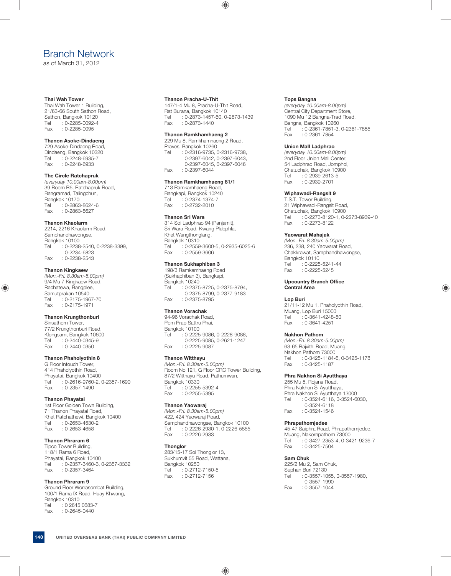## Branch Network

as of March 31, 2012

#### **Thai Wah Tower**

Thai Wah Tower 1 Building, 21/63-66 South Sathon Road, Sathon, Bangkok 10120<br>Tel 0-2285-0092-4 : 0-2285-0092-4 Fax : 0-2285-0095

#### **Thanon Asoke-Dindaeng**

729 Asoke-Dindaeng Road, Dindaeng, Bangkok 10320 Tel : 0-2248-6935-7 Fax : 0-2248-6933

## **The Circle Ratchapruk**

*(everyday 10.00am-8.00pm)*  39 Room R6, Ratchapruk Road, Bangramad, Talingchun, Bangkok 10170 Tel : 0-2863-8624-6<br>Fax : 0-2863-8627  $: 0 - 2863 - 8627$ 

#### **Thanon Khaolarm**

2214, 2216 Khaolarm Road, Samphandhawongse, Bangkok 10100 Tel : 0-2238-2540, 0-2238-3399, 0-2234-6823<br>Co-2238-2543 Eax  $: 0 - 2238 - 2543$ 

#### **Thanon Kingkaew**

*(Mon.-Fri. 8.30am-5.00pm)*  9/4 Mu 7 Kingkaew Road, Rachatewa, Bangplee, Samutprakan 10540<br>Tel 0-2175-196  $\frac{1}{1}$ : 0-2175-1967-70 Fax : 0-2175-1971

### **Thanon Krungthonburi**

Sinsathorn Tower, 77/2 Krungthonburi Road, Klongsarn, Bangkok 10600 Tel : 0-2440-0345-9 Fax : 0-2440-0350

### **Thanon Phaholyothin 8**

G Floor Intouch Tower, 414 Phaholyothin Road, Phayatai, Bangkok 10400 Tel : 0-2616-9760-2, 0-2357-1690 Fax : 0-2357-1490

#### **Thanon Phayatai**

1st Floor Golden Town Building, 71 Thanon Phayatai Road, Khet Ratchathewi, Bangkok 10400 Tel : 0-2653-4530-2 Fax : 0-2653-4658

#### **Thanon Phraram 6**

Tipco Tower Building, 118/1 Rama 6 Road, Phayatai, Bangkok 10400 Tel : 0-2357-3460-3, 0-2357-3332<br>Fax : 0-2357-3464  $: 0 - 2357 - 3464$ 

#### **Thanon Phraram 9**

Ground Floor Worrasombat Building, 100/1 Rama IX Road, Huay Khwang, Bangkok 10310 Tel : 0 2645 0683-7<br>Fax : 0-2645-0440  $: 0 - 2645 - 0440$ 

#### **Thanon Pracha-U-Thit**

147/1-4 Mu 8, Pracha-U-Thit Road, Rat Burana, Bangkok 10140 Tel : 0-2873-1457-60, 0-2873-1439  $: 0 - 2873 - 1440$ 

#### **Thanon Ramkhamhaeng 2**

229 Mu 8, Ramkhamhaeng 2 Road, Praves, Bangkok 10260<br>Tel 0-2316-9735 : 0-2316-9735, 0-2316-9738, 0-2397-6042, 0-2397-6043, 0-2397-6045, 0-2397-6046<br>Fax: : 0-2397-6044  $: 0 - 2397 - 6044$ 

#### **Thanon Ramkhamhaeng 81/1**

713 Ramkamhaeng Road, Bangkapi, Bangkok 10240<br>Tel : 0-2374-1374-7  $: 0 - 2374 - 1374 - 7$ Fax : 0-2732-2010

#### **Thanon Sri Wara**

314 Soi Ladphrao 94 (Panjamit), Sri Wara Road, Kwang Plubphla, Khet Wangthonglang, Bangkok 10310 Tel : 0-2559-3600-5, 0-2935-6025-6 Fax : 0-2559-3606

#### **Thanon Sukhaphiban 3**

198/3 Ramkamhaeng Road (Sukhaphiban 3), Bangkapi, Bangkok 10240 Tel : 0-2375-8725, 0-2375-8794, 0-2375-8799, 0-2377-9183<br>Fax: 0-2375-8795  $\cdot$  0-2375-8795

#### **Thanon Vorachak**

94-96 Vorachak Road, Pom Prap Sattru Phai, Bangkok 10100<br>Tel : 0-2225 : 0-2225-9086, 0-2228-9088, 0-2225-9085, 0-2621-1247<br>Fax: 0-2225-9087  $: 0 - 2225 - 9087$ 

#### **Thanon Witthayu**

*(Mon.-Fri. 8.30am-5.00pm)*  Room No 121, G Floor CRC Tower Building, 87/2 Witthayu Road, Pathumwan, Bangkok 10330 Tel : 0-2255-5392-4<br>Fax : 0-2255-5395  $: 0 - 2255 - 5395$ 

#### **Thanon Yaowaraj**

*(Mon.-Fri. 8.30am-5.00pm)*  422, 424 Yaowaraj Road, Samphandhawongse, Bangkok 10100 Tel : 0-2226-2930-1, 0-2226-5855<br>Fax : 0-2226-2933  $: 0 - 2226 - 2933$ 

#### **Thonglor**

283/15-17 Soi Thonglor 13, Sukhumvit 55 Road, Wattana, Bangkok 10250<br>Tel : 0-2712 Tel : 0-2712-7150-5<br>Fax : 0-2712-7156  $: 0 - 2712 - 7156$ 

#### **Tops Bangna**

*(everyday 10.00am-8.00pm)*  Central City Department Store, 1090 Mu 12 Bangna-Trad Road, Bangna, Bangkok 10260 Tel : 0-2361-7851-3, 0-2361-7855 Fax : 0-2361-7854

#### **Union Mall Ladphrao**

*(everyday 10.00am-8.00pm)*  2nd Floor Union Mall Center, 54 Ladphrao Road, Jomphol, Chatuchak, Bangkok 10900 Tel : 0-2939-2613-5<br>Eax : 0-2939-2701  $: 0 - 2939 - 2701$ 

#### **Wiphawadi-Rangsit 9**

T.S.T. Tower Building, 21 Wiphawadi-Rangsit Road, Chatuchak, Bangkok 10900 Tel : 0-2273-8120-1, 0-2273-8939-40 Fax : 0-2273-8122

#### **Yaowarat Mahajak**

*(Mon.-Fri. 8.30am-5.00pm)*  236, 238, 240 Yaowarat Road, Chakkrawat, Samphandhawongse, Bangkok 10110 Tel : 0-2225-5241-44 Fax : 0-2225-5245

#### **Upcountry Branch Office Central Area**

#### **Lop Buri**

21/11-12 Mu 1, Phaholyothin Road, Muang, Lop Buri 15000<br>Tel : 0-3641-4248-5  $: 0 - 3641 - 4248 - 50$ Fax : 0-3641-4251

#### **Nakhon Pathom**

*(Mon.-Fri. 8.30am-5.00pm)*  63-65 Rajvithi Road, Muang, Nakhon Pathom 73000<br>Tel 0-3425-1184-: 0-3425-1184-6, 0-3425-1178 Fax : 0-3425-1187

#### **Phra Nakhon Si Ayutthaya**

255 Mu 5, Rojana Road, Phra Nakhon Si Ayutthaya, Phra Nakhon Si Ayutthaya 13000 Tel : 0-3524-6116, 0-3524-6030, 0-3524-6118 Fax : 0-3524-1546

#### **Phrapathomjedee**

45-47 Saiphra Road, Phrapathomjedee, Muang, Nakornpathom 73000 Tel : 0-3427-2353-4, 0-3421-9236-7 Fax : 0-3425-7504

#### **Sam Chuk**

225/2 Mu 2, Sam Chuk, Suphan Buri 72130 Tel : 0-3557-1055, 0-3557-1980, 0-3557-1990 Fax : 0-3557-1044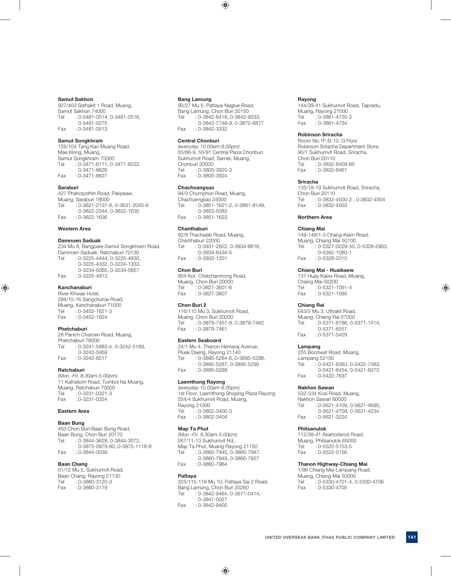#### **Samut Sakhon**

927/403 Sethakit 1 Road, Muang, Samut Sakhon 74000 Tel : 0-3481-0514, 0-3481-0516, 0-3481-0275 Fax : 0-3481-0513

#### **Samut Songkhram**

125/104 Tang Kao Muang Road, Mae Klong, Muang, Samut Songkhram 75000 Tel : 0-3471-8111, 0-3471-8222, 0-3471-8626 Fax : 0-3471-8627

#### **Saraburi**

427 Phaholyothin Road, Pakpeaw, Muang, Saraburi 18000 Tel : 0-3621-2137-8, 0-3631-2055-6 0-3622-2344, 0-3622-1630 Fax : 0-3622-1636

#### **Western Area**

#### **Damnoen Saduak**

234 Mu 8, Bangpare-Samut Songkhram Road, Damnoen Saduak, Ratchaburi 70130 Tel : 0-3225-4444, 0-3225-4930, 0-3225-4332, 0-3224-1333, 0-3234-5065, 0-3234-5857 Fax : 0-3225-4913

#### **Kanchanaburi**

River Khwae Hotel, 284/15-16 Sangchutoe Road, Muang, Kanchanaburi 71000 Tel : 0-3452-1621-3<br>Fax : 0-3452-1624  $: 0 - 3452 - 1624$ 

#### **Phetchaburi**

28 Panich Charoen Road, Muang, Phetchaburi 76000 Tel : 0-3241-5883-4, 0-3242-5169, 0-3242-5959<br>617–0-3242-8517  $: 0 - 3242 - 8517$ 

#### **Ratchaburi**

*(Mon.-Fri. 8.30am-5.00pm)*  11 Kathatorn Road, Tumbol Na Muang, Muang, Ratchaburi 70000<br>Tel : 0-3231-0321-3  $0.3231 - 0.321 - 3$ Fax : 0-3231-0324

#### **Eastern Area**

#### **Baan Bung**

403 Chon Buri-Baan Bung Road, Baan Bung, Chon Buri 20170 Tel : 0-3844-3628, 0-3844-3072, 0-3875-0979-80, 0-3875-1118-9<br>Fax : 0-3844-3039  $: 0 - 3844 - 3039$ 

## **Baan Chang**

51/12 Mu 5, Sukhumvit Road, Baan Chang, Rayong 21130 Tel : 0-3860-3120-3 Fax : 0-3860-3119

#### **Bang Lamung**

90/27 Mu 5, Pattaya-Naglue Road, Bang Lamung, Chon Buri 20150 Tel : 0-3842-8418, 0-3842-9333, 0-3842-7748-9, 0-3872-6817 Fax : 0-3842-3332

#### **Central Chonburi**

*(everyday 10.00am-8.00pm)*  55/88-9, 55/91 Central Plaza Chonburi Sukhumvit Road, Samet, Muang, Chonburi 20000<br>Tel 0-3805 : 0-3805-3920-3 Fax : 0-3805-3924

#### **Chachoengsao**

94/3 Chumphon Road, Muang, Chachoengsao 24000 Tel : 0-3851-1621-2, 0-3881-8149, 0-3853-5083 Fax : 0-3851-1623

#### **Chanthaburi**

82/9 Thachalab Road, Muang, Chanthaburi 22000 Tel : 0-3931-2822, 0-3934-6616, 0-3934-6434-5<br>Co-3932-1201  $: 0 - 3932 - 1201$ 

#### **Chon Buri**

804 Kor. Chetchamnong Road, Muang, Chon Buri 20000 Tel : 0-3827-3601-6 Fax : 0-3827-3607

#### **Chon Buri 2**

116/110 Mu 3, Sukhumvit Road, Muang, Chon Buri 20000 Tel : 0-3879-7457-9, 0-3879-7462 Fax : 0-3879-7461

#### **Eastern Seaboard**

24/1 Mu 4, Thanon Hemaraj Avenue, Pluak Daeng, Rayong 21140 Tel : 0-3895-5284-6, 0-3895-5288, 0-3895-5287, 0-3895-5290 Fax : 0-3895-5289

#### **Laemthong Rayong**

*(everyday 10.00am-8.00pm)*  1st Floor, Laemthong Shoping Plaza Rayong 554/4 Sukhumvit Road, Muang, Rayong 21000 Tel : 0-3802-3400-3<br>Fax : 0-3802-3404  $: 0 - 3802 - 3404$ 

#### **Map Ta Phut**

*(Mon.-Fri. 8.30am-5.00pm)*  267/11-13 Sukhumvit Rd., Map Ta Phut, Muang Rayong 21150<br>Tel : 0-3860-7945, 0-3860-7947  $: 0 - 3860 - 7945, 0 - 3860 - 7947,$  0-3860-7949, 0-3860-7957 Fax : 0-3860-7964

#### **Pattaya**

325/115-116 Mu 10, Pattaya Sai 2 Road, Bang Lamung, Chon Buri 20260 Tel : 0-3842-9464, 0-3871-0414, 0-3841-0027 Fax : 0-3842-9400

#### **Rayong**

144/39-41 Sukhumvit Road, Tapradu, Muang, Rayong 21000 Tel : 0-3861-4730-2<br>Fax : 0-3861-4734  $: 0 - 3861 - 4734$ 

#### **Robinson Sriracha**

Room No.1F-B-13, G Floor Robinson Sriracha Department Store, 90/1 Sukhumvit Road, Sriracha, Chon Buri 20110<br>Tel : 0-3832- $: 0 - 3832 - 8458 - 60$ Fax : 0-3832-8461

#### **Sriracha**

135/18-19 Sukhumvit Road, Sriracha, Chon Buri 20110<br>Tel : 0-3832-: 0-3832-4500-2, 0-3832-4504 Fax : 0-3832-4503

#### **Northern Area**

#### **Chiang Mai**

149-149/1-3 Chang-Klarn Road, Muang, Chiang Mai 50100 Tel : 0-5327-0029-30, 0-5328-2903, 0-5382-1080-1<br>10-5328-2015 Fax  $: 0 - 5328 - 2015$ 

#### **Chiang Mai - Huaikaew**

137 Huay Kaew Road, Muang, Chiang Mai 50200 Tel : 0-5321-1091-4 Fax : 0-5321-1095

#### **Chiang Rai**

643/5 Mu 3, Uttrakit Road, Muang, Chiang Rai 57000 Tel : 0-5371-6786, 0-5371-1414, 0-5371-6557<br>C-5371-5429 Eax  $: 0 - 5371 - 5429$ 

#### **Lampang**

255 Boonwat Road, Muang, Lampang 52100 Tel : 0-5421-8383, 0-5422-7383, 0-5421-8454, 0-5421-8373<br>Cax : 0-5422-7637  $: 0 - 5422 - 7637$ 

#### **Nakhon Sawan**

532-534 Kosi Road, Muang, Nakhon Sawan 60000 Tel : 0-5621-4109, 0-5621-4690, 0-5621-4709, 0-5631-4234<br>Fax: 0-5621-3224  $: 0 - 5621 - 3224$ 

#### **Phitsanulok**

112/39-41 Akartodsrod Road, Muang, Phitsanulok 65000 Tel : 0-5522-5153-5<br>Fax : 0-5522-5156  $: 0 - 5522 - 5156$ 

#### **Thanon Highway-Chiang Mai**

1/99 Chiang Mai-Lampang Road, Muang, Chiang Mai 50000 Tel : 0-5330-4701-4, 0-5330-4706 Fax : 0-5330-4705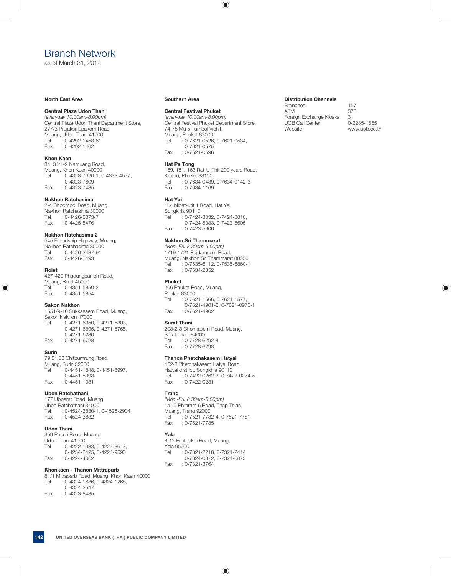## Branch Network

as of March 31, 2012

#### **North East Area**

#### **Central Plaza Udon Thani**

*(everyday 10.00am-8.00pm)*  Central Plaza Udon Thani Department Store, 277/3 Prajaksilllapakorn Road, Muang, Udon Thani 41000 Tel : 0-4292-1458-61 Fax : 0-4292-1462

#### **Khon Kaen**

34, 34/1-2 Namuang Road, Muang, Khon Kaen 40000 Tel : 0-4323-7620-1, 0-4333-4577, 0-4323-7609 Fax : 0-4323-7435

#### **Nakhon Ratchasima**

2-4 Choompol Road, Muang, Nakhon Ratchasima 30000 Tel : 0-4426-8873-7 Fax : 0-4425-5476

#### **Nakhon Ratchasima 2**

545 Friendship Highway, Muang, Nakhon Ratchasima 30000<br>Tel : 0-4426-3487-91 Tel : 0-4426-3487-91<br>Fax : 0-4426-3493  $: 0 - 4426 - 3493$ 

#### **Roiet**

427-429 Phadungpanich Road, Muang, Roiet 45000 Tel : 0-4351-5850-2 Fax : 0-4351-5854

#### **Sakon Nakhon**

1551/9-10 Sukkasaem Road, Muang, Sakon Nakhon 47000 Tel : 0-4271-6350, 0-4271-6303, 0-4271-6895, 0-4271-6765, 0-4271-6230 Fax : 0-4271-6728

#### **Surin**

79,81,83 Chitbumrung Road, Muang, Surin 32000 Tel : 0-4451-1848, 0-4451-8997, 0-4451-8998 Fax : 0-4451-1081

#### **Ubon Ratchathani**

177 Ubparat Road, Muang, Ubon Ratchathani 34000 Tel : 0-4524-3830-1, 0-4526-2904<br>Fax : 0-4524-3832  $: 0 - 4524 - 3832$ 

## **Udon Thani**

359 Phosri Road, Muang, Udon Thani 41000 Tel : 0-4222-1333, 0-4222-3613, 0-4234-3425, 0-4224-9590 Fax : 0-4224-4062

## **Khonkaen - Thanon Mittraparb**

81/1 Mitraparb Road, Muang, Khon Kaen 40000 Tel : 0-4324-1686, 0-4324-1268, 0-4324-2547<br>0-4323-8435 Fax  $: 0 - 4323 - 8435$ 

#### **Southern Area**

#### **Central Festival Phuket**

*(everyday 10.00am-8.00pm)*  Central Festival Phuket Department Store, 74-75 Mu 5 Tumbol Vichit, Muang, Phuket 83000 Tel : 0-7621-0526, 0-7621-0534, 0-7621-0575<br>0-7621-0596 : Fax  $\cdot$  0-7621-0596

## **Hat Pa Tong**

159, 161, 163 Rat-U-Thit 200 years Road, Krathu, Phuket 83150<br>Tel : 0-7634-0489 Tel : 0-7634-0489, 0-7634-0142-3<br>Fax : 0-7634-1169 : 0-7634-1169

#### **Hat Yai**

164 Nipat-utit 1 Road, Hat Yai, Songkhla 90110 Tel : 0-7424-3032, 0-7424-3810, 0-7424-5033, 0-7423-5605<br>
Eax : 0-7423-5606  $: 0 - 7423 - 5606$ 

## **Nakhon Sri Thammarat**

*(Mon.-Fri. 8.30am-5.00pm)*  1719-1721 Rajdamnern Road, Muang, Nakhon Sri Thammarat 80000 Tel : 0-7535-6112, 0-7535-6860-1 Fax : 0-7534-2352

#### **Phuket**

206 Phuket Road, Muang, Phuket 83000<br>Tel : 0-76  $: 0 - 7621 - 1566, 0 - 7621 - 1577,$ 0-7621-4901-2, 0-7621-0970-1<br>Co-7621-4902  $: 0 - 7621 - 4902$ 

#### **Surat Thani**

208/2-3 Chonkasem Road, Muang, Surat Thani 84000 Tel : 0-7728-6292-4 Fax : 0-7728-6298

### **Thanon Phetchakasem Hatyai**

452/8 Phetchakasem Hatyai Road, Hatyai district, Songkhla 90110<br>Tel : 0-7422-0262-3, 0-742 : 0-7422-0262-3, 0-7422-0274-5 Fax : 0-7422-0281

## **Trang**

*(Mon.-Fri. 8.30am-5.00pm)*  1/5-6 Phraram 6 Road, Thap Thian, Muang, Trang 92000<br>Tel : 0-7521-778  $: 0.7521 - 7782 - 4, 0.7521 - 7781$ Fax : 0-7521-7785

#### **Yala**

8-12 Pipitpakdi Road, Muang, Yala 95000<br>Tel : 0-7 : 0-7321-2218, 0-7321-2414 0-7324-0872, 0-7324-0873 Fax : 0-7321-3764

#### **Distribution Channels**

Branches 157 ATM 373 Foreign Exchange Kiosks 31<br>UOB Call Center 6-2285-1555 UOB Call Center Website www.uob.co.th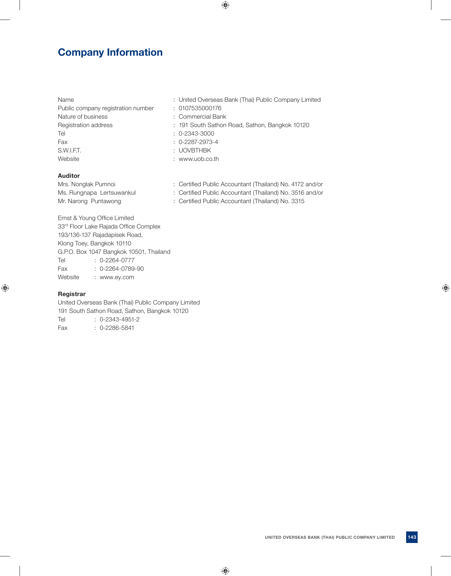## **Company Information**

| 13d116                             | . UHIIGU UVU SEAS       |
|------------------------------------|-------------------------|
| Public company registration number | : 0107535000176         |
| Nature of business                 | : Commercial Bar        |
| Registration address               | : 191 South Satho       |
| Tel                                | $: 0 - 2343 - 3000$     |
| Fax                                | $: 0 - 2287 - 2973 - 4$ |
| S.W.I.F.T.                         | : UOVBTHBK              |
| Website                            | : www.uob.co.th         |

## **Auditor**

- Name : United Overseas Bank (Thai) Public Company Limited
	-
	- ial Bank
	- Sathon Road, Sathon, Bangkok 10120
	-
	-
	-
	-
- Mrs. Nonglak Pumnoi : Certified Public Accountant (Thailand) No. 4172 and/or Ms. Rungnapa Lertsuwankul : Certified Public Accountant (Thailand) No. 3516 and/or
- Mr. Narong Puntawong : Certified Public Accountant (Thailand) No. 3315

Ernst & Young Office Limited 33rd Floor Lake Rajada Office Complex 193/136-137 Rajadapisek Road, Klong Toey, Bangkok 10110 G.P.O. Box 1047 Bangkok 10501, Thailand Tel : 0-2264-0777 Fax : 0-2264-0789-90 Website : www.ey.com

## **Registrar**

United Overseas Bank (Thai) Public Company Limited 191 South Sathon Road, Sathon, Bangkok 10120 Tel : 0-2343-4951-2 Fax : 0-2286-5841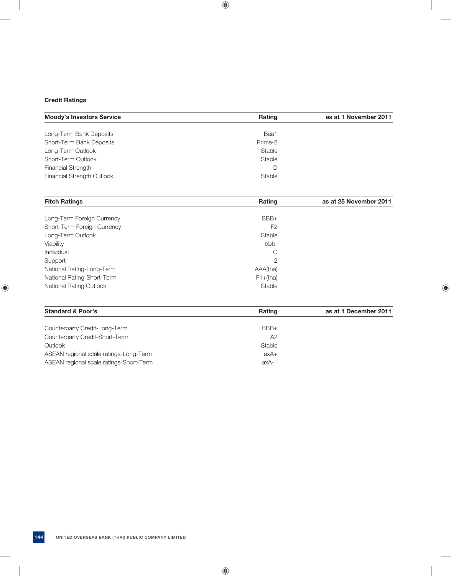## **Credit Ratings**

| <b>Moody's Investors Service</b> | <b>Rating</b> | as at 1 November 2011 |
|----------------------------------|---------------|-----------------------|
|                                  |               |                       |
| Long-Term Bank Deposits          | Baa1          |                       |
| Short-Term Bank Deposits         | Prime-2       |                       |
| Long-Term Outlook                | Stable        |                       |
| Short-Term Outlook               | Stable        |                       |
| <b>Financial Strength</b>        |               |                       |
| Financial Strength Outlook       | Stable        |                       |
|                                  |               |                       |

| <b>Fitch Ratings</b>           | Rating         | as at 25 November 2011 |
|--------------------------------|----------------|------------------------|
|                                |                |                        |
| Long-Term Foreign Currency     | $BBB+$         |                        |
| Short-Term Foreign Currency    | F <sub>2</sub> |                        |
| Long-Term Outlook              | Stable         |                        |
| Viability                      | bbb-           |                        |
| Individual                     | C              |                        |
| Support                        | $\overline{2}$ |                        |
| National Rating-Long-Term      | AAA(tha)       |                        |
| National Rating-Short-Term     | $F1+(tha)$     |                        |
| <b>National Rating Outlook</b> | Stable         |                        |

| <b>Rating</b>  | as at 1 December 2011 |
|----------------|-----------------------|
| $BBB+$         |                       |
| A <sub>2</sub> |                       |
| Stable         |                       |
| axA+           |                       |
| axA-1          |                       |
|                |                       |